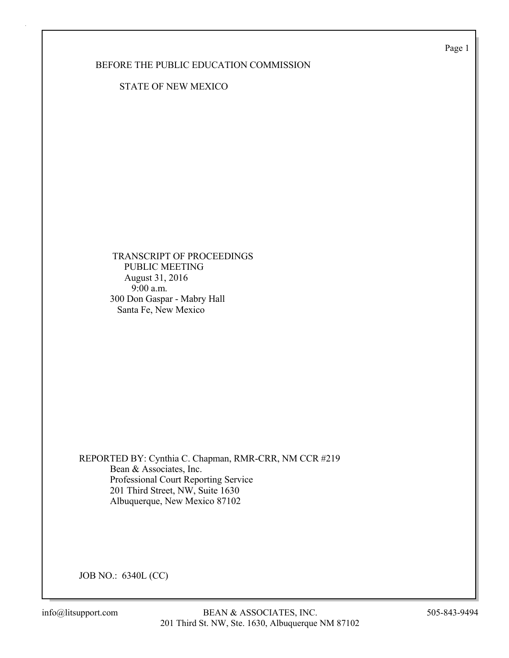Page 1

## BEFORE THE PUBLIC EDUCATION COMMISSION

STATE OF NEW MEXICO

 TRANSCRIPT OF PROCEEDINGS PUBLIC MEETING August 31, 2016 9:00 a.m. 300 Don Gaspar - Mabry Hall Santa Fe, New Mexico

REPORTED BY: Cynthia C. Chapman, RMR-CRR, NM CCR #219 Bean & Associates, Inc. Professional Court Reporting Service 201 Third Street, NW, Suite 1630 Albuquerque, New Mexico 87102

JOB NO.: 6340L (CC)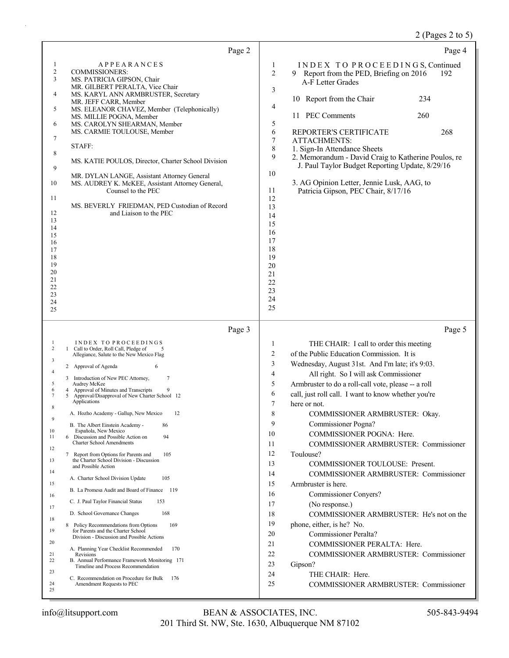## 2 (Pages 2 to 5)

| Page 2                                                                                                                                                                                                                                                                                                                                                                                                                                                                                                                                                                                                                                                                                                                                                                                                                                                                                                                                                                                                                                                                                                                                                                                                                                                                                                                                                                | Page 4                                                                                                                                                                                                                                                                                                                                                                                                                                                                                                                                                                                                                                                                                                                                                                                                                                                                                                                                                                                                   |
|-----------------------------------------------------------------------------------------------------------------------------------------------------------------------------------------------------------------------------------------------------------------------------------------------------------------------------------------------------------------------------------------------------------------------------------------------------------------------------------------------------------------------------------------------------------------------------------------------------------------------------------------------------------------------------------------------------------------------------------------------------------------------------------------------------------------------------------------------------------------------------------------------------------------------------------------------------------------------------------------------------------------------------------------------------------------------------------------------------------------------------------------------------------------------------------------------------------------------------------------------------------------------------------------------------------------------------------------------------------------------|----------------------------------------------------------------------------------------------------------------------------------------------------------------------------------------------------------------------------------------------------------------------------------------------------------------------------------------------------------------------------------------------------------------------------------------------------------------------------------------------------------------------------------------------------------------------------------------------------------------------------------------------------------------------------------------------------------------------------------------------------------------------------------------------------------------------------------------------------------------------------------------------------------------------------------------------------------------------------------------------------------|
| 1<br><b>APPEARANCES</b><br>2<br><b>COMMISSIONERS:</b><br>3<br>MS. PATRICIA GIPSON, Chair<br>MR. GILBERT PERALTA, Vice Chair<br>MS. KARYL ANN ARMBRUSTER, Secretary<br>4<br>MR. JEFF CARR, Member<br>5<br>MS. ELEANOR CHAVEZ, Member (Telephonically)<br>MS. MILLIE POGNA, Member<br>6<br>MS. CAROLYN SHEARMAN, Member<br>MS. CARMIE TOULOUSE, Member<br>7<br>STAFF:<br>8<br>MS. KATIE POULOS, Director, Charter School Division<br>9<br>MR. DYLAN LANGE, Assistant Attorney General<br>10<br>MS. AUDREY K. McKEE, Assistant Attorney General,<br>Counsel to the PEC<br>11<br>MS. BEVERLY FRIEDMAN, PED Custodian of Record<br>12<br>and Liaison to the PEC<br>13<br>14<br>15<br>16<br>17<br>18<br>19<br>20<br>21<br>22<br>23<br>24<br>25                                                                                                                                                                                                                                                                                                                                                                                                                                                                                                                                                                                                                              | INDEX TO PROCEEDINGS, Continued<br>$\mathbf{1}$<br>$\overline{c}$<br>9 Report from the PED, Briefing on 2016<br>192<br>A-F Letter Grades<br>3<br>10 Report from the Chair<br>234<br>4<br>11 PEC Comments<br>260<br>5<br>6<br>REPORTER'S CERTIFICATE<br>268<br>$\tau$<br><b>ATTACHMENTS:</b><br>8<br>1. Sign-In Attendance Sheets<br>9<br>2. Memorandum - David Craig to Katherine Poulos, re<br>J. Paul Taylor Budget Reporting Update, 8/29/16<br>10<br>3. AG Opinion Letter, Jennie Lusk, AAG, to<br>11<br>Patricia Gipson, PEC Chair, 8/17/16<br>12<br>13<br>14<br>15<br>16<br>17<br>18<br>19<br>20<br>21<br>22<br>23<br>24<br>25                                                                                                                                                                                                                                                                                                                                                                     |
| Page 3                                                                                                                                                                                                                                                                                                                                                                                                                                                                                                                                                                                                                                                                                                                                                                                                                                                                                                                                                                                                                                                                                                                                                                                                                                                                                                                                                                | Page 5                                                                                                                                                                                                                                                                                                                                                                                                                                                                                                                                                                                                                                                                                                                                                                                                                                                                                                                                                                                                   |
| INDEX TO PROCEEDINGS<br>1<br>2<br>1 Call to Order, Roll Call, Pledge of<br>Allegiance, Salute to the New Mexico Flag<br>3<br>6<br>2 Approval of Agenda<br>$\overline{4}$<br>$\tau$<br>3 Introduction of New PEC Attorney,<br>5<br>Audrey McKee<br>Approval of Minutes and Transcripts<br>6<br>4<br>7<br>Approval/Disapproval of New Charter School 12<br>5<br>Applications<br>8<br>A. Hozho Academy - Gallup, New Mexico<br>12<br>9<br>B. The Albert Einstein Academy -<br>86<br>10<br>Española, New Mexico<br>94<br>Discussion and Possible Action on<br>11<br>6<br>Charter School Amendments<br>12<br>105<br>Report from Options for Parents and<br>7<br>the Charter School Division - Discussion<br>13<br>and Possible Action<br>14<br>A. Charter School Division Update<br>105<br>15<br>B. La Promesa Audit and Board of Finance<br>119<br>16<br>153<br>C. J. Paul Taylor Financial Status<br>17<br>168<br>D. School Governance Changes<br>18<br>169<br>8 Policy Recommendations from Options<br>19<br>for Parents and the Charter School<br>Division - Discussion and Possible Actions<br>20<br>A. Planning Year Checklist Recommended<br>170<br>21<br>Revisions<br>B. Annual Performance Framework Monitoring 171<br>22<br>Timeline and Process Recommendation<br>23<br>C. Recommendation on Procedure for Bulk<br>176<br>Amendment Requests to PEC<br>24<br>25 | THE CHAIR: I call to order this meeting<br>1<br>of the Public Education Commission. It is<br>2<br>3<br>Wednesday, August 31st. And I'm late; it's 9:03.<br>4<br>All right. So I will ask Commissioner<br>5<br>Armbruster to do a roll-call vote, please -- a roll<br>6<br>call, just roll call. I want to know whether you're<br>7<br>here or not.<br>8<br>COMMISSIONER ARMBRUSTER: Okay.<br>9<br>Commissioner Pogna?<br>COMMISSIONER POGNA: Here.<br>10<br>11<br>COMMISSIONER ARMBRUSTER: Commissioner<br>12<br>Toulouse?<br>13<br>COMMISSIONER TOULOUSE: Present.<br>14<br>COMMISSIONER ARMBRUSTER: Commissioner<br>15<br>Armbruster is here.<br>16<br>Commissioner Conyers?<br>17<br>(No response.)<br>18<br>COMMISSIONER ARMBRUSTER: He's not on the<br>19<br>phone, either, is he? No.<br>20<br>Commissioner Peralta?<br>21<br>COMMISSIONER PERALTA: Here.<br>22<br>COMMISSIONER ARMBRUSTER: Commissioner<br>23<br>Gipson?<br>24<br>THE CHAIR: Here.<br>25<br>COMMISSIONER ARMBRUSTER: Commissioner |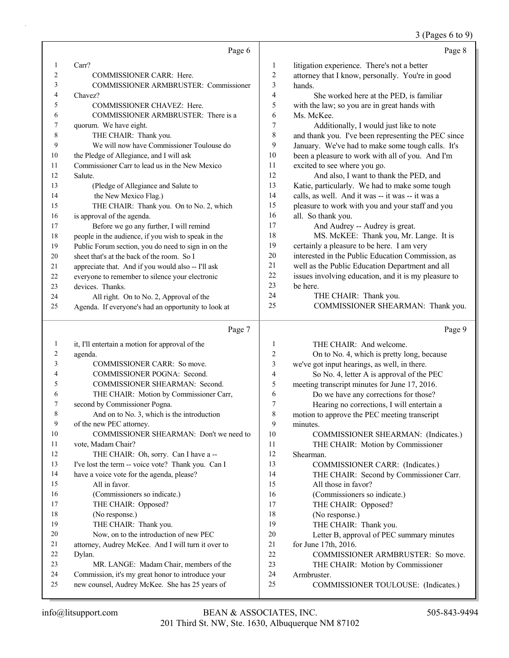## 3 (Pages 6 to 9)

|    | Page 6                                              |                | Page 8                                               |
|----|-----------------------------------------------------|----------------|------------------------------------------------------|
| 1  | Carr?                                               | 1              | litigation experience. There's not a better          |
| 2  | COMMISSIONER CARR: Here.                            | $\overline{c}$ | attorney that I know, personally. You're in good     |
| 3  | COMMISSIONER ARMBRUSTER: Commissioner               | 3              | hands.                                               |
| 4  | Chavez?                                             | 4              | She worked here at the PED, is familiar              |
| 5  | <b>COMMISSIONER CHAVEZ: Here.</b>                   | 5              | with the law; so you are in great hands with         |
| 6  | COMMISSIONER ARMBRUSTER: There is a                 | 6              | Ms. McKee.                                           |
| 7  | quorum. We have eight.                              | 7              | Additionally, I would just like to note              |
| 8  | THE CHAIR: Thank you.                               | 8              | and thank you. I've been representing the PEC since  |
| 9  | We will now have Commissioner Toulouse do           | 9              | January. We've had to make some tough calls. It's    |
| 10 | the Pledge of Allegiance, and I will ask            | 10             | been a pleasure to work with all of you. And I'm     |
| 11 | Commissioner Carr to lead us in the New Mexico      | 11             | excited to see where you go.                         |
| 12 | Salute.                                             | 12             | And also, I want to thank the PED, and               |
| 13 | (Pledge of Allegiance and Salute to                 | 13             | Katie, particularly. We had to make some tough       |
| 14 | the New Mexico Flag.)                               | 14             | calls, as well. And it was -- it was -- it was a     |
| 15 | THE CHAIR: Thank you. On to No. 2, which            | 15             | pleasure to work with you and your staff and you     |
| 16 | is approval of the agenda.                          | 16             | all. So thank you.                                   |
| 17 | Before we go any further, I will remind             | 17             | And Audrey -- Audrey is great.                       |
| 18 | people in the audience, if you wish to speak in the | 18             | MS. McKEE: Thank you, Mr. Lange. It is               |
| 19 | Public Forum section, you do need to sign in on the | 19             | certainly a pleasure to be here. I am very           |
| 20 | sheet that's at the back of the room. So I          | 20             | interested in the Public Education Commission, as    |
| 21 | appreciate that. And if you would also -- I'll ask  | 21             | well as the Public Education Department and all      |
| 22 | everyone to remember to silence your electronic     | 22             | issues involving education, and it is my pleasure to |
| 23 | devices. Thanks.                                    | 23             | be here.                                             |
| 24 | All right. On to No. 2, Approval of the             | 24             | THE CHAIR: Thank you.                                |
| 25 | Agenda. If everyone's had an opportunity to look at | 25             | COMMISSIONER SHEARMAN: Thank you.                    |
|    | Page 7                                              |                | Page 9                                               |

|    | it, I'll entertain a motion for approval of the    | 1  | THE CHAIR: And welcome.                       |
|----|----------------------------------------------------|----|-----------------------------------------------|
| 2  | agenda.                                            | 2  | On to No. 4, which is pretty long, because    |
| 3  | COMMISSIONER CARR: So move.                        | 3  | we've got input hearings, as well, in there.  |
| 4  | COMMISSIONER POGNA: Second.                        | 4  | So No. 4, letter A is approval of the PEC     |
| 5  | COMMISSIONER SHEARMAN: Second.                     | 5  | meeting transcript minutes for June 17, 2016. |
| 6  | THE CHAIR: Motion by Commissioner Carr,            | 6  | Do we have any corrections for those?         |
| 7  | second by Commissioner Pogna.                      | 7  | Hearing no corrections, I will entertain a    |
| 8  | And on to No. 3, which is the introduction         | 8  | motion to approve the PEC meeting transcript  |
| 9  | of the new PEC attorney.                           | 9  | minutes.                                      |
| 10 | COMMISSIONER SHEARMAN: Don't we need to            | 10 | COMMISSIONER SHEARMAN: (Indicates.)           |
| 11 | vote, Madam Chair?                                 | 11 | THE CHAIR: Motion by Commissioner             |
| 12 | THE CHAIR: Oh, sorry. Can I have a --              | 12 | Shearman.                                     |
| 13 | I've lost the term -- voice vote? Thank you. Can I | 13 | COMMISSIONER CARR: (Indicates.)               |
| 14 | have a voice vote for the agenda, please?          | 14 | THE CHAIR: Second by Commissioner Carr.       |
| 15 | All in favor.                                      | 15 | All those in favor?                           |
| 16 | (Commissioners so indicate.)                       | 16 | (Commissioners so indicate.)                  |
| 17 | THE CHAIR: Opposed?                                | 17 | THE CHAIR: Opposed?                           |
| 18 | (No response.)                                     | 18 | (No response.)                                |
| 19 | THE CHAIR: Thank you.                              | 19 | THE CHAIR: Thank you.                         |
| 20 | Now, on to the introduction of new PEC             | 20 | Letter B, approval of PEC summary minutes     |
| 21 | attorney, Audrey McKee. And I will turn it over to | 21 | for June 17th, 2016.                          |
| 22 | Dylan.                                             | 22 | COMMISSIONER ARMBRUSTER: So move.             |
| 23 | MR. LANGE: Madam Chair, members of the             | 23 | THE CHAIR: Motion by Commissioner             |
| 24 | Commission, it's my great honor to introduce your  | 24 | Armbruster.                                   |
| 25 | new counsel, Audrey McKee. She has 25 years of     | 25 | COMMISSIONER TOULOUSE: (Indicates.)           |
|    |                                                    |    |                                               |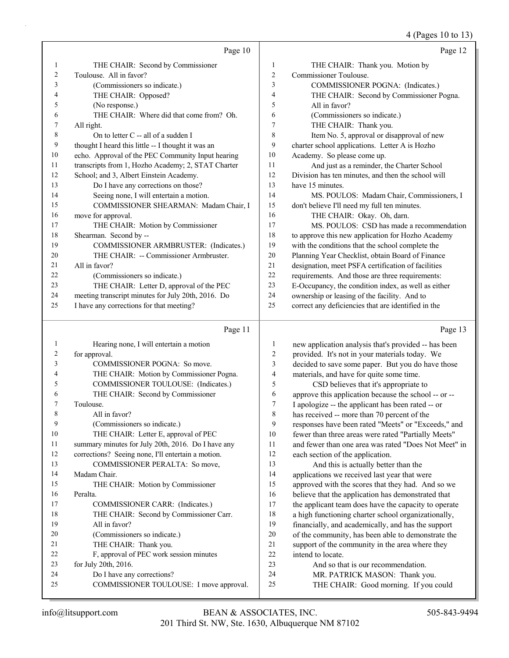4 (Pages 10 to 13)

|    | Page 10                                            |                | Page 12                                              |
|----|----------------------------------------------------|----------------|------------------------------------------------------|
| 1  | THE CHAIR: Second by Commissioner                  | 1              | THE CHAIR: Thank you. Motion by                      |
| 2  | Toulouse. All in favor?                            | $\overline{c}$ | Commissioner Toulouse.                               |
| 3  | (Commissioners so indicate.)                       | 3              | COMMISSIONER POGNA: (Indicates.)                     |
| 4  | THE CHAIR: Opposed?                                | $\overline{4}$ | THE CHAIR: Second by Commissioner Pogna.             |
| 5  | (No response.)                                     | 5              | All in favor?                                        |
| 6  | THE CHAIR: Where did that come from? Oh.           | 6              | (Commissioners so indicate.)                         |
| 7  | All right.                                         | 7              | THE CHAIR: Thank you.                                |
| 8  | On to letter C -- all of a sudden I                | 8              | Item No. 5, approval or disapproval of new           |
| 9  | thought I heard this little -- I thought it was an | 9              | charter school applications. Letter A is Hozho       |
| 10 | echo. Approval of the PEC Community Input hearing  | 10             | Academy. So please come up.                          |
| 11 | transcripts from 1, Hozho Academy; 2, STAT Charter | 11             | And just as a reminder, the Charter School           |
| 12 | School; and 3, Albert Einstein Academy.            | 12             | Division has ten minutes, and then the school will   |
| 13 | Do I have any corrections on those?                | 13             | have 15 minutes.                                     |
| 14 | Seeing none, I will entertain a motion.            | 14             | MS. POULOS: Madam Chair, Commissioners, I            |
| 15 | COMMISSIONER SHEARMAN: Madam Chair, I              | 15             | don't believe I'll need my full ten minutes.         |
| 16 | move for approval.                                 | 16             | THE CHAIR: Okay. Oh, darn.                           |
| 17 | THE CHAIR: Motion by Commissioner                  | 17             | MS. POULOS: CSD has made a recommendation            |
| 18 | Shearman. Second by --                             | 18             | to approve this new application for Hozho Academy    |
| 19 | COMMISSIONER ARMBRUSTER: (Indicates.)              | 19             | with the conditions that the school complete the     |
| 20 | THE CHAIR: -- Commissioner Armbruster.             | 20             | Planning Year Checklist, obtain Board of Finance     |
| 21 | All in favor?                                      | 21             | designation, meet PSFA certification of facilities   |
| 22 | (Commissioners so indicate.)                       | 22             | requirements. And those are three requirements:      |
| 23 | THE CHAIR: Letter D, approval of the PEC           | 23             | E-Occupancy, the condition index, as well as either  |
| 24 | meeting transcript minutes for July 20th, 2016. Do | 24             | ownership or leasing of the facility. And to         |
| 25 | I have any corrections for that meeting?           | 25             | correct any deficiencies that are identified in the  |
|    |                                                    |                |                                                      |
|    | Page 11                                            |                | Page 13                                              |
| 1  | Hearing none, I will entertain a motion            | 1              | new application analysis that's provided -- has been |
| 2  | for approval.                                      | $\overline{2}$ | provided. It's not in your materials today. We       |
| 3  | COMMISSIONER POGNA: So move.                       | 3              | decided to save some paper. But you do have those    |
| 4  | THE CHAIR: Motion by Commissioner Pogna.           | 4              | materials, and have for quite some time.             |

5 COMMISSIONER TOULOUSE: (Indicates.) 6 THE CHAIR: Second by Commissioner 7 Toulouse. 8 All in favor? 9 (Commissioners so indicate.)

## 10 THE CHAIR: Letter E, approval of PEC 11 summary minutes for July 20th, 2016. Do I have any 12 corrections? Seeing none, I'll entertain a motion. 13 COMMISSIONER PERALTA: So move, 14 Madam Chair. 15 THE CHAIR: Motion by Commissioner 16 Peralta. 17 COMMISSIONER CARR: (Indicates.) 18 THE CHAIR: Second by Commissioner Carr.

- 19 All in favor? 20 (Commissioners so indicate.) 21 THE CHAIR: Thank you. 22 F, approval of PEC work session minutes 23 for July 20th, 2016.
- 24 Do I have any corrections? 25 COMMISSIONER TOULOUSE: I move approval.

13 And this is actually better than the applications we received last year that were approved with the scores that they had. And so we believe that the application has demonstrated that

9 responses have been rated "Meets" or "Exceeds," and 10 fewer than three areas were rated "Partially Meets" 11 and fewer than one area was rated "Does Not Meet" in

5 CSD believes that it's appropriate to approve this application because the school -- or -- I apologize -- the applicant has been rated -- or has received -- more than 70 percent of the

12 each section of the application.

- 17 the applicant team does have the capacity to operate
- 18 a high functioning charter school organizationally,
- 19 financially, and academically, and has the support 20 of the community, has been able to demonstrate the 21 support of the community in the area where they 22 intend to locate.
- 23 And so that is our recommendation.
- 24 MR. PATRICK MASON: Thank you.
- 25 THE CHAIR: Good morning. If you could

- 
- 201 Third St. NW, Ste. 1630, Albuquerque NM 87102 info@litsupport.com BEAN & ASSOCIATES, INC. 505-843-9494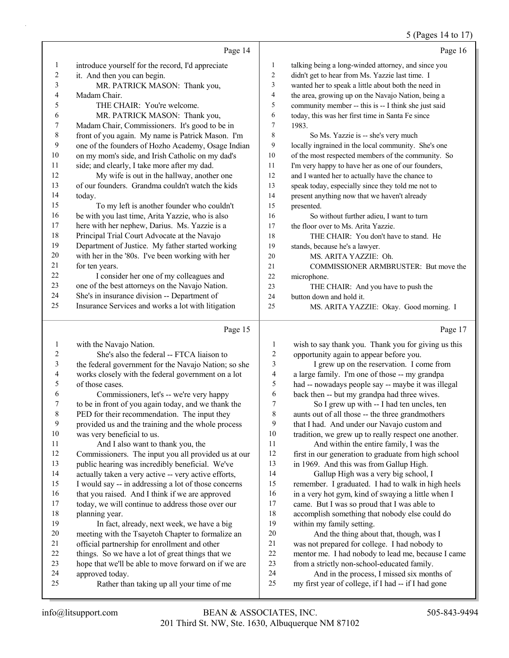## $(Paose 14 to 17)$

|                  |                                                                         |                | $5$ (Pages 14 to 17)                                                                      |
|------------------|-------------------------------------------------------------------------|----------------|-------------------------------------------------------------------------------------------|
|                  | Page 14                                                                 |                | Page 16                                                                                   |
| 1                | introduce yourself for the record, I'd appreciate                       | $\mathbf{1}$   | talking being a long-winded attorney, and since you                                       |
| $\boldsymbol{2}$ | it. And then you can begin.                                             | $\overline{2}$ | didn't get to hear from Ms. Yazzie last time. I                                           |
| 3                | MR. PATRICK MASON: Thank you,                                           | 3              | wanted her to speak a little about both the need in                                       |
| 4                | Madam Chair.                                                            | $\overline{4}$ | the area, growing up on the Navajo Nation, being a                                        |
| 5                | THE CHAIR: You're welcome.                                              | 5              | community member -- this is -- I think she just said                                      |
| 6                | MR. PATRICK MASON: Thank you,                                           | 6              | today, this was her first time in Santa Fe since                                          |
| 7                | Madam Chair, Commissioners. It's good to be in                          | $\tau$         | 1983.                                                                                     |
| $\,$ $\,$        | front of you again. My name is Patrick Mason. I'm                       | $\,$ 8 $\,$    | So Ms. Yazzie is -- she's very much                                                       |
| 9                | one of the founders of Hozho Academy, Osage Indian                      | 9              | locally ingrained in the local community. She's one                                       |
| 10               | on my mom's side, and Irish Catholic on my dad's                        | 10             | of the most respected members of the community. So                                        |
| 11               | side; and clearly, I take more after my dad.                            | 11             | I'm very happy to have her as one of our founders,                                        |
| 12               | My wife is out in the hallway, another one                              | 12             | and I wanted her to actually have the chance to                                           |
| 13               | of our founders. Grandma couldn't watch the kids                        | 13             | speak today, especially since they told me not to                                         |
| 14               | today.                                                                  | 14             | present anything now that we haven't already                                              |
| 15               | To my left is another founder who couldn't                              | 15             | presented.                                                                                |
| 16               | be with you last time, Arita Yazzie, who is also                        | 16             | So without further adieu, I want to turn                                                  |
| 17               | here with her nephew, Darius. Ms. Yazzie is a                           | 17             | the floor over to Ms. Arita Yazzie.                                                       |
| 18               | Principal Trial Court Advocate at the Navajo                            | 18             | THE CHAIR: You don't have to stand. He                                                    |
| 19               | Department of Justice. My father started working                        | 19             | stands, because he's a lawyer.                                                            |
| 20               | with her in the '80s. I've been working with her                        | 20             | MS. ARITA YAZZIE: Oh.                                                                     |
| 21               | for ten years.                                                          | 21             | COMMISSIONER ARMBRUSTER: But move the                                                     |
| 22               | I consider her one of my colleagues and                                 | 22             | microphone.                                                                               |
| 23               | one of the best attorneys on the Navajo Nation.                         | 23             | THE CHAIR: And you have to push the                                                       |
| 24               | She's in insurance division -- Department of                            | 24             | button down and hold it.                                                                  |
| 25               | Insurance Services and works a lot with litigation                      | 25             | MS. ARITA YAZZIE: Okay. Good morning. I                                                   |
|                  |                                                                         |                |                                                                                           |
|                  |                                                                         |                |                                                                                           |
|                  | Page 15                                                                 |                | Page 17                                                                                   |
|                  |                                                                         |                |                                                                                           |
| $\mathbf{1}$     | with the Navajo Nation.                                                 | $\mathbf{1}$   | wish to say thank you. Thank you for giving us this                                       |
| $\overline{c}$   | She's also the federal -- FTCA liaison to                               | $\overline{c}$ | opportunity again to appear before you.                                                   |
| 3                | the federal government for the Navajo Nation; so she                    | 3              | I grew up on the reservation. I come from                                                 |
| 4                | works closely with the federal government on a lot                      | 4              | a large family. I'm one of those -- my grandpa                                            |
| 5                | of those cases.                                                         | 5              | had -- nowadays people say -- maybe it was illegal                                        |
| 6<br>7           | Commissioners, let's -- we're very happy                                | 6<br>7         | back then -- but my grandpa had three wives.                                              |
|                  | to be in front of you again today, and we thank the                     |                | So I grew up with -- I had ten uncles, ten                                                |
| $\,$ 8 $\,$      | PED for their recommendation. The input they                            | $\,8\,$<br>9   | aunts out of all those -- the three grandmothers                                          |
| 9                | provided us and the training and the whole process                      |                | that I had. And under our Navajo custom and                                               |
| 10               | was very beneficial to us.                                              | $10\,$<br>11   | tradition, we grew up to really respect one another.                                      |
| 11               | And I also want to thank you, the                                       | 12             | And within the entire family, I was the                                                   |
| 12               | Commissioners. The input you all provided us at our                     | 13             | first in our generation to graduate from high school                                      |
| 13               | public hearing was incredibly beneficial. We've                         | 14             | in 1969. And this was from Gallup High.                                                   |
| 14               | actually taken a very active -- very active efforts,                    | 15             | Gallup High was a very big school, I                                                      |
| 15               | I would say -- in addressing a lot of those concerns                    | 16             | remember. I graduated. I had to walk in high heels                                        |
| 16               | that you raised. And I think if we are approved                         | 17             | in a very hot gym, kind of swaying a little when I                                        |
| 17<br>18         | today, we will continue to address those over our                       | 18             | came. But I was so proud that I was able to                                               |
| 19               | planning year.                                                          | 19             | accomplish something that nobody else could do                                            |
| 20               | In fact, already, next week, we have a big                              | $20\,$         | within my family setting.                                                                 |
| 21               | meeting with the Tsayetoh Chapter to formalize an                       | 21             | And the thing about that, though, was I                                                   |
| 22               | official partnership for enrollment and other                           | $22\,$         | was not prepared for college. I had nobody to                                             |
| 23               | things. So we have a lot of great things that we                        | 23             | mentor me. I had nobody to lead me, because I came                                        |
| 24               | hope that we'll be able to move forward on if we are<br>approved today. | 24             | from a strictly non-school-educated family.<br>And in the process, I missed six months of |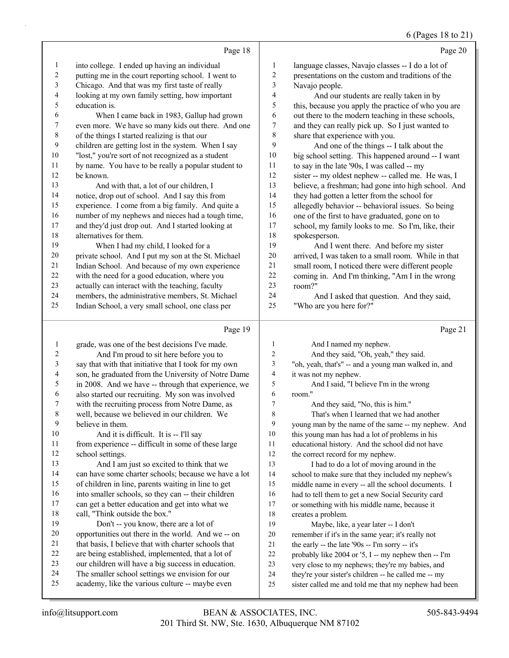## 6 (Pages 18 to 21)

|                    | Page 18                                             |                | Page 20                                             |
|--------------------|-----------------------------------------------------|----------------|-----------------------------------------------------|
| $\mathbf{1}$       | into college. I ended up having an individual       | 1              | language classes, Navajo classes -- I do a lot of   |
| 2                  | putting me in the court reporting school. I went to | $\overline{c}$ | presentations on the custom and traditions of the   |
| 3                  | Chicago. And that was my first taste of really      | 3              | Navajo people.                                      |
| 4                  | looking at my own family setting, how important     | $\overline{4}$ | And our students are really taken in by             |
| 5<br>education is. |                                                     | 5              | this, because you apply the practice of who you are |
| 6                  | When I came back in 1983, Gallup had grown          | 6              | out there to the modern teaching in these schools,  |
| 7                  | even more. We have so many kids out there. And one  | 7              | and they can really pick up. So I just wanted to    |
| $\,8\,$            | of the things I started realizing is that our       | 8              | share that experience with you.                     |
| 9                  | children are getting lost in the system. When I say | 9              | And one of the things -- I talk about the           |
| 10                 | "lost," you're sort of not recognized as a student  | 10             | big school setting. This happened around -- I want  |
| 11                 | by name. You have to be really a popular student to | 11             | to say in the late '90s, I was called -- my         |
| 12<br>be known.    |                                                     | 12             | sister -- my oldest nephew -- called me. He was, I  |
| 13                 | And with that, a lot of our children, I             | 13             | believe, a freshman; had gone into high school. And |
| 14                 | notice, drop out of school. And I say this from     | 14             | they had gotten a letter from the school for        |
| 15                 | experience. I come from a big family. And quite a   | 15             | allegedly behavior -- behavioral issues. So being   |
| 16                 | number of my nephews and nieces had a tough time,   | 16             | one of the first to have graduated, gone on to      |
| 17                 | and they'd just drop out. And I started looking at  | 17             | school, my family looks to me. So I'm, like, their  |
| 18                 | alternatives for them.                              | 18             | spokesperson.                                       |
| 19                 | When I had my child, I looked for a                 | 19             | And I went there. And before my sister              |
| 20                 | private school. And I put my son at the St. Michael | 20             | arrived, I was taken to a small room. While in that |
| 21                 | Indian School. And because of my own experience     | 21             | small room, I noticed there were different people   |
| 22                 | with the need for a good education, where you       | 22             | coming in. And I'm thinking, "Am I in the wrong     |
| 23                 | actually can interact with the teaching, faculty    | 23             | room?"                                              |
| 24                 | members, the administrative members, St. Michael    | 24             | And I asked that question. And they said,           |
| 25                 | Indian School, a very small school, one class per   | 25             | "Who are you here for?"                             |
|                    | Page 19                                             |                | Page 21                                             |

| 1              | grade, was one of the best decisions I've made.      | 1              | And I named my nephew.                               |
|----------------|------------------------------------------------------|----------------|------------------------------------------------------|
| $\overline{c}$ | And I'm proud to sit here before you to              | $\overline{c}$ | And they said, "Oh, yeah," they said.                |
| 3              | say that with that initiative that I took for my own | 3              | "oh, yeah, that's" -- and a young man walked in, and |
| 4              | son, he graduated from the University of Notre Dame  | 4              | it was not my nephew.                                |
| 5              | in 2008. And we have -- through that experience, we  | 5              | And I said, "I believe I'm in the wrong              |
| 6              | also started our recruiting. My son was involved     | 6              | room."                                               |
| 7              | with the recruiting process from Notre Dame, as      | 7              | And they said, "No, this is him."                    |
| 8              | well, because we believed in our children. We        | 8              | That's when I learned that we had another            |
| 9              | believe in them.                                     | 9              | young man by the name of the same -- my nephew. And  |
| 10             | And it is difficult. It is -- I'll say               | 10             | this young man has had a lot of problems in his      |
| 11             | from experience -- difficult in some of these large  | 11             | educational history. And the school did not have     |
| 12             | school settings.                                     | 12             | the correct record for my nephew.                    |
| 13             | And I am just so excited to think that we            | 13             | I had to do a lot of moving around in the            |
| 14             | can have some charter schools; because we have a lot | 14             | school to make sure that they included my nephew's   |
| 15             | of children in line, parents waiting in line to get  | 15             | middle name in every -- all the school documents. I  |
| 16             | into smaller schools, so they can -- their children  | 16             | had to tell them to get a new Social Security card   |
| 17             | can get a better education and get into what we      | 17             | or something with his middle name, because it        |
| 18             | call, "Think outside the box."                       | 18             | creates a problem.                                   |
| 19             | Don't -- you know, there are a lot of                | 19             | Maybe, like, a year later -- I don't                 |
| $20\,$         | opportunities out there in the world. And we -- on   | 20             | remember if it's in the same year; it's really not   |
| 21             | that basis, I believe that with charter schools that | 21             | the early -- the late '90s -- I'm sorry -- it's      |
| 22             | are being established, implemented, that a lot of    | 22             | probably like 2004 or '5, I -- my nephew then -- I'm |
| 23             | our children will have a big success in education.   | 23             | very close to my nephews; they're my babies, and     |
| 24             | The smaller school settings we envision for our      | 24             | they're your sister's children -- he called me -- my |
| 25             | academy, like the various culture -- maybe even      | 25             | sister called me and told me that my nephew had been |
|                |                                                      |                |                                                      |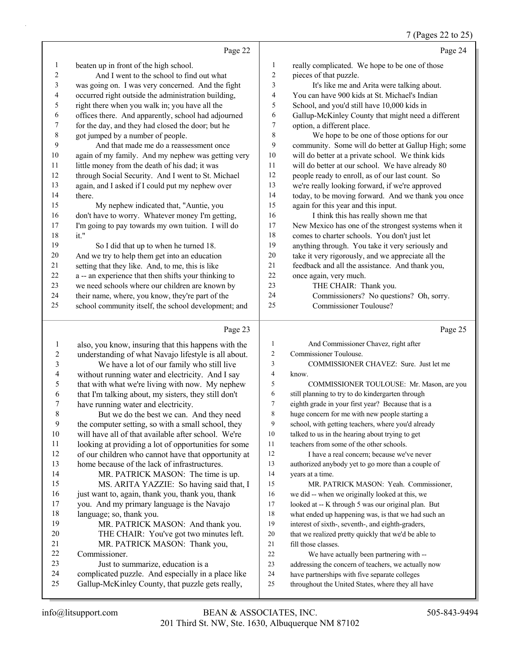## 7 (Pages 22 to 25)

|    | Page 22                                              |              | Page 24                                             |
|----|------------------------------------------------------|--------------|-----------------------------------------------------|
| 1  | beaten up in front of the high school.               | $\mathbf{1}$ | really complicated. We hope to be one of those      |
| 2  | And I went to the school to find out what            | 2            | pieces of that puzzle.                              |
| 3  | was going on. I was very concerned. And the fight    | 3            | It's like me and Arita were talking about.          |
| 4  | occurred right outside the administration building,  | 4            | You can have 900 kids at St. Michael's Indian       |
| 5  | right there when you walk in; you have all the       | 5            | School, and you'd still have 10,000 kids in         |
| 6  | offices there. And apparently, school had adjourned  | 6            | Gallup-McKinley County that might need a different  |
| 7  | for the day, and they had closed the door; but he    | 7            | option, a different place.                          |
| 8  | got jumped by a number of people.                    | 8            | We hope to be one of those options for our          |
| 9  | And that made me do a reassessment once              | 9            | community. Some will do better at Gallup High; some |
| 10 | again of my family. And my nephew was getting very   | 10           | will do better at a private school. We think kids   |
| 11 | little money from the death of his dad; it was       | 11           | will do better at our school. We have already 80    |
| 12 | through Social Security. And I went to St. Michael   | 12           | people ready to enroll, as of our last count. So    |
| 13 | again, and I asked if I could put my nephew over     | 13           | we're really looking forward, if we're approved     |
| 14 | there.                                               | 14           | today, to be moving forward. And we thank you once  |
| 15 | My nephew indicated that, "Auntie, you               | 15           | again for this year and this input.                 |
| 16 | don't have to worry. Whatever money I'm getting,     | 16           | I think this has really shown me that               |
| 17 | I'm going to pay towards my own tuition. I will do   | 17           | New Mexico has one of the strongest systems when it |
| 18 | it."                                                 | 18           | comes to charter schools. You don't just let        |
| 19 | So I did that up to when he turned 18.               | 19           | anything through. You take it very seriously and    |
| 20 | And we try to help them get into an education        | 20           | take it very rigorously, and we appreciate all the  |
| 21 | setting that they like. And, to me, this is like     | 21           | feedback and all the assistance. And thank you,     |
| 22 | a -- an experience that then shifts your thinking to | 22           | once again, very much.                              |
| 23 | we need schools where our children are known by      | 23           | THE CHAIR: Thank you.                               |
| 24 | their name, where, you know, they're part of the     | 24           | Commissioners? No questions? Oh, sorry.             |
| 25 | school community itself, the school development; and | 25           | Commissioner Toulouse?                              |
|    |                                                      |              |                                                     |

|                | Page 23                                              |    | Page 25                                              |
|----------------|------------------------------------------------------|----|------------------------------------------------------|
| $\mathbf{1}$   | also, you know, insuring that this happens with the  | 1  | And Commissioner Chavez, right after                 |
| $\overline{c}$ | understanding of what Navajo lifestyle is all about. | 2  | Commissioner Toulouse.                               |
| 3              | We have a lot of our family who still live           | 3  | COMMISSIONER CHAVEZ: Sure. Just let me               |
| 4              | without running water and electricity. And I say     | 4  | know.                                                |
| 5              | that with what we're living with now. My nephew      | 5. | COMMISSIONER TOULOUSE: Mr. Mason, are you            |
| 6              | that I'm talking about, my sisters, they still don't | 6  | still planning to try to do kindergarten through     |
| 7              | have running water and electricity.                  | 7  | eighth grade in your first year? Because that is a   |
| 8              | But we do the best we can. And they need             | 8  | huge concern for me with new people starting a       |
| 9              | the computer setting, so with a small school, they   | 9  | school, with getting teachers, where you'd already   |
| 10             | will have all of that available after school. We're  | 10 | talked to us in the hearing about trying to get      |
| 11             | looking at providing a lot of opportunities for some | 11 | teachers from some of the other schools.             |
| 12             | of our children who cannot have that opportunity at  | 12 | I have a real concern; because we've never           |
| 13             | home because of the lack of infrastructures.         | 13 | authorized anybody yet to go more than a couple of   |
| 14             | MR. PATRICK MASON: The time is up.                   | 14 | years at a time.                                     |
| 15             | MS. ARITA YAZZIE: So having said that, I             | 15 | MR. PATRICK MASON: Yeah. Commissioner,               |
| 16             | just want to, again, thank you, thank you, thank     | 16 | we did -- when we originally looked at this, we      |
| 17             | you. And my primary language is the Navajo           | 17 | looked at -- K through 5 was our original plan. But  |
| 18             | language; so, thank you.                             | 18 | what ended up happening was, is that we had such an  |
| 19             | MR. PATRICK MASON: And thank you.                    | 19 | interest of sixth-, seventh-, and eighth-graders,    |
| 20             | THE CHAIR: You've got two minutes left.              | 20 | that we realized pretty quickly that we'd be able to |
| 21             | MR. PATRICK MASON: Thank you,                        | 21 | fill those classes.                                  |
| 22             | Commissioner.                                        | 22 | We have actually been partnering with --             |
| 23             | Just to summarize, education is a                    | 23 | addressing the concern of teachers, we actually now  |
| 24             | complicated puzzle. And especially in a place like   | 24 | have partnerships with five separate colleges        |
| 25             | Gallup-McKinley County, that puzzle gets really,     | 25 | throughout the United States, where they all have    |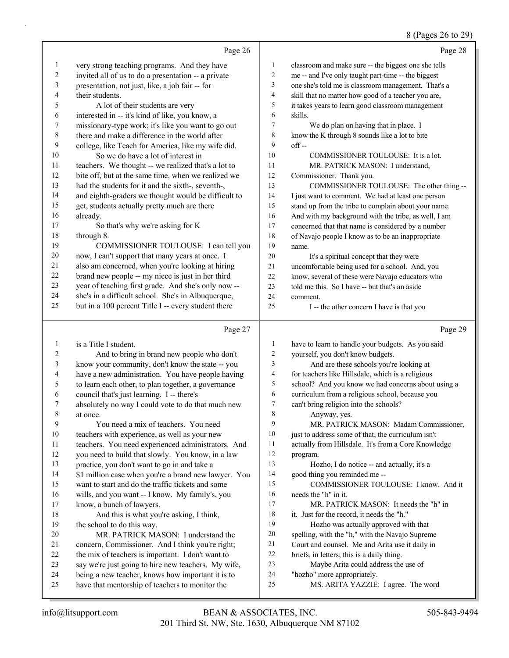## 8 (Pages 26 to 29)

|                | Page 26                                                                                              |                          | Page 28                                                            |
|----------------|------------------------------------------------------------------------------------------------------|--------------------------|--------------------------------------------------------------------|
| 1              | very strong teaching programs. And they have                                                         | $\mathbf{1}$             | classroom and make sure -- the biggest one she tells               |
| 2              | invited all of us to do a presentation -- a private                                                  | $\overline{c}$           | me -- and I've only taught part-time -- the biggest                |
| 3              | presentation, not just, like, a job fair -- for                                                      | 3                        | one she's told me is classroom management. That's a                |
| 4              | their students.                                                                                      | 4                        | skill that no matter how good of a teacher you are,                |
| 5              | A lot of their students are very                                                                     | 5                        | it takes years to learn good classroom management                  |
| 6              | interested in -- it's kind of like, you know, a                                                      | 6                        | skills.                                                            |
| 7              | missionary-type work; it's like you want to go out                                                   | 7                        | We do plan on having that in place. I                              |
| 8              | there and make a difference in the world after                                                       | $\,$ 8 $\,$              | know the K through 8 sounds like a lot to bite                     |
| 9              | college, like Teach for America, like my wife did.                                                   | 9                        | off-                                                               |
| 10             | So we do have a lot of interest in                                                                   | 10                       | COMMISSIONER TOULOUSE: It is a lot.                                |
| 11             | teachers. We thought -- we realized that's a lot to                                                  | 11                       | MR. PATRICK MASON: I understand,                                   |
| 12             | bite off, but at the same time, when we realized we                                                  | 12                       | Commissioner. Thank you.                                           |
| 13             | had the students for it and the sixth-, seventh-,                                                    | 13                       | COMMISSIONER TOULOUSE: The other thing --                          |
| 14             | and eighth-graders we thought would be difficult to                                                  | 14                       | I just want to comment. We had at least one person                 |
| 15             | get, students actually pretty much are there                                                         | 15                       | stand up from the tribe to complain about your name.               |
| 16             | already.                                                                                             | 16                       | And with my background with the tribe, as well, I am               |
| 17             | So that's why we're asking for K                                                                     | 17                       | concerned that that name is considered by a number                 |
| 18             | through 8.                                                                                           | 18                       | of Navajo people I know as to be an inappropriate                  |
| 19             | COMMISSIONER TOULOUSE: I can tell you                                                                | 19                       | name.                                                              |
| $20\,$         | now, I can't support that many years at once. I                                                      | $20\,$                   | It's a spiritual concept that they were                            |
| 21             | also am concerned, when you're looking at hiring                                                     | $21\,$                   | uncomfortable being used for a school. And, you                    |
| $22\,$         | brand new people -- my niece is just in her third                                                    | 22                       | know, several of these were Navajo educators who                   |
| 23             | year of teaching first grade. And she's only now --                                                  | 23                       | told me this. So I have -- but that's an aside                     |
| 24             | she's in a difficult school. She's in Albuquerque,                                                   | 24                       | comment.                                                           |
| 25             | but in a 100 percent Title I -- every student there                                                  | 25                       | I -- the other concern I have is that you                          |
|                |                                                                                                      |                          |                                                                    |
|                |                                                                                                      |                          |                                                                    |
|                | Page 27                                                                                              |                          | Page 29                                                            |
| $\mathbf{1}$   | is a Title I student.                                                                                | $\mathbf{1}$             | have to learn to handle your budgets. As you said                  |
| $\overline{c}$ | And to bring in brand new people who don't                                                           | $\boldsymbol{2}$         | yourself, you don't know budgets.                                  |
| 3              | know your community, don't know the state -- you                                                     | 3                        | And are these schools you're looking at                            |
| 4              | have a new administration. You have people having                                                    | $\overline{\mathcal{A}}$ | for teachers like Hillsdale, which is a religious                  |
| 5              | to learn each other, to plan together, a governance                                                  | 5                        | school? And you know we had concerns about using a                 |
| 6              | council that's just learning. I -- there's                                                           | 6                        | curriculum from a religious school, because you                    |
| 7              | absolutely no way I could vote to do that much new                                                   | $\boldsymbol{7}$         | can't bring religion into the schools?                             |
| 8              | at once.                                                                                             | 8                        | Anyway, yes.                                                       |
| 9              | You need a mix of teachers. You need                                                                 | 9                        | MR. PATRICK MASON: Madam Commissioner,                             |
| 10             | teachers with experience, as well as your new                                                        | 10                       | just to address some of that, the curriculum isn't                 |
| 11             | teachers. You need experienced administrators. And                                                   | 11                       | actually from Hillsdale. It's from a Core Knowledge                |
| 12             | you need to build that slowly. You know, in a law                                                    | 12                       | program.                                                           |
| 13             | practice, you don't want to go in and take a                                                         | 13                       | Hozho, I do notice -- and actually, it's a                         |
| 14             | \$1 million case when you're a brand new lawyer. You                                                 | 14                       | good thing you reminded me --                                      |
| 15             | want to start and do the traffic tickets and some                                                    | 15                       | COMMISSIONER TOULOUSE: I know. And it                              |
| 16             | wills, and you want -- I know. My family's, you                                                      | 16                       | needs the "h" in it.                                               |
| 17             | know, a bunch of lawyers.                                                                            | 17                       | MR. PATRICK MASON: It needs the "h" in                             |
| 18             | And this is what you're asking, I think,                                                             | 18                       | it. Just for the record, it needs the "h."                         |
| 19             | the school to do this way.                                                                           | 19                       | Hozho was actually approved with that                              |
| 20             | MR. PATRICK MASON: I understand the                                                                  | 20                       | spelling, with the "h," with the Navajo Supreme                    |
| 21             | concern, Commissioner. And I think you're right;                                                     | 21                       | Court and counsel. Me and Arita use it daily in                    |
| 22             | the mix of teachers is important. I don't want to                                                    | 22                       | briefs, in letters; this is a daily thing.                         |
| 23             | say we're just going to hire new teachers. My wife,                                                  | 23                       | Maybe Arita could address the use of                               |
| 24<br>25       | being a new teacher, knows how important it is to<br>have that mentorship of teachers to monitor the | 24<br>25                 | "hozho" more appropriately.<br>MS. ARITA YAZZIE: I agree. The word |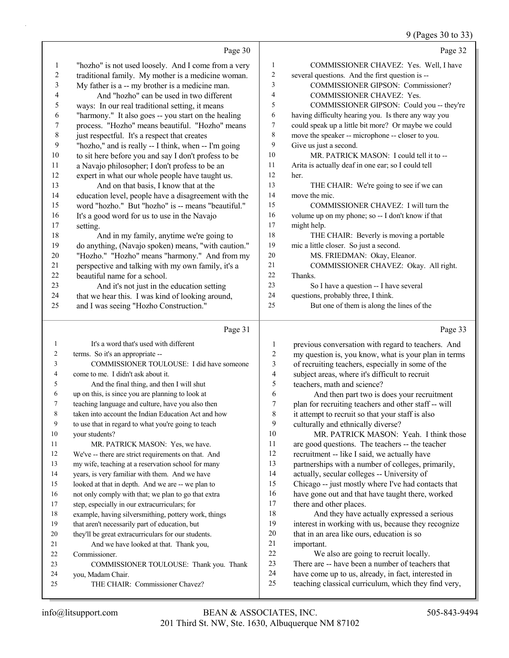## 9 (Pages 30 to 33)

|              |                                                      |                         | $\frac{1}{2}$ (1 ages 50 to 5.                       |
|--------------|------------------------------------------------------|-------------------------|------------------------------------------------------|
|              | Page 30                                              |                         | Page 32                                              |
| 1            | "hozho" is not used loosely. And I come from a very  | $\mathbf{1}$            | COMMISSIONER CHAVEZ: Yes. Well, I have               |
| 2            | traditional family. My mother is a medicine woman.   | $\sqrt{2}$              | several questions. And the first question is --      |
| 3            | My father is a -- my brother is a medicine man.      | 3                       | COMMISSIONER GIPSON: Commissioner?                   |
| 4            | And "hozho" can be used in two different             | 4                       | COMMISSIONER CHAVEZ: Yes.                            |
| 5            | ways: In our real traditional setting, it means      | 5                       | COMMISSIONER GIPSON: Could you -- they're            |
| 6            | "harmony." It also goes -- you start on the healing  | 6                       | having difficulty hearing you. Is there any way you  |
| 7            | process. "Hozho" means beautiful. "Hozho" means      | 7                       | could speak up a little bit more? Or maybe we could  |
| $\,$ $\,$    | just respectful. It's a respect that creates         | $\,$ $\,$               | move the speaker -- microphone -- closer to you.     |
| 9            | "hozho," and is really -- I think, when -- I'm going | 9                       | Give us just a second.                               |
| 10           | to sit here before you and say I don't profess to be | 10                      | MR. PATRICK MASON: I could tell it to --             |
| 11           | a Navajo philosopher; I don't profess to be an       | 11                      | Arita is actually deaf in one ear; so I could tell   |
| 12           | expert in what our whole people have taught us.      | 12                      | her.                                                 |
| 13           | And on that basis, I know that at the                | 13                      | THE CHAIR: We're going to see if we can              |
| 14           | education level, people have a disagreement with the | 14                      | move the mic.                                        |
| 15           | word "hozho." But "hozho" is -- means "beautiful."   | 15                      | COMMISSIONER CHAVEZ: I will turn the                 |
| 16           | It's a good word for us to use in the Navajo         | 16                      | volume up on my phone; so -- I don't know if that    |
| 17           | setting.                                             | 17                      | might help.                                          |
| 18           | And in my family, anytime we're going to             | 18                      | THE CHAIR: Beverly is moving a portable              |
| 19           | do anything, (Navajo spoken) means, "with caution."  | 19                      | mic a little closer. So just a second.               |
| 20           | "Hozho." "Hozho" means "harmony." And from my        | 20                      | MS. FRIEDMAN: Okay, Eleanor.                         |
| 21           | perspective and talking with my own family, it's a   | 21                      | COMMISSIONER CHAVEZ: Okay. All right.                |
| 22           | beautiful name for a school.                         | 22                      | Thanks.                                              |
| 23           | And it's not just in the education setting           | 23                      | So I have a question -- I have several               |
| 24           | that we hear this. I was kind of looking around,     | 24                      | questions, probably three, I think.                  |
| 25           | and I was seeing "Hozho Construction."               | 25                      | But one of them is along the lines of the            |
|              | Page 31                                              |                         | Page 33                                              |
| $\mathbf{1}$ | It's a word that's used with different               | $\mathbf{1}$            | previous conversation with regard to teachers. And   |
| 2            | terms. So it's an appropriate --                     | $\overline{2}$          | my question is, you know, what is your plan in terms |
| 3            | COMMISSIONER TOULOUSE: I did have someone            | 3                       | of recruiting teachers, especially in some of the    |
| 4            | come to me. I didn't ask about it.                   | $\overline{\mathbf{4}}$ | subject areas, where it's difficult to recruit       |
| 5            | And the final thing, and then I will shut            | 5                       | teachers, math and science?                          |
| 6            | up on this, is since you are planning to look at     | 6                       | And then part two is does your recruitment           |
| 7            | teaching language and culture, have you also then    | 7                       | plan for recruiting teachers and other staff -- will |
| 8            | taken into account the Indian Education Act and how  | 8                       | it attempt to recruit so that your staff is also     |
| 9            | to use that in regard to what you're going to teach  | 9                       | culturally and ethnically diverse?                   |
| 10           | your students?                                       | $10\,$                  | MR. PATRICK MASON: Yeah. I think those               |
| 11           | MR. PATRICK MASON: Yes, we have.                     | 11                      | are good questions. The teachers -- the teacher      |
| 12           | We've -- there are strict requirements on that. And  | 12                      | recruitment -- like I said, we actually have         |
| 13           | my wife, teaching at a reservation school for many   | 13                      | partnerships with a number of colleges, primarily,   |
| 14           | years, is very familiar with them. And we have       | 14                      | actually, secular colleges -- University of          |
| 15           | looked at that in depth. And we are -- we plan to    | 15                      | Chicago -- just mostly where I've had contacts that  |
| 16           | not only comply with that; we plan to go that extra  | 16                      | have gone out and that have taught there, worked     |
| 17           | step, especially in our extracurriculars; for        | 17                      | there and other places.                              |
| 18           | example, having silversmithing, pottery work, things | 18                      | And they have actually expressed a serious           |
| 19           | that aren't necessarily part of education, but       | 19                      | interest in working with us, because they recognize  |
| 20           | they'll be great extracurriculars for our students.  | $20\,$                  | that in an area like ours, education is so           |
| 21           | And we have looked at that. Thank you,               | 21                      | important.                                           |
| 22           | Commissioner.                                        | $22\,$                  | We also are going to recruit locally.                |
| 23           | COMMISSIONER TOULOUSE: Thank you. Thank              | $23\,$                  | There are -- have been a number of teachers that     |

25 THE CHAIR: Commissioner Chavez?

 have come up to us, already, in fact, interested in teaching classical curriculum, which they find very,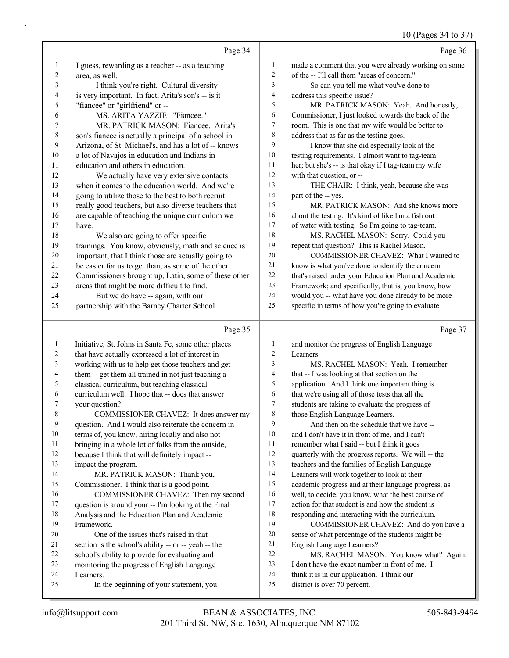## 10 (Pages 34 to 37)

|                |                                                      |                          | $10$ (Pages 34 to 37)                                |
|----------------|------------------------------------------------------|--------------------------|------------------------------------------------------|
|                | Page 34                                              |                          | Page 36                                              |
| 1              | I guess, rewarding as a teacher -- as a teaching     | $\mathbf{1}$             | made a comment that you were already working on some |
| 2              | area, as well.                                       | $\overline{c}$           | of the -- I'll call them "areas of concern."         |
| 3              | I think you're right. Cultural diversity             | $\mathfrak{Z}$           | So can you tell me what you've done to               |
| 4              | is very important. In fact, Arita's son's -- is it   | $\overline{\mathcal{A}}$ | address this specific issue?                         |
| 5              | "fiancee" or "girlfriend" or --                      | 5                        | MR. PATRICK MASON: Yeah. And honestly,               |
| 6              | MS. ARITA YAZZIE: "Fiancee."                         | 6                        | Commissioner, I just looked towards the back of the  |
| 7              | MR. PATRICK MASON: Fiancee. Arita's                  | $\tau$                   | room. This is one that my wife would be better to    |
| $\,8\,$        | son's fiancee is actually a principal of a school in | $\,8\,$                  | address that as far as the testing goes.             |
| 9              | Arizona, of St. Michael's, and has a lot of -- knows | 9                        | I know that she did especially look at the           |
| $10\,$         | a lot of Navajos in education and Indians in         | 10                       | testing requirements. I almost want to tag-team      |
| $11\,$         | education and others in education.                   | 11                       | her; but she's -- is that okay if I tag-team my wife |
| 12             | We actually have very extensive contacts             | 12                       | with that question, or --                            |
| 13             | when it comes to the education world. And we're      | 13                       | THE CHAIR: I think, yeah, because she was            |
| 14             | going to utilize those to the best to both recruit   | 14                       | part of the -- yes.                                  |
| 15             | really good teachers, but also diverse teachers that | 15                       | MR. PATRICK MASON: And she knows more                |
| 16             | are capable of teaching the unique curriculum we     | 16                       | about the testing. It's kind of like I'm a fish out  |
| 17             | have.                                                | $17\,$                   | of water with testing. So I'm going to tag-team.     |
| 18             | We also are going to offer specific                  | 18                       | MS. RACHEL MASON: Sorry. Could you                   |
| 19             | trainings. You know, obviously, math and science is  | 19                       | repeat that question? This is Rachel Mason.          |
| 20             | important, that I think those are actually going to  | 20                       | COMMISSIONER CHAVEZ: What I wanted to                |
| 21             | be easier for us to get than, as some of the other   | 21                       | know is what you've done to identify the concern     |
| 22             | Commissioners brought up, Latin, some of these other | 22                       | that's raised under your Education Plan and Academic |
| 23             | areas that might be more difficult to find.          | 23                       | Framework; and specifically, that is, you know, how  |
| 24             | But we do have -- again, with our                    | 24                       | would you -- what have you done already to be more   |
| 25             | partnership with the Barney Charter School           | 25                       | specific in terms of how you're going to evaluate    |
|                | Page 35                                              |                          | Page 37                                              |
| $\mathbf{1}$   | Initiative, St. Johns in Santa Fe, some other places | $\mathbf{1}$             | and monitor the progress of English Language         |
| 2              | that have actually expressed a lot of interest in    | $\overline{c}$           | Learners.                                            |
| 3              | working with us to help get those teachers and get   | 3                        | MS. RACHEL MASON: Yeah. I remember                   |
| $\overline{4}$ | them -- get them all trained in not just teaching a  | 4                        | that -- I was looking at that section on the         |
| 5              | classical curriculum, but teaching classical         | 5                        | application. And I think one important thing is      |
| 6              | curriculum well. I hope that -- does that answer     | 6                        | that we're using all of those tests that all the     |
| 7              | your question?                                       | $\boldsymbol{7}$         | students are taking to evaluate the progress of      |
| 8              | COMMISSIONER CHAVEZ: It does answer my               | $\,$ 8 $\,$              | those English Language Learners.                     |
| 9              | question And I would also reiterate the concern in   | 9                        | And then on the schedule that we have --             |

 question. And I would also reiterate the concern in 10 terms of, you know, hiring locally and also not

- bringing in a whole lot of folks from the outside,
- because I think that will definitely impact --
- impact the program.

14 MR. PATRICK MASON: Thank you, Commissioner. I think that is a good point. 16 COMMISSIONER CHAVEZ: Then my second question is around your -- I'm looking at the Final Analysis and the Education Plan and Academic Framework. 20 One of the issues that's raised in that section is the school's ability -- or -- yeah -- the school's ability to provide for evaluating and monitoring the progress of English Language

Learners.

## 25 In the beginning of your statement, you

 and I don't have it in front of me, and I can't remember what I said -- but I think it goes quarterly with the progress reports. We will -- the

- teachers and the families of English Language
- Learners will work together to look at their
- academic progress and at their language progress, as
- well, to decide, you know, what the best course of
- action for that student is and how the student is
- responding and interacting with the curriculum.

19 COMMISSIONER CHAVEZ: And do you have a sense of what percentage of the students might be English Language Learners?

- 22 MS. RACHEL MASON: You know what? Again,
- I don't have the exact number in front of me. I
- think it is in our application. I think our
- district is over 70 percent.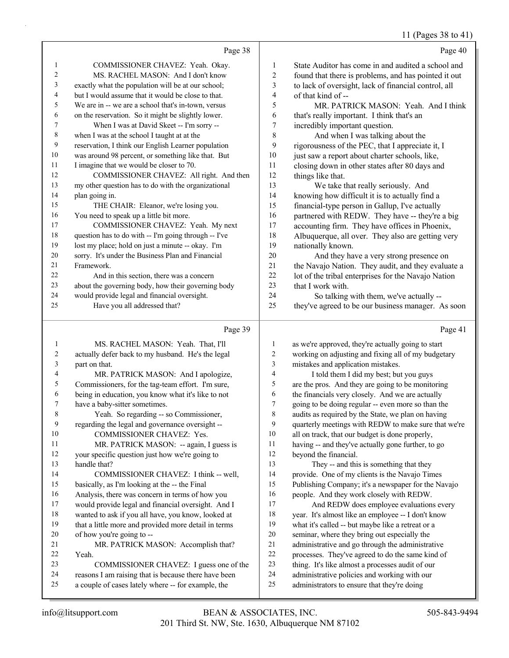## 11 (Pages 38 to 41)

|                          |                                                      |                  | $11^{14}$ $(1450000000)$                             |
|--------------------------|------------------------------------------------------|------------------|------------------------------------------------------|
|                          | Page 38                                              |                  | Page 40                                              |
| 1                        | COMMISSIONER CHAVEZ: Yeah. Okay.                     | $\mathbf{1}$     | State Auditor has come in and audited a school and   |
| 2                        | MS. RACHEL MASON: And I don't know                   | 2                | found that there is problems, and has pointed it out |
| 3                        | exactly what the population will be at our school;   | 3                | to lack of oversight, lack of financial control, all |
| $\overline{\mathbf{4}}$  | but I would assume that it would be close to that.   | 4                | of that kind of --                                   |
| 5                        | We are in -- we are a school that's in-town, versus  | 5                | MR. PATRICK MASON: Yeah. And I think                 |
| 6                        | on the reservation. So it might be slightly lower.   | 6                | that's really important. I think that's an           |
| 7                        | When I was at David Skeet -- I'm sorry --            | $\tau$           | incredibly important question.                       |
| $\,8\,$                  | when I was at the school I taught at at the          | 8                | And when I was talking about the                     |
| $\mathbf{9}$             | reservation, I think our English Learner population  | 9                | rigorousness of the PEC, that I appreciate it, I     |
| $10\,$                   | was around 98 percent, or something like that. But   | 10               | just saw a report about charter schools, like,       |
| 11                       | I imagine that we would be closer to 70.             | 11               | closing down in other states after 80 days and       |
| 12                       | COMMISSIONER CHAVEZ: All right. And then             | 12               | things like that.                                    |
| 13                       | my other question has to do with the organizational  | 13               | We take that really seriously. And                   |
| 14                       | plan going in.                                       | 14               | knowing how difficult it is to actually find a       |
| 15                       | THE CHAIR: Eleanor, we're losing you.                | 15               | financial-type person in Gallup, I've actually       |
| 16                       | You need to speak up a little bit more.              | 16               | partnered with REDW. They have -- they're a big      |
| 17                       | COMMISSIONER CHAVEZ: Yeah. My next                   | 17               | accounting firm. They have offices in Phoenix,       |
| $18\,$                   | question has to do with -- I'm going through -- I've | 18               | Albuquerque, all over. They also are getting very    |
| 19                       | lost my place; hold on just a minute -- okay. I'm    | 19               | nationally known.                                    |
| 20                       | sorry. It's under the Business Plan and Financial    | 20               | And they have a very strong presence on              |
| 21                       | Framework.                                           | 21               | the Navajo Nation. They audit, and they evaluate a   |
| 22                       | And in this section, there was a concern             | 22               | lot of the tribal enterprises for the Navajo Nation  |
| 23                       | about the governing body, how their governing body   | 23               | that I work with.                                    |
| 24                       | would provide legal and financial oversight.         | 24               | So talking with them, we've actually --              |
| 25                       | Have you all addressed that?                         | 25               | they've agreed to be our business manager. As soon   |
|                          | Page 39                                              |                  | Page 41                                              |
| $\mathbf{1}$             | MS. RACHEL MASON: Yeah. That, I'll                   | $\mathbf{1}$     | as we're approved, they're actually going to start   |
| $\overline{c}$           | actually defer back to my husband. He's the legal    | 2                | working on adjusting and fixing all of my budgetary  |
| $\mathfrak{Z}$           | part on that.                                        | 3                | mistakes and application mistakes.                   |
| $\overline{\mathcal{L}}$ | MR. PATRICK MASON: And I apologize,                  | 4                | I told them I did my best; but you guys              |
| 5                        | Commissioners, for the tag-team effort. I'm sure,    | 5                | are the pros. And they are going to be monitoring    |
| 6                        | being in education, you know what it's like to not   | 6                | the financials very closely. And we are actually     |
| 7                        | have a baby-sitter sometimes.                        | $\boldsymbol{7}$ | going to be doing regular -- even more so than the   |
| 8                        | Yeah. So regarding -- so Commissioner,               | 8                | audits as required by the State, we plan on having   |

regarding the legal and governance oversight --

10 COMMISSIONER CHAVEZ: Yes.

11 MR. PATRICK MASON: -- again, I guess is your specific question just how we're going to handle that? 14 COMMISSIONER CHAVEZ: I think -- well,

basically, as I'm looking at the -- the Final

 Analysis, there was concern in terms of how you would provide legal and financial oversight. And I

wanted to ask if you all have, you know, looked at

 that a little more and provided more detail in terms of how you're going to --

21 MR. PATRICK MASON: Accomplish that? Yeah.

23 COMMISSIONER CHAVEZ: I guess one of the reasons I am raising that is because there have been

a couple of cases lately where -- for example, the

quarterly meetings with REDW to make sure that we're

all on track, that our budget is done properly,

 having -- and they've actually gone further, to go beyond the financial.

13 They -- and this is something that they provide. One of my clients is the Navajo Times Publishing Company; it's a newspaper for the Navajo people. And they work closely with REDW.

17 And REDW does employee evaluations every year. It's almost like an employee -- I don't know

what it's called -- but maybe like a retreat or a

 seminar, where they bring out especially the administrative and go through the administrative

processes. They've agreed to do the same kind of

thing. It's like almost a processes audit of our

administrative policies and working with our

administrators to ensure that they're doing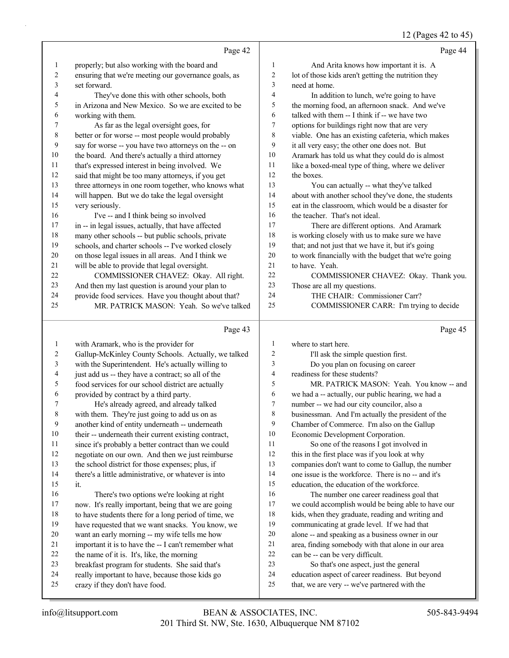## 12 (Pages 42 to 45)

|          |                                                                                                          |                | $12$ (1 ages $72$ to $79$                                                                         |
|----------|----------------------------------------------------------------------------------------------------------|----------------|---------------------------------------------------------------------------------------------------|
|          | Page 42                                                                                                  |                | Page 44                                                                                           |
| 1        | properly; but also working with the board and                                                            | $\mathbf{1}$   | And Arita knows how important it is. A                                                            |
| 2        | ensuring that we're meeting our governance goals, as                                                     | $\sqrt{2}$     | lot of those kids aren't getting the nutrition they                                               |
| 3        | set forward.                                                                                             | 3              | need at home.                                                                                     |
| 4        | They've done this with other schools, both                                                               | 4              | In addition to lunch, we're going to have                                                         |
| 5        | in Arizona and New Mexico. So we are excited to be                                                       | 5              | the morning food, an afternoon snack. And we've                                                   |
| 6        | working with them.                                                                                       | 6              | talked with them -- I think if -- we have two                                                     |
| 7        | As far as the legal oversight goes, for                                                                  | $\tau$         | options for buildings right now that are very                                                     |
| 8        | better or for worse -- most people would probably                                                        | 8              | viable. One has an existing cafeteria, which makes                                                |
| 9        | say for worse -- you have two attorneys on the -- on                                                     | 9              | it all very easy; the other one does not. But                                                     |
| 10       | the board. And there's actually a third attorney                                                         | 10             | Aramark has told us what they could do is almost                                                  |
| 11       | that's expressed interest in being involved. We                                                          | 11             | like a boxed-meal type of thing, where we deliver                                                 |
| 12       | said that might be too many attorneys, if you get                                                        | 12             | the boxes.                                                                                        |
| 13       | three attorneys in one room together, who knows what                                                     | 13             | You can actually -- what they've talked                                                           |
| 14       | will happen. But we do take the legal oversight                                                          | 14             | about with another school they've done, the students                                              |
| 15       | very seriously.                                                                                          | 15             | eat in the classroom, which would be a disaster for                                               |
| 16       | I've -- and I think being so involved                                                                    | 16             | the teacher. That's not ideal.                                                                    |
| 17       | in -- in legal issues, actually, that have affected                                                      | 17             | There are different options. And Aramark                                                          |
| 18       | many other schools -- but public schools, private                                                        | 18             | is working closely with us to make sure we have                                                   |
| 19       | schools, and charter schools -- I've worked closely                                                      | 19             | that; and not just that we have it, but it's going                                                |
| 20       | on those legal issues in all areas. And I think we                                                       | 20             | to work financially with the budget that we're going                                              |
| 21       | will be able to provide that legal oversight.                                                            | 21             | to have. Yeah.                                                                                    |
| 22       | COMMISSIONER CHAVEZ: Okay. All right.                                                                    | 22             | COMMISSIONER CHAVEZ: Okay. Thank you.                                                             |
| 23       | And then my last question is around your plan to                                                         | 23             | Those are all my questions.                                                                       |
| 24       | provide food services. Have you thought about that?                                                      | 24             | THE CHAIR: Commissioner Carr?                                                                     |
| 25       | MR. PATRICK MASON: Yeah. So we've talked                                                                 | 25             | COMMISSIONER CARR: I'm trying to decide                                                           |
|          |                                                                                                          |                |                                                                                                   |
|          | Page 43                                                                                                  |                | Page 45                                                                                           |
| 1        |                                                                                                          | $\mathbf{1}$   |                                                                                                   |
| 2        | with Aramark, who is the provider for                                                                    | $\overline{2}$ | where to start here.                                                                              |
| 3        | Gallup-McKinley County Schools. Actually, we talked                                                      | 3              | I'll ask the simple question first.                                                               |
| 4        | with the Superintendent. He's actually willing to                                                        | 4              | Do you plan on focusing on career<br>readiness for these students?                                |
| 5        | just add us -- they have a contract; so all of the<br>food services for our school district are actually | 5              | MR. PATRICK MASON: Yeah. You know -- and                                                          |
| 6        | provided by contract by a third party.                                                                   | 6              | we had a -- actually, our public hearing, we had a                                                |
| 7        |                                                                                                          | $\tau$         | number -- we had our city councilor, also a                                                       |
| 8        | He's already agreed, and already talked<br>with them. They're just going to add us on as                 | 8              | businessman. And I'm actually the president of the                                                |
| 9        | another kind of entity underneath -- underneath                                                          | 9              | Chamber of Commerce. I'm also on the Gallup                                                       |
| 10       | their -- underneath their current existing contract,                                                     | 10             | Economic Development Corporation.                                                                 |
| 11       | since it's probably a better contract than we could                                                      | 11             | So one of the reasons I got involved in                                                           |
| 12       | negotiate on our own. And then we just reimburse                                                         | 12             | this in the first place was if you look at why                                                    |
| 13       | the school district for those expenses; plus, if                                                         | 13             | companies don't want to come to Gallup, the number                                                |
| 14       | there's a little administrative, or whatever is into                                                     | 14             | one issue is the workforce. There is no -- and it's                                               |
| 15       | it.                                                                                                      | 15             | education, the education of the workforce.                                                        |
| 16       | There's two options we're looking at right                                                               | 16             | The number one career readiness goal that                                                         |
| 17       | now. It's really important, being that we are going                                                      | 17             | we could accomplish would be being able to have our                                               |
| 18       | to have students there for a long period of time, we                                                     | 18             | kids, when they graduate, reading and writing and                                                 |
| 19       | have requested that we want snacks. You know, we                                                         | 19             | communicating at grade level. If we had that                                                      |
| 20       | want an early morning -- my wife tells me how                                                            | 20             | alone -- and speaking as a business owner in our                                                  |
| 21       | important it is to have the -- I can't remember what                                                     | 21             | area, finding somebody with that alone in our area                                                |
| 22       | the name of it is. It's, like, the morning                                                               | 22             | can be -- can be very difficult.                                                                  |
| 23       | breakfast program for students. She said that's                                                          | 23             | So that's one aspect, just the general                                                            |
| 24<br>25 | really important to have, because those kids go<br>crazy if they don't have food.                        | 24<br>25       | education aspect of career readiness. But beyond<br>that, we are very -- we've partnered with the |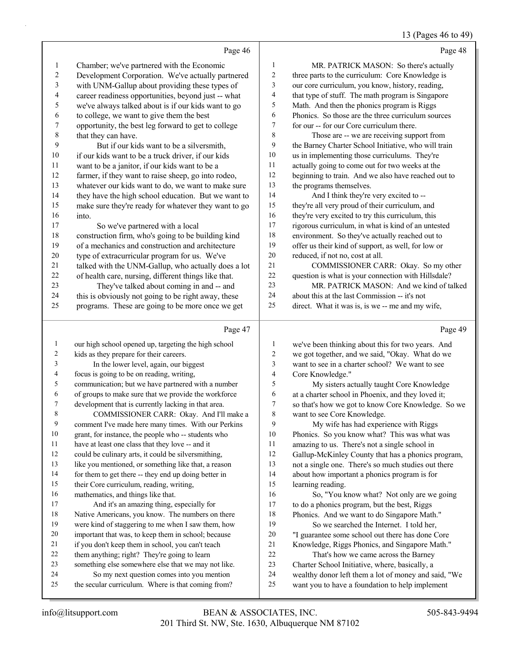## 13 (Pages 46 to 49)

|                          | Page 46                                              |                  | Page 48                                              |
|--------------------------|------------------------------------------------------|------------------|------------------------------------------------------|
| $\mathbf{1}$             | Chamber; we've partnered with the Economic           | $\mathbf{1}$     | MR. PATRICK MASON: So there's actually               |
| 2                        | Development Corporation. We've actually partnered    | $\sqrt{2}$       | three parts to the curriculum: Core Knowledge is     |
| 3                        | with UNM-Gallup about providing these types of       | 3                | our core curriculum, you know, history, reading,     |
| $\overline{\mathcal{L}}$ | career readiness opportunities, beyond just -- what  | 4                | that type of stuff. The math program is Singapore    |
| 5                        | we've always talked about is if our kids want to go  | 5                | Math. And then the phonics program is Riggs          |
| 6                        | to college, we want to give them the best            | 6                | Phonics. So those are the three curriculum sources   |
| $\boldsymbol{7}$         | opportunity, the best leg forward to get to college  | $\boldsymbol{7}$ | for our -- for our Core curriculum there.            |
| $\,$ $\,$                | that they can have.                                  | $\,8\,$          | Those are -- we are receiving support from           |
| 9                        | But if our kids want to be a silversmith,            | 9                | the Barney Charter School Initiative, who will train |
| 10                       | if our kids want to be a truck driver, if our kids   | 10               | us in implementing those curriculums. They're        |
| 11                       | want to be a janitor, if our kids want to be a       | 11               | actually going to come out for two weeks at the      |
| 12                       | farmer, if they want to raise sheep, go into rodeo,  | 12               | beginning to train. And we also have reached out to  |
| 13                       | whatever our kids want to do, we want to make sure   | 13               | the programs themselves.                             |
| 14                       | they have the high school education. But we want to  | 14               | And I think they're very excited to --               |
| 15                       | make sure they're ready for whatever they want to go | 15               | they're all very proud of their curriculum, and      |
| 16                       | into.                                                | 16               | they're very excited to try this curriculum, this    |
| 17                       | So we've partnered with a local                      | 17               | rigorous curriculum, in what is kind of an untested  |
| 18                       | construction firm, who's going to be building kind   | $18\,$           | environment. So they've actually reached out to      |
| 19                       | of a mechanics and construction and architecture     | 19               | offer us their kind of support, as well, for low or  |
| $20\,$                   | type of extracurricular program for us. We've        | 20               | reduced, if not no, cost at all.                     |
| $21\,$                   | talked with the UNM-Gallup, who actually does a lot  | $21\,$           | COMMISSIONER CARR: Okay. So my other                 |
| 22                       | of health care, nursing, different things like that. | $22\,$           | question is what is your connection with Hillsdale?  |
| 23                       | They've talked about coming in and -- and            | 23               | MR. PATRICK MASON: And we kind of talked             |
| 24                       | this is obviously not going to be right away, these  | 24               | about this at the last Commission -- it's not        |
| 25                       | programs. These are going to be more once we get     | 25               | direct. What it was is, is we -- me and my wife,     |
|                          | Page 47                                              |                  | Page 49                                              |
| $\mathbf{1}$             | our high school opened up, targeting the high school | 1                | we've been thinking about this for two years. And    |
| $\sqrt{2}$               | kids as they prepare for their careers.              | $\mathbf{2}$     | we got together, and we said, "Okay. What do we      |
| 3                        | In the lower level, again, our biggest               | 3                | want to see in a charter school? We want to see      |
| 4                        | focus is going to be on reading, writing,            | 4                | Core Knowledge."                                     |
| 5                        | communication; but we have partnered with a number   | 5                | My sisters actually taught Core Knowledge            |
| 6                        | of groups to make sure that we provide the workforce | 6                | at a charter school in Phoenix, and they loved it;   |
| 7                        | development that is currently lacking in that area.  | 7                | so that's how we got to know Core Knowledge. So we   |
| 8                        | COMMISSIONER CARR: Okay. And I'll make a             | $\,$ $\,$        | want to see Core Knowledge.                          |
| 9                        | comment I've made here many times. With our Perkins  | 9                | My wife has had experience with Riggs                |
| 10                       | grant, for instance, the people who -- students who  | 10               | Phonics. So you know what? This was what was         |
| 11                       | have at least one class that they love -- and it     | 11               | amazing to us. There's not a single school in        |

- could be culinary arts, it could be silversmithing,
- like you mentioned, or something like that, a reason
- for them to get there -- they end up doing better in
- their Core curriculum, reading, writing,
- mathematics, and things like that. 17 And it's an amazing thing, especially for
- Native Americans, you know. The numbers on there
- were kind of staggering to me when I saw them, how
- important that was, to keep them in school; because
- if you don't keep them in school, you can't teach them anything; right? They're going to learn
- something else somewhere else that we may not like.
- 24 So my next question comes into you mention
- the secular curriculum. Where is that coming from?
- amazing to us. There's not a single school in Gallup-McKinley County that has a phonics program, not a single one. There's so much studies out there about how important a phonics program is for
- learning reading.
- 16 So, "You know what? Not only are we going to do a phonics program, but the best, Riggs Phonics. And we want to do Singapore Math."
- 19 So we searched the Internet. I told her,
- "I guarantee some school out there has done Core
- Knowledge, Riggs Phonics, and Singapore Math."
- 22 That's how we came across the Barney
- Charter School Initiative, where, basically, a
- wealthy donor left them a lot of money and said, "We
- want you to have a foundation to help implement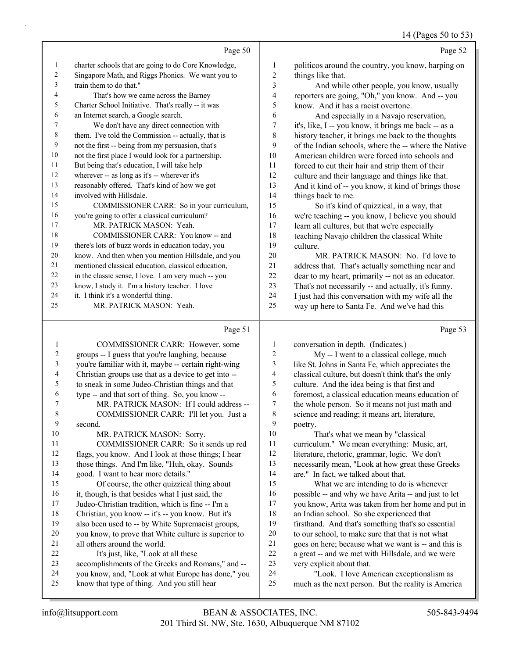|                | Page 50                                              |
|----------------|------------------------------------------------------|
| 1              | charter schools that are going to do Core Knowledge, |
| $\overline{2}$ | Singapore Math, and Riggs Phonics. We want you to    |
| 3              | train them to do that."                              |
| $\overline{4}$ | That's how we came across the Barney                 |
| 5              | Charter School Initiative. That's really -- it was   |
| 6              | an Internet search, a Google search.                 |
| 7              | We don't have any direct connection with             |
| 8              | them. I've told the Commission -- actually, that is  |
| 9              | not the first -- being from my persuasion, that's    |
| 10             | not the first place I would look for a partnership.  |
| 11             | But being that's education, I will take help         |
| 12             | wherever -- as long as it's -- wherever it's         |
| 13             | reasonably offered. That's kind of how we got        |
| 14             | involved with Hillsdale.                             |
| 15             | COMMISSIONER CARR: So in your curriculum,            |
| 16             | you're going to offer a classical curriculum?        |
| 17             | MR. PATRICK MASON: Yeah.                             |
| 18             | COMMISSIONER CARR: You know -- and                   |
| 19             | there's lots of buzz words in education today, you   |
| 20             | know. And then when you mention Hillsdale, and you   |
| 21             | mentioned classical education, classical education,  |
| 22.            | in the classic sense, I love. I am very much -- you  |
| 23             | know, I study it. I'm a history teacher. I love      |
| 24             | it. I think it's a wonderful thing.                  |
| 25             | MR. PATRICK MASON: Yeah.                             |
|                |                                                      |

## Page 51

| 1  | COMMISSIONER CARR: However, some                     | 1  | conversation in depth. (Indicates.)                  |
|----|------------------------------------------------------|----|------------------------------------------------------|
| 2  | groups -- I guess that you're laughing, because      | 2  | My -- I went to a classical college, much            |
| 3  | you're familiar with it, maybe -- certain right-wing | 3  | like St. Johns in Santa Fe, which appreciates the    |
| 4  | Christian groups use that as a device to get into -- | 4  | classical culture, but doesn't think that's the only |
| 5  | to sneak in some Judeo-Christian things and that     | 5  | culture. And the idea being is that first and        |
| 6  | type -- and that sort of thing. So, you know --      | 6  | foremost, a classical education means education of   |
| 7  | MR. PATRICK MASON: If I could address --             | 7  | the whole person. So it means not just math and      |
| 8  | COMMISSIONER CARR: I'll let you. Just a              | 8  | science and reading; it means art, literature,       |
| 9  | second.                                              | 9  | poetry.                                              |
| 10 | MR. PATRICK MASON: Sorry.                            | 10 | That's what we mean by "classical                    |
| 11 | COMMISSIONER CARR: So it sends up red                | 11 | curriculum." We mean everything: Music, art,         |
| 12 | flags, you know. And I look at those things; I hear  | 12 | literature, rhetoric, grammar, logic. We don't       |
| 13 | those things. And I'm like, "Huh, okay. Sounds       | 13 | necessarily mean, "Look at how great these Greeks    |
| 14 | good. I want to hear more details."                  | 14 | are." In fact, we talked about that.                 |
| 15 | Of course, the other quizzical thing about           | 15 | What we are intending to do is whenever              |
| 16 | it, though, is that besides what I just said, the    | 16 | possible -- and why we have Arita -- and just to let |
| 17 | Judeo-Christian tradition, which is fine -- I'm a    | 17 | you know, Arita was taken from her home and put in   |
| 18 | Christian, you know -- it's -- you know. But it's    | 18 | an Indian school. So she experienced that            |
| 19 | also been used to -- by White Supremacist groups,    | 19 | firsthand. And that's something that's so essential  |
| 20 | you know, to prove that White culture is superior to | 20 | to our school, to make sure that that is not what    |
| 21 | all others around the world.                         | 21 | goes on here; because what we want is -- and this is |
| 22 | It's just, like, "Look at all these                  | 22 | a great -- and we met with Hillsdale, and we were    |
| 23 | accomplishments of the Greeks and Romans," and --    | 23 | very explicit about that.                            |
| 24 | you know, and, "Look at what Europe has done," you   | 24 | "Look. I love American exceptionalism as             |
| 25 | know that type of thing. And you still hear          | 25 | much as the next person. But the reality is America  |
|    |                                                      |    |                                                      |

## politicos around the country, you know, harping on things like that. 3 And while other people, you know, usually reporters are going, "Oh," you know. And -- you know. And it has a racist overtone. 6 And especially in a Navajo reservation, it's, like, I -- you know, it brings me back -- as a history teacher, it brings me back to the thoughts of the Indian schools, where the -- where the Native American children were forced into schools and forced to cut their hair and strip them of their culture and their language and things like that. And it kind of -- you know, it kind of brings those

14 things back to me.<br>15 So it's kind of 15 So it's kind of quizzical, in a way, that we're teaching -- you know, I believe you should learn all cultures, but that we're especially teaching Navajo children the classical White culture. 20 MR. PATRICK MASON: No. I'd love to

 address that. That's actually something near and dear to my heart, primarily -- not as an educator. That's not necessarily -- and actually, it's funny. I just had this conversation with my wife all the way up here to Santa Fe. And we've had this

#### Page 53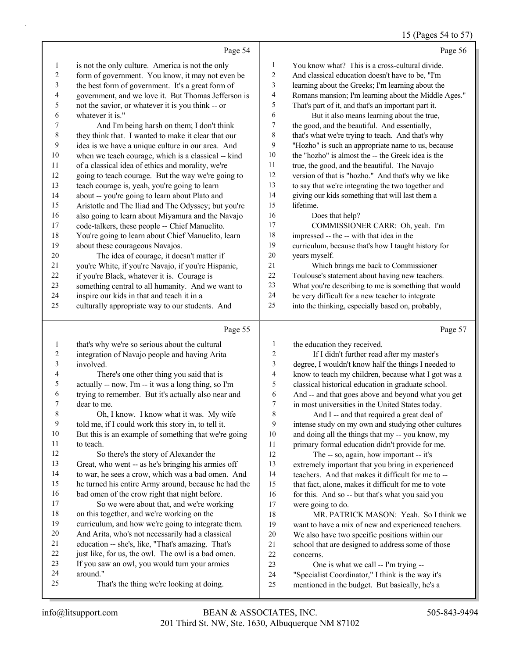#### (Degges  $54 +$

|                          |                                                      |                | 15 (rages 54 to 5)                                   |
|--------------------------|------------------------------------------------------|----------------|------------------------------------------------------|
|                          | Page 54                                              |                | Page 56                                              |
| $\mathbf{1}$             | is not the only culture. America is not the only     | $\mathbf{1}$   | You know what? This is a cross-cultural divide.      |
| $\overline{c}$           | form of government. You know, it may not even be     | $\overline{c}$ | And classical education doesn't have to be, "I'm     |
| 3                        | the best form of government. It's a great form of    | 3              | learning about the Greeks; I'm learning about the    |
| $\overline{\mathcal{L}}$ | government, and we love it. But Thomas Jefferson is  | 4              | Romans mansion; I'm learning about the Middle Ages." |
| 5                        | not the savior, or whatever it is you think -- or    | 5              | That's part of it, and that's an important part it.  |
| 6                        | whatever it is."                                     | 6              | But it also means learning about the true,           |
| $\overline{7}$           | And I'm being harsh on them; I don't think           | 7              | the good, and the beautiful. And essentially,        |
| 8                        | they think that. I wanted to make it clear that our  | 8              | that's what we're trying to teach. And that's why    |
| $\boldsymbol{9}$         | idea is we have a unique culture in our area. And    | 9              | "Hozho" is such an appropriate name to us, because   |
| $10\,$                   | when we teach courage, which is a classical -- kind  | $10\,$         | the "hozho" is almost the -- the Greek idea is the   |
| 11                       | of a classical idea of ethics and morality, we're    | 11             | true, the good, and the beautiful. The Navajo        |
| $12\,$                   | going to teach courage. But the way we're going to   | 12             | version of that is "hozho." And that's why we like   |
| 13                       | teach courage is, yeah, you're going to learn        | 13             | to say that we're integrating the two together and   |
| 14                       | about -- you're going to learn about Plato and       | 14             | giving our kids something that will last them a      |
| 15                       | Aristotle and The Iliad and The Odyssey; but you're  | 15             | lifetime.                                            |
| 16                       | also going to learn about Miyamura and the Navajo    | 16             | Does that help?                                      |
| $17\,$                   | code-talkers, these people -- Chief Manuelito.       | 17             | COMMISSIONER CARR: Oh, yeah. I'm                     |
| 18                       | You're going to learn about Chief Manuelito, learn   | 18             | impressed -- the -- with that idea in the            |
| 19                       | about these courageous Navajos.                      | 19             | curriculum, because that's how I taught history for  |
| $20\,$                   | The idea of courage, it doesn't matter if            | $20\,$         | years myself.                                        |
| 21                       | you're White, if you're Navajo, if you're Hispanic,  | 21             | Which brings me back to Commissioner                 |
| $22\,$                   | if you're Black, whatever it is. Courage is          | $22\,$         | Toulouse's statement about having new teachers.      |
| 23                       | something central to all humanity. And we want to    | 23             | What you're describing to me is something that would |
| 24                       | inspire our kids in that and teach it in a           | 24             | be very difficult for a new teacher to integrate     |
| 25                       | culturally appropriate way to our students. And      | 25             | into the thinking, especially based on, probably,    |
|                          | Page 55                                              |                | Page 57                                              |
| $\mathbf{1}$             | that's why we're so serious about the cultural       | $\mathbf{1}$   | the education they received.                         |
| $\overline{c}$           | integration of Navajo people and having Arita        | $\overline{c}$ | If I didn't further read after my master's           |
| 3                        | involved.                                            | 3              | degree, I wouldn't know half the things I needed to  |
| $\overline{\mathbf{4}}$  | There's one other thing you said that is             | $\overline{4}$ | know to teach my children, because what I got was a  |
| 5                        | actually -- now, I'm -- it was a long thing, so I'm  | 5              | classical historical education in graduate school.   |
| 6                        | trying to remember. But it's actually also near and  | 6              | And -- and that goes above and beyond what you get   |
| $\overline{7}$           | dear to me.                                          | $\tau$         | in most universities in the United States today.     |
| 8                        | Oh, I know. I know what it was. My wife              | $\,$ $\,$      | And I -- and that required a great deal of           |
| 9                        | told me, if I could work this story in, to tell it.  | 9              | intense study on my own and studying other cultures  |
| 10                       | But this is an example of something that we're going | 10             | and doing all the things that my -- you know, my     |

## 11 to teach. 12 So there's the story of Alexander the Great, who went -- as he's bringing his armies off

## to war, he sees a crow, which was a bad omen. And he turned his entire Army around, because he had the

#### bad omen of the crow right that night before. 17 So we were about that, and we're working on this together, and we're working on the

# curriculum, and how we're going to integrate them.

#### And Arita, who's not necessarily had a classical education -- she's, like, "That's amazing. That's

## 22 just like, for us, the owl. The owl is a bad omen.

## If you saw an owl, you would turn your armies

## around."

25 That's the thing we're looking at doing.

## concerns. 23 One is what we call -- I'm trying --

were going to do.

 primary formal education didn't provide for me. 12 The -- so, again, how important -- it's extremely important that you bring in experienced teachers. And that makes it difficult for me to -- that fact, alone, makes it difficult for me to vote 16 for this. And so -- but that's what you said you

## "Specialist Coordinator," I think is the way it's

18 MR. PATRICK MASON: Yeah. So I think we want to have a mix of new and experienced teachers. We also have two specific positions within our school that are designed to address some of those

mentioned in the budget. But basically, he's a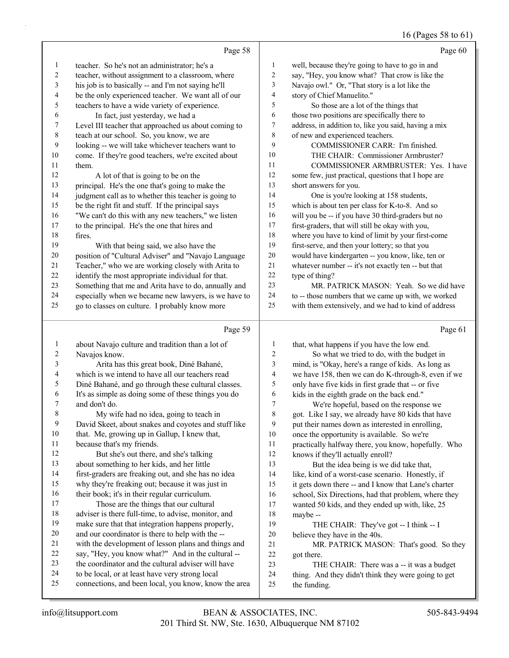## 16 (Pages 58 to 61)

| Page 58<br>Page 60<br>well, because they're going to have to go in and<br>1<br>teacher. So he's not an administrator; he's a<br>$\mathbf{1}$<br>2<br>$\overline{c}$<br>teacher, without assignment to a classroom, where<br>say, "Hey, you know what? That crow is like the<br>3<br>3<br>his job is to basically -- and I'm not saying he'll<br>Navajo owl." Or, "That story is a lot like the<br>$\overline{\mathcal{A}}$<br>4<br>be the only experienced teacher. We want all of our<br>story of Chief Manuelito."<br>5<br>5<br>So those are a lot of the things that<br>teachers to have a wide variety of experience.<br>6<br>In fact, just yesterday, we had a<br>6<br>those two positions are specifically there to<br>7<br>Level III teacher that approached us about coming to<br>$\tau$<br>address, in addition to, like you said, having a mix<br>$\,$ $\,$<br>$\,$ $\,$<br>of new and experienced teachers.<br>teach at our school. So, you know, we are<br>9<br>9<br>looking -- we will take whichever teachers want to<br>COMMISSIONER CARR: I'm finished.<br>$10\,$<br>10<br>come. If they're good teachers, we're excited about<br>THE CHAIR: Commissioner Armbruster?<br>11<br>COMMISSIONER ARMBRUSTER: Yes. I have<br>11<br>them.<br>12<br>12<br>some few, just practical, questions that I hope are<br>A lot of that is going to be on the<br>13<br>13<br>principal. He's the one that's going to make the<br>short answers for you.<br>14<br>judgment call as to whether this teacher is going to<br>14<br>One is you're looking at 158 students,<br>15<br>be the right fit and stuff. If the principal says<br>15<br>which is about ten per class for K-to-8. And so<br>16<br>"We can't do this with any new teachers," we listen<br>16<br>will you be -- if you have 30 third-graders but no<br>$17\,$<br>17<br>to the principal. He's the one that hires and<br>first-graders, that will still be okay with you,<br>18<br>18<br>where you have to kind of limit by your first-come<br>fires.<br>19<br>19<br>first-serve, and then your lottery; so that you<br>With that being said, we also have the<br>$20\,$<br>would have kindergarten -- you know, like, ten or<br>position of "Cultural Adviser" and "Navajo Language<br>$20\,$<br>21<br>21<br>Teacher," who we are working closely with Arita to<br>whatever number -- it's not exactly ten -- but that<br>22<br>$22\,$<br>identify the most appropriate individual for that.<br>type of thing?<br>23<br>23<br>MR. PATRICK MASON: Yeah. So we did have<br>Something that me and Arita have to do, annually and<br>24<br>24<br>to -- those numbers that we came up with, we worked<br>especially when we became new lawyers, is we have to<br>25<br>25<br>go to classes on culture. I probably know more<br>with them extensively, and we had to kind of address<br>Page 59<br>Page 61<br>about Navajo culture and tradition than a lot of<br>that, what happens if you have the low end.<br>$\mathbf{1}$<br>1<br>$\overline{c}$<br>$\sqrt{2}$<br>Navajos know.<br>So what we tried to do, with the budget in<br>3<br>3<br>Arita has this great book, Diné Bahané,<br>mind, is "Okay, here's a range of kids. As long as<br>4<br>which is we intend to have all our teachers read<br>$\overline{\mathcal{A}}$<br>we have 158, then we can do K-through-8, even if we<br>5<br>5<br>Diné Bahané, and go through these cultural classes.<br>only have five kids in first grade that -- or five<br>6<br>6<br>It's as simple as doing some of these things you do<br>kids in the eighth grade on the back end."<br>7<br>7<br>and don't do.<br>We're hopeful, based on the response we<br>8<br>My wife had no idea, going to teach in<br>$\,$ $\,$<br>got. Like I say, we already have 80 kids that have<br>9<br>David Skeet, about snakes and coyotes and stuff like<br>9<br>put their names down as interested in enrolling,<br>$10\,$<br>that. Me, growing up in Gallup, I knew that,<br>$10\,$<br>once the opportunity is available. So we're<br>11<br>because that's my friends.<br>11<br>practically halfway there, you know, hopefully. Who<br>12<br>But she's out there, and she's talking<br>$12\,$<br>knows if they'll actually enroll?<br>13<br>about something to her kids, and her little<br>13<br>But the idea being is we did take that,<br>14<br>first-graders are freaking out, and she has no idea<br>14<br>like, kind of a worst-case scenario. Honestly, if |  | 10(10)<br>$\sim$ $\sim$ $\sim$ $\sim$ $\sim$ $\sim$ |
|-------------------------------------------------------------------------------------------------------------------------------------------------------------------------------------------------------------------------------------------------------------------------------------------------------------------------------------------------------------------------------------------------------------------------------------------------------------------------------------------------------------------------------------------------------------------------------------------------------------------------------------------------------------------------------------------------------------------------------------------------------------------------------------------------------------------------------------------------------------------------------------------------------------------------------------------------------------------------------------------------------------------------------------------------------------------------------------------------------------------------------------------------------------------------------------------------------------------------------------------------------------------------------------------------------------------------------------------------------------------------------------------------------------------------------------------------------------------------------------------------------------------------------------------------------------------------------------------------------------------------------------------------------------------------------------------------------------------------------------------------------------------------------------------------------------------------------------------------------------------------------------------------------------------------------------------------------------------------------------------------------------------------------------------------------------------------------------------------------------------------------------------------------------------------------------------------------------------------------------------------------------------------------------------------------------------------------------------------------------------------------------------------------------------------------------------------------------------------------------------------------------------------------------------------------------------------------------------------------------------------------------------------------------------------------------------------------------------------------------------------------------------------------------------------------------------------------------------------------------------------------------------------------------------------------------------------------------------------------------------------------------------------------------------------------------------------------------------------------------------------------------------------------------------------------------------------------------------------------------------------------------------------------------------------------------------------------------------------------------------------------------------------------------------------------------------------------------------------------------------------------------------------------------------------------------------------------------------------------------------------------------------------------------------------------------------------------------------------------------------------------------------------------------------------------------------------------------------------------------------------------------------------------------------------------------------------------------------------------------------------------------------------------------------------------------------------------------------------------------------------------------------------------------------------------------------------------------------------------------------------------------------------------------------------------------------------------------------------------------------------------------------------------------------------------------------------------|--|-----------------------------------------------------|
|                                                                                                                                                                                                                                                                                                                                                                                                                                                                                                                                                                                                                                                                                                                                                                                                                                                                                                                                                                                                                                                                                                                                                                                                                                                                                                                                                                                                                                                                                                                                                                                                                                                                                                                                                                                                                                                                                                                                                                                                                                                                                                                                                                                                                                                                                                                                                                                                                                                                                                                                                                                                                                                                                                                                                                                                                                                                                                                                                                                                                                                                                                                                                                                                                                                                                                                                                                                                                                                                                                                                                                                                                                                                                                                                                                                                                                                                                                                                                                                                                                                                                                                                                                                                                                                                                                                                                                                                                                                       |  |                                                     |
|                                                                                                                                                                                                                                                                                                                                                                                                                                                                                                                                                                                                                                                                                                                                                                                                                                                                                                                                                                                                                                                                                                                                                                                                                                                                                                                                                                                                                                                                                                                                                                                                                                                                                                                                                                                                                                                                                                                                                                                                                                                                                                                                                                                                                                                                                                                                                                                                                                                                                                                                                                                                                                                                                                                                                                                                                                                                                                                                                                                                                                                                                                                                                                                                                                                                                                                                                                                                                                                                                                                                                                                                                                                                                                                                                                                                                                                                                                                                                                                                                                                                                                                                                                                                                                                                                                                                                                                                                                                       |  |                                                     |
|                                                                                                                                                                                                                                                                                                                                                                                                                                                                                                                                                                                                                                                                                                                                                                                                                                                                                                                                                                                                                                                                                                                                                                                                                                                                                                                                                                                                                                                                                                                                                                                                                                                                                                                                                                                                                                                                                                                                                                                                                                                                                                                                                                                                                                                                                                                                                                                                                                                                                                                                                                                                                                                                                                                                                                                                                                                                                                                                                                                                                                                                                                                                                                                                                                                                                                                                                                                                                                                                                                                                                                                                                                                                                                                                                                                                                                                                                                                                                                                                                                                                                                                                                                                                                                                                                                                                                                                                                                                       |  |                                                     |
|                                                                                                                                                                                                                                                                                                                                                                                                                                                                                                                                                                                                                                                                                                                                                                                                                                                                                                                                                                                                                                                                                                                                                                                                                                                                                                                                                                                                                                                                                                                                                                                                                                                                                                                                                                                                                                                                                                                                                                                                                                                                                                                                                                                                                                                                                                                                                                                                                                                                                                                                                                                                                                                                                                                                                                                                                                                                                                                                                                                                                                                                                                                                                                                                                                                                                                                                                                                                                                                                                                                                                                                                                                                                                                                                                                                                                                                                                                                                                                                                                                                                                                                                                                                                                                                                                                                                                                                                                                                       |  |                                                     |
|                                                                                                                                                                                                                                                                                                                                                                                                                                                                                                                                                                                                                                                                                                                                                                                                                                                                                                                                                                                                                                                                                                                                                                                                                                                                                                                                                                                                                                                                                                                                                                                                                                                                                                                                                                                                                                                                                                                                                                                                                                                                                                                                                                                                                                                                                                                                                                                                                                                                                                                                                                                                                                                                                                                                                                                                                                                                                                                                                                                                                                                                                                                                                                                                                                                                                                                                                                                                                                                                                                                                                                                                                                                                                                                                                                                                                                                                                                                                                                                                                                                                                                                                                                                                                                                                                                                                                                                                                                                       |  |                                                     |
|                                                                                                                                                                                                                                                                                                                                                                                                                                                                                                                                                                                                                                                                                                                                                                                                                                                                                                                                                                                                                                                                                                                                                                                                                                                                                                                                                                                                                                                                                                                                                                                                                                                                                                                                                                                                                                                                                                                                                                                                                                                                                                                                                                                                                                                                                                                                                                                                                                                                                                                                                                                                                                                                                                                                                                                                                                                                                                                                                                                                                                                                                                                                                                                                                                                                                                                                                                                                                                                                                                                                                                                                                                                                                                                                                                                                                                                                                                                                                                                                                                                                                                                                                                                                                                                                                                                                                                                                                                                       |  |                                                     |
|                                                                                                                                                                                                                                                                                                                                                                                                                                                                                                                                                                                                                                                                                                                                                                                                                                                                                                                                                                                                                                                                                                                                                                                                                                                                                                                                                                                                                                                                                                                                                                                                                                                                                                                                                                                                                                                                                                                                                                                                                                                                                                                                                                                                                                                                                                                                                                                                                                                                                                                                                                                                                                                                                                                                                                                                                                                                                                                                                                                                                                                                                                                                                                                                                                                                                                                                                                                                                                                                                                                                                                                                                                                                                                                                                                                                                                                                                                                                                                                                                                                                                                                                                                                                                                                                                                                                                                                                                                                       |  |                                                     |
|                                                                                                                                                                                                                                                                                                                                                                                                                                                                                                                                                                                                                                                                                                                                                                                                                                                                                                                                                                                                                                                                                                                                                                                                                                                                                                                                                                                                                                                                                                                                                                                                                                                                                                                                                                                                                                                                                                                                                                                                                                                                                                                                                                                                                                                                                                                                                                                                                                                                                                                                                                                                                                                                                                                                                                                                                                                                                                                                                                                                                                                                                                                                                                                                                                                                                                                                                                                                                                                                                                                                                                                                                                                                                                                                                                                                                                                                                                                                                                                                                                                                                                                                                                                                                                                                                                                                                                                                                                                       |  |                                                     |
|                                                                                                                                                                                                                                                                                                                                                                                                                                                                                                                                                                                                                                                                                                                                                                                                                                                                                                                                                                                                                                                                                                                                                                                                                                                                                                                                                                                                                                                                                                                                                                                                                                                                                                                                                                                                                                                                                                                                                                                                                                                                                                                                                                                                                                                                                                                                                                                                                                                                                                                                                                                                                                                                                                                                                                                                                                                                                                                                                                                                                                                                                                                                                                                                                                                                                                                                                                                                                                                                                                                                                                                                                                                                                                                                                                                                                                                                                                                                                                                                                                                                                                                                                                                                                                                                                                                                                                                                                                                       |  |                                                     |
|                                                                                                                                                                                                                                                                                                                                                                                                                                                                                                                                                                                                                                                                                                                                                                                                                                                                                                                                                                                                                                                                                                                                                                                                                                                                                                                                                                                                                                                                                                                                                                                                                                                                                                                                                                                                                                                                                                                                                                                                                                                                                                                                                                                                                                                                                                                                                                                                                                                                                                                                                                                                                                                                                                                                                                                                                                                                                                                                                                                                                                                                                                                                                                                                                                                                                                                                                                                                                                                                                                                                                                                                                                                                                                                                                                                                                                                                                                                                                                                                                                                                                                                                                                                                                                                                                                                                                                                                                                                       |  |                                                     |
|                                                                                                                                                                                                                                                                                                                                                                                                                                                                                                                                                                                                                                                                                                                                                                                                                                                                                                                                                                                                                                                                                                                                                                                                                                                                                                                                                                                                                                                                                                                                                                                                                                                                                                                                                                                                                                                                                                                                                                                                                                                                                                                                                                                                                                                                                                                                                                                                                                                                                                                                                                                                                                                                                                                                                                                                                                                                                                                                                                                                                                                                                                                                                                                                                                                                                                                                                                                                                                                                                                                                                                                                                                                                                                                                                                                                                                                                                                                                                                                                                                                                                                                                                                                                                                                                                                                                                                                                                                                       |  |                                                     |
|                                                                                                                                                                                                                                                                                                                                                                                                                                                                                                                                                                                                                                                                                                                                                                                                                                                                                                                                                                                                                                                                                                                                                                                                                                                                                                                                                                                                                                                                                                                                                                                                                                                                                                                                                                                                                                                                                                                                                                                                                                                                                                                                                                                                                                                                                                                                                                                                                                                                                                                                                                                                                                                                                                                                                                                                                                                                                                                                                                                                                                                                                                                                                                                                                                                                                                                                                                                                                                                                                                                                                                                                                                                                                                                                                                                                                                                                                                                                                                                                                                                                                                                                                                                                                                                                                                                                                                                                                                                       |  |                                                     |
|                                                                                                                                                                                                                                                                                                                                                                                                                                                                                                                                                                                                                                                                                                                                                                                                                                                                                                                                                                                                                                                                                                                                                                                                                                                                                                                                                                                                                                                                                                                                                                                                                                                                                                                                                                                                                                                                                                                                                                                                                                                                                                                                                                                                                                                                                                                                                                                                                                                                                                                                                                                                                                                                                                                                                                                                                                                                                                                                                                                                                                                                                                                                                                                                                                                                                                                                                                                                                                                                                                                                                                                                                                                                                                                                                                                                                                                                                                                                                                                                                                                                                                                                                                                                                                                                                                                                                                                                                                                       |  |                                                     |
|                                                                                                                                                                                                                                                                                                                                                                                                                                                                                                                                                                                                                                                                                                                                                                                                                                                                                                                                                                                                                                                                                                                                                                                                                                                                                                                                                                                                                                                                                                                                                                                                                                                                                                                                                                                                                                                                                                                                                                                                                                                                                                                                                                                                                                                                                                                                                                                                                                                                                                                                                                                                                                                                                                                                                                                                                                                                                                                                                                                                                                                                                                                                                                                                                                                                                                                                                                                                                                                                                                                                                                                                                                                                                                                                                                                                                                                                                                                                                                                                                                                                                                                                                                                                                                                                                                                                                                                                                                                       |  |                                                     |
|                                                                                                                                                                                                                                                                                                                                                                                                                                                                                                                                                                                                                                                                                                                                                                                                                                                                                                                                                                                                                                                                                                                                                                                                                                                                                                                                                                                                                                                                                                                                                                                                                                                                                                                                                                                                                                                                                                                                                                                                                                                                                                                                                                                                                                                                                                                                                                                                                                                                                                                                                                                                                                                                                                                                                                                                                                                                                                                                                                                                                                                                                                                                                                                                                                                                                                                                                                                                                                                                                                                                                                                                                                                                                                                                                                                                                                                                                                                                                                                                                                                                                                                                                                                                                                                                                                                                                                                                                                                       |  |                                                     |
|                                                                                                                                                                                                                                                                                                                                                                                                                                                                                                                                                                                                                                                                                                                                                                                                                                                                                                                                                                                                                                                                                                                                                                                                                                                                                                                                                                                                                                                                                                                                                                                                                                                                                                                                                                                                                                                                                                                                                                                                                                                                                                                                                                                                                                                                                                                                                                                                                                                                                                                                                                                                                                                                                                                                                                                                                                                                                                                                                                                                                                                                                                                                                                                                                                                                                                                                                                                                                                                                                                                                                                                                                                                                                                                                                                                                                                                                                                                                                                                                                                                                                                                                                                                                                                                                                                                                                                                                                                                       |  |                                                     |
|                                                                                                                                                                                                                                                                                                                                                                                                                                                                                                                                                                                                                                                                                                                                                                                                                                                                                                                                                                                                                                                                                                                                                                                                                                                                                                                                                                                                                                                                                                                                                                                                                                                                                                                                                                                                                                                                                                                                                                                                                                                                                                                                                                                                                                                                                                                                                                                                                                                                                                                                                                                                                                                                                                                                                                                                                                                                                                                                                                                                                                                                                                                                                                                                                                                                                                                                                                                                                                                                                                                                                                                                                                                                                                                                                                                                                                                                                                                                                                                                                                                                                                                                                                                                                                                                                                                                                                                                                                                       |  |                                                     |
|                                                                                                                                                                                                                                                                                                                                                                                                                                                                                                                                                                                                                                                                                                                                                                                                                                                                                                                                                                                                                                                                                                                                                                                                                                                                                                                                                                                                                                                                                                                                                                                                                                                                                                                                                                                                                                                                                                                                                                                                                                                                                                                                                                                                                                                                                                                                                                                                                                                                                                                                                                                                                                                                                                                                                                                                                                                                                                                                                                                                                                                                                                                                                                                                                                                                                                                                                                                                                                                                                                                                                                                                                                                                                                                                                                                                                                                                                                                                                                                                                                                                                                                                                                                                                                                                                                                                                                                                                                                       |  |                                                     |
|                                                                                                                                                                                                                                                                                                                                                                                                                                                                                                                                                                                                                                                                                                                                                                                                                                                                                                                                                                                                                                                                                                                                                                                                                                                                                                                                                                                                                                                                                                                                                                                                                                                                                                                                                                                                                                                                                                                                                                                                                                                                                                                                                                                                                                                                                                                                                                                                                                                                                                                                                                                                                                                                                                                                                                                                                                                                                                                                                                                                                                                                                                                                                                                                                                                                                                                                                                                                                                                                                                                                                                                                                                                                                                                                                                                                                                                                                                                                                                                                                                                                                                                                                                                                                                                                                                                                                                                                                                                       |  |                                                     |
|                                                                                                                                                                                                                                                                                                                                                                                                                                                                                                                                                                                                                                                                                                                                                                                                                                                                                                                                                                                                                                                                                                                                                                                                                                                                                                                                                                                                                                                                                                                                                                                                                                                                                                                                                                                                                                                                                                                                                                                                                                                                                                                                                                                                                                                                                                                                                                                                                                                                                                                                                                                                                                                                                                                                                                                                                                                                                                                                                                                                                                                                                                                                                                                                                                                                                                                                                                                                                                                                                                                                                                                                                                                                                                                                                                                                                                                                                                                                                                                                                                                                                                                                                                                                                                                                                                                                                                                                                                                       |  |                                                     |
|                                                                                                                                                                                                                                                                                                                                                                                                                                                                                                                                                                                                                                                                                                                                                                                                                                                                                                                                                                                                                                                                                                                                                                                                                                                                                                                                                                                                                                                                                                                                                                                                                                                                                                                                                                                                                                                                                                                                                                                                                                                                                                                                                                                                                                                                                                                                                                                                                                                                                                                                                                                                                                                                                                                                                                                                                                                                                                                                                                                                                                                                                                                                                                                                                                                                                                                                                                                                                                                                                                                                                                                                                                                                                                                                                                                                                                                                                                                                                                                                                                                                                                                                                                                                                                                                                                                                                                                                                                                       |  |                                                     |
|                                                                                                                                                                                                                                                                                                                                                                                                                                                                                                                                                                                                                                                                                                                                                                                                                                                                                                                                                                                                                                                                                                                                                                                                                                                                                                                                                                                                                                                                                                                                                                                                                                                                                                                                                                                                                                                                                                                                                                                                                                                                                                                                                                                                                                                                                                                                                                                                                                                                                                                                                                                                                                                                                                                                                                                                                                                                                                                                                                                                                                                                                                                                                                                                                                                                                                                                                                                                                                                                                                                                                                                                                                                                                                                                                                                                                                                                                                                                                                                                                                                                                                                                                                                                                                                                                                                                                                                                                                                       |  |                                                     |
|                                                                                                                                                                                                                                                                                                                                                                                                                                                                                                                                                                                                                                                                                                                                                                                                                                                                                                                                                                                                                                                                                                                                                                                                                                                                                                                                                                                                                                                                                                                                                                                                                                                                                                                                                                                                                                                                                                                                                                                                                                                                                                                                                                                                                                                                                                                                                                                                                                                                                                                                                                                                                                                                                                                                                                                                                                                                                                                                                                                                                                                                                                                                                                                                                                                                                                                                                                                                                                                                                                                                                                                                                                                                                                                                                                                                                                                                                                                                                                                                                                                                                                                                                                                                                                                                                                                                                                                                                                                       |  |                                                     |
|                                                                                                                                                                                                                                                                                                                                                                                                                                                                                                                                                                                                                                                                                                                                                                                                                                                                                                                                                                                                                                                                                                                                                                                                                                                                                                                                                                                                                                                                                                                                                                                                                                                                                                                                                                                                                                                                                                                                                                                                                                                                                                                                                                                                                                                                                                                                                                                                                                                                                                                                                                                                                                                                                                                                                                                                                                                                                                                                                                                                                                                                                                                                                                                                                                                                                                                                                                                                                                                                                                                                                                                                                                                                                                                                                                                                                                                                                                                                                                                                                                                                                                                                                                                                                                                                                                                                                                                                                                                       |  |                                                     |
|                                                                                                                                                                                                                                                                                                                                                                                                                                                                                                                                                                                                                                                                                                                                                                                                                                                                                                                                                                                                                                                                                                                                                                                                                                                                                                                                                                                                                                                                                                                                                                                                                                                                                                                                                                                                                                                                                                                                                                                                                                                                                                                                                                                                                                                                                                                                                                                                                                                                                                                                                                                                                                                                                                                                                                                                                                                                                                                                                                                                                                                                                                                                                                                                                                                                                                                                                                                                                                                                                                                                                                                                                                                                                                                                                                                                                                                                                                                                                                                                                                                                                                                                                                                                                                                                                                                                                                                                                                                       |  |                                                     |
|                                                                                                                                                                                                                                                                                                                                                                                                                                                                                                                                                                                                                                                                                                                                                                                                                                                                                                                                                                                                                                                                                                                                                                                                                                                                                                                                                                                                                                                                                                                                                                                                                                                                                                                                                                                                                                                                                                                                                                                                                                                                                                                                                                                                                                                                                                                                                                                                                                                                                                                                                                                                                                                                                                                                                                                                                                                                                                                                                                                                                                                                                                                                                                                                                                                                                                                                                                                                                                                                                                                                                                                                                                                                                                                                                                                                                                                                                                                                                                                                                                                                                                                                                                                                                                                                                                                                                                                                                                                       |  |                                                     |
|                                                                                                                                                                                                                                                                                                                                                                                                                                                                                                                                                                                                                                                                                                                                                                                                                                                                                                                                                                                                                                                                                                                                                                                                                                                                                                                                                                                                                                                                                                                                                                                                                                                                                                                                                                                                                                                                                                                                                                                                                                                                                                                                                                                                                                                                                                                                                                                                                                                                                                                                                                                                                                                                                                                                                                                                                                                                                                                                                                                                                                                                                                                                                                                                                                                                                                                                                                                                                                                                                                                                                                                                                                                                                                                                                                                                                                                                                                                                                                                                                                                                                                                                                                                                                                                                                                                                                                                                                                                       |  |                                                     |
|                                                                                                                                                                                                                                                                                                                                                                                                                                                                                                                                                                                                                                                                                                                                                                                                                                                                                                                                                                                                                                                                                                                                                                                                                                                                                                                                                                                                                                                                                                                                                                                                                                                                                                                                                                                                                                                                                                                                                                                                                                                                                                                                                                                                                                                                                                                                                                                                                                                                                                                                                                                                                                                                                                                                                                                                                                                                                                                                                                                                                                                                                                                                                                                                                                                                                                                                                                                                                                                                                                                                                                                                                                                                                                                                                                                                                                                                                                                                                                                                                                                                                                                                                                                                                                                                                                                                                                                                                                                       |  |                                                     |
|                                                                                                                                                                                                                                                                                                                                                                                                                                                                                                                                                                                                                                                                                                                                                                                                                                                                                                                                                                                                                                                                                                                                                                                                                                                                                                                                                                                                                                                                                                                                                                                                                                                                                                                                                                                                                                                                                                                                                                                                                                                                                                                                                                                                                                                                                                                                                                                                                                                                                                                                                                                                                                                                                                                                                                                                                                                                                                                                                                                                                                                                                                                                                                                                                                                                                                                                                                                                                                                                                                                                                                                                                                                                                                                                                                                                                                                                                                                                                                                                                                                                                                                                                                                                                                                                                                                                                                                                                                                       |  |                                                     |
|                                                                                                                                                                                                                                                                                                                                                                                                                                                                                                                                                                                                                                                                                                                                                                                                                                                                                                                                                                                                                                                                                                                                                                                                                                                                                                                                                                                                                                                                                                                                                                                                                                                                                                                                                                                                                                                                                                                                                                                                                                                                                                                                                                                                                                                                                                                                                                                                                                                                                                                                                                                                                                                                                                                                                                                                                                                                                                                                                                                                                                                                                                                                                                                                                                                                                                                                                                                                                                                                                                                                                                                                                                                                                                                                                                                                                                                                                                                                                                                                                                                                                                                                                                                                                                                                                                                                                                                                                                                       |  |                                                     |
|                                                                                                                                                                                                                                                                                                                                                                                                                                                                                                                                                                                                                                                                                                                                                                                                                                                                                                                                                                                                                                                                                                                                                                                                                                                                                                                                                                                                                                                                                                                                                                                                                                                                                                                                                                                                                                                                                                                                                                                                                                                                                                                                                                                                                                                                                                                                                                                                                                                                                                                                                                                                                                                                                                                                                                                                                                                                                                                                                                                                                                                                                                                                                                                                                                                                                                                                                                                                                                                                                                                                                                                                                                                                                                                                                                                                                                                                                                                                                                                                                                                                                                                                                                                                                                                                                                                                                                                                                                                       |  |                                                     |
|                                                                                                                                                                                                                                                                                                                                                                                                                                                                                                                                                                                                                                                                                                                                                                                                                                                                                                                                                                                                                                                                                                                                                                                                                                                                                                                                                                                                                                                                                                                                                                                                                                                                                                                                                                                                                                                                                                                                                                                                                                                                                                                                                                                                                                                                                                                                                                                                                                                                                                                                                                                                                                                                                                                                                                                                                                                                                                                                                                                                                                                                                                                                                                                                                                                                                                                                                                                                                                                                                                                                                                                                                                                                                                                                                                                                                                                                                                                                                                                                                                                                                                                                                                                                                                                                                                                                                                                                                                                       |  |                                                     |
|                                                                                                                                                                                                                                                                                                                                                                                                                                                                                                                                                                                                                                                                                                                                                                                                                                                                                                                                                                                                                                                                                                                                                                                                                                                                                                                                                                                                                                                                                                                                                                                                                                                                                                                                                                                                                                                                                                                                                                                                                                                                                                                                                                                                                                                                                                                                                                                                                                                                                                                                                                                                                                                                                                                                                                                                                                                                                                                                                                                                                                                                                                                                                                                                                                                                                                                                                                                                                                                                                                                                                                                                                                                                                                                                                                                                                                                                                                                                                                                                                                                                                                                                                                                                                                                                                                                                                                                                                                                       |  |                                                     |
|                                                                                                                                                                                                                                                                                                                                                                                                                                                                                                                                                                                                                                                                                                                                                                                                                                                                                                                                                                                                                                                                                                                                                                                                                                                                                                                                                                                                                                                                                                                                                                                                                                                                                                                                                                                                                                                                                                                                                                                                                                                                                                                                                                                                                                                                                                                                                                                                                                                                                                                                                                                                                                                                                                                                                                                                                                                                                                                                                                                                                                                                                                                                                                                                                                                                                                                                                                                                                                                                                                                                                                                                                                                                                                                                                                                                                                                                                                                                                                                                                                                                                                                                                                                                                                                                                                                                                                                                                                                       |  |                                                     |
|                                                                                                                                                                                                                                                                                                                                                                                                                                                                                                                                                                                                                                                                                                                                                                                                                                                                                                                                                                                                                                                                                                                                                                                                                                                                                                                                                                                                                                                                                                                                                                                                                                                                                                                                                                                                                                                                                                                                                                                                                                                                                                                                                                                                                                                                                                                                                                                                                                                                                                                                                                                                                                                                                                                                                                                                                                                                                                                                                                                                                                                                                                                                                                                                                                                                                                                                                                                                                                                                                                                                                                                                                                                                                                                                                                                                                                                                                                                                                                                                                                                                                                                                                                                                                                                                                                                                                                                                                                                       |  |                                                     |
|                                                                                                                                                                                                                                                                                                                                                                                                                                                                                                                                                                                                                                                                                                                                                                                                                                                                                                                                                                                                                                                                                                                                                                                                                                                                                                                                                                                                                                                                                                                                                                                                                                                                                                                                                                                                                                                                                                                                                                                                                                                                                                                                                                                                                                                                                                                                                                                                                                                                                                                                                                                                                                                                                                                                                                                                                                                                                                                                                                                                                                                                                                                                                                                                                                                                                                                                                                                                                                                                                                                                                                                                                                                                                                                                                                                                                                                                                                                                                                                                                                                                                                                                                                                                                                                                                                                                                                                                                                                       |  |                                                     |
|                                                                                                                                                                                                                                                                                                                                                                                                                                                                                                                                                                                                                                                                                                                                                                                                                                                                                                                                                                                                                                                                                                                                                                                                                                                                                                                                                                                                                                                                                                                                                                                                                                                                                                                                                                                                                                                                                                                                                                                                                                                                                                                                                                                                                                                                                                                                                                                                                                                                                                                                                                                                                                                                                                                                                                                                                                                                                                                                                                                                                                                                                                                                                                                                                                                                                                                                                                                                                                                                                                                                                                                                                                                                                                                                                                                                                                                                                                                                                                                                                                                                                                                                                                                                                                                                                                                                                                                                                                                       |  |                                                     |
|                                                                                                                                                                                                                                                                                                                                                                                                                                                                                                                                                                                                                                                                                                                                                                                                                                                                                                                                                                                                                                                                                                                                                                                                                                                                                                                                                                                                                                                                                                                                                                                                                                                                                                                                                                                                                                                                                                                                                                                                                                                                                                                                                                                                                                                                                                                                                                                                                                                                                                                                                                                                                                                                                                                                                                                                                                                                                                                                                                                                                                                                                                                                                                                                                                                                                                                                                                                                                                                                                                                                                                                                                                                                                                                                                                                                                                                                                                                                                                                                                                                                                                                                                                                                                                                                                                                                                                                                                                                       |  |                                                     |
|                                                                                                                                                                                                                                                                                                                                                                                                                                                                                                                                                                                                                                                                                                                                                                                                                                                                                                                                                                                                                                                                                                                                                                                                                                                                                                                                                                                                                                                                                                                                                                                                                                                                                                                                                                                                                                                                                                                                                                                                                                                                                                                                                                                                                                                                                                                                                                                                                                                                                                                                                                                                                                                                                                                                                                                                                                                                                                                                                                                                                                                                                                                                                                                                                                                                                                                                                                                                                                                                                                                                                                                                                                                                                                                                                                                                                                                                                                                                                                                                                                                                                                                                                                                                                                                                                                                                                                                                                                                       |  |                                                     |
|                                                                                                                                                                                                                                                                                                                                                                                                                                                                                                                                                                                                                                                                                                                                                                                                                                                                                                                                                                                                                                                                                                                                                                                                                                                                                                                                                                                                                                                                                                                                                                                                                                                                                                                                                                                                                                                                                                                                                                                                                                                                                                                                                                                                                                                                                                                                                                                                                                                                                                                                                                                                                                                                                                                                                                                                                                                                                                                                                                                                                                                                                                                                                                                                                                                                                                                                                                                                                                                                                                                                                                                                                                                                                                                                                                                                                                                                                                                                                                                                                                                                                                                                                                                                                                                                                                                                                                                                                                                       |  |                                                     |
|                                                                                                                                                                                                                                                                                                                                                                                                                                                                                                                                                                                                                                                                                                                                                                                                                                                                                                                                                                                                                                                                                                                                                                                                                                                                                                                                                                                                                                                                                                                                                                                                                                                                                                                                                                                                                                                                                                                                                                                                                                                                                                                                                                                                                                                                                                                                                                                                                                                                                                                                                                                                                                                                                                                                                                                                                                                                                                                                                                                                                                                                                                                                                                                                                                                                                                                                                                                                                                                                                                                                                                                                                                                                                                                                                                                                                                                                                                                                                                                                                                                                                                                                                                                                                                                                                                                                                                                                                                                       |  |                                                     |
|                                                                                                                                                                                                                                                                                                                                                                                                                                                                                                                                                                                                                                                                                                                                                                                                                                                                                                                                                                                                                                                                                                                                                                                                                                                                                                                                                                                                                                                                                                                                                                                                                                                                                                                                                                                                                                                                                                                                                                                                                                                                                                                                                                                                                                                                                                                                                                                                                                                                                                                                                                                                                                                                                                                                                                                                                                                                                                                                                                                                                                                                                                                                                                                                                                                                                                                                                                                                                                                                                                                                                                                                                                                                                                                                                                                                                                                                                                                                                                                                                                                                                                                                                                                                                                                                                                                                                                                                                                                       |  |                                                     |

- why they're freaking out; because it was just in 16 their book; it's in their regular curriculum.
- 17 Those are the things that our cultural adviser is there full-time, to advise, monitor, and make sure that that integration happens properly,
- and our coordinator is there to help with the --
- with the development of lesson plans and things and
- say, "Hey, you know what?" And in the cultural --
- the coordinator and the cultural adviser will have
- to be local, or at least have very strong local
- connections, and been local, you know, know the area
- it gets down there -- and I know that Lane's charter
- 16 school, Six Directions, had that problem, where they
- wanted 50 kids, and they ended up with, like, 25 maybe --
- 19 THE CHAIR: They've got -- I think -- I believe they have in the 40s.
- 21 MR. PATRICK MASON: That's good. So they got there.
- 23 THE CHAIR: There was a -- it was a budget
- thing. And they didn't think they were going to get
- the funding.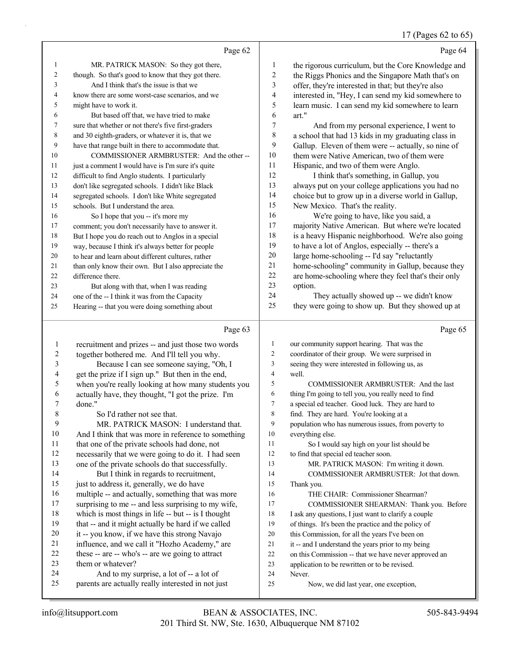## 17 (Pages 62 to 65)

|    | Page 62                                             |                | Page 64                                              |
|----|-----------------------------------------------------|----------------|------------------------------------------------------|
| 1  | MR. PATRICK MASON: So they got there,               | 1              | the rigorous curriculum, but the Core Knowledge and  |
| 2  | though. So that's good to know that they got there. | $\overline{c}$ | the Riggs Phonics and the Singapore Math that's on   |
| 3  | And I think that's the issue is that we             | 3              | offer, they're interested in that; but they're also  |
| 4  | know there are some worst-case scenarios, and we    | 4              | interested in, "Hey, I can send my kid somewhere to  |
| 5  | might have to work it.                              | 5              | learn music. I can send my kid somewhere to learn    |
| 6  | But based off that, we have tried to make           | 6              | art."                                                |
| 7  | sure that whether or not there's five first-graders | $\overline{7}$ | And from my personal experience, I went to           |
| 8  | and 30 eighth-graders, or whatever it is, that we   | 8              | a school that had 13 kids in my graduating class in  |
| 9  | have that range built in there to accommodate that. | 9              | Gallup. Eleven of them were -- actually, so nine of  |
| 10 | COMMISSIONER ARMBRUSTER: And the other --           | 10             | them were Native American, two of them were          |
| 11 | just a comment I would have is I'm sure it's quite  | 11             | Hispanic, and two of them were Anglo.                |
| 12 | difficult to find Anglo students. I particularly    | 12             | I think that's something, in Gallup, you             |
| 13 | don't like segregated schools. I didn't like Black  | 13             | always put on your college applications you had no   |
| 14 | segregated schools. I don't like White segregated   | 14             | choice but to grow up in a diverse world in Gallup,  |
| 15 | schools. But I understand the area.                 | 15             | New Mexico. That's the reality.                      |
| 16 | So I hope that you -- it's more my                  | 16             | We're going to have, like you said, a                |
| 17 | comment; you don't necessarily have to answer it.   | 17             | majority Native American. But where we're located    |
| 18 | But I hope you do reach out to Anglos in a special  | 18             | is a heavy Hispanic neighborhood. We're also going   |
| 19 | way, because I think it's always better for people  | 19             | to have a lot of Anglos, especially -- there's a     |
| 20 | to hear and learn about different cultures, rather  | 20             | large home-schooling -- I'd say "reluctantly         |
| 21 | than only know their own. But I also appreciate the | 21             | home-schooling" community in Gallup, because they    |
| 22 | difference there.                                   | 22             | are home-schooling where they feel that's their only |
| 23 | But along with that, when I was reading             | 23             | option.                                              |
| 24 | one of the -- I think it was from the Capacity      | 24             | They actually showed up -- we didn't know            |
| 25 | Hearing -- that you were doing something about      | 25             | they were going to show up. But they showed up at    |
|    | Page 63                                             |                | Page 65                                              |

## Page

|    | $1 \text{ g}$ $0 \text{ g}$                         |    | $1 \mu \text{g} \text{C}$                            |
|----|-----------------------------------------------------|----|------------------------------------------------------|
| 1  | recruitment and prizes -- and just those two words  | 1  | our community support hearing. That was the          |
| 2  | together bothered me. And I'll tell you why.        | 2  | coordinator of their group. We were surprised in     |
| 3  | Because I can see someone saying, "Oh, I            | 3  | seeing they were interested in following us, as      |
| 4  | get the prize if I sign up." But then in the end,   | 4  | well.                                                |
| 5  | when you're really looking at how many students you | 5  | COMMISSIONER ARMBRUSTER: And the last                |
| 6  | actually have, they thought, "I got the prize. I'm  | 6  | thing I'm going to tell you, you really need to find |
| 7  | done."                                              | 7  | a special ed teacher. Good luck. They are hard to    |
| 8  | So I'd rather not see that.                         | 8  | find. They are hard. You're looking at a             |
| 9  | MR. PATRICK MASON: I understand that.               | 9  | population who has numerous issues, from poverty to  |
| 10 | And I think that was more in reference to something | 10 | everything else.                                     |
| 11 | that one of the private schools had done, not       | 11 | So I would say high on your list should be           |
| 12 | necessarily that we were going to do it. I had seen | 12 | to find that special ed teacher soon.                |
| 13 | one of the private schools do that successfully.    | 13 | MR. PATRICK MASON: I'm writing it down.              |
| 14 | But I think in regards to recruitment,              | 14 | COMMISSIONER ARMBRUSTER: Jot that down.              |
| 15 | just to address it, generally, we do have           | 15 | Thank you.                                           |
| 16 | multiple -- and actually, something that was more   | 16 | THE CHAIR: Commissioner Shearman?                    |
| 17 | surprising to me -- and less surprising to my wife, | 17 | COMMISSIONER SHEARMAN: Thank you. Before             |
| 18 | which is most things in life -- but -- is I thought | 18 | I ask any questions, I just want to clarify a couple |
| 19 | that -- and it might actually be hard if we called  | 19 | of things. It's been the practice and the policy of  |
| 20 | it -- you know, if we have this strong Navajo       | 20 | this Commission, for all the years I've been on      |
| 21 | influence, and we call it "Hozho Academy," are      | 21 | it -- and I understand the years prior to my being   |
| 22 | these -- are -- who's -- are we going to attract    | 22 | on this Commission -- that we have never approved an |
| 23 | them or whatever?                                   | 23 | application to be rewritten or to be revised.        |
| 24 | And to my surprise, a lot of -- a lot of            | 24 | Never.                                               |
| 25 | parents are actually really interested in not just  | 25 | Now, we did last year, one exception,                |
|    |                                                     |    |                                                      |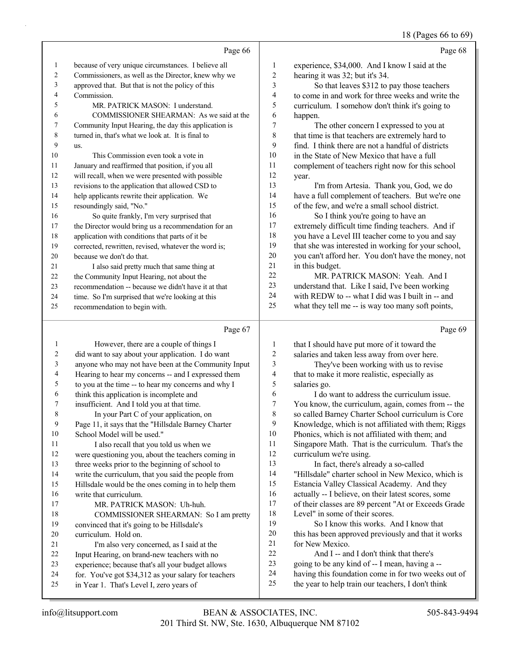18 (Pages 66 to 69)

|              | Page 66                                              |                | Page 68                                             |
|--------------|------------------------------------------------------|----------------|-----------------------------------------------------|
| $\mathbf{1}$ | because of very unique circumstances. I believe all  | 1              | experience, \$34,000. And I know I said at the      |
| 2            | Commissioners, as well as the Director, knew why we  | $\overline{2}$ | hearing it was 32; but it's 34.                     |
| 3            | approved that. But that is not the policy of this    | 3              | So that leaves \$312 to pay those teachers          |
| 4            | Commission.                                          | $\overline{4}$ | to come in and work for three weeks and write the   |
| 5            | MR. PATRICK MASON: I understand.                     | 5              | curriculum. I somehow don't think it's going to     |
| 6            | COMMISSIONER SHEARMAN: As we said at the             | 6              | happen.                                             |
| 7            | Community Input Hearing, the day this application is | 7              | The other concern I expressed to you at             |
| 8            | turned in, that's what we look at. It is final to    | 8              | that time is that teachers are extremely hard to    |
| 9            | us.                                                  | 9              | find. I think there are not a handful of districts  |
| 10           | This Commission even took a vote in                  | 10             | in the State of New Mexico that have a full         |
| 11           | January and reaffirmed that position, if you all     | 11             | complement of teachers right now for this school    |
| 12           | will recall, when we were presented with possible    | 12             | year.                                               |
| 13           | revisions to the application that allowed CSD to     | 13             | I'm from Artesia. Thank you, God, we do             |
| 14           | help applicants rewrite their application. We        | 14             | have a full complement of teachers. But we're one   |
| 15           | resoundingly said, "No."                             | 15             | of the few, and we're a small school district.      |
| 16           | So quite frankly, I'm very surprised that            | 16             | So I think you're going to have an                  |
| 17           | the Director would bring us a recommendation for an  | 17             | extremely difficult time finding teachers. And if   |
| 18           | application with conditions that parts of it be      | 18             | you have a Level III teacher come to you and say    |
| 19           | corrected, rewritten, revised, whatever the word is; | 19             | that she was interested in working for your school, |
| 20           | because we don't do that.                            | 20             | you can't afford her. You don't have the money, not |
| 21           | I also said pretty much that same thing at           | 21             | in this budget.                                     |
| 22           | the Community Input Hearing, not about the           | 22             | MR. PATRICK MASON: Yeah. And I                      |
| 23           | recommendation -- because we didn't have it at that  | 23             | understand that. Like I said, I've been working     |
| 24           | time. So I'm surprised that we're looking at this    | 24             | with REDW to -- what I did was I built in -- and    |
| 25           | recommendation to begin with.                        | 25             | what they tell me -- is way too many soft points,   |
|              | Page 67                                              |                | Page 69                                             |

## Page 67 |

|                | However, there are a couple of things I              | 1      | that I should have put more of it toward the         |
|----------------|------------------------------------------------------|--------|------------------------------------------------------|
| 2              | did want to say about your application. I do want    | 2      | salaries and taken less away from over here.         |
| 3              | anyone who may not have been at the Community Input  | 3      | They've been working with us to revise               |
| $\overline{4}$ | Hearing to hear my concerns -- and I expressed them  | 4      | that to make it more realistic, especially as        |
| 5              | to you at the time -- to hear my concerns and why I  | 5      | salaries go.                                         |
| 6              | think this application is incomplete and             | 6      | I do want to address the curriculum issue.           |
| 7              | insufficient. And I told you at that time.           | $\tau$ | You know, the curriculum, again, comes from -- the   |
| 8              | In your Part C of your application, on               | 8      | so called Barney Charter School curriculum is Core   |
| 9              | Page 11, it says that the "Hillsdale Barney Charter  | 9      | Knowledge, which is not affiliated with them; Riggs  |
| 10             | School Model will be used."                          | 10     | Phonics, which is not affiliated with them; and      |
| 11             | I also recall that you told us when we               | 11     | Singapore Math. That is the curriculum. That's the   |
| 12             | were questioning you, about the teachers coming in   | 12     | curriculum we're using.                              |
| 13             | three weeks prior to the beginning of school to      | 13     | In fact, there's already a so-called                 |
| 14             | write the curriculum, that you said the people from  | 14     | "Hillsdale" charter school in New Mexico, which is   |
| 15             | Hillsdale would be the ones coming in to help them   | 15     | Estancia Valley Classical Academy. And they          |
| 16             | write that curriculum.                               | 16     | actually -- I believe, on their latest scores, some  |
| 17             | MR. PATRICK MASON: Uh-huh.                           | 17     | of their classes are 89 percent "At or Exceeds Grade |
| 18             | COMMISSIONER SHEARMAN: So I am pretty                | 18     | Level" in some of their scores.                      |
| 19             | convinced that it's going to be Hillsdale's          | 19     | So I know this works. And I know that                |
| 20             | curriculum. Hold on.                                 | 20     | this has been approved previously and that it works  |
| 21             | I'm also very concerned, as I said at the            | 21     | for New Mexico.                                      |
| 22             | Input Hearing, on brand-new teachers with no         | 22     | And I -- and I don't think that there's              |
| 23             | experience; because that's all your budget allows    | 23     | going to be any kind of -- I mean, having a --       |
| 24             | for. You've got \$34,312 as your salary for teachers | 24     | having this foundation come in for two weeks out of  |
| 25             | in Year 1. That's Level I, zero years of             | 25     | the year to help train our teachers, I don't think   |
|                |                                                      |        |                                                      |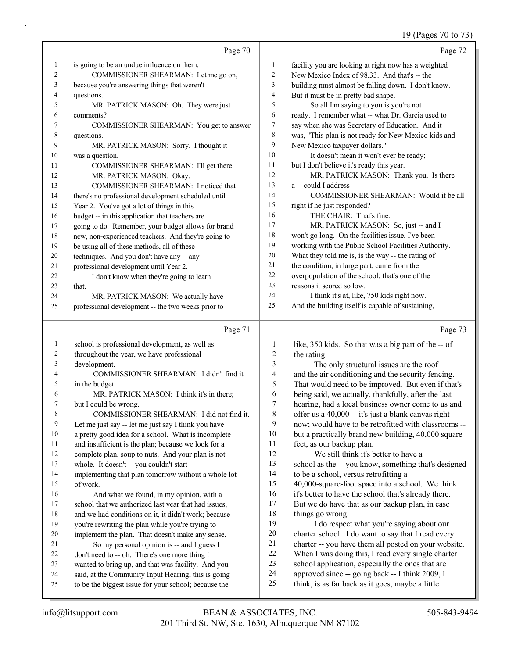## 19 (Pages 70 to 73)

|                |                                                                                                           |                | $19$ (Pages /0 to /3)                                                                                  |
|----------------|-----------------------------------------------------------------------------------------------------------|----------------|--------------------------------------------------------------------------------------------------------|
|                | Page 70                                                                                                   |                | Page 72                                                                                                |
| $\mathbf{1}$   | is going to be an undue influence on them.                                                                | $\mathbf{1}$   | facility you are looking at right now has a weighted                                                   |
| $\overline{2}$ | COMMISSIONER SHEARMAN: Let me go on,                                                                      | $\overline{2}$ | New Mexico Index of 98.33. And that's -- the                                                           |
| 3              | because you're answering things that weren't                                                              | $\mathfrak{Z}$ | building must almost be falling down. I don't know.                                                    |
| 4              | questions.                                                                                                | $\overline{4}$ | But it must be in pretty bad shape.                                                                    |
| 5              | MR. PATRICK MASON: Oh. They were just                                                                     | 5              | So all I'm saying to you is you're not                                                                 |
| 6              | comments?                                                                                                 | 6              | ready. I remember what -- what Dr. Garcia used to                                                      |
| 7              | COMMISSIONER SHEARMAN: You get to answer                                                                  | $\overline{7}$ | say when she was Secretary of Education. And it                                                        |
| $8\phantom{1}$ | questions.                                                                                                | $\,$ 8 $\,$    | was, "This plan is not ready for New Mexico kids and                                                   |
| 9              | MR. PATRICK MASON: Sorry. I thought it                                                                    | 9              | New Mexico taxpayer dollars."                                                                          |
| 10             | was a question.                                                                                           | 10             | It doesn't mean it won't ever be ready;                                                                |
| 11             | COMMISSIONER SHEARMAN: I'll get there.                                                                    | 11             | but I don't believe it's ready this year.                                                              |
| 12             | MR. PATRICK MASON: Okay.                                                                                  | 12             | MR. PATRICK MASON: Thank you. Is there                                                                 |
| 13             | COMMISSIONER SHEARMAN: I noticed that                                                                     | 13             | a -- could I address --                                                                                |
| 14             | there's no professional development scheduled until                                                       | 14             | COMMISSIONER SHEARMAN: Would it be all                                                                 |
| 15             | Year 2. You've got a lot of things in this                                                                | 15             | right if he just responded?                                                                            |
| 16             | budget -- in this application that teachers are                                                           | 16             | THE CHAIR: That's fine.                                                                                |
| 17             | going to do. Remember, your budget allows for brand                                                       | 17             | MR. PATRICK MASON: So, just -- and I                                                                   |
| 18             | new, non-experienced teachers. And they're going to                                                       | 18             | won't go long. On the facilities issue, I've been                                                      |
| 19             | be using all of these methods, all of these                                                               | 19             | working with the Public School Facilities Authority.                                                   |
| 20             | techniques. And you don't have any -- any                                                                 | 20             | What they told me is, is the way -- the rating of                                                      |
| 21             | professional development until Year 2.                                                                    | 21             | the condition, in large part, came from the                                                            |
| 22             | I don't know when they're going to learn                                                                  | 22             | overpopulation of the school; that's one of the                                                        |
| 23             | that.                                                                                                     | 23             | reasons it scored so low.                                                                              |
| 24             | MR. PATRICK MASON: We actually have                                                                       | 24             | I think it's at, like, 750 kids right now.                                                             |
| 25             | professional development -- the two weeks prior to                                                        | 25             | And the building itself is capable of sustaining,                                                      |
|                | Page 71                                                                                                   |                | Page 73                                                                                                |
| $\mathbf{1}$   | school is professional development, as well as                                                            | 1              | like, 350 kids. So that was a big part of the -- of                                                    |
| 2              | throughout the year, we have professional                                                                 | 2              | the rating.                                                                                            |
| 3              | development.                                                                                              | 3              | The only structural issues are the roof                                                                |
| 4              | COMMISSIONER SHEARMAN: I didn't find it                                                                   | 4              | and the air conditioning and the security fencing.                                                     |
| 5              | in the budget.                                                                                            | 5              | That would need to be improved. But even if that's                                                     |
| 6              | MR. PATRICK MASON: I think it's in there;                                                                 | 6              | being said, we actually, thankfully, after the last                                                    |
| 7              | but I could be wrong.                                                                                     | 7              | hearing, had a local business owner come to us and                                                     |
| 8              | COMMISSIONER SHEARMAN: I did not find it.                                                                 | 8              | offer us a 40,000 -- it's just a blank canvas right                                                    |
| 9              | Let me just say -- let me just say I think you have                                                       | 9              | now; would have to be retrofitted with classrooms --                                                   |
| 10             | a pretty good idea for a school. What is incomplete                                                       | 10             | but a practically brand new building, 40,000 square                                                    |
| 11             | and insufficient is the plan; because we look for a                                                       | 11             | feet, as our backup plan.                                                                              |
| 12             | complete plan, soup to nuts. And your plan is not                                                         | 12             | We still think it's better to have a                                                                   |
| 13             | whole. It doesn't -- you couldn't start                                                                   | 13             | school as the -- you know, something that's designed                                                   |
| 14             | implementing that plan tomorrow without a whole lot                                                       | 14             | to be a school, versus retrofitting a                                                                  |
| 15             | of work.                                                                                                  | 15             | 40,000-square-foot space into a school. We think                                                       |
| 16             | And what we found, in my opinion, with a                                                                  | 16             | it's better to have the school that's already there.                                                   |
| 17             | school that we authorized last year that had issues,                                                      | 17             | But we do have that as our backup plan, in case                                                        |
| 18             | and we had conditions on it, it didn't work; because                                                      | 18             | things go wrong.                                                                                       |
| 19             | you're rewriting the plan while you're trying to                                                          | 19<br>20       | I do respect what you're saying about our                                                              |
| 20             | implement the plan. That doesn't make any sense.                                                          | 21             | charter school. I do want to say that I read every                                                     |
| 21             | So my personal opinion is -- and I guess I                                                                | 22             | charter -- you have them all posted on your website.                                                   |
| 22<br>23       | don't need to -- oh. There's one more thing I                                                             | 23             | When I was doing this, I read every single charter<br>school application, especially the ones that are |
| 24             | wanted to bring up, and that was facility. And you<br>said, at the Community Input Hearing, this is going | 24             | approved since -- going back -- I think 2009, I                                                        |
| 25             | to be the biggest issue for your school; because the                                                      | 25             | think, is as far back as it goes, maybe a little                                                       |
|                |                                                                                                           |                |                                                                                                        |

to be the biggest issue for your school; because the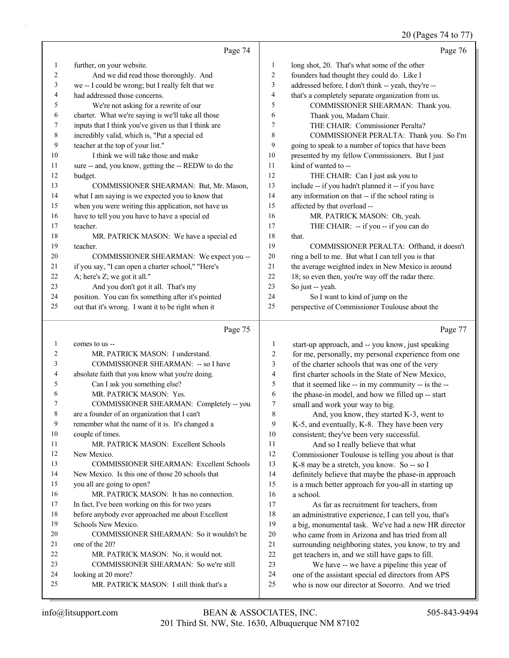## 20 (Pages 74 to 77)

|    | Page 74                                              |                | Page 76                                             |
|----|------------------------------------------------------|----------------|-----------------------------------------------------|
| 1  | further, on your website.                            | 1              | long shot, 20. That's what some of the other        |
| 2  | And we did read those thoroughly. And                | $\overline{c}$ | founders had thought they could do. Like I          |
| 3  | we -- I could be wrong; but I really felt that we    | 3              | addressed before, I don't think -- yeah, they're -- |
| 4  | had addressed those concerns.                        | 4              | that's a completely separate organization from us.  |
| 5  | We're not asking for a rewrite of our                | 5              | COMMISSIONER SHEARMAN: Thank you.                   |
| 6  | charter. What we're saying is we'll take all those   | 6              | Thank you, Madam Chair.                             |
| 7  | inputs that I think you've given us that I think are | 7              | THE CHAIR: Commissioner Peralta?                    |
| 8  | incredibly valid, which is, "Put a special ed        | 8              | COMMISSIONER PERALTA: Thank you. So I'm             |
| 9  | teacher at the top of your list."                    | 9              | going to speak to a number of topics that have been |
| 10 | I think we will take those and make                  | 10             | presented by my fellow Commissioners. But I just    |
| 11 | sure -- and, you know, getting the -- REDW to do the | 11             | kind of wanted to --                                |
| 12 | budget.                                              | 12             | THE CHAIR: Can I just ask you to                    |
| 13 | COMMISSIONER SHEARMAN: But, Mr. Mason,               | 13             | include -- if you hadn't planned it -- if you have  |
| 14 | what I am saying is we expected you to know that     | 14             | any information on that -- if the school rating is  |
| 15 | when you were writing this application, not have us  | 15             | affected by that overload --                        |
| 16 | have to tell you you have to have a special ed       | 16             | MR. PATRICK MASON: Oh, yeah.                        |
| 17 | teacher.                                             | 17             | THE CHAIR: -- if you -- if you can do               |
| 18 | MR. PATRICK MASON: We have a special ed              | 18             | that.                                               |
| 19 | teacher.                                             | 19             | COMMISSIONER PERALTA: Offhand, it doesn't           |
| 20 | COMMISSIONER SHEARMAN: We expect you --              | 20             | ring a bell to me. But what I can tell you is that  |
| 21 | if you say, "I can open a charter school," "Here's   | 21             | the average weighted index in New Mexico is around  |
| 22 | A; here's Z; we got it all."                         | 22             | 18; so even then, you're way off the radar there.   |
| 23 | And you don't got it all. That's my                  | 23             | So just -- yeah.                                    |
| 24 | position. You can fix something after it's pointed   | 24             | So I want to kind of jump on the                    |
| 25 | out that it's wrong. I want it to be right when it   | 25             | perspective of Commissioner Toulouse about the      |
|    | Page 75                                              |                | Page 77                                             |
|    | comes to us --                                       | 1              | start-up approach, and -- you know, just speaking   |
| 2  | MR. PATRICK MASON: I understand.                     | $\overline{2}$ | for me, personally, my personal experience from one |

| ∠  | VIN. FATNIUN MASUN. TURICISMIIU.                  | ∠              | for the, personally, my personal experience from one |
|----|---------------------------------------------------|----------------|------------------------------------------------------|
| 3  | COMMISSIONER SHEARMAN: -- so I have               | 3              | of the charter schools that was one of the very      |
| 4  | absolute faith that you know what you're doing.   | $\overline{4}$ | first charter schools in the State of New Mexico,    |
| 5  | Can I ask you something else?                     | 5              | that it seemed like -- in my community -- is the --  |
| 6  | MR. PATRICK MASON: Yes.                           | 6              | the phase-in model, and how we filled up -- start    |
|    | COMMISSIONER SHEARMAN: Completely -- you          | 7              | small and work your way to big.                      |
| 8  | are a founder of an organization that I can't     | 8              | And, you know, they started K-3, went to             |
| 9  | remember what the name of it is. It's changed a   | 9              | K-5, and eventually, K-8. They have been very        |
| 10 | couple of times.                                  | 10             | consistent; they've been very successful.            |
| 11 | MR. PATRICK MASON: Excellent Schools              | 11             | And so I really believe that what                    |
| 12 | New Mexico.                                       | 12             | Commissioner Toulouse is telling you about is that   |
| 13 | <b>COMMISSIONER SHEARMAN: Excellent Schools</b>   | 13             | K-8 may be a stretch, you know. So -- so I           |
| 14 | New Mexico. Is this one of those 20 schools that  | 14             | definitely believe that maybe the phase-in approach  |
| 15 | you all are going to open?                        | 15             | is a much better approach for you-all in starting up |
| 16 | MR. PATRICK MASON: It has no connection.          | 16             | a school.                                            |
| 17 | In fact, I've been working on this for two years  | 17             | As far as recruitment for teachers, from             |
| 18 | before anybody ever approached me about Excellent | 18             | an administrative experience, I can tell you, that's |
| 19 | Schools New Mexico.                               | 19             | a big, monumental task. We've had a new HR director  |
| 20 | COMMISSIONER SHEARMAN: So it wouldn't be          | 20             | who came from in Arizona and has tried from all      |
| 21 | one of the 20?                                    | 21             | surrounding neighboring states, you know, to try and |
| 22 | MR. PATRICK MASON: No, it would not.              | 22             | get teachers in, and we still have gaps to fill.     |
| 23 | COMMISSIONER SHEARMAN: So we're still             | 23             | We have -- we have a pipeline this year of           |
| 24 | looking at 20 more?                               | 24             | one of the assistant special ed directors from APS   |
| 25 | MR. PATRICK MASON: I still think that's a         | 25             | who is now our director at Socorro. And we tried     |
|    |                                                   |                |                                                      |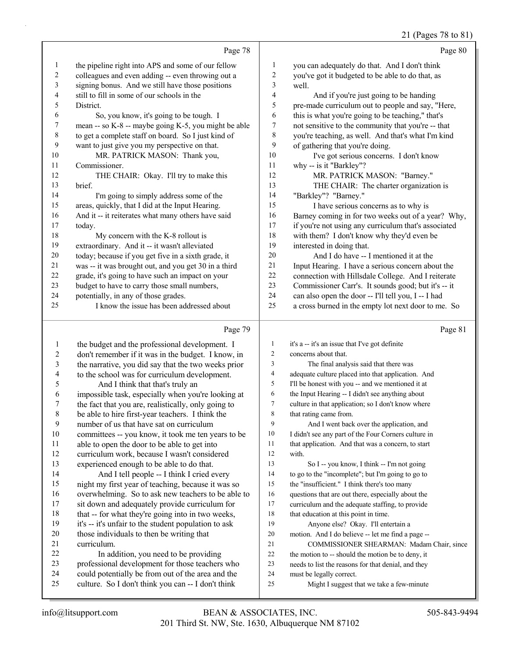## 21 (Pages 78 to 81)

|    | Page 78                                              |                         | Page 80                                              |
|----|------------------------------------------------------|-------------------------|------------------------------------------------------|
| 1  | the pipeline right into APS and some of our fellow   | 1                       | you can adequately do that. And I don't think        |
| 2  | colleagues and even adding -- even throwing out a    | 2                       | you've got it budgeted to be able to do that, as     |
| 3  | signing bonus. And we still have those positions     | 3                       | well.                                                |
| 4  | still to fill in some of our schools in the          | $\overline{\mathbf{4}}$ | And if you're just going to be handing               |
| 5  | District.                                            | 5                       | pre-made curriculum out to people and say, "Here,    |
| 6  | So, you know, it's going to be tough. I              | 6                       | this is what you're going to be teaching," that's    |
| 7  | mean -- so K-8 -- maybe going K-5, you might be able | 7                       | not sensitive to the community that you're -- that   |
| 8  | to get a complete staff on board. So I just kind of  | 8                       | you're teaching, as well. And that's what I'm kind   |
| 9  | want to just give you my perspective on that.        | 9                       | of gathering that you're doing.                      |
| 10 | MR. PATRICK MASON: Thank you,                        | 10                      | I've got serious concerns. I don't know              |
| 11 | Commissioner.                                        | 11                      | why -- is it "Barkley"?                              |
| 12 | THE CHAIR: Okay. I'll try to make this               | 12                      | MR. PATRICK MASON: "Barney."                         |
| 13 | brief.                                               | 13                      | THE CHAIR: The charter organization is               |
| 14 | I'm going to simply address some of the              | 14                      | "Barkley"? "Barney."                                 |
| 15 | areas, quickly, that I did at the Input Hearing.     | 15                      | I have serious concerns as to why is                 |
| 16 | And it -- it reiterates what many others have said   | 16                      | Barney coming in for two weeks out of a year? Why,   |
| 17 | today.                                               | 17                      | if you're not using any curriculum that's associated |
| 18 | My concern with the K-8 rollout is                   | 18                      | with them? I don't know why they'd even be           |
| 19 | extraordinary. And it -- it wasn't alleviated        | 19                      | interested in doing that.                            |
| 20 | today; because if you get five in a sixth grade, it  | 20                      | And I do have -- I mentioned it at the               |
| 21 | was -- it was brought out, and you get 30 in a third | 21                      | Input Hearing. I have a serious concern about the    |
| 22 | grade, it's going to have such an impact on your     | 22                      | connection with Hillsdale College. And I reiterate   |
| 23 | budget to have to carry those small numbers,         | 23                      | Commissioner Carr's. It sounds good; but it's -- it  |
| 24 | potentially, in any of those grades.                 | 24                      | can also open the door -- I'll tell you, I -- I had  |
| 25 | I know the issue has been addressed about            | 25                      | a cross burned in the empty lot next door to me. So  |
|    | Page 79                                              |                         | Page 81                                              |
|    | the budget and the professional development. I       | 1                       | it's a -- it's an issue that I've got definite       |
|    | $1 - U$ $1 - 10$ $1 - 10$ $1 - 1 - 1$ $1 - 10$       | $\sim$                  | المنافس والمستحدث والمستحدث والمستحدث                |

| 1     | the budget and the professional development. I       | 1  | it's a -- it's an issue that I've got definite       |
|-------|------------------------------------------------------|----|------------------------------------------------------|
| 2     | don't remember if it was in the budget. I know, in   | 2  | concerns about that.                                 |
| 3     | the narrative, you did say that the two weeks prior  | 3  | The final analysis said that there was               |
| 4     | to the school was for curriculum development.        | 4  | adequate culture placed into that application. And   |
| 5     | And I think that that's truly an                     | 5  | I'll be honest with you -- and we mentioned it at    |
| 6     | impossible task, especially when you're looking at   | 6  | the Input Hearing -- I didn't see anything about     |
| 7     | the fact that you are, realistically, only going to  | 7  | culture in that application; so I don't know where   |
| $8\,$ | be able to hire first-year teachers. I think the     | 8  | that rating came from.                               |
| 9     | number of us that have sat on curriculum             | 9  | And I went back over the application, and            |
| 10    | committees -- you know, it took me ten years to be   | 10 | I didn't see any part of the Four Corners culture in |
| 11    | able to open the door to be able to get into         | 11 | that application. And that was a concern, to start   |
| 12    | curriculum work, because I wasn't considered         | 12 | with.                                                |
| 13    | experienced enough to be able to do that.            | 13 | So I -- you know, I think -- I'm not going           |
| 14    | And I tell people -- I think I cried every           | 14 | to go to the "incomplete"; but I'm going to go to    |
| 15    | night my first year of teaching, because it was so   | 15 | the "insufficient." I think there's too many         |
| 16    | overwhelming. So to ask new teachers to be able to   | 16 | questions that are out there, especially about the   |
| 17    | sit down and adequately provide curriculum for       | 17 | curriculum and the adequate staffing, to provide     |
| 18    | that -- for what they're going into in two weeks,    | 18 | that education at this point in time.                |
| 19    | it's -- it's unfair to the student population to ask | 19 | Anyone else? Okay. I'll entertain a                  |
| 20    | those individuals to then be writing that            | 20 | motion. And I do believe -- let me find a page --    |
| 21    | curriculum.                                          | 21 | COMMISSIONER SHEARMAN: Madam Chair, since            |
| 22    | In addition, you need to be providing                | 22 | the motion to -- should the motion be to deny, it    |
| 23    | professional development for those teachers who      | 23 | needs to list the reasons for that denial, and they  |
| 24    | could potentially be from out of the area and the    | 24 | must be legally correct.                             |
| 25    | culture. So I don't think you can -- I don't think   | 25 | Might I suggest that we take a few-minute            |
|       |                                                      |    |                                                      |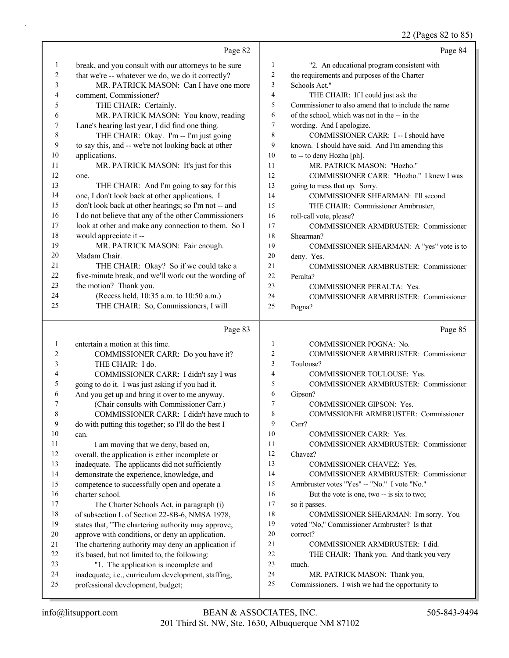22 (Pages 82 to 85)

|          | Page 82                                                                                  |                | Page 84                                                                          |
|----------|------------------------------------------------------------------------------------------|----------------|----------------------------------------------------------------------------------|
| 1        | break, and you consult with our attorneys to be sure                                     | $\mathbf{1}$   | "2. An educational program consistent with                                       |
| 2        | that we're -- whatever we do, we do it correctly?                                        | $\overline{c}$ | the requirements and purposes of the Charter                                     |
| 3        | MR. PATRICK MASON: Can I have one more                                                   | 3              | Schools Act."                                                                    |
| 4        | comment, Commissioner?                                                                   | $\overline{4}$ | THE CHAIR: If I could just ask the                                               |
| 5        | THE CHAIR: Certainly.                                                                    | 5              | Commissioner to also amend that to include the name                              |
| 6        | MR. PATRICK MASON: You know, reading                                                     | 6              | of the school, which was not in the -- in the                                    |
| 7        | Lane's hearing last year, I did find one thing.                                          | 7              | wording. And I apologize.                                                        |
| 8        | THE CHAIR: Okay. I'm -- I'm just going                                                   | 8              | COMMISSIONER CARR: I -- I should have                                            |
| 9        | to say this, and -- we're not looking back at other                                      | 9              | known. I should have said. And I'm amending this                                 |
| 10       | applications.                                                                            | 10             | to -- to deny Hozha [ph].                                                        |
| 11       | MR. PATRICK MASON: It's just for this                                                    | 11             | MR. PATRICK MASON: "Hozho."                                                      |
| 12       | one.                                                                                     | 12             | COMMISSIONER CARR: "Hozho." I knew I was                                         |
| 13       | THE CHAIR: And I'm going to say for this                                                 | 13             | going to mess that up. Sorry.                                                    |
| 14       | one, I don't look back at other applications. I                                          | 14             | COMMISSIONER SHEARMAN: I'll second.                                              |
| 15       | don't look back at other hearings; so I'm not -- and                                     | 15             | THE CHAIR: Commissioner Armbruster,                                              |
| 16       | I do not believe that any of the other Commissioners                                     | 16             | roll-call vote, please?                                                          |
| 17       | look at other and make any connection to them. So I                                      | 17             | COMMISSIONER ARMBRUSTER: Commissioner                                            |
| 18       | would appreciate it --                                                                   | 18             | Shearman?                                                                        |
| 19       | MR. PATRICK MASON: Fair enough.                                                          | 19             | COMMISSIONER SHEARMAN: A "yes" vote is to                                        |
| 20       | Madam Chair.                                                                             | 20             | deny. Yes.                                                                       |
| 21       | THE CHAIR: Okay? So if we could take a                                                   | 21             | <b>COMMISSIONER ARMBRUSTER: Commissioner</b>                                     |
| 22       | five-minute break, and we'll work out the wording of                                     | 22             | Peralta?                                                                         |
| 23       | the motion? Thank you.                                                                   | 23             | COMMISSIONER PERALTA: Yes.                                                       |
| 24       | (Recess held, 10:35 a.m. to 10:50 a.m.)                                                  | 24             | COMMISSIONER ARMBRUSTER: Commissioner                                            |
| 25       | THE CHAIR: So, Commissioners, I will                                                     | 25             | Pogna?                                                                           |
|          |                                                                                          |                |                                                                                  |
|          |                                                                                          |                |                                                                                  |
|          | Page 83                                                                                  |                | Page 85                                                                          |
| 1        | entertain a motion at this time.                                                         | $\mathbf{1}$   | COMMISSIONER POGNA: No.                                                          |
| 2        | COMMISSIONER CARR: Do you have it?                                                       | $\overline{2}$ | COMMISSIONER ARMBRUSTER: Commissioner                                            |
| 3        | THE CHAIR: I do.                                                                         | 3              | Toulouse?                                                                        |
| 4        | COMMISSIONER CARR: I didn't say I was                                                    | $\overline{4}$ | COMMISSIONER TOULOUSE: Yes.                                                      |
| 5        | going to do it. I was just asking if you had it.                                         | 5              | COMMISSIONER ARMBRUSTER: Commissioner                                            |
| 6        | And you get up and bring it over to me anyway.                                           | 6              | Gipson?                                                                          |
| 7        | (Chair consults with Commissioner Carr.)                                                 | 7              | COMMISSIONER GIPSON: Yes.                                                        |
| 8        | COMMISSIONER CARR: I didn't have much to                                                 | 8              | COMMSSIONER ARMBRUSTER: Commissioner                                             |
| 9        | do with putting this together; so I'll do the best I                                     | 9              | Carr?                                                                            |
| 10       | can.                                                                                     | 10             | COMMISSIONER CARR: Yes.                                                          |
| 11       | I am moving that we deny, based on,                                                      | 11             | COMMISSIONER ARMBRUSTER: Commissioner                                            |
| 12       | overall, the application is either incomplete or                                         | 12             | Chavez?                                                                          |
| 13       | inadequate. The applicants did not sufficiently                                          | 13             | COMMISSIONER CHAVEZ: Yes.                                                        |
| 14       | demonstrate the experience, knowledge, and                                               | 14             | COMMISSIONER ARMBRUSTER: Commissioner                                            |
| 15       | competence to successfully open and operate a                                            | 15             | Armbruster votes "Yes" -- "No." I vote "No."                                     |
| 16       | charter school.                                                                          | 16             | But the vote is one, two -- is six to two;                                       |
| 17       | The Charter Schools Act, in paragraph (i)                                                | 17             | so it passes.                                                                    |
| 18       | of subsection L of Section 22-8B-6, NMSA 1978,                                           | 18             | COMMISSIONER SHEARMAN: I'm sorry. You                                            |
| 19       | states that, "The chartering authority may approve,                                      | 19             | voted "No," Commissioner Armbruster? Is that                                     |
| 20       | approve with conditions, or deny an application.                                         | 20             | correct?                                                                         |
| 21       | The chartering authority may deny an application if                                      | 21             | COMMISSIONER ARMBRUSTER: I did.                                                  |
| 22       | it's based, but not limited to, the following:                                           | 22             | THE CHAIR: Thank you. And thank you very                                         |
| 23       | "1. The application is incomplete and                                                    | 23             | much.                                                                            |
| 24<br>25 | inadequate; i.e., curriculum development, staffing,<br>professional development, budget; | 24<br>25       | MR. PATRICK MASON: Thank you,<br>Commissioners. I wish we had the opportunity to |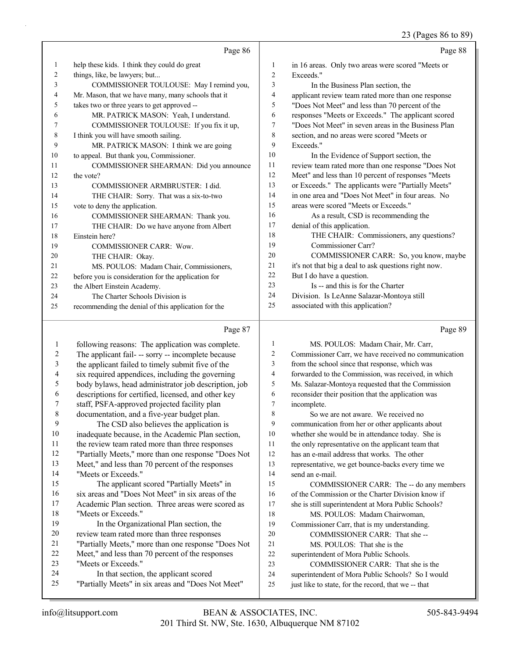|    | Page 86                                             |                | Page 88                                              |
|----|-----------------------------------------------------|----------------|------------------------------------------------------|
| 1  | help these kids. I think they could do great        | 1              | in 16 areas. Only two areas were scored "Meets or    |
| 2  | things, like, be lawyers; but                       | $\overline{c}$ | Exceeds."                                            |
| 3  | COMMISSIONER TOULOUSE: May I remind you,            | 3              | In the Business Plan section, the                    |
| 4  | Mr. Mason, that we have many, many schools that it  | 4              | applicant review team rated more than one response   |
| 5. | takes two or three years to get approved --         | 5              | "Does Not Meet" and less than 70 percent of the      |
| 6  | MR. PATRICK MASON: Yeah, I understand.              | 6              | responses "Meets or Exceeds." The applicant scored   |
| 7  | COMMISSIONER TOULOUSE: If you fix it up,            | 7              | "Does Not Meet" in seven areas in the Business Plan  |
| 8  | I think you will have smooth sailing.               | 8              | section, and no areas were scored "Meets or          |
| 9  | MR. PATRICK MASON: I think we are going             | 9              | Exceeds."                                            |
| 10 | to appeal. But thank you, Commissioner.             | 10             | In the Evidence of Support section, the              |
| 11 | COMMISSIONER SHEARMAN: Did you announce             | 11             | review team rated more than one response "Does Not   |
| 12 | the vote?                                           | 12             | Meet" and less than 10 percent of responses "Meets   |
| 13 | COMMISSIONER ARMBRUSTER: I did.                     | 13             | or Exceeds." The applicants were "Partially Meets"   |
| 14 | THE CHAIR: Sorry. That was a six-to-two             | 14             | in one area and "Does Not Meet" in four areas. No    |
| 15 | vote to deny the application.                       | 15             | areas were scored "Meets or Exceeds."                |
| 16 | COMMISSIONER SHEARMAN: Thank you.                   | 16             | As a result, CSD is recommending the                 |
| 17 | THE CHAIR: Do we have anyone from Albert            | 17             | denial of this application.                          |
| 18 | Einstein here?                                      | 18             | THE CHAIR: Commissioners, any questions?             |
| 19 | <b>COMMISSIONER CARR: Wow.</b>                      | 19             | Commissioner Carr?                                   |
| 20 | THE CHAIR: Okay.                                    | 20             | COMMISSIONER CARR: So, you know, maybe               |
| 21 | MS. POULOS: Madam Chair, Commissioners,             | 21             | it's not that big a deal to ask questions right now. |
| 22 | before you is consideration for the application for | 22             | But I do have a question.                            |
| 23 | the Albert Einstein Academy.                        | 23             | Is -- and this is for the Charter                    |
| 24 | The Charter Schools Division is                     | 24             | Division. Is LeAnne Salazar-Montoya still            |
| 25 | recommending the denial of this application for the | 25             | associated with this application?                    |

## Page 87  $\vert$

|    | Page 87                                              |                | Page 89                                              |
|----|------------------------------------------------------|----------------|------------------------------------------------------|
| 1  | following reasons: The application was complete.     | $\mathbf{1}$   | MS. POULOS: Madam Chair, Mr. Carr,                   |
| 2  | The applicant fail- -- sorry -- incomplete because   | $\overline{c}$ | Commissioner Carr, we have received no communication |
| 3  | the applicant failed to timely submit five of the    | 3              | from the school since that response, which was       |
| 4  | six required appendices, including the governing     | 4              | forwarded to the Commission, was received, in which  |
| 5  | body bylaws, head administrator job description, job | 5              | Ms. Salazar-Montoya requested that the Commission    |
| 6  | descriptions for certified, licensed, and other key  | 6              | reconsider their position that the application was   |
| 7  | staff, PSFA-approved projected facility plan         | 7              | incomplete.                                          |
| 8  | documentation, and a five-year budget plan.          | 8              | So we are not aware. We received no                  |
| 9  | The CSD also believes the application is             | 9              | communication from her or other applicants about     |
| 10 | inadequate because, in the Academic Plan section,    | 10             | whether she would be in attendance today. She is     |
| 11 | the review team rated more than three responses      | 11             | the only representative on the applicant team that   |
| 12 | "Partially Meets," more than one response "Does Not  | 12             | has an e-mail address that works. The other          |
| 13 | Meet," and less than 70 percent of the responses     | 13             | representative, we get bounce-backs every time we    |
| 14 | "Meets or Exceeds."                                  | 14             | send an e-mail.                                      |
| 15 | The applicant scored "Partially Meets" in            | 15             | COMMISSIONER CARR: The -- do any members             |
| 16 | six areas and "Does Not Meet" in six areas of the    | 16             | of the Commission or the Charter Division know if    |
| 17 | Academic Plan section. Three areas were scored as    | 17             | she is still superintendent at Mora Public Schools?  |
| 18 | "Meets or Exceeds."                                  | 18             | MS. POULOS: Madam Chairwoman,                        |
| 19 | In the Organizational Plan section, the              | 19             | Commissioner Carr, that is my understanding.         |
| 20 | review team rated more than three responses          | 20             | COMMISSIONER CARR: That she-                         |
| 21 | "Partially Meets," more than one response "Does Not  | 21             | MS. POULOS: That she is the                          |
| 22 | Meet," and less than 70 percent of the responses     | 22             | superintendent of Mora Public Schools.               |
| 23 | "Meets or Exceeds."                                  | 23             | COMMISSIONER CARR: That she is the                   |
| 24 | In that section, the applicant scored                | 24             | superintendent of Mora Public Schools? So I would    |
| 25 | "Partially Meets" in six areas and "Does Not Meet"   | 25             | just like to state, for the record, that we -- that  |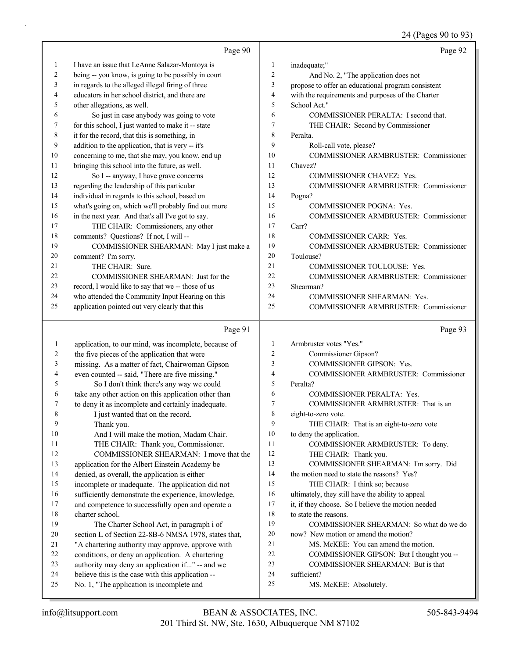|    | Page 90                                             |                | Page 92                                            |
|----|-----------------------------------------------------|----------------|----------------------------------------------------|
| 1  | I have an issue that LeAnne Salazar-Montoya is      | 1              | inadequate;"                                       |
| 2  | being -- you know, is going to be possibly in court | $\overline{2}$ | And No. 2, "The application does not               |
| 3  | in regards to the alleged illegal firing of three   | 3              | propose to offer an educational program consistent |
| 4  | educators in her school district, and there are     | 4              | with the requirements and purposes of the Charter  |
| 5  | other allegations, as well.                         | 5              | School Act."                                       |
| 6  | So just in case anybody was going to vote           | 6              | COMMISSIONER PERALTA: I second that.               |
| 7  | for this school, I just wanted to make it -- state  | 7              | THE CHAIR: Second by Commissioner                  |
| 8  | it for the record, that this is something, in       | 8              | Peralta.                                           |
| 9  | addition to the application, that is very -- it's   | 9              | Roll-call vote, please?                            |
| 10 | concerning to me, that she may, you know, end up    | 10             | <b>COMMISSIONER ARMBRUSTER: Commissioner</b>       |
| 11 | bringing this school into the future, as well.      | 11             | Chavez?                                            |
| 12 | So I -- anyway, I have grave concerns               | 12             | <b>COMMISSIONER CHAVEZ: Yes.</b>                   |
| 13 | regarding the leadership of this particular         | 13             | COMMISSIONER ARMBRUSTER: Commissioner              |
| 14 | individual in regards to this school, based on      | 14             | Pogna?                                             |
| 15 | what's going on, which we'll probably find out more | 15             | <b>COMMISSIONER POGNA: Yes.</b>                    |
| 16 | in the next year. And that's all I've got to say.   | 16             | <b>COMMISSIONER ARMBRUSTER: Commissioner</b>       |
| 17 | THE CHAIR: Commissioners, any other                 | 17             | Carr?                                              |
| 18 | comments? Questions? If not, I will --              | 18             | <b>COMMISSIONER CARR: Yes.</b>                     |
| 19 | COMMISSIONER SHEARMAN: May I just make a            | 19             | <b>COMMISSIONER ARMBRUSTER: Commissioner</b>       |
| 20 | comment? I'm sorry.                                 | 20             | Toulouse?                                          |
| 21 | THE CHAIR: Sure.                                    | 2.1            | <b>COMMISSIONER TOULOUSE: Yes.</b>                 |
| 22 | COMMISSIONER SHEARMAN: Just for the                 | 22             | <b>COMMISSIONER ARMBRUSTER: Commissioner</b>       |
| 23 | record, I would like to say that we -- those of us  | 23             | Shearman?                                          |
| 24 | who attended the Community Input Hearing on this    | 24             | <b>COMMISSIONER SHEARMAN: Yes.</b>                 |
| 25 | application pointed out very clearly that this      | 25             | <b>COMMISSIONER ARMBRUSTER: Commissioner</b>       |

#### Page 91

1 application, to our mind, was incomplete, because of 2 the five pieces of the application that were 3 missing. As a matter of fact, Chairwoman Gipson 4 even counted -- said, "There are five missing." 5 So I don't think there's any way we could 6 take any other action on this application other than 7 to deny it as incomplete and certainly inadequate. 8 I just wanted that on the record. 9 Thank you. 10 And I will make the motion, Madam Chair. 11 THE CHAIR: Thank you, Commissioner. 12 COMMISSIONER SHEARMAN: I move that the 13 application for the Albert Einstein Academy be 14 denied, as overall, the application is either 15 incomplete or inadequate. The application did not 16 sufficiently demonstrate the experience, knowledge, 17 and competence to successfully open and operate a 18 charter school. 19 The Charter School Act, in paragraph i of 20 section L of Section 22-8B-6 NMSA 1978, states that, 21 "A chartering authority may approve, approve with 22 conditions, or deny an application. A chartering 23 authority may deny an application if..." -- and we 24 believe this is the case with this application -- 25 No. 1, "The application is incomplete and Page 93 1 Armbruster votes "Yes." 2 Commissioner Gipson? 3 COMMISSIONER GIPSON: Yes. 4 COMMISSIONER ARMBRUSTER: Commissioner 5 Peralta? 6 COMMISSIONER PERALTA: Yes. 7 COMMISSIONER ARMBRUSTER: That is an 8 eight-to-zero vote. 9 THE CHAIR: That is an eight-to-zero vote 10 to deny the application. 11 COMMISSIONER ARMBRUSTER: To deny. 12 THE CHAIR: Thank you. 13 COMMISSIONER SHEARMAN: I'm sorry. Did 14 the motion need to state the reasons? Yes? 15 THE CHAIR: I think so; because 16 ultimately, they still have the ability to appeal 17 it, if they choose. So I believe the motion needed 18 to state the reasons. 19 COMMISSIONER SHEARMAN: So what do we do 20 now? New motion or amend the motion? 21 MS. McKEE: You can amend the motion. 22 COMMISSIONER GIPSON: But I thought you -- 23 COMMISSIONER SHEARMAN: But is that 24 sufficient? 25 MS. McKEE: Absolutely.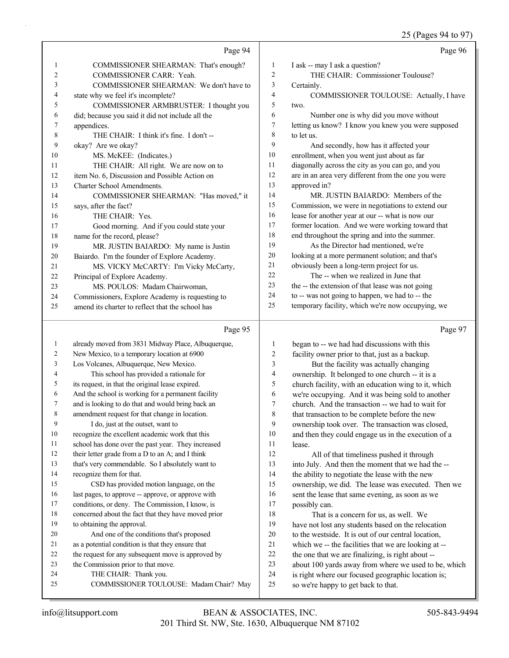25 (Pages 94 to 97)

|    | Page 94                                          |                | Page 96                                             |
|----|--------------------------------------------------|----------------|-----------------------------------------------------|
|    | COMMISSIONER SHEARMAN: That's enough?            | 1              | I ask -- may I ask a question?                      |
| 2  | COMMISSIONER CARR: Yeah.                         | $\overline{c}$ | THE CHAIR: Commissioner Toulouse?                   |
| 3  | COMMISSIONER SHEARMAN: We don't have to          | 3              | Certainly.                                          |
| 4  | state why we feel it's incomplete?               | 4              | COMMISSIONER TOULOUSE: Actually, I have             |
| 5  | COMMISSIONER ARMBRUSTER: I thought you           | 5              | two.                                                |
| 6  | did; because you said it did not include all the | 6              | Number one is why did you move without              |
| 7  | appendices.                                      | 7              | letting us know? I know you knew you were supposed  |
| 8  | THE CHAIR: I think it's fine. I don't --         | 8              | to let us.                                          |
| 9  | okay? Are we okay?                               | 9              | And secondly, how has it affected your              |
| 10 | MS. McKEE: (Indicates.)                          | 10             | enrollment, when you went just about as far         |
| 11 | THE CHAIR: All right. We are now on to           | 11             | diagonally across the city as you can go, and you   |
| 12 | item No. 6, Discussion and Possible Action on    | 12             | are in an area very different from the one you were |
| 13 | Charter School Amendments.                       | 13             | approved in?                                        |
| 14 | COMMISSIONER SHEARMAN: "Has moved," it           | 14             | MR. JUSTIN BAJARDO: Members of the                  |
| 15 | says, after the fact?                            | 15             | Commission, we were in negotiations to extend our   |
| 16 | THE CHAIR: Yes.                                  | 16             | lease for another year at our -- what is now our    |
| 17 | Good morning. And if you could state your        | 17             | former location. And we were working toward that    |
| 18 | name for the record, please?                     | 18             | end throughout the spring and into the summer.      |
| 19 | MR. JUSTIN BAIARDO: My name is Justin            | 19             | As the Director had mentioned, we're                |
| 20 | Baiardo. I'm the founder of Explore Academy.     | 20             | looking at a more permanent solution; and that's    |
| 21 | MS. VICKY McCARTY: I'm Vicky McCarty,            | 21             | obviously been a long-term project for us.          |
| 22 | Principal of Explore Academy.                    | 22             | The -- when we realized in June that                |
| 23 | MS. POULOS: Madam Chairwoman,                    | 23             | the -- the extension of that lease was not going    |
| 24 | Commissioners, Explore Academy is requesting to  | 24             | to -- was not going to happen, we had to -- the     |
| 25 | amend its charter to reflect that the school has | 25             | temporary facility, which we're now occupying, we   |
|    | Page 95                                          |                | Page 97                                             |

## Page 95 |

| 1  | already moved from 3831 Midway Place, Albuquerque,  | 1  | began to -- we had had discussions with this         |
|----|-----------------------------------------------------|----|------------------------------------------------------|
| 2  | New Mexico, to a temporary location at 6900         | 2  | facility owner prior to that, just as a backup.      |
| 3  | Los Volcanes, Albuquerque, New Mexico.              | 3  | But the facility was actually changing               |
| 4  | This school has provided a rationale for            | 4  | ownership. It belonged to one church -- it is a      |
| 5  | its request, in that the original lease expired.    | 5  | church facility, with an education wing to it, which |
| 6  | And the school is working for a permanent facility  | 6  | we're occupying. And it was being sold to another    |
| 7  | and is looking to do that and would bring back an   | 7  | church. And the transaction -- we had to wait for    |
| 8  | amendment request for that change in location.      | 8  | that transaction to be complete before the new       |
| 9  | I do, just at the outset, want to                   | 9  | ownership took over. The transaction was closed,     |
| 10 | recognize the excellent academic work that this     | 10 | and then they could engage us in the execution of a  |
| 11 | school has done over the past year. They increased  | 11 | lease.                                               |
| 12 | their letter grade from a D to an A; and I think    | 12 | All of that timeliness pushed it through             |
| 13 | that's very commendable. So I absolutely want to    | 13 | into July. And then the moment that we had the --    |
| 14 | recognize them for that.                            | 14 | the ability to negotiate the lease with the new      |
| 15 | CSD has provided motion language, on the            | 15 | ownership, we did. The lease was executed. Then we   |
| 16 | last pages, to approve -- approve, or approve with  | 16 | sent the lease that same evening, as soon as we      |
| 17 | conditions, or deny. The Commission, I know, is     | 17 | possibly can.                                        |
| 18 | concerned about the fact that they have moved prior | 18 | That is a concern for us, as well. We                |
| 19 | to obtaining the approval.                          | 19 | have not lost any students based on the relocation   |
| 20 | And one of the conditions that's proposed           | 20 | to the westside. It is out of our central location,  |
| 21 | as a potential condition is that they ensure that   | 21 | which we -- the facilities that we are looking at -- |
| 22 | the request for any subsequent move is approved by  | 22 | the one that we are finalizing, is right about --    |
| 23 | the Commission prior to that move.                  | 23 | about 100 yards away from where we used to be, which |
| 24 | THE CHAIR: Thank you.                               | 24 | is right where our focused geographic location is;   |
| 25 | COMMISSIONER TOULOUSE: Madam Chair? May             | 25 | so we're happy to get back to that.                  |
|    |                                                     |    |                                                      |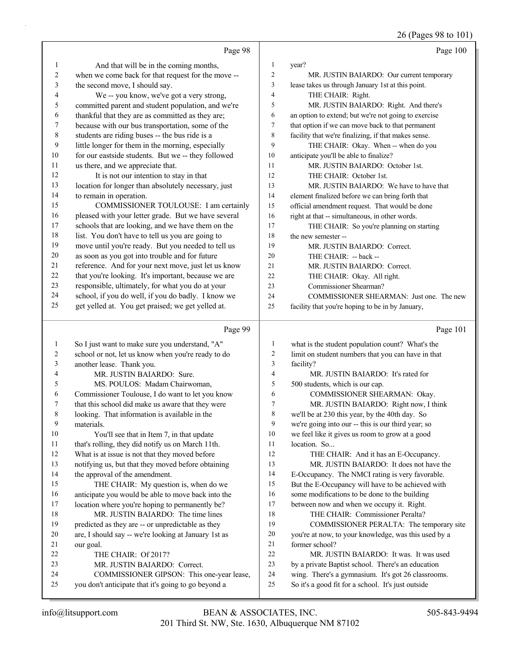26 (Pages 98 to 101)

|              |                                                                                                  |                | $20 \text{ (1450)}$ 10 to 101)                                                                           |
|--------------|--------------------------------------------------------------------------------------------------|----------------|----------------------------------------------------------------------------------------------------------|
|              | Page 98                                                                                          |                | Page 100                                                                                                 |
| 1            | And that will be in the coming months,                                                           | $\mathbf{1}$   | year?                                                                                                    |
| 2            | when we come back for that request for the move --                                               | $\overline{c}$ | MR. JUSTIN BAIARDO: Our current temporary                                                                |
| 3            | the second move, I should say.                                                                   | 3              | lease takes us through January 1st at this point.                                                        |
| 4            | We -- you know, we've got a very strong,                                                         | $\overline{4}$ | THE CHAIR: Right.                                                                                        |
| 5            | committed parent and student population, and we're                                               | 5              | MR. JUSTIN BAIARDO: Right. And there's                                                                   |
| 6            | thankful that they are as committed as they are;                                                 | 6              | an option to extend; but we're not going to exercise                                                     |
| 7            | because with our bus transportation, some of the                                                 | 7              | that option if we can move back to that permanent                                                        |
| 8            | students are riding buses -- the bus ride is a                                                   | 8              | facility that we're finalizing, if that makes sense.                                                     |
| $\mathbf{9}$ | little longer for them in the morning, especially                                                | 9              | THE CHAIR: Okay. When -- when do you                                                                     |
| $10\,$       | for our eastside students. But we -- they followed                                               | 10             | anticipate you'll be able to finalize?                                                                   |
| 11           | us there, and we appreciate that.                                                                | 11             | MR. JUSTIN BAIARDO: October 1st.                                                                         |
| 12           | It is not our intention to stay in that                                                          | 12             | THE CHAIR: October 1st.                                                                                  |
| 13           | location for longer than absolutely necessary, just                                              | 13             | MR. JUSTIN BAIARDO: We have to have that                                                                 |
| 14           | to remain in operation.                                                                          | 14             | element finalized before we can bring forth that                                                         |
| 15           | COMMISSIONER TOULOUSE: I am certainly                                                            | 15             | official amendment request. That would be done                                                           |
| $16\,$       | pleased with your letter grade. But we have several                                              | 16             | right at that -- simultaneous, in other words.                                                           |
| 17           | schools that are looking, and we have them on the                                                | 17             | THE CHAIR: So you're planning on starting                                                                |
| $18\,$       | list. You don't have to tell us you are going to                                                 | 18             | the new semester --                                                                                      |
| 19           | move until you're ready. But you needed to tell us                                               | 19             | MR. JUSTIN BAIARDO: Correct.                                                                             |
| 20           | as soon as you got into trouble and for future                                                   | 20             | THE CHAIR: -- back --                                                                                    |
| 21           | reference. And for your next move, just let us know                                              | 21             | MR. JUSTIN BAIARDO: Correct.                                                                             |
| 22           | that you're looking. It's important, because we are                                              | 22             | THE CHAIR: Okay. All right.                                                                              |
| 23           | responsible, ultimately, for what you do at your                                                 | 23             | Commissioner Shearman?                                                                                   |
| 24           | school, if you do well, if you do badly. I know we                                               | 24             | COMMISSIONER SHEARMAN: Just one. The new                                                                 |
| 25           | get yelled at. You get praised; we get yelled at.                                                | 25             | facility that you're hoping to be in by January,                                                         |
|              |                                                                                                  |                |                                                                                                          |
|              | Page 99                                                                                          |                | Page 101                                                                                                 |
| $\mathbf{1}$ |                                                                                                  | $\mathbf{1}$   |                                                                                                          |
| 2            | So I just want to make sure you understand, "A"                                                  | 2              | what is the student population count? What's the                                                         |
| 3            | school or not, let us know when you're ready to do<br>another lease. Thank you.                  | 3              | limit on student numbers that you can have in that                                                       |
| 4            | MR. JUSTIN BAIARDO: Sure.                                                                        | $\overline{4}$ | facility?<br>MR. JUSTIN BAIARDO: It's rated for                                                          |
| 5            | MS. POULOS: Madam Chairwoman,                                                                    | 5              | 500 students, which is our cap.                                                                          |
| 6            | Commissioner Toulouse, I do want to let you know                                                 | 6              | COMMISSIONER SHEARMAN: Okay.                                                                             |
| 7            | that this school did make us aware that they were                                                | $\overline{7}$ | MR. JUSTIN BAIARDO: Right now, I think                                                                   |
| 8            | looking. That information is available in the                                                    | $\,$ 8 $\,$    | we'll be at 230 this year, by the 40th day. So                                                           |
| 9            | materials.                                                                                       | 9              | we're going into our -- this is our third year; so                                                       |
| 10           | You'll see that in Item 7, in that update                                                        | 10             | we feel like it gives us room to grow at a good                                                          |
| 11           | that's rolling, they did notify us on March 11th.                                                | 11             | location. So                                                                                             |
| 12           | What is at issue is not that they moved before                                                   | 12             | THE CHAIR: And it has an E-Occupancy.                                                                    |
| 13           | notifying us, but that they moved before obtaining                                               | 13             | MR. JUSTIN BAIARDO: It does not have the                                                                 |
| 14           | the approval of the amendment.                                                                   | 14             | E-Occupancy. The NMCI rating is very favorable.                                                          |
| 15           | THE CHAIR: My question is, when do we                                                            | 15             | But the E-Occupancy will have to be achieved with                                                        |
| 16           | anticipate you would be able to move back into the                                               | 16             | some modifications to be done to the building                                                            |
| 17           | location where you're hoping to permanently be?                                                  | 17             | between now and when we occupy it. Right.                                                                |
| 18           | MR. JUSTIN BAIARDO: The time lines                                                               | 18             | THE CHAIR: Commissioner Peralta?                                                                         |
| 19           | predicted as they are -- or unpredictable as they                                                | 19             | COMMISSIONER PERALTA: The temporary site                                                                 |
| 20           | are, I should say -- we're looking at January 1st as                                             | 20             | you're at now, to your knowledge, was this used by a                                                     |
| 21           | our goal.                                                                                        | 21             | former school?                                                                                           |
| 22           | THE CHAIR: Of 2017?                                                                              | 22             | MR. JUSTIN BAIARDO: It was. It was used                                                                  |
| 23           | MR. JUSTIN BAIARDO: Correct.                                                                     | 23             | by a private Baptist school. There's an education                                                        |
| 24<br>25     | COMMISSIONER GIPSON: This one-year lease,<br>you don't anticipate that it's going to go beyond a | 24<br>25       | wing. There's a gymnasium. It's got 26 classrooms.<br>So it's a good fit for a school. It's just outside |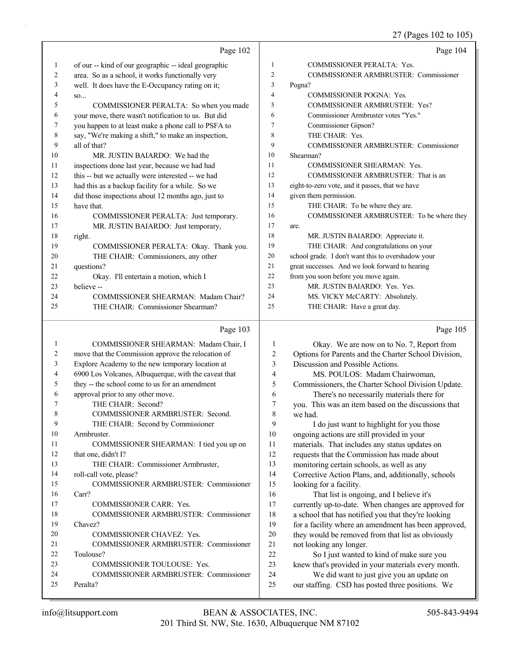27 (Pages 102 to 105)

|                |                                                      |    | $-0$ $-0$ $-0$ $-0$ $-0$                           |
|----------------|------------------------------------------------------|----|----------------------------------------------------|
|                | Page 102                                             |    | Page 104                                           |
| 1              | of our -- kind of our geographic -- ideal geographic | 1  | <b>COMMISSIONER PERALTA: Yes.</b>                  |
| $\overline{c}$ | area. So as a school, it works functionally very     | 2  | <b>COMMISSIONER ARMBRUSTER: Commissioner</b>       |
| 3              | well. It does have the E-Occupancy rating on it;     | 3  | Pogna?                                             |
| 4              | SO                                                   | 4  | <b>COMMISSIONER POGNA: Yes.</b>                    |
| 5              | COMMISSIONER PERALTA: So when you made               | 5  | <b>COMMISSIONER ARMBRUSTER: Yes?</b>               |
| 6              | your move, there wasn't notification to us. But did  | 6  | Commissioner Armbruster votes "Yes."               |
| 7              | you happen to at least make a phone call to PSFA to  | 7  | Commissioner Gipson?                               |
| 8              | say, "We're making a shift," to make an inspection,  | 8  | THE CHAIR: Yes.                                    |
| 9              | all of that?                                         | 9  | <b>COMMISSIONER ARMBRUSTER: Commissioner</b>       |
| 10             | MR. JUSTIN BAJARDO: We had the                       | 10 | Shearman?                                          |
| 11             | inspections done last year, because we had had       | 11 | <b>COMMISSIONER SHEARMAN: Yes.</b>                 |
| 12             | this -- but we actually were interested -- we had    | 12 | COMMISSIONER ARMBRUSTER: That is an                |
| 13             | had this as a backup facility for a while. So we     | 13 | eight-to-zero vote, and it passes, that we have    |
| 14             | did those inspections about 12 months ago, just to   | 14 | given them permission.                             |
| 15             | have that.                                           | 15 | THE CHAIR: To be where they are.                   |
| 16             | COMMISSIONER PERALTA: Just temporary.                | 16 | COMMISSIONER ARMBRUSTER: To be where they          |
| 17             | MR. JUSTIN BAIARDO: Just temporary,                  | 17 | are.                                               |
| 18             | right.                                               | 18 | MR. JUSTIN BAIARDO: Appreciate it.                 |
| 19             | COMMISSIONER PERALTA: Okay. Thank you.               | 19 | THE CHAIR: And congratulations on your             |
| 20             | THE CHAIR: Commissioners, any other                  | 20 | school grade. I don't want this to overshadow your |
| 21             | questions?                                           | 21 | great successes. And we look forward to hearing    |
| 22             | Okay. I'll entertain a motion, which I               | 22 | from you soon before you move again.               |
| 23             | believe-                                             | 23 | MR. JUSTIN BAIARDO: Yes. Yes.                      |
| 24             | COMMISSIONER SHEARMAN: Madam Chair?                  | 24 | MS. VICKY McCARTY: Absolutely.                     |
| 25             | THE CHAIR: Commissioner Shearman?                    | 25 | THE CHAIR: Have a great day.                       |
|                |                                                      |    |                                                    |

## Page 103 |

|    | Page 103                                             |    | Page 105                                             |
|----|------------------------------------------------------|----|------------------------------------------------------|
|    | COMMISSIONER SHEARMAN: Madam Chair, I                | 1  | Okay. We are now on to No. 7, Report from            |
| 2  | move that the Commission approve the relocation of   | 2  | Options for Parents and the Charter School Division, |
| 3  | Explore Academy to the new temporary location at     | 3  | Discussion and Possible Actions.                     |
| 4  | 6900 Los Volcanes, Albuquerque, with the caveat that | 4  | MS. POULOS: Madam Chairwoman,                        |
| 5  | they -- the school come to us for an amendment       | 5  | Commissioners, the Charter School Division Update.   |
| 6  | approval prior to any other move.                    | 6  | There's no necessarily materials there for           |
| 7  | THE CHAIR: Second?                                   | 7  | you. This was an item based on the discussions that  |
| 8  | COMMISSIONER ARMBRUSTER: Second.                     | 8  | we had.                                              |
| 9  | THE CHAIR: Second by Commissioner                    | 9  | I do just want to highlight for you those            |
| 10 | Armbruster.                                          | 10 | ongoing actions are still provided in your           |
| 11 | COMMISSIONER SHEARMAN: I tied you up on              | 11 | materials. That includes any status updates on       |
| 12 | that one, didn't I?                                  | 12 | requests that the Commission has made about          |
| 13 | THE CHAIR: Commissioner Armbruster,                  | 13 | monitoring certain schools, as well as any           |
| 14 | roll-call vote, please?                              | 14 | Corrective Action Plans, and, additionally, schools  |
| 15 | <b>COMMISSIONER ARMBRUSTER: Commissioner</b>         | 15 | looking for a facility.                              |
| 16 | Carr?                                                | 16 | That list is ongoing, and I believe it's             |
| 17 | <b>COMMISSIONER CARR: Yes.</b>                       | 17 | currently up-to-date. When changes are approved for  |
| 18 | <b>COMMISSIONER ARMBRUSTER: Commissioner</b>         | 18 | a school that has notified you that they're looking  |
| 19 | Chavez?                                              | 19 | for a facility where an amendment has been approved, |
| 20 | COMMISSIONER CHAVEZ: Yes.                            | 20 | they would be removed from that list as obviously    |
| 21 | COMMISSIONER ARMBRUSTER: Commissioner                | 21 | not looking any longer.                              |
| 22 | Toulouse?                                            | 22 | So I just wanted to kind of make sure you            |
| 23 | <b>COMMISSIONER TOULOUSE: Yes.</b>                   | 23 | knew that's provided in your materials every month.  |
| 24 | <b>COMMISSIONER ARMBRUSTER: Commissioner</b>         | 24 | We did want to just give you an update on            |
| 25 | Peralta?                                             | 25 | our staffing. CSD has posted three positions. We     |
|    |                                                      |    |                                                      |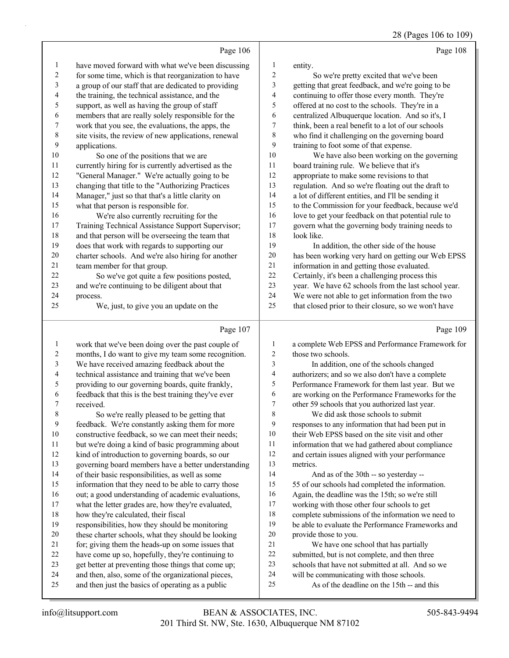## 28 (Pages 106 to 109)

|                         | Page 106                                             |                         | Page 108                                             |
|-------------------------|------------------------------------------------------|-------------------------|------------------------------------------------------|
| 1                       | have moved forward with what we've been discussing   | $\mathbf{1}$            | entity.                                              |
| $\boldsymbol{2}$        | for some time, which is that reorganization to have  | $\boldsymbol{2}$        | So we're pretty excited that we've been              |
| 3                       | a group of our staff that are dedicated to providing | 3                       | getting that great feedback, and we're going to be   |
| $\overline{\mathbf{4}}$ | the training, the technical assistance, and the      | $\overline{\mathbf{4}}$ | continuing to offer those every month. They're       |
| 5                       | support, as well as having the group of staff        | 5                       | offered at no cost to the schools. They're in a      |
| 6                       | members that are really solely responsible for the   | $\epsilon$              | centralized Albuquerque location. And so it's, I     |
| $\boldsymbol{7}$        | work that you see, the evaluations, the apps, the    | $\tau$                  | think, been a real benefit to a lot of our schools   |
| $\,$ $\,$               | site visits, the review of new applications, renewal | $\,$ $\,$               | who find it challenging on the governing board       |
| 9                       | applications.                                        | 9                       | training to foot some of that expense.               |
| 10                      | So one of the positions that we are                  | 10                      | We have also been working on the governing           |
| 11                      | currently hiring for is currently advertised as the  | 11                      | board training rule. We believe that it's            |
| 12                      | "General Manager." We're actually going to be        | 12                      | appropriate to make some revisions to that           |
| 13                      | changing that title to the "Authorizing Practices    | 13                      | regulation. And so we're floating out the draft to   |
| 14                      | Manager," just so that that's a little clarity on    | 14                      | a lot of different entities, and I'll be sending it  |
| 15                      | what that person is responsible for.                 | 15                      | to the Commission for your feedback, because we'd    |
| 16                      | We're also currently recruiting for the              | 16                      | love to get your feedback on that potential rule to  |
| 17                      | Training Technical Assistance Support Supervisor;    | $17$                    | govern what the governing body training needs to     |
| $18\,$                  | and that person will be overseeing the team that     | 18                      | look like.                                           |
| 19                      | does that work with regards to supporting our        | 19                      | In addition, the other side of the house             |
| 20                      | charter schools. And we're also hiring for another   | 20                      | has been working very hard on getting our Web EPSS   |
| 21                      | team member for that group.                          | 21                      | information in and getting those evaluated.          |
| 22                      | So we've got quite a few positions posted,           | 22                      | Certainly, it's been a challenging process this      |
| 23                      | and we're continuing to be diligent about that       | 23                      | year. We have 62 schools from the last school year.  |
| 24                      | process.                                             | 24                      | We were not able to get information from the two     |
| 25                      | We, just, to give you an update on the               | 25                      | that closed prior to their closure, so we won't have |
|                         | Page 107                                             |                         | Page 109                                             |
| $\mathbf{1}$            | work that we've been doing over the past couple of   | $\mathbf{1}$            | a complete Web EPSS and Performance Framework for    |
| $\boldsymbol{2}$        | months, I do want to give my team some recognition.  | $\boldsymbol{2}$        | those two schools.                                   |
| 3                       | We have received amazing feedback about the          | 3                       | In addition, one of the schools changed              |
| $\overline{\mathbf{4}}$ | technical assistance and training that we've been    | $\overline{4}$          | authorizers; and so we also don't have a complete    |
| 5                       | providing to our governing boards, quite frankly,    | 5                       | Performance Framework for them last year. But we     |
| 6                       | feedback that this is the best training they've ever | 6                       | are working on the Performance Frameworks for the    |
| $\boldsymbol{7}$        | received.                                            | $\boldsymbol{7}$        | other 59 schools that you authorized last year.      |
| 8                       | So we're really pleased to be getting that           | $\,$ $\,$               | We did ask those schools to submit                   |
| 9                       | feedback. We're constantly asking them for more      | 9                       | responses to any information that had been put in    |

- constructive feedback, so we can meet their needs; but we're doing a kind of basic programming about
	- kind of introduction to governing boards, so our governing board members have a better understanding
	- of their basic responsibilities, as well as some
	- information that they need to be able to carry those
	- out; a good understanding of academic evaluations,
	- what the letter grades are, how they're evaluated,
	- how they're calculated, their fiscal
	- responsibilities, how they should be monitoring
	- these charter schools, what they should be looking for; giving them the heads-up on some issues that
	- have come up so, hopefully, they're continuing to
	- get better at preventing those things that come up;
	- and then, also, some of the organizational pieces,
	- and then just the basics of operating as a public

 their Web EPSS based on the site visit and other information that we had gathered about compliance and certain issues aligned with your performance metrics.

14 And as of the 30th -- so yesterday -- 55 of our schools had completed the information. Again, the deadline was the 15th; so we're still working with those other four schools to get complete submissions of the information we need to be able to evaluate the Performance Frameworks and provide those to you. 21 We have one school that has partially

- submitted, but is not complete, and then three
- schools that have not submitted at all. And so we will be communicating with those schools.
	-
- 25 As of the deadline on the 15th -- and this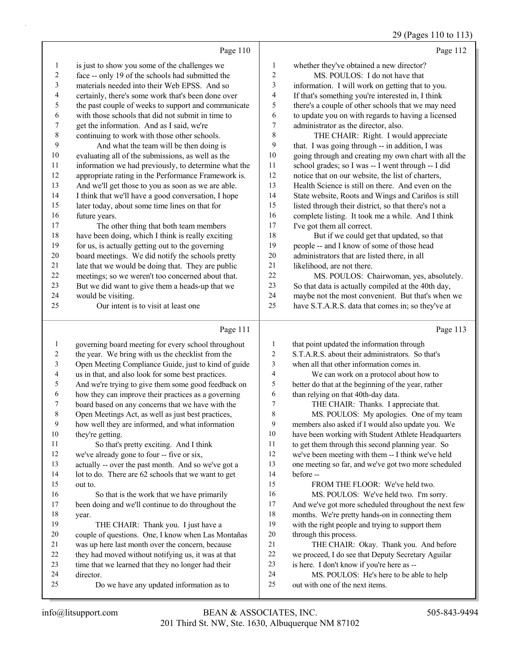|                |                                                      |                | 0                                                    |
|----------------|------------------------------------------------------|----------------|------------------------------------------------------|
|                | Page 110                                             |                | Page 112                                             |
| 1              | is just to show you some of the challenges we        | $\mathbf{1}$   | whether they've obtained a new director?             |
| $\mathbf{2}$   | face -- only 19 of the schools had submitted the     | $\overline{2}$ | MS. POULOS: I do not have that                       |
| 3              | materials needed into their Web EPSS. And so         | 3              | information. I will work on getting that to you.     |
| 4              | certainly, there's some work that's been done over   | 4              | If that's something you're interested in, I think    |
| 5              | the past couple of weeks to support and communicate  | 5              | there's a couple of other schools that we may need   |
| 6              | with those schools that did not submit in time to    | 6              | to update you on with regards to having a licensed   |
| 7              | get the information. And as I said, we're            | 7              | administrator as the director, also.                 |
| 8              | continuing to work with those other schools.         | 8              | THE CHAIR: Right. I would appreciate                 |
| 9              | And what the team will be then doing is              | 9              | that. I was going through -- in addition, I was      |
| 10             | evaluating all of the submissions, as well as the    | 10             | going through and creating my own chart with all the |
| 11             | information we had previously, to determine what the | 11             | school grades; so I was -- I went through -- I did   |
| 12             | appropriate rating in the Performance Framework is.  | 12             | notice that on our website, the list of charters,    |
| 13             | And we'll get those to you as soon as we are able.   | 13             | Health Science is still on there. And even on the    |
| 14             | I think that we'll have a good conversation, I hope  | 14             | State website, Roots and Wings and Cariños is still  |
| 15             | later today, about some time lines on that for       | 15             | listed through their district, so that there's not a |
| 16             | future years.                                        | 16             | complete listing. It took me a while. And I think    |
| 17             | The other thing that both team members               | 17             | I've got them all correct.                           |
| 18             | have been doing, which I think is really exciting    | 18             | But if we could get that updated, so that            |
| 19             | for us, is actually getting out to the governing     | 19             | people -- and I know of some of those head           |
| 20             | board meetings. We did notify the schools pretty     | 20             | administrators that are listed there, in all         |
| 21             | late that we would be doing that. They are public    | 21             | likelihood, are not there.                           |
| 22             | meetings; so we weren't too concerned about that.    | 22             | MS. POULOS: Chairwoman, yes, absolutely.             |
| 23             | But we did want to give them a heads-up that we      | 23             | So that data is actually compiled at the 40th day,   |
| 24             | would be visiting.                                   | 24             | maybe not the most convenient. But that's when we    |
| 25             | Our intent is to visit at least one                  | 25             | have S.T.A.R.S. data that comes in; so they've at    |
|                | Page 111                                             |                | Page 113                                             |
| 1              | governing board meeting for every school throughout  | $\mathbf{1}$   | that point updated the information through           |
| $\overline{c}$ | the year. We bring with us the checklist from the    | $\overline{2}$ | S.T.A.R.S. about their administrators. So that's     |
| 3              | Open Meeting Compliance Guide, just to kind of guide | 3              | when all that other information comes in.            |
|                |                                                      |                |                                                      |

- us in that, and also look for some best practices.
- And we're trying to give them some good feedback on
- how they can improve their practices as a governing
- board based on any concerns that we have with the Open Meetings Act, as well as just best practices,
- how well they are informed, and what information
- they're getting.
- 11 So that's pretty exciting. And I think
- we've already gone to four -- five or six,
- actually -- over the past month. And so we've got a
- 14 lot to do. There are 62 schools that we want to get out to.
- 16 So that is the work that we have primarily
- been doing and we'll continue to do throughout the year.
- 19 THE CHAIR: Thank you. I just have a couple of questions. One, I know when Las Montañas
- was up here last month over the concern, because
- they had moved without notifying us, it was at that
- time that we learned that they no longer had their
- director. 25 Do we have any updated information as to

 one meeting so far, and we've got two more scheduled before -- 15 FROM THE FLOOR: We've held two.

4 We can work on a protocol about how to better do that at the beginning of the year, rather

7 THE CHAIR: Thanks. I appreciate that. 8 MS. POULOS: My apologies. One of my team members also asked if I would also update you. We 10 have been working with Student Athlete Headquarters<br>11 to get them through this second planning year. So to get them through this second planning year. So we've been meeting with them -- I think we've held

than relying on that 40th-day data.

- 16 MS. POULOS: We've held two. I'm sorry.
- And we've got more scheduled throughout the next few months. We're pretty hands-on in connecting them with the right people and trying to support them through this process.
- 21 THE CHAIR: Okay. Thank you. And before we proceed, I do see that Deputy Secretary Aguilar is here. I don't know if you're here as --
- 24 MS. POULOS: He's here to be able to help
- out with one of the next items.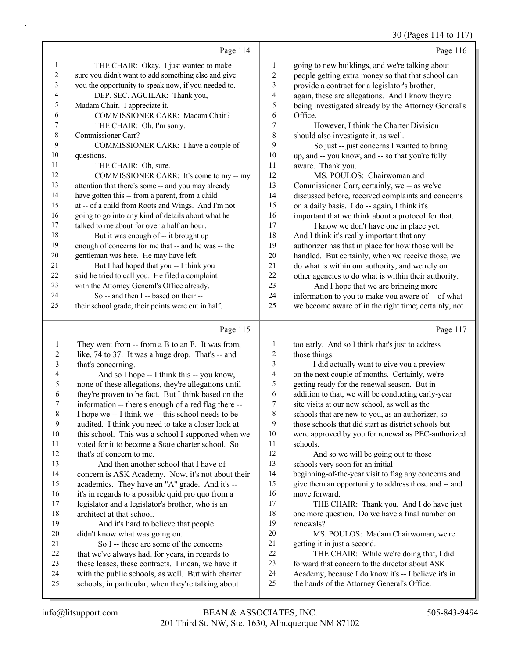## 30 (Pages 114 to 117)

|    | Page 114                                            |    | Page 116                                             |
|----|-----------------------------------------------------|----|------------------------------------------------------|
| 1  | THE CHAIR: Okay. I just wanted to make              | 1  | going to new buildings, and we're talking about      |
| 2  | sure you didn't want to add something else and give | 2  | people getting extra money so that that school can   |
| 3  | you the opportunity to speak now, if you needed to. | 3  | provide a contract for a legislator's brother,       |
| 4  | DEP. SEC. AGUILAR: Thank you,                       | 4  | again, these are allegations. And I know they're     |
| 5  | Madam Chair. I appreciate it.                       | 5  | being investigated already by the Attorney General's |
| 6  | COMMISSIONER CARR: Madam Chair?                     | 6  | Office.                                              |
| 7  | THE CHAIR: Oh, I'm sorry.                           | 7  | However, I think the Charter Division                |
| 8  | Commissioner Carr?                                  | 8  | should also investigate it, as well.                 |
| 9  | COMMISSIONER CARR: I have a couple of               | 9  | So just -- just concerns I wanted to bring           |
| 10 | questions.                                          | 10 | up, and -- you know, and -- so that you're fully     |
| 11 | THE CHAIR: Oh, sure.                                | 11 | aware. Thank you.                                    |
| 12 | COMMISSIONER CARR: It's come to my -- my            | 12 | MS. POULOS: Chairwoman and                           |
| 13 | attention that there's some -- and you may already  | 13 | Commissioner Carr, certainly, we -- as we've         |
| 14 | have gotten this -- from a parent, from a child     | 14 | discussed before, received complaints and concerns   |
| 15 | at -- of a child from Roots and Wings. And I'm not  | 15 | on a daily basis. I do -- again, I think it's        |
| 16 | going to go into any kind of details about what he  | 16 | important that we think about a protocol for that.   |
| 17 | talked to me about for over a half an hour.         | 17 | I know we don't have one in place yet.               |
| 18 | But it was enough of -- it brought up               | 18 | And I think it's really important that any           |
| 19 | enough of concerns for me that -- and he was -- the | 19 | authorizer has that in place for how those will be   |
| 20 | gentleman was here. He may have left.               | 20 | handled. But certainly, when we receive those, we    |
| 21 | But I had hoped that you -- I think you             | 21 | do what is within our authority, and we rely on      |
| 22 | said he tried to call you. He filed a complaint     | 22 | other agencies to do what is within their authority. |
| 23 | with the Attorney General's Office already.         | 23 | And I hope that we are bringing more                 |
| 24 | So -- and then I -- based on their --               | 24 | information to you to make you aware of -- of what   |
| 25 | their school grade, their points were cut in half.  | 25 | we become aware of in the right time; certainly, not |
|    |                                                     |    |                                                      |

## $P_{\text{grav}}$  115

|    | Page 115                                             |                | Page 117                                             |
|----|------------------------------------------------------|----------------|------------------------------------------------------|
| 1  | They went from -- from a B to an F. It was from,     | 1              | too early. And so I think that's just to address     |
| 2  | like, 74 to 37. It was a huge drop. That's -- and    | 2              | those things.                                        |
| 3  | that's concerning.                                   | $\overline{3}$ | I did actually want to give you a preview            |
| 4  | And so I hope -- I think this -- you know,           | 4              | on the next couple of months. Certainly, we're       |
| 5  | none of these allegations, they're allegations until | 5              | getting ready for the renewal season. But in         |
| 6  | they're proven to be fact. But I think based on the  | 6              | addition to that, we will be conducting early-year   |
| 7  | information -- there's enough of a red flag there -- | 7              | site visits at our new school, as well as the        |
| 8  | I hope we -- I think we -- this school needs to be   | 8              | schools that are new to you, as an authorizer; so    |
| 9  | audited. I think you need to take a closer look at   | 9              | those schools that did start as district schools but |
| 10 | this school. This was a school I supported when we   | 10             | were approved by you for renewal as PEC-authorized   |
| 11 | voted for it to become a State charter school. So    | 11             | schools.                                             |
| 12 | that's of concern to me.                             | 12             | And so we will be going out to those                 |
| 13 | And then another school that I have of               | 13             | schools very soon for an initial                     |
| 14 | concern is ASK Academy. Now, it's not about their    | 14             | beginning-of-the-year visit to flag any concerns and |
| 15 | academics. They have an "A" grade. And it's --       | 15             | give them an opportunity to address those and -- and |
| 16 | it's in regards to a possible quid pro quo from a    | 16             | move forward.                                        |
| 17 | legislator and a legislator's brother, who is an     | 17             | THE CHAIR: Thank you. And I do have just             |
| 18 | architect at that school.                            | 18             | one more question. Do we have a final number on      |
| 19 | And it's hard to believe that people                 | 19             | renewals?                                            |
| 20 | didn't know what was going on.                       | 20             | MS. POULOS: Madam Chairwoman, we're                  |
| 21 | So I -- these are some of the concerns               | 21             | getting it in just a second.                         |
| 22 | that we've always had, for years, in regards to      | 22             | THE CHAIR: While we're doing that, I did             |
| 23 | these leases, these contracts. I mean, we have it    | 23             | forward that concern to the director about ASK       |
| 24 | with the public schools, as well. But with charter   | 24             | Academy, because I do know it's -- I believe it's in |
| 25 | schools, in particular, when they're talking about   | 25             | the hands of the Attorney General's Office.          |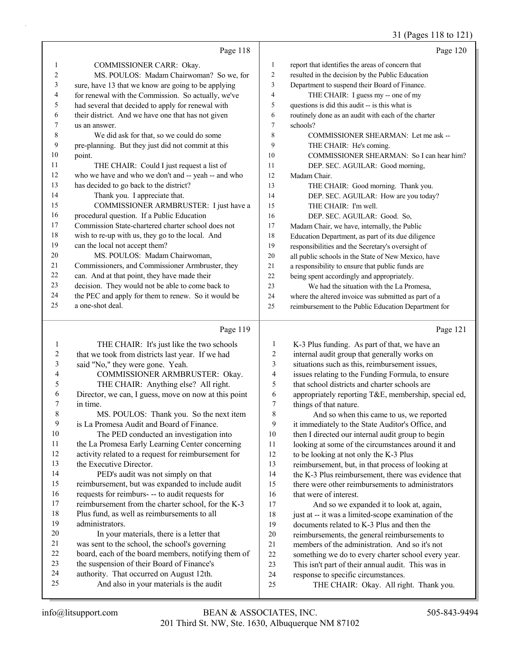## 31 (Pages 118 to 121)

|    | Page 118                                            |    | Page 120                                             |
|----|-----------------------------------------------------|----|------------------------------------------------------|
| 1  | COMMISSIONER CARR: Okay.                            | 1  | report that identifies the areas of concern that     |
| 2  | MS. POULOS: Madam Chairwoman? So we, for            | 2  | resulted in the decision by the Public Education     |
| 3  | sure, have 13 that we know are going to be applying | 3  | Department to suspend their Board of Finance.        |
| 4  | for renewal with the Commission. So actually, we've | 4  | THE CHAIR: I guess my -- one of my                   |
| 5  | had several that decided to apply for renewal with  | 5  | questions is did this audit -- is this what is       |
| 6  | their district. And we have one that has not given  | 6  | routinely done as an audit with each of the charter  |
| 7  | us an answer.                                       | 7  | schools?                                             |
| 8  | We did ask for that, so we could do some            | 8  | COMMISSIONER SHEARMAN: Let me ask --                 |
| 9  | pre-planning. But they just did not commit at this  | 9  | THE CHAIR: He's coming.                              |
| 10 | point.                                              | 10 | COMMISSIONER SHEARMAN: So I can hear him?            |
| 11 | THE CHAIR: Could I just request a list of           | 11 | DEP. SEC. AGUILAR: Good morning,                     |
| 12 | who we have and who we don't and -- yeah -- and who | 12 | Madam Chair.                                         |
| 13 | has decided to go back to the district?             | 13 | THE CHAIR: Good morning. Thank you.                  |
| 14 | Thank you. I appreciate that.                       | 14 | DEP. SEC. AGUILAR: How are you today?                |
| 15 | COMMISSIONER ARMBRUSTER: I just have a              | 15 | THE CHAIR: I'm well.                                 |
| 16 | procedural question. If a Public Education          | 16 | DEP. SEC. AGUILAR: Good. So,                         |
| 17 | Commission State-chartered charter school does not  | 17 | Madam Chair, we have, internally, the Public         |
| 18 | wish to re-up with us, they go to the local. And    | 18 | Education Department, as part of its due diligence   |
| 19 | can the local not accept them?                      | 19 | responsibilities and the Secretary's oversight of    |
| 20 | MS. POULOS: Madam Chairwoman,                       | 20 | all public schools in the State of New Mexico, have  |
| 21 | Commissioners, and Commissioner Armbruster, they    | 21 | a responsibility to ensure that public funds are     |
| 22 | can. And at that point, they have made their        | 22 | being spent accordingly and appropriately.           |
| 23 | decision. They would not be able to come back to    | 23 | We had the situation with the La Promesa.            |
| 24 | the PEC and apply for them to renew. So it would be | 24 | where the altered invoice was submitted as part of a |
| 25 | a one-shot deal.                                    | 25 | reimbursement to the Public Education Department for |
|    | Page 119                                            |    | Page 121                                             |

|    | THE CHAIR: It's just like the two schools            | 1  | K-3 Plus funding. As part of that, we have an        |
|----|------------------------------------------------------|----|------------------------------------------------------|
| 2  | that we took from districts last year. If we had     | 2  | internal audit group that generally works on         |
| 3  | said "No," they were gone. Yeah.                     | 3  | situations such as this, reimbursement issues,       |
| 4  | COMMISSIONER ARMBRUSTER: Okay.                       | 4  | issues relating to the Funding Formula, to ensure    |
| 5  | THE CHAIR: Anything else? All right.                 | 5  | that school districts and charter schools are        |
| 6  | Director, we can, I guess, move on now at this point | 6  | appropriately reporting T&E, membership, special ed, |
|    | in time.                                             | 7  | things of that nature.                               |
| 8  | MS. POULOS: Thank you. So the next item              | 8  | And so when this came to us, we reported             |
| 9  | is La Promesa Audit and Board of Finance.            | 9  | it immediately to the State Auditor's Office, and    |
| 10 | The PED conducted an investigation into              | 10 | then I directed our internal audit group to begin    |
| 11 | the La Promesa Early Learning Center concerning      | 11 | looking at some of the circumstances around it and   |
| 12 | activity related to a request for reimbursement for  | 12 | to be looking at not only the K-3 Plus               |
| 13 | the Executive Director.                              | 13 | reimbursement, but, in that process of looking at    |
| 14 | PED's audit was not simply on that                   | 14 | the K-3 Plus reimbursement, there was evidence that  |
| 15 | reimbursement, but was expanded to include audit     | 15 | there were other reimbursements to administrators    |
| 16 | requests for reimburs- -- to audit requests for      | 16 | that were of interest.                               |
| 17 | reimbursement from the charter school, for the K-3   | 17 | And so we expanded it to look at, again,             |
| 18 | Plus fund, as well as reimbursements to all          | 18 | just at -- it was a limited-scope examination of the |
| 19 | administrators.                                      | 19 | documents related to K-3 Plus and then the           |
| 20 | In your materials, there is a letter that            | 20 | reimbursements, the general reimbursements to        |
| 21 | was sent to the school, the school's governing       | 21 | members of the administration. And so it's not       |
| 22 | board, each of the board members, notifying them of  | 22 | something we do to every charter school every year.  |
| 23 | the suspension of their Board of Finance's           | 23 | This isn't part of their annual audit. This was in   |
| 24 | authority. That occurred on August 12th.             | 24 | response to specific circumstances.                  |
| 25 | And also in your materials is the audit              | 25 | THE CHAIR: Okay. All right. Thank you.               |
|    |                                                      |    |                                                      |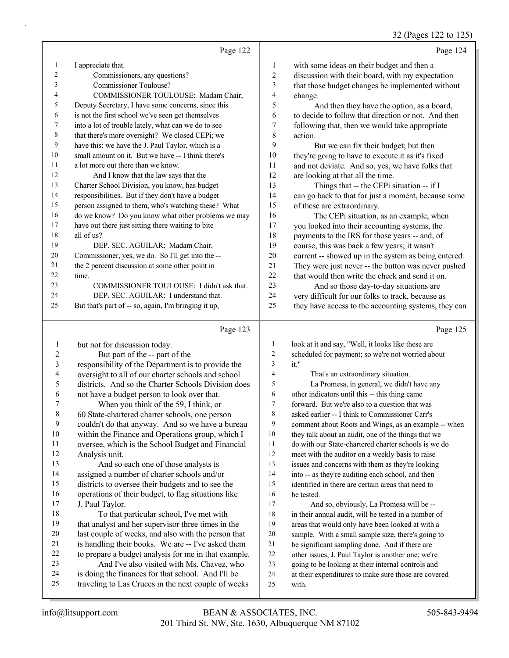#### $(D_{\text{200}} 122 \text{ to}$

|                          |                                                                                                           |                         | 32 (Pages 122 to 123                                                                                      |
|--------------------------|-----------------------------------------------------------------------------------------------------------|-------------------------|-----------------------------------------------------------------------------------------------------------|
|                          | Page 122                                                                                                  |                         | Page 124                                                                                                  |
| 1                        | I appreciate that.                                                                                        | 1                       | with some ideas on their budget and then a                                                                |
| $\sqrt{2}$               | Commissioners, any questions?                                                                             | $\sqrt{2}$              | discussion with their board, with my expectation                                                          |
| 3                        | <b>Commissioner Toulouse?</b>                                                                             | $\mathfrak{Z}$          | that those budget changes be implemented without                                                          |
| 4                        | COMMISSIONER TOULOUSE: Madam Chair,                                                                       | $\overline{\mathbf{4}}$ | change.                                                                                                   |
| 5                        | Deputy Secretary, I have some concerns, since this                                                        | 5                       | And then they have the option, as a board,                                                                |
| 6                        | is not the first school we've seen get themselves                                                         | 6                       | to decide to follow that direction or not. And then                                                       |
| 7                        | into a lot of trouble lately, what can we do to see                                                       | $\tau$                  | following that, then we would take appropriate                                                            |
| $\,8\,$                  | that there's more oversight? We closed CEPi; we                                                           | $\,8\,$                 | action.                                                                                                   |
| 9                        | have this; we have the J. Paul Taylor, which is a                                                         | 9                       | But we can fix their budget; but then                                                                     |
| 10                       | small amount on it. But we have -- I think there's                                                        | 10                      | they're going to have to execute it as it's fixed                                                         |
| 11                       | a lot more out there than we know.                                                                        | 11                      | and not deviate. And so, yes, we have folks that                                                          |
| 12                       | And I know that the law says that the                                                                     | 12                      | are looking at that all the time.                                                                         |
| 13                       | Charter School Division, you know, has budget                                                             | 13                      | Things that -- the CEPi situation -- if I                                                                 |
| 14                       | responsibilities. But if they don't have a budget                                                         | 14                      | can go back to that for just a moment, because some                                                       |
| 15                       | person assigned to them, who's watching these? What                                                       | 15                      | of these are extraordinary.                                                                               |
| 16                       | do we know? Do you know what other problems we may                                                        | 16                      | The CEPi situation, as an example, when                                                                   |
| 17                       | have out there just sitting there waiting to bite                                                         | 17                      | you looked into their accounting systems, the                                                             |
| 18                       | all of us?                                                                                                | 18                      | payments to the IRS for those years -- and, of                                                            |
| 19                       | DEP. SEC. AGUILAR: Madam Chair,                                                                           | 19                      | course, this was back a few years; it wasn't                                                              |
| 20                       | Commissioner, yes, we do. So I'll get into the --                                                         | 20                      | current -- showed up in the system as being entered.                                                      |
| 21                       | the 2 percent discussion at some other point in                                                           | 21                      | They were just never -- the button was never pushed                                                       |
| 22<br>23                 | time.                                                                                                     | 22<br>23                | that would then write the check and send it on.                                                           |
| 24                       | COMMISSIONER TOULOUSE: I didn't ask that.<br>DEP. SEC. AGUILAR: I understand that.                        | 24                      | And so those day-to-day situations are                                                                    |
| 25                       | But that's part of -- so, again, I'm bringing it up,                                                      | 25                      | very difficult for our folks to track, because as<br>they have access to the accounting systems, they can |
|                          |                                                                                                           |                         |                                                                                                           |
|                          | Page 123                                                                                                  |                         | Page 125                                                                                                  |
| $\mathbf{1}$             | but not for discussion today.                                                                             | $\mathbf{1}$            | look at it and say, "Well, it looks like these are                                                        |
| $\boldsymbol{2}$         | But part of the -- part of the                                                                            | $\boldsymbol{2}$        | scheduled for payment; so we're not worried about                                                         |
| $\mathfrak{Z}$           | responsibility of the Department is to provide the                                                        | 3                       | it."                                                                                                      |
| $\overline{\mathcal{L}}$ | oversight to all of our charter schools and school                                                        | 4                       | That's an extraordinary situation.                                                                        |
| 5                        | districts. And so the Charter Schools Division does                                                       | 5                       | La Promesa, in general, we didn't have any                                                                |
| 6                        | not have a budget person to look over that.                                                               | 6                       | other indicators until this -- this thing came                                                            |
| 7                        | When you think of the 59, I think, or                                                                     | 7                       | forward. But we're also to a question that was                                                            |
| 8                        | 60 State-chartered charter schools, one person                                                            | $\,8\,$                 | asked earlier -- I think to Commissioner Carr's                                                           |
| 9                        | couldn't do that anyway. And so we have a bureau                                                          | 9                       | comment about Roots and Wings, as an example -- when                                                      |
| 10                       | within the Finance and Operations group, which I                                                          | 10                      | they talk about an audit, one of the things that we                                                       |
| 11                       | oversee, which is the School Budget and Financial                                                         | 11                      | do with our State-chartered charter schools is we do                                                      |
| 12                       | Analysis unit.                                                                                            | 12                      | meet with the auditor on a weekly basis to raise                                                          |
| 13                       | And so each one of those analysts is                                                                      | 13                      | issues and concerns with them as they're looking                                                          |
| 14                       | assigned a number of charter schools and/or                                                               | 14                      | into -- as they're auditing each school, and then                                                         |
| 15                       | districts to oversee their budgets and to see the                                                         | 15                      | identified in there are certain areas that need to                                                        |
| 16                       | operations of their budget, to flag situations like                                                       | 16                      | be tested.                                                                                                |
| 17                       | J. Paul Taylor.                                                                                           | 17                      | And so, obviously, La Promesa will be --                                                                  |
| 18                       | To that particular school, I've met with                                                                  | $18\,$                  | in their annual audit, will be tested in a number of                                                      |
| 19<br>$20\,$             | that analyst and her supervisor three times in the                                                        | 19                      | areas that would only have been looked at with a                                                          |
| 21                       | last couple of weeks, and also with the person that<br>is handling their books. We are -- I've asked them | $20\,$<br>21            | sample. With a small sample size, there's going to                                                        |
| 22                       | to prepare a budget analysis for me in that example.                                                      | $22\,$                  | be significant sampling done. And if there are<br>other issues, J. Paul Taylor is another one; we're      |
|                          |                                                                                                           |                         |                                                                                                           |

- 23 And I've also visited with Ms. Chavez, who is doing the finances for that school. And I'll be
- traveling to Las Cruces in the next couple of weeks
- going to be looking at their internal controls and at their expenditures to make sure those are covered
- with.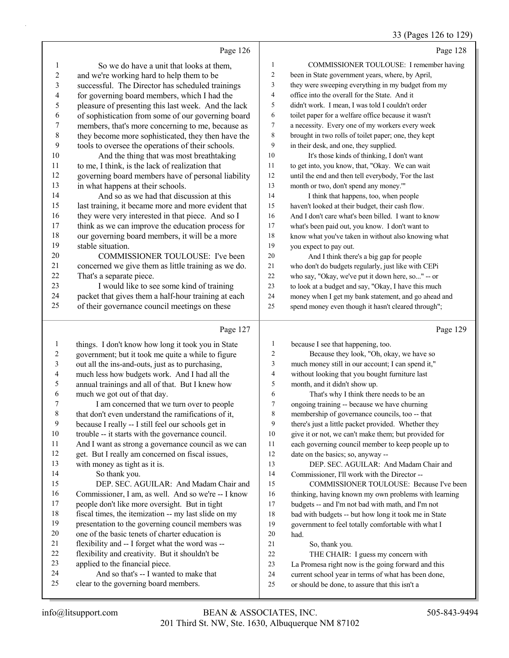## $(D_{\text{space}} 126$  to

| Page 126                                                                                                                           | Page 128                                 |
|------------------------------------------------------------------------------------------------------------------------------------|------------------------------------------|
|                                                                                                                                    |                                          |
| $\mathbf{1}$<br>$\mathbf{1}$<br>So we do have a unit that looks at them,                                                           | COMMISSIONER TOULOUSE: I remember having |
| $\sqrt{2}$<br>$\overline{c}$<br>been in State government years, where, by April,<br>and we're working hard to help them to be      |                                          |
| $\mathfrak{Z}$<br>they were sweeping everything in my budget from my<br>3<br>successful. The Director has scheduled trainings      |                                          |
| $\overline{4}$<br>office into the overall for the State. And it<br>4<br>for governing board members, which I had the               |                                          |
| 5<br>5<br>pleasure of presenting this last week. And the lack<br>didn't work. I mean, I was told I couldn't order                  |                                          |
| 6<br>toilet paper for a welfare office because it wasn't<br>6<br>of sophistication from some of our governing board                |                                          |
| 7<br>members, that's more concerning to me, because as<br>7<br>a necessity. Every one of my workers every week                     |                                          |
| $\,$ $\,$<br>$\,8\,$<br>brought in two rolls of toilet paper; one, they kept<br>they become more sophisticated, they then have the |                                          |
| 9<br>9<br>tools to oversee the operations of their schools.<br>in their desk, and one, they supplied.                              |                                          |
| 10<br>$10\,$<br>And the thing that was most breathtaking<br>It's those kinds of thinking, I don't want                             |                                          |
| 11<br>11<br>to get into, you know, that, "Okay. We can wait<br>to me, I think, is the lack of realization that                     |                                          |
| 12<br>12<br>until the end and then tell everybody, 'For the last<br>governing board members have of personal liability             |                                          |
| 13<br>in what happens at their schools.<br>13<br>month or two, don't spend any money.""                                            |                                          |
| 14<br>And so as we had that discussion at this<br>14<br>I think that happens, too, when people                                     |                                          |
| 15<br>last training, it became more and more evident that<br>15<br>haven't looked at their budget, their cash flow.                |                                          |
| 16<br>they were very interested in that piece. And so I<br>And I don't care what's been billed. I want to know<br>16               |                                          |
| 17<br>think as we can improve the education process for<br>17<br>what's been paid out, you know. I don't want to                   |                                          |
| 18<br>our governing board members, it will be a more<br>18<br>know what you've taken in without also knowing what                  |                                          |
| 19<br>stable situation.<br>you expect to pay out.<br>19                                                                            |                                          |
| $20\,$<br>COMMISSIONER TOULOUSE: I've been                                                                                         |                                          |
| 20<br>And I think there's a big gap for people<br>21                                                                               |                                          |
| concerned we give them as little training as we do.<br>21<br>who don't do budgets regularly, just like with CEPi<br>22             |                                          |
| That's a separate piece.<br>who say, "Okay, we've put it down here, so" -- or<br>22<br>23                                          |                                          |
| I would like to see some kind of training<br>23<br>to look at a budget and say, "Okay, I have this much<br>24                      |                                          |
| packet that gives them a half-hour training at each<br>24<br>money when I get my bank statement, and go ahead and                  |                                          |
| 25<br>of their governance council meetings on these<br>spend money even though it hasn't cleared through";<br>25                   |                                          |
| Page 127                                                                                                                           | Page 129                                 |
| things. I don't know how long it took you in State<br>because I see that happening, too.<br>1<br>$\mathbf{1}$                      |                                          |
| government; but it took me quite a while to figure<br>2<br>Because they look, "Oh, okay, we have so<br>2                           |                                          |
| 3<br>3<br>out all the ins-and-outs, just as to purchasing,<br>much money still in our account; I can spend it,"                    |                                          |
| $\overline{\mathbf{4}}$<br>4<br>much less how budgets work. And I had all the<br>without looking that you bought furniture last    |                                          |
| 5<br>5<br>month, and it didn't show up.<br>annual trainings and all of that. But I knew how                                        |                                          |
| 6<br>much we got out of that day.<br>6<br>That's why I think there needs to be an                                                  |                                          |
| 7<br>$\overline{7}$<br>ongoing training -- because we have churning<br>I am concerned that we turn over to people                  |                                          |
| 8<br>8<br>that don't even understand the ramifications of it,<br>membership of governance councils, too -- that                    |                                          |
| 9<br>because I really -- I still feel our schools get in<br>9<br>there's just a little packet provided. Whether they               |                                          |
| 10<br>trouble -- it starts with the governance council.<br>$10\,$<br>give it or not, we can't make them; but provided for          |                                          |
| 11<br>And I want as strong a governance council as we can<br>11<br>each governing council member to keep people up to              |                                          |
| 12<br>get. But I really am concerned on fiscal issues,<br>12<br>date on the basics; so, anyway --                                  |                                          |
| 13<br>with money as tight as it is.<br>13<br>DEP. SEC. AGUILAR: And Madam Chair and                                                |                                          |
| 14<br>So thank you.<br>14<br>Commissioner, I'll work with the Director --                                                          |                                          |
| 15<br>DEP. SEC. AGUILAR: And Madam Chair and<br>15                                                                                 | COMMISSIONER TOULOUSE: Because I've been |
| 16<br>Commissioner, I am, as well. And so we're -- I know<br>16<br>thinking, having known my own problems with learning            |                                          |
| $17\,$<br>people don't like more oversight. But in tight<br>17<br>budgets -- and I'm not bad with math, and I'm not                |                                          |
| $18\,$<br>fiscal times, the itemization -- my last slide on my<br>$18\,$<br>bad with budgets -- but how long it took me in State   |                                          |
| 19<br>presentation to the governing council members was<br>19<br>government to feel totally comfortable with what I                |                                          |

 government to feel totally comfortable with what I had.

- 21 So, thank you.
- 22 THE CHAIR: I guess my concern with
	-
- 23 La Promesa right now is the going forward and this<br>24 current school year in terms of what has been done, current school year in terms of what has been done,
- or should be done, to assure that this isn't a

 one of the basic tenets of charter education is flexibility and -- I forget what the word was -- 22 flexibility and creativity. But it shouldn't be<br>23 applied to the financial piece. applied to the financial piece. 24 And so that's -- I wanted to make that clear to the governing board members.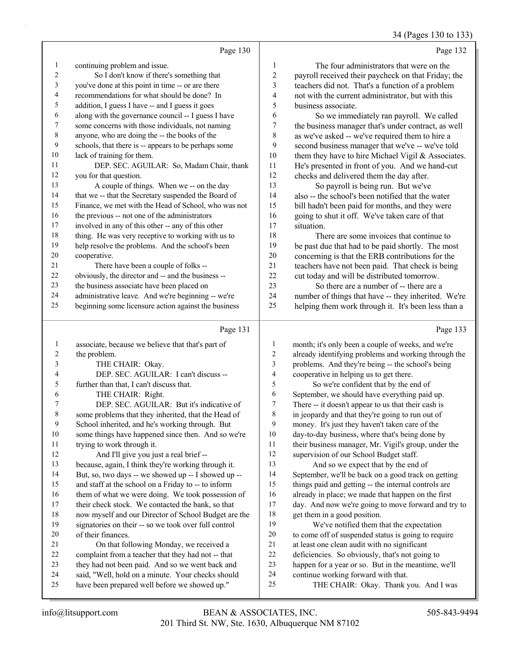## 34 (Pages 130 to 133)

| Page 130                                             |                                                                                                                                 | Page 132                                            |
|------------------------------------------------------|---------------------------------------------------------------------------------------------------------------------------------|-----------------------------------------------------|
|                                                      | 1                                                                                                                               | The four administrators that were on the            |
|                                                      | $\overline{2}$                                                                                                                  | payroll received their paycheck on that Friday; the |
|                                                      | 3                                                                                                                               | teachers did not. That's a function of a problem    |
| recommendations for what should be done? In          | 4                                                                                                                               | not with the current administrator, but with this   |
| addition, I guess I have -- and I guess it goes      | 5                                                                                                                               | business associate.                                 |
| along with the governance council -- I guess I have  | 6                                                                                                                               | So we immediately ran payroll. We called            |
| some concerns with those individuals, not naming     | 7                                                                                                                               | the business manager that's under contract, as well |
| anyone, who are doing the -- the books of the        | 8                                                                                                                               | as we've asked -- we've required them to hire a     |
| schools, that there is -- appears to be perhaps some | 9                                                                                                                               | second business manager that we've -- we've told    |
| lack of training for them.                           | 10                                                                                                                              | them they have to hire Michael Vigil & Associates.  |
| DEP. SEC. AGUILAR: So, Madam Chair, thank            | 11                                                                                                                              | He's presented in front of you. And we hand-cut     |
| you for that question.                               | 12                                                                                                                              | checks and delivered them the day after.            |
| A couple of things. When we -- on the day            | 13                                                                                                                              | So payroll is being run. But we've                  |
| that we -- that the Secretary suspended the Board of | 14                                                                                                                              | also -- the school's been notified that the water   |
| Finance, we met with the Head of School, who was not | 15                                                                                                                              | bill hadn't been paid for months, and they were     |
| the previous -- not one of the administrators        | 16                                                                                                                              | going to shut it off. We've taken care of that      |
| involved in any of this other -- any of this other   | 17                                                                                                                              | situation.                                          |
| thing. He was very receptive to working with us to   | 18                                                                                                                              | There are some invoices that continue to            |
| help resolve the problems. And the school's been     | 19                                                                                                                              | be past due that had to be paid shortly. The most   |
| cooperative.                                         | 20                                                                                                                              | concerning is that the ERB contributions for the    |
| There have been a couple of folks --                 | 21                                                                                                                              | teachers have not been paid. That check is being    |
| obviously, the director and -- and the business --   | 22                                                                                                                              | cut today and will be distributed tomorrow.         |
| the business associate have been placed on           | 23                                                                                                                              | So there are a number of -- there are a             |
| administrative leave. And we're beginning -- we're   | 24                                                                                                                              | number of things that have -- they inherited. We're |
| beginning some licensure action against the business | 25                                                                                                                              | helping them work through it. It's been less than a |
|                                                      | continuing problem and issue.<br>So I don't know if there's something that<br>you've done at this point in time -- or are there |                                                     |

## Page 131 |

| 1                       | associate, because we believe that that's part of    | 1  |
|-------------------------|------------------------------------------------------|----|
| 2                       | the problem.                                         | 2  |
| 3                       | THE CHAIR: Okay.                                     | 3  |
| $\overline{\mathbf{4}}$ | DEP. SEC. AGUILAR: I can't discuss --                | 4  |
| 5                       | further than that, I can't discuss that.             | 5  |
| 6                       | THE CHAIR: Right.                                    | 6  |
| 7                       | DEP. SEC. AGUILAR: But it's indicative of            | 7  |
| 8                       | some problems that they inherited, that the Head of  | 8  |
| 9                       | School inherited, and he's working through. But      | 9  |
| 10                      | some things have happened since then. And so we're   | 10 |
| 11                      | trying to work through it.                           | 11 |
| 12                      | And I'll give you just a real brief --               | 12 |
| 13                      | because, again, I think they're working through it.  | 13 |
| 14                      | But, so, two days -- we showed up -- I showed up --  | 14 |
| 15                      | and staff at the school on a Friday to -- to inform  | 15 |
| 16                      | them of what we were doing. We took possession of    | 16 |
| 17                      | their check stock. We contacted the bank, so that    | 17 |
| 18                      | now myself and our Director of School Budget are the | 18 |
| 19                      | signatories on their -- so we took over full control | 19 |
| 20                      | of their finances.                                   | 20 |
| 21                      | On that following Monday, we received a              | 21 |
| 22                      | complaint from a teacher that they had not -- that   | 22 |
| 23                      | they had not been paid. And so we went back and      | 23 |
| 24                      | said, "Well, hold on a minute. Your checks should    | 24 |
| 25                      | have been prepared well before we showed up."        | 25 |
|                         |                                                      |    |

Page 133

| $\mathbf{1}$   | month; it's only been a couple of weeks, and we're   |
|----------------|------------------------------------------------------|
| 2              | already identifying problems and working through the |
| 3              | problems. And they're being -- the school's being    |
| $\overline{4}$ | cooperative in helping us to get there.              |
| 5              | So we're confident that by the end of                |
| 6              | September, we should have everything paid up.        |
| 7              | There -- it doesn't appear to us that their cash is  |
| 8              | in jeopardy and that they're going to run out of     |
| 9              | money. It's just they haven't taken care of the      |
| 10             | day-to-day business, where that's being done by      |
| 11             | their business manager, Mr. Vigil's group, under the |
| 12             | supervision of our School Budget staff.              |
| 13             | And so we expect that by the end of                  |
| 14             | September, we'll be back on a good track on getting  |
| 15             | things paid and getting -- the internal controls are |
| 16             | already in place; we made that happen on the first   |
| 17             | day. And now we're going to move forward and try to  |
| 18             | get them in a good position.                         |
| 19             | We've notified them that the expectation             |
| 20             | to come off of suspended status is going to require  |
| 21             | at least one clean audit with no significant         |
| 22             | deficiencies. So obviously, that's not going to      |
| 23             | happen for a year or so. But in the meantime, we'll  |
| 24             | continue working forward with that.                  |
| 25             | THE CHAIR: Okay. Thank you. And I was                |
|                |                                                      |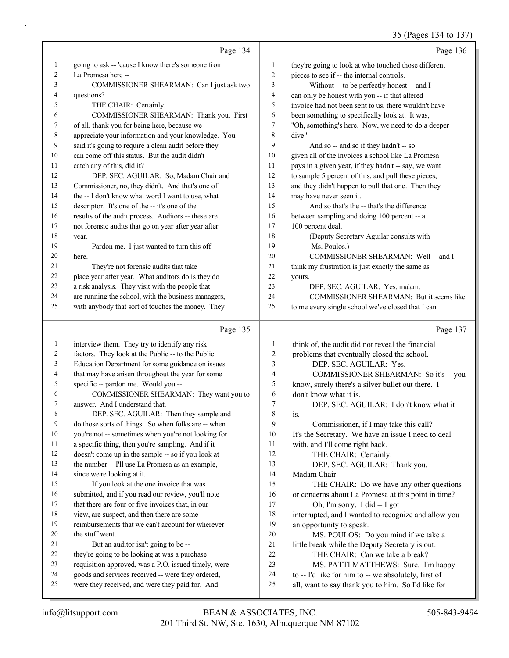## 35 (Pages 134 to 137)

|              | Page 134                                                                                             |                  | Page 136                                                                                                   |
|--------------|------------------------------------------------------------------------------------------------------|------------------|------------------------------------------------------------------------------------------------------------|
| $\mathbf{1}$ | going to ask -- 'cause I know there's someone from                                                   | 1                | they're going to look at who touched those different                                                       |
| 2            | La Promesa here --                                                                                   | $\overline{c}$   | pieces to see if -- the internal controls.                                                                 |
| 3            | COMMISSIONER SHEARMAN: Can I just ask two                                                            | 3                | Without -- to be perfectly honest -- and I                                                                 |
| 4            | questions?                                                                                           | $\overline{4}$   | can only be honest with you -- if that altered                                                             |
| 5            | THE CHAIR: Certainly.                                                                                | 5                | invoice had not been sent to us, there wouldn't have                                                       |
| 6            | COMMISSIONER SHEARMAN: Thank you. First                                                              | 6                | been something to specifically look at. It was,                                                            |
| 7            | of all, thank you for being here, because we                                                         | $\tau$           | "Oh, something's here. Now, we need to do a deeper                                                         |
| 8            | appreciate your information and your knowledge. You                                                  | 8                | dive."                                                                                                     |
| 9            | said it's going to require a clean audit before they                                                 | 9                | And so -- and so if they hadn't -- so                                                                      |
| 10           | can come off this status. But the audit didn't                                                       | 10               | given all of the invoices a school like La Promesa                                                         |
| 11           | catch any of this, did it?                                                                           | 11               | pays in a given year, if they hadn't -- say, we want                                                       |
| 12           | DEP. SEC. AGUILAR: So, Madam Chair and                                                               | 12               | to sample 5 percent of this, and pull these pieces,                                                        |
| 13           | Commissioner, no, they didn't. And that's one of                                                     | 13               | and they didn't happen to pull that one. Then they                                                         |
| 14           | the -- I don't know what word I want to use, what                                                    | 14               | may have never seen it.                                                                                    |
| 15           | descriptor. It's one of the -- it's one of the                                                       | 15               | And so that's the -- that's the difference                                                                 |
| 16           | results of the audit process. Auditors -- these are                                                  | 16               | between sampling and doing 100 percent -- a                                                                |
| 17           | not forensic audits that go on year after year after                                                 | 17               | 100 percent deal.                                                                                          |
| 18           | year.                                                                                                | 18               | (Deputy Secretary Aguilar consults with                                                                    |
| 19           | Pardon me. I just wanted to turn this off                                                            | 19               | Ms. Poulos.)                                                                                               |
| 20           | here.                                                                                                | 20               | COMMISSIONER SHEARMAN: Well -- and I                                                                       |
| 21           | They're not forensic audits that take                                                                | 21               | think my frustration is just exactly the same as                                                           |
| 22           | place year after year. What auditors do is they do                                                   | 22               | yours.                                                                                                     |
| 23           | a risk analysis. They visit with the people that                                                     | 23               | DEP. SEC. AGUILAR: Yes, ma'am.                                                                             |
| 24           | are running the school, with the business managers,                                                  | 24               | COMMISSIONER SHEARMAN: But it seems like                                                                   |
| 25           | with anybody that sort of touches the money. They                                                    | 25               | to me every single school we've closed that I can                                                          |
|              |                                                                                                      |                  |                                                                                                            |
|              | Page 135                                                                                             |                  | Page 137                                                                                                   |
| $\mathbf{1}$ | interview them. They try to identify any risk                                                        | 1                | think of, the audit did not reveal the financial                                                           |
| 2            | factors. They look at the Public -- to the Public                                                    | $\boldsymbol{2}$ | problems that eventually closed the school.                                                                |
| 3            | Education Department for some guidance on issues                                                     | $\mathfrak{Z}$   | DEP. SEC. AGUILAR: Yes.                                                                                    |
| 4            | that may have arisen throughout the year for some                                                    | $\overline{4}$   | COMMISSIONER SHEARMAN: So it's -- you                                                                      |
| 5            | specific -- pardon me. Would you --                                                                  | 5                | know, surely there's a silver bullet out there. I                                                          |
| 6            | COMMISSIONER SHEARMAN: They want you to                                                              | 6                | don't know what it is.                                                                                     |
| 7            | answer. And I understand that.                                                                       | 7                | DEP. SEC. AGUILAR: I don't know what it                                                                    |
| 8            | DEP. SEC. AGUILAR: Then they sample and                                                              | $\,$ $\,$        | is.                                                                                                        |
| 9            | do those sorts of things. So when folks are -- when                                                  | 9                | Commissioner, if I may take this call?                                                                     |
| 10           | you're not -- sometimes when you're not looking for                                                  | 10               | It's the Secretary. We have an issue I need to deal                                                        |
| 11           | a specific thing, then you're sampling. And if it                                                    | 11               | with, and I'll come right back.                                                                            |
| 12           | doesn't come up in the sample -- so if you look at                                                   | 12               | THE CHAIR: Certainly.                                                                                      |
| 13           | the number -- I'll use La Promesa as an example,                                                     | 13               | DEP. SEC. AGUILAR: Thank you,                                                                              |
| 14           | since we're looking at it.                                                                           | 14               | Madam Chair.                                                                                               |
| 15           | If you look at the one invoice that was                                                              | 15               | THE CHAIR: Do we have any other questions                                                                  |
| 16           | submitted, and if you read our review, you'll note                                                   | 16               | or concerns about La Promesa at this point in time?                                                        |
| 17           | that there are four or five invoices that, in our                                                    | 17               | Oh, I'm sorry. I did -- I got                                                                              |
| 18           | view, are suspect, and then there are some                                                           | 18               | interrupted, and I wanted to recognize and allow you                                                       |
| 19           | reimbursements that we can't account for wherever                                                    | 19               | an opportunity to speak.                                                                                   |
| 20           | the stuff went.                                                                                      | 20               | MS. POULOS: Do you mind if we take a                                                                       |
| 21           | But an auditor isn't going to be --                                                                  | $21\,$           | little break while the Deputy Secretary is out.                                                            |
| 22           | they're going to be looking at was a purchase                                                        | 22               | THE CHAIR: Can we take a break?                                                                            |
| 23           | requisition approved, was a P.O. issued timely, were                                                 | 23               | MS. PATTI MATTHEWS: Sure. I'm happy                                                                        |
| 24<br>25     | goods and services received -- were they ordered,<br>were they received, and were they paid for. And | 24<br>25         | to -- I'd like for him to -- we absolutely, first of<br>all, want to say thank you to him. So I'd like for |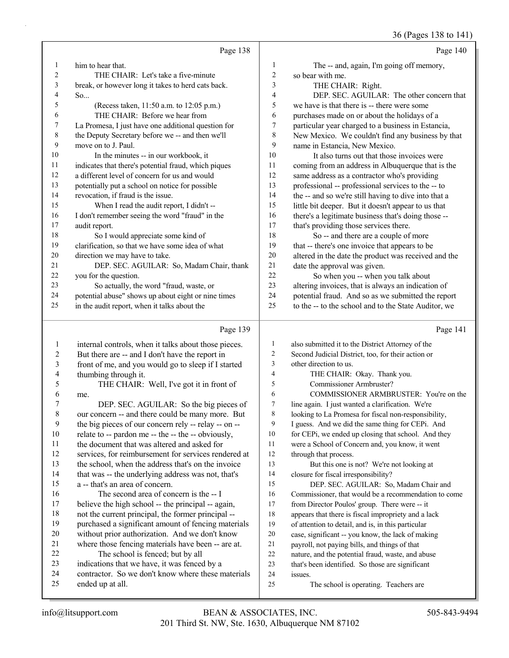#### 36 (Pages 138 to 141)

|                |                                                      |                         | (2.45)                                               |
|----------------|------------------------------------------------------|-------------------------|------------------------------------------------------|
|                | Page 138                                             |                         | Page 140                                             |
| $\mathbf{1}$   | him to hear that.                                    | $\mathbf{1}$            | The -- and, again, I'm going off memory,             |
| 2              | THE CHAIR: Let's take a five-minute                  | $\sqrt{2}$              | so bear with me.                                     |
| 3              | break, or however long it takes to herd cats back.   | 3                       | THE CHAIR: Right.                                    |
| 4              | So                                                   | 4                       | DEP. SEC. AGUILAR: The other concern that            |
| 5              | (Recess taken, 11:50 a.m. to 12:05 p.m.)             | 5                       | we have is that there is -- there were some          |
| 6              | THE CHAIR: Before we hear from                       | 6                       | purchases made on or about the holidays of a         |
| 7              | La Promesa, I just have one additional question for  | $\boldsymbol{7}$        | particular year charged to a business in Estancia,   |
| 8              | the Deputy Secretary before we -- and then we'll     | $\,$ 8 $\,$             | New Mexico. We couldn't find any business by that    |
| 9              | move on to J. Paul.                                  | 9                       | name in Estancia, New Mexico.                        |
| 10             | In the minutes -- in our workbook, it                | 10                      | It also turns out that those invoices were           |
| 11             | indicates that there's potential fraud, which piques | 11                      | coming from an address in Albuquerque that is the    |
| 12             | a different level of concern for us and would        | 12                      | same address as a contractor who's providing         |
| 13             | potentially put a school on notice for possible      | 13                      | professional -- professional services to the -- to   |
| 14             | revocation, if fraud is the issue.                   | 14                      | the -- and so we're still having to dive into that a |
| 15             | When I read the audit report, I didn't --            | 15                      | little bit deeper. But it doesn't appear to us that  |
| 16             | I don't remember seeing the word "fraud" in the      | 16                      | there's a legitimate business that's doing those --  |
| 17             | audit report.                                        | $17\,$                  | that's providing those services there.               |
| 18             | So I would appreciate some kind of                   | 18                      | So -- and there are a couple of more                 |
| 19             | clarification, so that we have some idea of what     | 19                      | that -- there's one invoice that appears to be       |
| 20             | direction we may have to take.                       | 20                      | altered in the date the product was received and the |
| 21             | DEP. SEC. AGUILAR: So, Madam Chair, thank            | 21                      | date the approval was given.                         |
| 22             | you for the question.                                | 22                      | So when you -- when you talk about                   |
| 23             | So actually, the word "fraud, waste, or              | 23                      | altering invoices, that is always an indication of   |
| 24             | potential abuse" shows up about eight or nine times  | 24                      | potential fraud. And so as we submitted the report   |
| 25             | in the audit report, when it talks about the         | 25                      | to the -- to the school and to the State Auditor, we |
|                | Page 139                                             |                         | Page 141                                             |
| $\mathbf{1}$   | internal controls, when it talks about those pieces. | $\mathbf{1}$            | also submitted it to the District Attorney of the    |
| $\overline{2}$ | But there are -- and I don't have the report in      | $\boldsymbol{2}$        | Second Judicial District, too, for their action or   |
| 3              | front of me, and you would go to sleep if I started  | $\overline{\mathbf{3}}$ | other direction to us.                               |
| $\overline{4}$ | thumbing through it.                                 | $\overline{4}$          | THE CHAIR: Okay. Thank you.                          |
| 5              | THE CHAIR: Well, I've got it in front of             | 5                       | Commissioner Armbruster?                             |
| 6              | me.                                                  | 6                       | COMMISSIONER ARMBRUSTER: You're on the               |
| 7              | DEP. SEC. AGUILAR: So the big pieces of              | $\boldsymbol{7}$        | line again. I just wanted a clarification. We're     |
| $\,$ 8 $\,$    | our concern -- and there could be many more. But     | $\,$ 8 $\,$             | looking to La Promesa for fiscal non-responsibility, |
| 9              | the big pieces of our concern rely -- relay -- on -- | 9                       | I guess. And we did the same thing for CEPi. And     |
| 10             | relate to -- pardon me -- the -- the -- obviously,   | 10                      | for CEPi, we ended up closing that school. And they  |
| 11             | the document that was altered and asked for          | 11                      | were a School of Concern and, you know, it went      |
| 12             | services, for reimbursement for services rendered at | 12                      | through that process.                                |

- services, for reimbursement for services rendered at the school, when the address that's on the invoice
- that was -- the underlying address was not, that's
- a -- that's an area of concern. 16 The second area of concern is the -- I
- believe the high school -- the principal -- again, not the current principal, the former principal -- purchased a significant amount of fencing materials
- without prior authorization. And we don't know
- where those fencing materials have been -- are at. 22 The school is fenced; but by all
- indications that we have, it was fenced by a
- contractor. So we don't know where these materials
- ended up at all.
- 25 The school is operating. Teachers are

13 But this one is not? We're not looking at

 from Director Poulos' group. There were -- it appears that there is fiscal impropriety and a lack of attention to detail, and is, in this particular case, significant -- you know, the lack of making payroll, not paying bills, and things of that nature, and the potential fraud, waste, and abuse that's been identified. So those are significant

15 DEP. SEC. AGUILAR: So, Madam Chair and Commissioner, that would be a recommendation to come

closure for fiscal irresponsibility?

issues.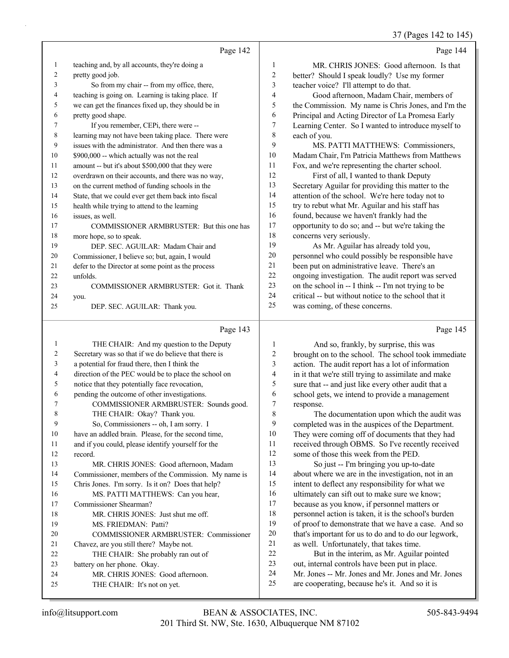37 (Pages 142 to 145)

|                |                                                     |                         | -- - -- -- - -                                       |
|----------------|-----------------------------------------------------|-------------------------|------------------------------------------------------|
|                | Page 142                                            |                         | Page 144                                             |
| -1             | teaching and, by all accounts, they're doing a      | 1                       | MR. CHRIS JONES: Good afternoon. Is that             |
| 2              | pretty good job.                                    | $\overline{\mathbf{c}}$ | better? Should I speak loudly? Use my former         |
| 3              | So from my chair -- from my office, there,          | 3                       | teacher voice? I'll attempt to do that.              |
| 4              | teaching is going on. Learning is taking place. If  | 4                       | Good afternoon, Madam Chair, members of              |
| 5              | we can get the finances fixed up, they should be in | 5                       | the Commission. My name is Chris Jones, and I'm the  |
| 6              | pretty good shape.                                  | 6                       | Principal and Acting Director of La Promesa Early    |
| 7              | If you remember, CEPi, there were --                | 7                       | Learning Center. So I wanted to introduce myself to  |
| 8              | learning may not have been taking place. There were | 8                       | each of you.                                         |
| 9              | issues with the administrator. And then there was a | 9                       | MS. PATTI MATTHEWS: Commissioners,                   |
| 10             | \$900,000 -- which actually was not the real        | 10                      | Madam Chair, I'm Patricia Matthews from Matthews     |
| 11             | amount -- but it's about \$500,000 that they were   | 11                      | Fox, and we're representing the charter school.      |
| 12             | overdrawn on their accounts, and there was no way,  | 12                      | First of all, I wanted to thank Deputy               |
| 13             | on the current method of funding schools in the     | 13                      | Secretary Aguilar for providing this matter to the   |
| 14             | State, that we could ever get them back into fiscal | 14                      | attention of the school. We're here today not to     |
| 15             | health while trying to attend to the learning       | 15                      | try to rebut what Mr. Aguilar and his staff has      |
| 16             | issues, as well.                                    | 16                      | found, because we haven't frankly had the            |
| 17             | COMMISSIONER ARMBRUSTER: But this one has           | 17                      | opportunity to do so; and -- but we're taking the    |
| 18             | more hope, so to speak.                             | 18                      | concerns very seriously.                             |
| 19             | DEP. SEC. AGUILAR: Madam Chair and                  | 19                      | As Mr. Aguilar has already told you,                 |
| 20             | Commissioner, I believe so; but, again, I would     | 20                      | personnel who could possibly be responsible have     |
| 21             | defer to the Director at some point as the process  | 21                      | been put on administrative leave. There's an         |
| 22             | unfolds.                                            | 22                      | ongoing investigation. The audit report was served   |
| 23             | COMMISSIONER ARMBRUSTER: Got it. Thank              | 23                      | on the school in -- I think -- I'm not trying to be  |
| 24             | you.                                                | 24                      | critical -- but without notice to the school that it |
| 25             | DEP. SEC. AGUILAR: Thank you.                       | 25                      | was coming, of these concerns.                       |
|                | Page 143                                            |                         | Page 145                                             |
| $\blacksquare$ | THE CHAID. And not question to the Domity           |                         | $A = 1 - 1$ $C = 11 - 1$<br>ببايا المسابقة           |

|    | THE CHAIR: And my question to the Deputy             | 1  | And so, frankly, by surprise, this was               |
|----|------------------------------------------------------|----|------------------------------------------------------|
| 2  | Secretary was so that if we do believe that there is | 2  | brought on to the school. The school took immediate  |
| 3  | a potential for fraud there, then I think the        | 3  | action. The audit report has a lot of information    |
| 4  | direction of the PEC would be to place the school on | 4  | in it that we're still trying to assimilate and make |
| 5  | notice that they potentially face revocation,        | 5  | sure that -- and just like every other audit that a  |
| 6  | pending the outcome of other investigations.         | 6  | school gets, we intend to provide a management       |
| 7  | COMMISSIONER ARMBRUSTER: Sounds good.                | 7  | response.                                            |
| 8  | THE CHAIR: Okay? Thank you.                          | 8  | The documentation upon which the audit was           |
| 9  | So, Commissioners -- oh, I am sorry. I               | 9  | completed was in the auspices of the Department.     |
| 10 | have an addled brain. Please, for the second time,   | 10 | They were coming off of documents that they had      |
| 11 | and if you could, please identify yourself for the   | 11 | received through OBMS. So I've recently received     |
| 12 | record.                                              | 12 | some of those this week from the PED.                |
| 13 | MR. CHRIS JONES: Good afternoon, Madam               | 13 | So just -- I'm bringing you up-to-date               |
| 14 | Commissioner, members of the Commission. My name is  | 14 | about where we are in the investigation, not in an   |
| 15 | Chris Jones. I'm sorry. Is it on? Does that help?    | 15 | intent to deflect any responsibility for what we     |
| 16 | MS. PATTI MATTHEWS: Can you hear,                    | 16 | ultimately can sift out to make sure we know;        |
| 17 | Commissioner Shearman?                               | 17 | because as you know, if personnel matters or         |
| 18 | MR. CHRIS JONES: Just shut me off.                   | 18 | personnel action is taken, it is the school's burden |
| 19 | MS. FRIEDMAN: Patti?                                 | 19 | of proof to demonstrate that we have a case. And so  |
| 20 | COMMISSIONER ARMBRUSTER: Commissioner                | 20 | that's important for us to do and to do our legwork, |
| 21 | Chavez, are you still there? Maybe not.              | 21 | as well. Unfortunately, that takes time.             |
| 22 | THE CHAIR: She probably ran out of                   | 22 | But in the interim, as Mr. Aguilar pointed           |
| 23 | battery on her phone. Okay.                          | 23 | out, internal controls have been put in place.       |
| 24 | MR. CHRIS JONES: Good afternoon.                     | 24 | Mr. Jones -- Mr. Jones and Mr. Jones and Mr. Jones   |
| 25 | THE CHAIR: It's not on yet.                          | 25 | are cooperating, because he's it. And so it is       |
|    |                                                      |    |                                                      |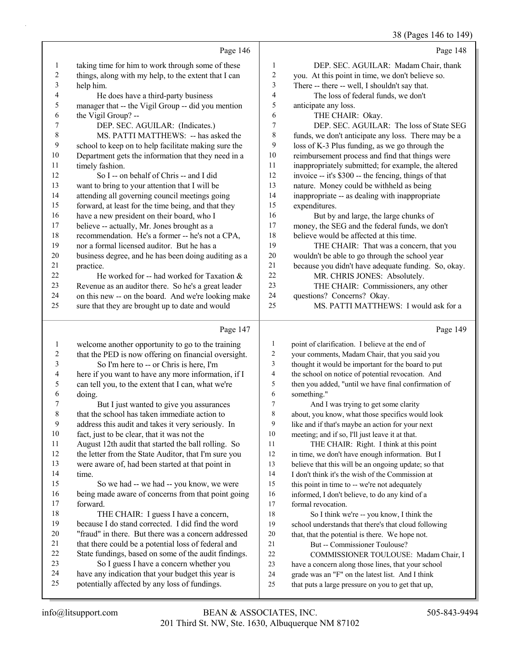|    |                                                      |                | 38 (Pages 146 to 149)                                |
|----|------------------------------------------------------|----------------|------------------------------------------------------|
|    | Page 146                                             |                | Page 148                                             |
| 1  | taking time for him to work through some of these    | $\mathbf{1}$   | DEP. SEC. AGUILAR: Madam Chair, thank                |
| 2  | things, along with my help, to the extent that I can | 2              | you. At this point in time, we don't believe so.     |
| 3  | help him.                                            | 3              | There -- there -- well, I shouldn't say that.        |
| 4  | He does have a third-party business                  | 4              | The loss of federal funds, we don't                  |
| 5  | manager that -- the Vigil Group -- did you mention   | 5              | anticipate any loss.                                 |
| 6  | the Vigil Group? --                                  | 6              | THE CHAIR: Okay.                                     |
| 7  | DEP. SEC. AGUILAR: (Indicates.)                      | 7              | DEP. SEC. AGUILAR: The loss of State SEG             |
| 8  | MS. PATTI MATTHEWS: -- has asked the                 | $\,$ $\,$      | funds, we don't anticipate any loss. There may be a  |
| 9  | school to keep on to help facilitate making sure the | 9              | loss of K-3 Plus funding, as we go through the       |
| 10 | Department gets the information that they need in a  | 10             | reimbursement process and find that things were      |
| 11 | timely fashion.                                      | 11             | inappropriately submitted; for example, the altered  |
| 12 | So I -- on behalf of Chris -- and I did              | 12             | invoice -- it's \$300 -- the fencing, things of that |
| 13 | want to bring to your attention that I will be       | 13             | nature. Money could be withheld as being             |
| 14 | attending all governing council meetings going       | 14             | inappropriate -- as dealing with inappropriate       |
| 15 | forward, at least for the time being, and that they  | 15             | expenditures.                                        |
| 16 | have a new president on their board, who I           | 16             | But by and large, the large chunks of                |
| 17 | believe -- actually, Mr. Jones brought as a          | 17             | money, the SEG and the federal funds, we don't       |
| 18 | recommendation. He's a former -- he's not a CPA,     | 18             | believe would be affected at this time.              |
| 19 | nor a formal licensed auditor. But he has a          | 19             | THE CHAIR: That was a concern, that you              |
| 20 | business degree, and he has been doing auditing as a | 20             | wouldn't be able to go through the school year       |
| 21 | practice.                                            | 21             | because you didn't have adequate funding. So, okay.  |
| 22 | He worked for -- had worked for Taxation &           | 22             | MR. CHRIS JONES: Absolutely.                         |
| 23 | Revenue as an auditor there. So he's a great leader  | 23             | THE CHAIR: Commissioners, any other                  |
| 24 | on this new -- on the board. And we're looking make  | 24             | questions? Concerns? Okay.                           |
| 25 | sure that they are brought up to date and would      | 25             | MS. PATTI MATTHEWS: I would ask for a                |
|    | Page 147                                             |                | Page 149                                             |
| 1  | welcome another opportunity to go to the training    | $\mathbf{1}$   | point of clarification. I believe at the end of      |
| 2  | that the PED is now offering on financial oversight. | $\overline{c}$ | your comments, Madam Chair, that you said you        |
| 3  | So I'm here to -- or Chris is here, I'm              | 3              | thought it would be important for the board to put   |
| 4  | here if you want to have any more information, if I  | $\overline{4}$ | the school on notice of potential revocation. And    |
| 5  | can tell you, to the extent that I can, what we're   | 5              | then you added, "until we have final confirmation of |
| 6  | doing.                                               | 6              | something."                                          |
| 7  | But I just wanted to give you assurances             | 7              | And I was trying to get some clarity                 |
| 8  | that the school has taken immediate action to        | 8              | about, you know, what those specifics would look     |
| 9  | address this audit and takes it very seriously. In   | 9              | like and if that's maybe an action for your next     |
| 10 | fact, just to be clear, that it was not the          | 10             | meeting; and if so, I'll just leave it at that.      |
| 11 | August 12th audit that started the ball rolling. So  | 11             | THE CHAIR: Right. I think at this point              |
| 12 | the letter from the State Auditor, that I'm sure you | 12             | in time, we don't have enough information. But I     |
| 13 | were aware of, had been started at that point in     | 13             | believe that this will be an ongoing update; so that |
| 14 | time.                                                | 14             | I don't think it's the wish of the Commission at     |
| 15 | So we had -- we had -- you know, we were             | 15             | this point in time to -- we're not adequately        |
| 16 | being made aware of concerns from that point going   | 16             | informed, I don't believe, to do any kind of a       |
| 17 | forward.                                             | 17             | formal revocation.                                   |
| 18 | THE CHAIR: I guess I have a concern,                 | 18             | So I think we're -- you know, I think the            |
| 19 | because I do stand corrected. I did find the word    | 19             | school understands that there's that cloud following |
| 20 | "fraud" in there. But there was a concern addressed  | 20             | that, that the potential is there. We hope not.      |
| 21 | that there could be a potential loss of federal and  | 21             | But -- Commissioner Toulouse?                        |
| 22 | State fundings, based on some of the audit findings. | 22             | COMMISSIONER TOULOUSE: Madam Chair, I                |
| 23 | So I guess I have a concern whether you              | 23             | have a concern along those lines, that your school   |
| 24 | have any indication that your budget this year is    | 24             | grade was an "F" on the latest list. And I think     |

- 
- 24 have any indication that your budget this year is<br>25 potentially affected by any loss of fundings. potentially affected by any loss of fundings.

grade was an "F" on the latest list. And I think that puts a large pressure on you to get that up,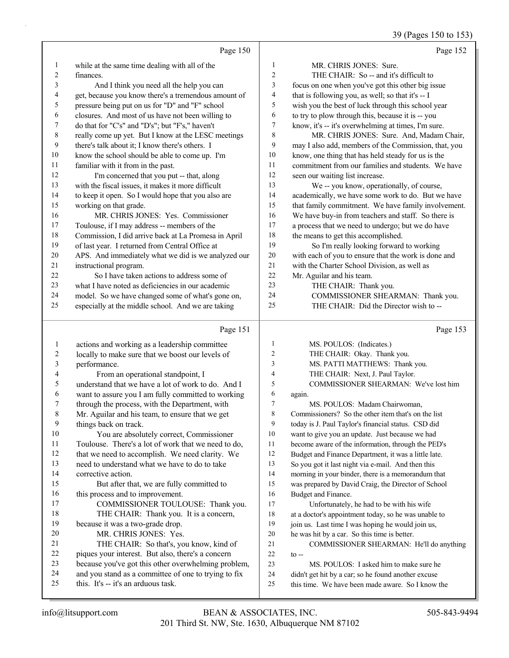39 (Pages 150 to 153)

|                          |                                                                                             |                | 39 (Pages 150 to 153                                                                                     |
|--------------------------|---------------------------------------------------------------------------------------------|----------------|----------------------------------------------------------------------------------------------------------|
|                          | Page 150                                                                                    |                | Page 152                                                                                                 |
| $\mathbf{1}$             | while at the same time dealing with all of the                                              | 1              | MR. CHRIS JONES: Sure.                                                                                   |
| 2                        | finances.                                                                                   | 2              | THE CHAIR: So -- and it's difficult to                                                                   |
| 3                        | And I think you need all the help you can                                                   | 3              | focus on one when you've got this other big issue                                                        |
| $\overline{\mathcal{A}}$ | get, because you know there's a tremendous amount of                                        | 4              | that is following you, as well; so that it's -- I                                                        |
| 5                        | pressure being put on us for "D" and "F" school                                             | 5              | wish you the best of luck through this school year                                                       |
| 6                        | closures. And most of us have not been willing to                                           | 6              | to try to plow through this, because it is -- you                                                        |
| 7                        | do that for "C's" and "D's"; but "F's," haven't                                             | 7              | know, it's -- it's overwhelming at times, I'm sure.                                                      |
| $\,$ $\,$                | really come up yet. But I know at the LESC meetings                                         | 8              | MR. CHRIS JONES: Sure. And, Madam Chair,                                                                 |
| $\mathbf{9}$             | there's talk about it; I know there's others. I                                             | 9              | may I also add, members of the Commission, that, you                                                     |
| 10                       | know the school should be able to come up. I'm                                              | 10             | know, one thing that has held steady for us is the                                                       |
| 11                       | familiar with it from in the past.                                                          | 11             | commitment from our families and students. We have                                                       |
| 12                       | I'm concerned that you put -- that, along                                                   | 12             | seen our waiting list increase.                                                                          |
| 13                       | with the fiscal issues, it makes it more difficult                                          | 13             | We -- you know, operationally, of course,                                                                |
| 14                       | to keep it open. So I would hope that you also are                                          | 14             | academically, we have some work to do. But we have                                                       |
| 15                       | working on that grade.                                                                      | 15             | that family commitment. We have family involvement.                                                      |
| 16                       | MR. CHRIS JONES: Yes. Commissioner                                                          | 16             | We have buy-in from teachers and staff. So there is                                                      |
| 17                       | Toulouse, if I may address -- members of the                                                | 17             | a process that we need to undergo; but we do have                                                        |
| 18                       | Commission, I did arrive back at La Promesa in April                                        | 18             | the means to get this accomplished.                                                                      |
| 19                       | of last year. I returned from Central Office at                                             | 19             | So I'm really looking forward to working                                                                 |
| 20                       | APS. And immediately what we did is we analyzed our                                         | $20\,$         | with each of you to ensure that the work is done and                                                     |
| 21                       | instructional program.                                                                      | 21             | with the Charter School Division, as well as                                                             |
| 22                       | So I have taken actions to address some of                                                  | 22             | Mr. Aguilar and his team.                                                                                |
| 23                       | what I have noted as deficiencies in our academic                                           | 23             | THE CHAIR: Thank you.                                                                                    |
| 24                       | model. So we have changed some of what's gone on,                                           | 24             | COMMISSIONER SHEARMAN: Thank you.                                                                        |
| 25                       | especially at the middle school. And we are taking                                          | 25             | THE CHAIR: Did the Director wish to --                                                                   |
|                          | Page 151                                                                                    |                | Page 153                                                                                                 |
| $\mathbf{1}$             | actions and working as a leadership committee                                               | 1              | MS. POULOS: (Indicates.)                                                                                 |
| $\overline{c}$           | locally to make sure that we boost our levels of                                            | $\overline{c}$ | THE CHAIR: Okay. Thank you.                                                                              |
| $\mathfrak{Z}$           | performance.                                                                                | 3              | MS. PATTI MATTHEWS: Thank you.                                                                           |
| $\overline{\mathcal{L}}$ | From an operational standpoint, I                                                           | $\overline{4}$ | THE CHAIR: Next, J. Paul Taylor.                                                                         |
| 5                        | understand that we have a lot of work to do. And I                                          | 5              | COMMISSIONER SHEARMAN: We've lost him                                                                    |
| 6                        | want to assure you I am fully committed to working                                          | 6              | again.                                                                                                   |
| 7                        | through the process, with the Department, with                                              | 7              | MS. POULOS: Madam Chairwoman,                                                                            |
| 8                        | Mr. Aguilar and his team, to ensure that we get                                             | 8              | Commissioners? So the other item that's on the list                                                      |
| 9                        | things back on track.                                                                       | 9              | today is J. Paul Taylor's financial status. CSD did                                                      |
| $10\,$                   | You are absolutely correct, Commissioner                                                    | $10\,$         | want to give you an update. Just because we had                                                          |
| 11                       | Toulouse. There's a lot of work that we need to do,                                         | 11             | become aware of the information, through the PED's                                                       |
| 12                       | that we need to accomplish. We need clarity. We                                             | 12             | Budget and Finance Department, it was a little late.                                                     |
| 13                       | need to understand what we have to do to take                                               | 13             | So you got it last night via e-mail. And then this                                                       |
| 14                       | corrective action.                                                                          | 14             | morning in your binder, there is a memorandum that                                                       |
| 15                       | But after that, we are fully committed to                                                   | 15             | was prepared by David Craig, the Director of School                                                      |
| 16                       | this process and to improvement.                                                            | 16             | Budget and Finance.                                                                                      |
| 17                       | COMMISSIONER TOULOUSE: Thank you.                                                           | 17             | Unfortunately, he had to be with his wife                                                                |
| 18                       | THE CHAIR: Thank you. It is a concern,                                                      | 18             | at a doctor's appointment today, so he was unable to                                                     |
| 19                       | because it was a two-grade drop.                                                            | 19             | join us. Last time I was hoping he would join us,                                                        |
| $20\,$                   | MR. CHRIS JONES: Yes.                                                                       | $20\,$         | he was hit by a car. So this time is better.                                                             |
| 21                       | THE CHAIR: So that's, you know, kind of                                                     | $21\,$         | COMMISSIONER SHEARMAN: He'll do anything                                                                 |
| 22                       | piques your interest. But also, there's a concern                                           | 22             | $\mathfrak{t}$ o --                                                                                      |
| 23                       | because you've got this other overwhelming problem,                                         | 23             | MS. POULOS: I asked him to make sure he                                                                  |
| 24<br>25                 | and you stand as a committee of one to trying to fix<br>this. It's -- it's an arduous task. | 24<br>25       | didn't get hit by a car; so he found another excuse<br>this time. We have been made aware. So I know the |
|                          |                                                                                             |                |                                                                                                          |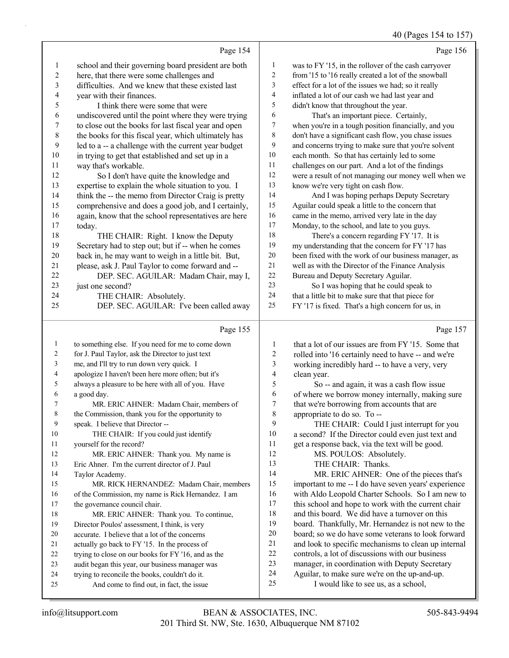### 40 (Pages 154 to 157)

|                |                                                                                            |                          | 40 (Fages 194 to 19)                                                                  |
|----------------|--------------------------------------------------------------------------------------------|--------------------------|---------------------------------------------------------------------------------------|
|                | Page 154                                                                                   |                          | Page 156                                                                              |
| 1              | school and their governing board president are both                                        | $\mathbf{1}$             | was to FY '15, in the rollover of the cash carryover                                  |
| 2              | here, that there were some challenges and                                                  | $\overline{c}$           | from '15 to '16 really created a lot of the snowball                                  |
| 3              | difficulties. And we knew that these existed last                                          | 3                        | effect for a lot of the issues we had; so it really                                   |
| 4              | year with their finances.                                                                  | 4                        | inflated a lot of our cash we had last year and                                       |
| 5              | I think there were some that were                                                          | 5                        | didn't know that throughout the year.                                                 |
| 6              | undiscovered until the point where they were trying                                        | 6                        | That's an important piece. Certainly,                                                 |
| 7              | to close out the books for last fiscal year and open                                       | $\tau$                   | when you're in a tough position financially, and you                                  |
| $\,$ $\,$      | the books for this fiscal year, which ultimately has                                       | $\,$ $\,$                | don't have a significant cash flow, you chase issues                                  |
| 9              | led to a -- a challenge with the current year budget                                       | 9                        | and concerns trying to make sure that you're solvent                                  |
| $10\,$         | in trying to get that established and set up in a                                          | $10\,$                   | each month. So that has certainly led to some                                         |
| 11             | way that's workable.                                                                       | 11                       | challenges on our part. And a lot of the findings                                     |
| 12             | So I don't have quite the knowledge and                                                    | 12                       | were a result of not managing our money well when we                                  |
| 13             | expertise to explain the whole situation to you. I                                         | 13                       | know we're very tight on cash flow.                                                   |
| 14             | think the -- the memo from Director Craig is pretty                                        | 14                       | And I was hoping perhaps Deputy Secretary                                             |
| 15             | comprehensive and does a good job, and I certainly,                                        | 15                       | Aguilar could speak a little to the concern that                                      |
| 16             | again, know that the school representatives are here                                       | 16                       | came in the memo, arrived very late in the day                                        |
| 17             | today.                                                                                     | 17                       | Monday, to the school, and late to you guys.                                          |
| 18             | THE CHAIR: Right. I know the Deputy                                                        | 18                       | There's a concern regarding FY '17. It is                                             |
| 19             | Secretary had to step out; but if -- when he comes                                         | 19                       | my understanding that the concern for FY '17 has                                      |
| 20             | back in, he may want to weigh in a little bit. But,                                        | $20\,$                   | been fixed with the work of our business manager, as                                  |
| 21             | please, ask J. Paul Taylor to come forward and --                                          | 21                       | well as with the Director of the Finance Analysis                                     |
| 22             | DEP. SEC. AGUILAR: Madam Chair, may I,                                                     | 22                       | Bureau and Deputy Secretary Aguilar.                                                  |
| 23             | just one second?                                                                           | 23                       | So I was hoping that he could speak to                                                |
| 24             | THE CHAIR: Absolutely.                                                                     | 24                       | that a little bit to make sure that that piece for                                    |
| 25             | DEP. SEC. AGUILAR: I've been called away                                                   | 25                       | FY '17 is fixed. That's a high concern for us, in                                     |
|                | Page 155                                                                                   |                          | Page 157                                                                              |
| $\mathbf{1}$   | to something else. If you need for me to come down                                         | 1                        | that a lot of our issues are from FY '15. Some that                                   |
| 2              | for J. Paul Taylor, ask the Director to just text                                          | $\boldsymbol{2}$         | rolled into '16 certainly need to have -- and we're                                   |
| $\mathfrak{Z}$ | me, and I'll try to run down very quick. I                                                 | 3                        | working incredibly hard -- to have a very, very                                       |
| 4              | apologize I haven't been here more often; but it's                                         | $\overline{\mathcal{A}}$ | clean year.                                                                           |
| 5              | always a pleasure to be here with all of you. Have                                         | 5                        | So -- and again, it was a cash flow issue                                             |
| 6              | a good day.                                                                                | 6                        | of where we borrow money internally, making sure                                      |
| 7              | MR. ERIC AHNER: Madam Chair, members of                                                    | $\boldsymbol{7}$         | that we're borrowing from accounts that are                                           |
| 8              | the Commission, thank you for the opportunity to                                           | 8                        | appropriate to do so. To --                                                           |
| 9              | speak. I believe that Director --                                                          | 9                        | THE CHAIR: Could I just interrupt for you                                             |
| 10             | THE CHAIR: If you could just identify                                                      | 10                       | a second? If the Director could even just text and                                    |
| 11             | yourself for the record?                                                                   | 11                       | get a response back, via the text will be good.                                       |
| 12             | MR. ERIC AHNER: Thank you. My name is                                                      | 12                       |                                                                                       |
| 13             |                                                                                            |                          | MS. POULOS: Absolutely.                                                               |
|                | Eric Ahner. I'm the current director of J. Paul                                            | 13                       | THE CHAIR: Thanks.                                                                    |
| 14             | Taylor Academy.                                                                            | 14                       | MR. ERIC AHNER: One of the pieces that's                                              |
| 15             | MR. RICK HERNANDEZ: Madam Chair, members                                                   | 15                       | important to me -- I do have seven years' experience                                  |
| 16             | of the Commission, my name is Rick Hernandez. I am                                         | 16                       | with Aldo Leopold Charter Schools. So I am new to                                     |
| 17             | the governance council chair.                                                              | 17                       | this school and hope to work with the current chair                                   |
| 18             | MR. ERIC AHNER: Thank you. To continue,                                                    | 18                       | and this board. We did have a turnover on this                                        |
| 19             | Director Poulos' assessment, I think, is very                                              | 19                       | board. Thankfully, Mr. Hernandez is not new to the                                    |
| 20             | accurate. I believe that a lot of the concerns                                             | $20\,$                   | board; so we do have some veterans to look forward                                    |
| 21             | actually go back to FY '15. In the process of                                              | 21                       | and look to specific mechanisms to clean up internal                                  |
| 22             | trying to close on our books for FY '16, and as the                                        | $22\,$                   | controls, a lot of discussions with our business                                      |
| 23             | audit began this year, our business manager was                                            | $23\,$                   | manager, in coordination with Deputy Secretary                                        |
| 24<br>25       | trying to reconcile the books, couldn't do it.<br>And come to find out, in fact, the issue | 24<br>25                 | Aguilar, to make sure we're on the up-and-up.<br>I would like to see us, as a school, |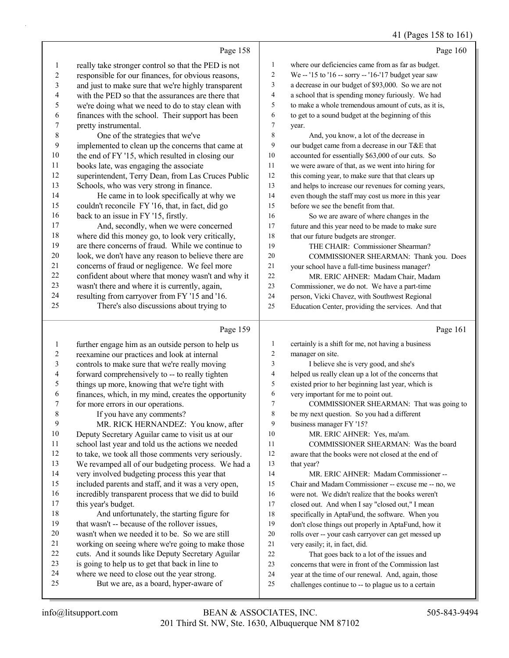### 41 (Pages 158 to 161)

|                          | Page 158                                                                                       |                | Page 160                                                                                                 |
|--------------------------|------------------------------------------------------------------------------------------------|----------------|----------------------------------------------------------------------------------------------------------|
| $\mathbf{1}$             | really take stronger control so that the PED is not                                            | $\mathbf{1}$   | where our deficiencies came from as far as budget.                                                       |
| $\boldsymbol{2}$         | responsible for our finances, for obvious reasons,                                             | $\overline{c}$ | We -- '15 to '16 -- sorry -- '16-'17 budget year saw                                                     |
| 3                        | and just to make sure that we're highly transparent                                            | 3              | a decrease in our budget of \$93,000. So we are not                                                      |
| $\overline{\mathcal{L}}$ | with the PED so that the assurances are there that                                             | 4              | a school that is spending money furiously. We had                                                        |
| 5                        | we're doing what we need to do to stay clean with                                              | 5              | to make a whole tremendous amount of cuts, as it is,                                                     |
| 6                        | finances with the school. Their support has been                                               | 6              | to get to a sound budget at the beginning of this                                                        |
| $\boldsymbol{7}$         | pretty instrumental.                                                                           | 7              | year.                                                                                                    |
| $\,$ $\,$                | One of the strategies that we've                                                               | $\,$ 8 $\,$    | And, you know, a lot of the decrease in                                                                  |
| 9                        | implemented to clean up the concerns that came at                                              | 9              | our budget came from a decrease in our T&E that                                                          |
| $10\,$                   | the end of FY '15, which resulted in closing our                                               | $10\,$         | accounted for essentially \$63,000 of our cuts. So                                                       |
| 11                       | books late, was engaging the associate                                                         | $11\,$         | we were aware of that, as we went into hiring for                                                        |
| 12                       | superintendent, Terry Dean, from Las Cruces Public                                             | 12             | this coming year, to make sure that that clears up                                                       |
| 13                       | Schools, who was very strong in finance.                                                       | 13             | and helps to increase our revenues for coming years,                                                     |
| 14                       | He came in to look specifically at why we                                                      | 14             | even though the staff may cost us more in this year                                                      |
| 15                       | couldn't reconcile FY '16, that, in fact, did go                                               | 15             | before we see the benefit from that.                                                                     |
| 16                       | back to an issue in FY '15, firstly.                                                           | 16             | So we are aware of where changes in the                                                                  |
| 17                       | And, secondly, when we were concerned                                                          | 17             | future and this year need to be made to make sure                                                        |
| 18                       | where did this money go, to look very critically,                                              | 18             | that our future budgets are stronger.                                                                    |
| 19                       | are there concerns of fraud. While we continue to                                              | 19             | THE CHAIR: Commissioner Shearman?                                                                        |
| $20\,$                   | look, we don't have any reason to believe there are                                            | $20\,$         | COMMISSIONER SHEARMAN: Thank you. Does                                                                   |
| $21\,$                   | concerns of fraud or negligence. We feel more                                                  | 21             | your school have a full-time business manager?                                                           |
| 22                       | confident about where that money wasn't and why it                                             | $22\,$         | MR. ERIC AHNER: Madam Chair, Madam                                                                       |
| 23                       | wasn't there and where it is currently, again,                                                 | 23             | Commissioner, we do not. We have a part-time                                                             |
| 24                       | resulting from carryover from FY '15 and '16.                                                  | 24             | person, Vicki Chavez, with Southwest Regional                                                            |
| 25                       | There's also discussions about trying to                                                       | 25             | Education Center, providing the services. And that                                                       |
|                          |                                                                                                |                |                                                                                                          |
|                          | Page 159                                                                                       |                | Page 161                                                                                                 |
| $\mathbf{1}$             | further engage him as an outside person to help us                                             | $\mathbf{1}$   | certainly is a shift for me, not having a business                                                       |
| $\boldsymbol{2}$         | reexamine our practices and look at internal                                                   | $\sqrt{2}$     | manager on site.                                                                                         |
| $\mathfrak{Z}$           | controls to make sure that we're really moving                                                 | 3              | I believe she is very good, and she's                                                                    |
| 4                        | forward comprehensively to -- to really tighten                                                | 4              | helped us really clean up a lot of the concerns that                                                     |
| 5                        | things up more, knowing that we're tight with                                                  | 5              | existed prior to her beginning last year, which is                                                       |
| 6                        | finances, which, in my mind, creates the opportunity                                           | 6              | very important for me to point out.                                                                      |
| 7                        | for more errors in our operations.                                                             | $\tau$         | COMMISSIONER SHEARMAN: That was going to                                                                 |
| $\,$ $\,$                | If you have any comments?                                                                      | $\,$ $\,$      | be my next question. So you had a different                                                              |
| 9                        | MR. RICK HERNANDEZ: You know, after                                                            | 9              | business manager FY '15?                                                                                 |
| $10\,$                   | Deputy Secretary Aguilar came to visit us at our                                               | 10             | MR. ERIC AHNER: Yes, ma'am.                                                                              |
| 11                       | school last year and told us the actions we needed                                             | 11             | COMMISSIONER SHEARMAN: Was the board                                                                     |
| 12                       | to take, we took all those comments very seriously.                                            | 12             | aware that the books were not closed at the end of                                                       |
| 13                       | We revamped all of our budgeting process. We had a                                             | 13             | that year?                                                                                               |
| 14                       | very involved budgeting process this year that                                                 | 14             | MR. ERIC AHNER: Madam Commissioner --                                                                    |
| 15                       | included parents and staff, and it was a very open,                                            | 15             | Chair and Madam Commissioner -- excuse me -- no, we                                                      |
| 16                       | incredibly transparent process that we did to build                                            | 16             | were not. We didn't realize that the books weren't                                                       |
| 17                       | this year's budget.                                                                            | 17             | closed out. And when I say "closed out," I mean                                                          |
| 18                       | And unfortunately, the starting figure for                                                     | 18             | specifically in AptaFund, the software. When you                                                         |
| 19                       | that wasn't -- because of the rollover issues,                                                 | 19             | don't close things out properly in AptaFund, how it                                                      |
| 20                       | wasn't when we needed it to be. So we are still                                                | $20\,$         | rolls over -- your cash carryover can get messed up                                                      |
| 21<br>$22\,$             | working on seeing where we're going to make those                                              | 21             | very easily; it, in fact, did.                                                                           |
| 23                       | cuts. And it sounds like Deputy Secretary Aguilar                                              | 22             | That goes back to a lot of the issues and                                                                |
| 24                       | is going to help us to get that back in line to<br>where we need to close out the year strong. | 23<br>24       | concerns that were in front of the Commission last<br>year at the time of our renewal. And, again, those |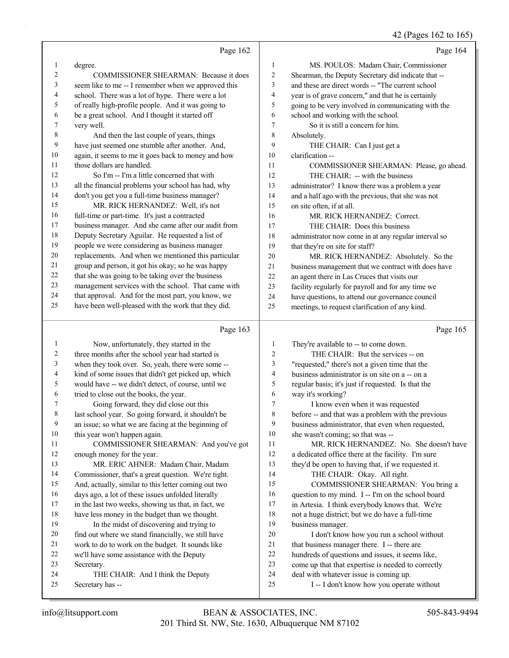### 42 (Pages 162 to 165)

|          |                                                       |                | $+2$ (1 ages 102 to 109)                                                            |
|----------|-------------------------------------------------------|----------------|-------------------------------------------------------------------------------------|
|          | Page 162                                              |                | Page 164                                                                            |
| 1        | degree.                                               | 1              | MS. POULOS: Madam Chair, Commissioner                                               |
| 2        | COMMISSIONER SHEARMAN: Because it does                | $\overline{c}$ | Shearman, the Deputy Secretary did indicate that --                                 |
| 3        | seem like to me -- I remember when we approved this   | 3              | and these are direct words -- "The current school                                   |
| 4        | school. There was a lot of hype. There were a lot     | 4              | year is of grave concern," and that he is certainly                                 |
| 5        | of really high-profile people. And it was going to    | 5              | going to be very involved in communicating with the                                 |
| 6        | be a great school. And I thought it started off       | 6              | school and working with the school.                                                 |
| 7        | very well.                                            | 7              | So it is still a concern for him.                                                   |
| 8        | And then the last couple of years, things             | $\,$ 8 $\,$    | Absolutely.                                                                         |
| 9        | have just seemed one stumble after another. And,      | 9              | THE CHAIR: Can I just get a                                                         |
| 10       | again, it seems to me it goes back to money and how   | 10             | clarification --                                                                    |
| 11       | those dollars are handled.                            | 11             | COMMISSIONER SHEARMAN: Please, go ahead.                                            |
| 12       | So I'm -- I'm a little concerned that with            | 12             | THE CHAIR: -- with the business                                                     |
| 13       | all the financial problems your school has had, why   | 13             | administrator? I know there was a problem a year                                    |
| 14       | don't you get you a full-time business manager?       | 14             | and a half ago with the previous, that she was not                                  |
| 15       | MR. RICK HERNANDEZ: Well, it's not                    | 15             | on site often, if at all.                                                           |
| 16       | full-time or part-time. It's just a contracted        | 16             | MR. RICK HERNANDEZ: Correct.                                                        |
| 17       | business manager. And she came after our audit from   | 17             | THE CHAIR: Does this business                                                       |
| 18       | Deputy Secretary Aguilar. He requested a list of      | 18             | administrator now come in at any regular interval so                                |
| 19       | people we were considering as business manager        | 19             | that they're on site for staff?                                                     |
| 20       | replacements. And when we mentioned this particular   | 20             | MR. RICK HERNANDEZ: Absolutely. So the                                              |
| 21       | group and person, it got his okay; so he was happy    | 21             | business management that we contract with does have                                 |
| 22       | that she was going to be taking over the business     | $22\,$         | an agent there in Las Cruces that visits our                                        |
| 23       | management services with the school. That came with   | 23             | facility regularly for payroll and for any time we                                  |
| 24       | that approval. And for the most part, you know, we    | 24             | have questions, to attend our governance council                                    |
| 25       | have been well-pleased with the work that they did.   | 25             | meetings, to request clarification of any kind.                                     |
|          | Page 163                                              |                | Page 165                                                                            |
| 1        | Now, unfortunately, they started in the               | $\mathbf{1}$   | They're available to -- to come down.                                               |
| 2        | three months after the school year had started is     | 2              | THE CHAIR: But the services -- on                                                   |
| 3        | when they took over. So, yeah, there were some --     | 3              | "requested," there's not a given time that the                                      |
| 4        | kind of some issues that didn't get picked up, which  | 4              | business administrator is on site on a -- on a                                      |
| 5        | would have -- we didn't detect, of course, until we   | 5              | regular basis; it's just if requested. Is that the                                  |
| 6        | tried to close out the books, the year.               | 6              | way it's working?                                                                   |
| 7        | Going forward, they did close out this                | $\overline{7}$ | I know even when it was requested                                                   |
| 8        | last school year. So going forward, it shouldn't be   | $\,$ $\,$      | before -- and that was a problem with the previous                                  |
| 9        | an issue; so what we are facing at the beginning of   | 9              | business administrator, that even when requested,                                   |
| 10       | this year won't happen again.                         | 10             | she wasn't coming; so that was --                                                   |
| 11       | COMMISSIONER SHEARMAN: And you've got                 | 11             | MR. RICK HERNANDEZ: No. She doesn't have                                            |
| 12       | enough money for the year.                            | 12             | a dedicated office there at the facility. I'm sure                                  |
| 13       | MR. ERIC AHNER: Madam Chair, Madam                    | 13             | they'd be open to having that, if we requested it.                                  |
| 14       | Commissioner, that's a great question. We're tight.   | 14             | THE CHAIR: Okay. All right.                                                         |
| 15       | And, actually, similar to this letter coming out two  | 15             | COMMISSIONER SHEARMAN: You bring a                                                  |
| 16       | days ago, a lot of these issues unfolded literally    | 16             | question to my mind. I -- I'm on the school board                                   |
| 17       | in the last two weeks, showing us that, in fact, we   | 17             | in Artesia. I think everybody knows that. We're                                     |
| $18\,$   | have less money in the budget than we thought.        | 18             | not a huge district; but we do have a full-time                                     |
| 19       | In the midst of discovering and trying to             | 19             | business manager.                                                                   |
| 20       | find out where we stand financially, we still have    | $20\,$         | I don't know how you run a school without                                           |
| 21       | work to do to work on the budget. It sounds like      | $21\,$         | that business manager there. I -- there are                                         |
| 22       | we'll have some assistance with the Deputy            | 22             | hundreds of questions and issues, it seems like,                                    |
| 23       |                                                       |                |                                                                                     |
|          | Secretary.                                            | 23             | come up that that expertise is needed to correctly                                  |
| 24<br>25 | THE CHAIR: And I think the Deputy<br>Secretary has -- | 24<br>25       | deal with whatever issue is coming up.<br>I -- I don't know how you operate without |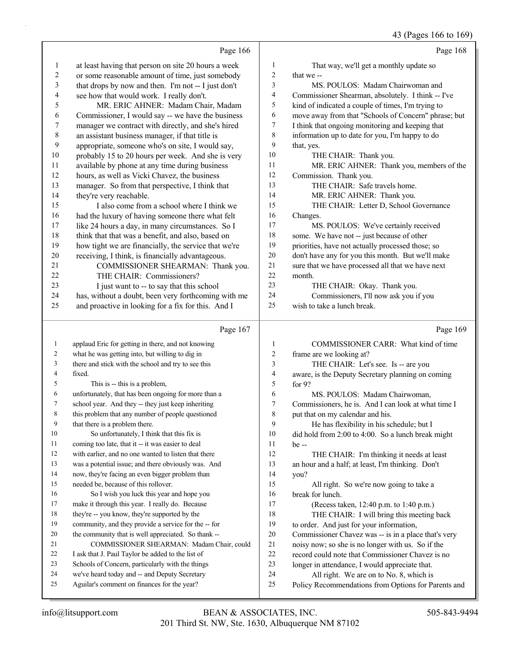|                  |                                                      |                  | 43 (Fages 100 to 109)                                |
|------------------|------------------------------------------------------|------------------|------------------------------------------------------|
|                  | Page 166                                             |                  | Page 168                                             |
| $\mathbf{1}$     | at least having that person on site 20 hours a week  | $\mathbf{1}$     | That way, we'll get a monthly update so              |
| $\overline{c}$   | or some reasonable amount of time, just somebody     | $\overline{c}$   | that we --                                           |
| $\mathfrak{Z}$   | that drops by now and then. I'm not -- I just don't  | 3                | MS. POULOS: Madam Chairwoman and                     |
| 4                | see how that would work. I really don't.             | $\overline{4}$   | Commissioner Shearman, absolutely. I think -- I've   |
| 5                | MR. ERIC AHNER: Madam Chair, Madam                   | 5                | kind of indicated a couple of times, I'm trying to   |
| $\sqrt{6}$       | Commissioner, I would say -- we have the business    | 6                | move away from that "Schools of Concern" phrase; but |
| $\boldsymbol{7}$ | manager we contract with directly, and she's hired   | $\tau$           | I think that ongoing monitoring and keeping that     |
| $\,$ $\,$        | an assistant business manager, if that title is      | $\,$ $\,$        | information up to date for you, I'm happy to do      |
| $\mathbf{9}$     | appropriate, someone who's on site, I would say,     | 9                | that, yes.                                           |
| $10\,$           | probably 15 to 20 hours per week. And she is very    | 10               | THE CHAIR: Thank you.                                |
| 11               | available by phone at any time during business       | 11               | MR. ERIC AHNER: Thank you, members of the            |
| 12               | hours, as well as Vicki Chavez, the business         | 12               | Commission. Thank you.                               |
| 13               | manager. So from that perspective, I think that      | 13               | THE CHAIR: Safe travels home.                        |
| 14               | they're very reachable.                              | 14               | MR. ERIC AHNER: Thank you.                           |
| 15               | I also come from a school where I think we           | 15               | THE CHAIR: Letter D, School Governance               |
| 16               | had the luxury of having someone there what felt     | 16               | Changes.                                             |
| 17               | like 24 hours a day, in many circumstances. So I     | 17               | MS. POULOS: We've certainly received                 |
| 18               | think that that was a benefit, and also, based on    | $18\,$           | some. We have not -- just because of other           |
| 19               | how tight we are financially, the service that we're | 19               | priorities, have not actually processed those; so    |
| $20\,$           | receiving, I think, is financially advantageous.     | 20               | don't have any for you this month. But we'll make    |
| 21               | COMMISSIONER SHEARMAN: Thank you.                    | $21\,$           | sure that we have processed all that we have next    |
| 22               | THE CHAIR: Commissioners?                            | 22               | month.                                               |
| 23               | I just want to -- to say that this school            | 23               | THE CHAIR: Okay. Thank you.                          |
| 24               | has, without a doubt, been very forthcoming with me  | 24               | Commissioners, I'll now ask you if you               |
| 25               | and proactive in looking for a fix for this. And I   | 25               | wish to take a lunch break.                          |
|                  | Page 167                                             |                  | Page 169                                             |
| $\mathbf{1}$     | applaud Eric for getting in there, and not knowing   | $\mathbf{1}$     | COMMISSIONER CARR: What kind of time                 |
| 2                | what he was getting into, but willing to dig in      | $\boldsymbol{2}$ | frame are we looking at?                             |
| 3                | there and stick with the school and try to see this  | $\mathfrak{Z}$   | THE CHAIR: Let's see. Is -- are you                  |
| 4                | fixed.                                               | $\overline{4}$   | aware, is the Deputy Secretary planning on coming    |
| 5                | This is -- this is a problem,                        | 5                | for $9$ ?                                            |
| 6                | unfortunately, that has been ongoing for more than a | 6                | MS. POULOS: Madam Chairwoman,                        |
| 7                | school year. And they -- they just keep inheriting   | $\boldsymbol{7}$ | Commissioners, he is. And I can look at what time I  |
| 8                | this problem that any number of people questioned    | $\,$ 8 $\,$      | put that on my calendar and his.                     |
| 9                | that there is a problem there.                       | 9                | He has flexibility in his schedule; but I            |
| $10\,$           | So unfortunately, I think that this fix is           | 10               | did hold from 2:00 to 4:00. So a lunch break might   |
| 11               | coming too late, that it -- it was easier to deal    | $11\,$           | $be -$                                               |
| 12               | with earlier, and no one wanted to listen that there | 12               | THE CHAIR: I'm thinking it needs at least            |
| 13               | was a potential issue; and there obviously was. And  | 13               | an hour and a half; at least, I'm thinking. Don't    |
| 14               | now, they're facing an even bigger problem than      | 14               | you?                                                 |
| 15               | needed be, because of this rollover.                 | 15               | All right. So we're now going to take a              |
| 16               | So I wish you luck this year and hope you            | 16               | break for lunch.                                     |
| 17               | make it through this year. I really do. Because      | 17               | (Recess taken, 12:40 p.m. to 1:40 p.m.)              |
| 18               | they're -- you know, they're supported by the        | 18               | THE CHAIR: I will bring this meeting back            |
| 19               | community, and they provide a service for the -- for | 19               | to order. And just for your information,             |
| 20               | the community that is well appreciated. So thank --  | 20               | Commissioner Chavez was -- is in a place that's very |
| 21               | COMMISSIONER SHEARMAN: Madam Chair, could            | $21\,$           | noisy now; so she is no longer with us. So if the    |
| 22               | I ask that J. Paul Taylor be added to the list of    | 22               | record could note that Commissioner Chavez is no     |
| 23               | Schools of Concern, particularly with the things     | 23               | longer in attendance, I would appreciate that.       |
| 24               | we've heard today and -- and Deputy Secretary        | 24               | All right. We are on to No. 8, which is              |
| 25               | Aguilar's comment on finances for the year?          | 25               | Policy Recommendations from Options for Parents and  |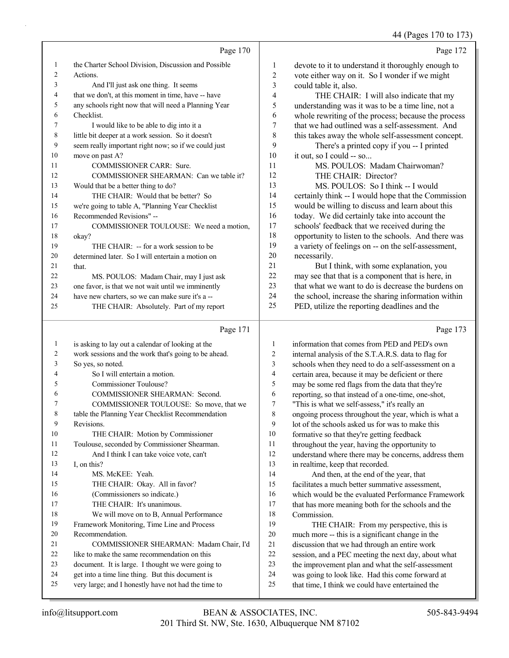44 (Pages 170 to 173)

|                |                                                      |                | 44 (Pages 170 to 173                                 |
|----------------|------------------------------------------------------|----------------|------------------------------------------------------|
|                | Page 170                                             |                | Page 172                                             |
| $\mathbf{1}$   | the Charter School Division, Discussion and Possible | $\mathbf{1}$   | devote to it to understand it thoroughly enough to   |
| $\overline{c}$ | Actions.                                             | $\overline{c}$ | vote either way on it. So I wonder if we might       |
| 3              | And I'll just ask one thing. It seems                | 3              | could table it, also.                                |
| 4              | that we don't, at this moment in time, have -- have  | 4              | THE CHAIR: I will also indicate that my              |
| 5              | any schools right now that will need a Planning Year | 5              | understanding was it was to be a time line, not a    |
| 6              | Checklist.                                           | 6              | whole rewriting of the process; because the process  |
| 7              | I would like to be able to dig into it a             | 7              | that we had outlined was a self-assessment. And      |
| 8              | little bit deeper at a work session. So it doesn't   | 8              | this takes away the whole self-assessment concept.   |
| 9              | seem really important right now; so if we could just | 9              | There's a printed copy if you -- I printed           |
| 10             | move on past A?                                      | 10             | it out, so I could -- so                             |
| 11             | COMMISSIONER CARR: Sure.                             | 11             | MS. POULOS: Madam Chairwoman?                        |
| 12             | COMMISSIONER SHEARMAN: Can we table it?              | 12             | THE CHAIR: Director?                                 |
| 13             | Would that be a better thing to do?                  | 13             | MS. POULOS: So I think -- I would                    |
| 14             | THE CHAIR: Would that be better? So                  | 14             | certainly think -- I would hope that the Commission  |
| 15             | we're going to table A, "Planning Year Checklist     | 15             | would be willing to discuss and learn about this     |
| 16             | Recommended Revisions" --                            | 16             | today. We did certainly take into account the        |
| 17             | COMMISSIONER TOULOUSE: We need a motion,             | 17             | schools' feedback that we received during the        |
| 18             | okay?                                                | 18             | opportunity to listen to the schools. And there was  |
| 19             | THE CHAIR: -- for a work session to be               | 19             | a variety of feelings on -- on the self-assessment,  |
| 20             | determined later. So I will entertain a motion on    | $20\,$         | necessarily.                                         |
| 21             | that.                                                | 21             | But I think, with some explanation, you              |
| 22             | MS. POULOS: Madam Chair, may I just ask              | 22             | may see that that is a component that is here, in    |
| 23             | one favor, is that we not wait until we imminently   | 23             | that what we want to do is decrease the burdens on   |
| $24\,$         | have new charters, so we can make sure it's a --     | 24             | the school, increase the sharing information within  |
| 25             | THE CHAIR: Absolutely. Part of my report             | 25             | PED, utilize the reporting deadlines and the         |
|                | Page 171                                             |                | Page 173                                             |
| $\mathbf{1}$   | is asking to lay out a calendar of looking at the    | 1              | information that comes from PED and PED's own        |
| $\overline{c}$ | work sessions and the work that's going to be ahead. | 2              | internal analysis of the S.T.A.R.S. data to flag for |
| 3              | So yes, so noted.                                    | 3              | schools when they need to do a self-assessment on a  |
| 4              | So I will entertain a motion.                        | 4              | certain area, because it may be deficient or there   |
| 5              | Commissioner Toulouse?                               | 5              | may be some red flags from the data that they're     |
| 6              | COMMISSIONER SHEARMAN: Second.                       | 6              | reporting, so that instead of a one-time, one-shot,  |
| 7              | COMMISSIONER TOULOUSE: So move, that we              | 7              | "This is what we self-assess," it's really an        |
| 8              | table the Planning Year Checklist Recommendation     | 8              | ongoing process throughout the year, which is what a |
| 9              | Revisions.                                           | 9              | lot of the schools asked us for was to make this     |
| 10             | THE CHAIR: Motion by Commissioner                    | 10             | formative so that they're getting feedback           |
| 11             | Toulouse, seconded by Commissioner Shearman.         | 11             | throughout the year, having the opportunity to       |
| 12             | And I think I can take voice vote, can't             | $12\,$         | understand where there may be concerns, address them |
| 13             | I, on this?                                          | 13             | in realtime, keep that recorded.                     |
| 14             | MS. McKEE: Yeah.                                     | 14             | And then, at the end of the year, that               |
| 15             | THE CHAIR: Okay. All in favor?                       | 15             | facilitates a much better summative assessment,      |
| 16             | (Commissioners so indicate.)                         | 16             | which would be the evaluated Performance Framework   |
| 17             | THE CHAIR: It's unanimous.                           | 17             | that has more meaning both for the schools and the   |
| 18             | We will move on to B, Annual Performance             | 18             | Commission.                                          |
| 19             | Framework Monitoring, Time Line and Process          | 19             | THE CHAIR: From my perspective, this is              |

19 THE CHAIR: From my perspective, this is much more -- this is a significant change in the discussion that we had through an entire work session, and a PEC meeting the next day, about what the improvement plan and what the self-assessment was going to look like. Had this come forward at that time, I think we could have entertained the

Recommendation.

21 COMMISSIONER SHEARMAN: Madam Chair, I'd

 like to make the same recommendation on this document. It is large. I thought we were going to get into a time line thing. But this document is very large; and I honestly have not had the time to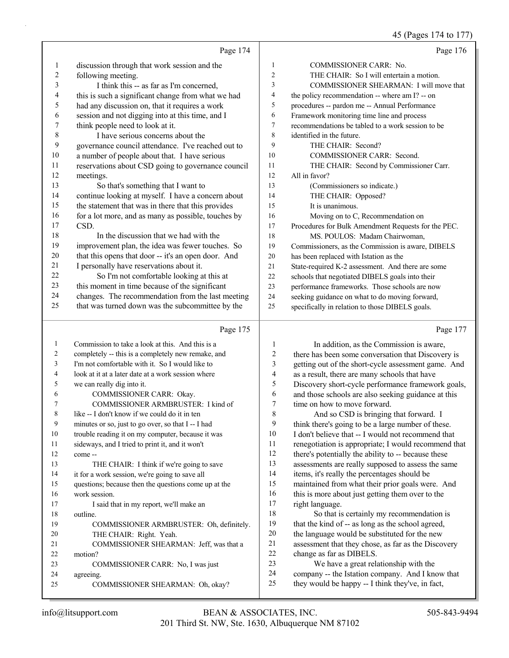# 45 (Pages 174 to 177)

|    | Page 174                                            |    | Page $176$                                          |
|----|-----------------------------------------------------|----|-----------------------------------------------------|
| 1  | discussion through that work session and the        | 1  | <b>COMMISSIONER CARR: No.</b>                       |
| 2  | following meeting.                                  | 2  | THE CHAIR: So I will entertain a motion.            |
| 3  | I think this -- as far as I'm concerned,            | 3  | COMMISSIONER SHEARMAN: I will move that             |
| 4  | this is such a significant change from what we had  | 4  | the policy recommendation -- where am I? -- on      |
| 5  | had any discussion on, that it requires a work      | 5  | procedures -- pardon me -- Annual Performance       |
| 6  | session and not digging into at this time, and I    | 6  | Framework monitoring time line and process          |
| 7  | think people need to look at it.                    | 7  | recommendations be tabled to a work session to be   |
| 8  | I have serious concerns about the                   | 8  | identified in the future.                           |
| 9  | governance council attendance. I've reached out to  | 9  | THE CHAIR: Second?                                  |
| 10 | a number of people about that. I have serious       | 10 | COMMISSIONER CARR: Second.                          |
| 11 | reservations about CSD going to governance council  | 11 | THE CHAIR: Second by Commissioner Carr.             |
| 12 | meetings.                                           | 12 | All in favor?                                       |
| 13 | So that's something that I want to                  | 13 | (Commissioners so indicate.)                        |
| 14 | continue looking at myself. I have a concern about  | 14 | THE CHAIR: Opposed?                                 |
| 15 | the statement that was in there that this provides  | 15 | It is unanimous.                                    |
| 16 | for a lot more, and as many as possible, touches by | 16 | Moving on to C, Recommendation on                   |
| 17 | CSD.                                                | 17 | Procedures for Bulk Amendment Requests for the PEC. |
| 18 | In the discussion that we had with the              | 18 | MS. POULOS: Madam Chairwoman,                       |
| 19 | improvement plan, the idea was fewer touches. So    | 19 | Commissioners, as the Commission is aware, DIBELS   |
| 20 | that this opens that door -- it's an open door. And | 20 | has been replaced with Istation as the              |
| 21 | I personally have reservations about it.            | 21 | State-required K-2 assessment. And there are some   |
| 22 | So I'm not comfortable looking at this at           | 22 | schools that negotiated DIBELS goals into their     |
| 23 | this moment in time because of the significant      | 23 | performance frameworks. Those schools are now       |
| 24 | changes. The recommendation from the last meeting   | 24 | seeking guidance on what to do moving forward,      |
| 25 | that was turned down was the subcommittee by the    | 25 | specifically in relation to those DIBELS goals.     |
|    | Page 175                                            |    | Page 177                                            |
|    |                                                     |    |                                                     |

| -1             | Commission to take a look at this. And this is a     |    | In addition, as the Commission is aware,             |
|----------------|------------------------------------------------------|----|------------------------------------------------------|
| 2              | completely -- this is a completely new remake, and   | 2  | there has been some conversation that Discovery is   |
| $\overline{3}$ | I'm not comfortable with it. So I would like to      | 3  | getting out of the short-cycle assessment game. And  |
| 4              | look at it at a later date at a work session where   | 4  | as a result, there are many schools that have        |
| 5              | we can really dig into it.                           | 5  | Discovery short-cycle performance framework goals,   |
| 6              | COMMISSIONER CARR: Okay.                             | 6  | and those schools are also seeking guidance at this  |
| 7              | COMMISSIONER ARMBRUSTER: I kind of                   | 7  | time on how to move forward.                         |
| 8              | like -- I don't know if we could do it in ten        | 8  | And so CSD is bringing that forward. I               |
| 9              | minutes or so, just to go over, so that I -- I had   | 9  | think there's going to be a large number of these.   |
| 10             | trouble reading it on my computer, because it was    | 10 | I don't believe that -- I would not recommend that   |
| 11             | sideways, and I tried to print it, and it won't      | 11 | renegotiation is appropriate; I would recommend that |
| 12             | come --                                              | 12 | there's potentially the ability to -- because these  |
| 13             | THE CHAIR: I think if we're going to save            | 13 | assessments are really supposed to assess the same   |
| 14             | it for a work session, we're going to save all       | 14 | items, it's really the percentages should be         |
| 15             | questions; because then the questions come up at the | 15 | maintained from what their prior goals were. And     |
| 16             | work session.                                        | 16 | this is more about just getting them over to the     |
| 17             | I said that in my report, we'll make an              | 17 | right language.                                      |
| 18             | outline.                                             | 18 | So that is certainly my recommendation is            |
| 19             | COMMISSIONER ARMBRUSTER: Oh, definitely.             | 19 | that the kind of -- as long as the school agreed,    |
| 20             | THE CHAIR: Right. Yeah.                              | 20 | the language would be substituted for the new        |
| 21             | COMMISSIONER SHEARMAN: Jeff, was that a              | 21 | assessment that they chose, as far as the Discovery  |
| 22             | motion?                                              | 22 | change as far as DIBELS.                             |
| 23             | COMMISSIONER CARR: No, I was just                    | 23 | We have a great relationship with the                |
| 24             | agreeing.                                            | 24 | company -- the Istation company. And I know that     |
| 25             | COMMISSIONER SHEARMAN: Oh, okay?                     | 25 | they would be happy -- I think they've, in fact,     |
|                |                                                      |    |                                                      |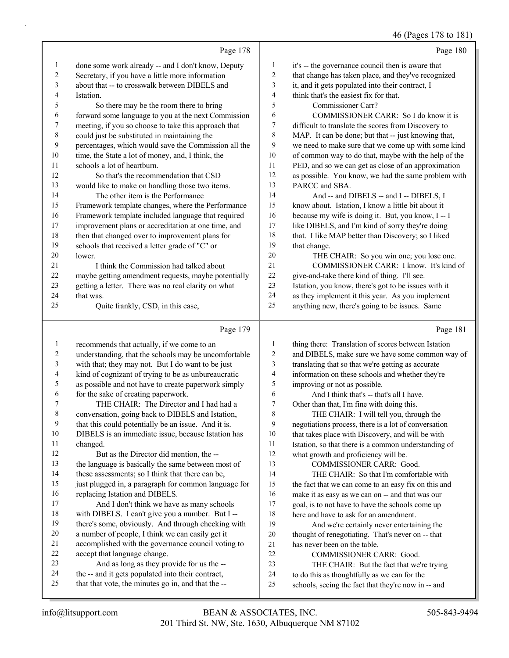#### 46 (Pages 178 to 181)

|                     |                                                                                                            |                     | 46 (Pages 178 to 181)                                                     |
|---------------------|------------------------------------------------------------------------------------------------------------|---------------------|---------------------------------------------------------------------------|
|                     | Page 178                                                                                                   |                     | Page 180                                                                  |
| $\mathbf{1}$        | done some work already -- and I don't know, Deputy                                                         | 1                   | it's -- the governance council then is aware that                         |
| 2                   | Secretary, if you have a little more information                                                           | 2                   | that change has taken place, and they've recognized                       |
| 3                   | about that -- to crosswalk between DIBELS and                                                              | 3                   | it, and it gets populated into their contract, I                          |
| 4                   | Istation.                                                                                                  | 4                   | think that's the easiest fix for that.                                    |
| 5                   | So there may be the room there to bring                                                                    | 5                   | Commissioner Carr?                                                        |
| 6                   | forward some language to you at the next Commission                                                        | 6                   | COMMISSIONER CARR: So I do know it is                                     |
| 7                   | meeting, if you so choose to take this approach that                                                       | 7                   | difficult to translate the scores from Discovery to                       |
| $\,$ 8 $\,$         | could just be substituted in maintaining the                                                               | 8                   | MAP. It can be done; but that -- just knowing that,                       |
| 9                   | percentages, which would save the Commission all the                                                       | 9                   | we need to make sure that we come up with some kind                       |
| 10                  | time, the State a lot of money, and, I think, the                                                          | 10                  | of common way to do that, maybe with the help of the                      |
| 11                  | schools a lot of heartburn.                                                                                | 11                  | PED, and so we can get as close of an approximation                       |
| 12                  | So that's the recommendation that CSD                                                                      | 12                  | as possible. You know, we had the same problem with                       |
| 13                  | would like to make on handling those two items.                                                            | 13                  | PARCC and SBA.                                                            |
| 14                  | The other item is the Performance                                                                          | 14                  | And -- and DIBELS -- and I -- DIBELS, I                                   |
| 15                  | Framework template changes, where the Performance                                                          | 15                  | know about. Istation, I know a little bit about it                        |
| 16                  | Framework template included language that required                                                         | 16                  | because my wife is doing it. But, you know, I -- I                        |
| 17                  | improvement plans or accreditation at one time, and                                                        | 17                  | like DIBELS, and I'm kind of sorry they're doing                          |
| 18                  | then that changed over to improvement plans for                                                            | 18                  | that. I like MAP better than Discovery; so I liked                        |
| 19                  | schools that received a letter grade of "C" or                                                             | 19                  | that change.                                                              |
| 20                  | lower.                                                                                                     | 20                  | THE CHAIR: So you win one; you lose one.                                  |
| 21                  | I think the Commission had talked about                                                                    | 21                  | COMMISSIONER CARR: I know. It's kind of                                   |
| 22                  | maybe getting amendment requests, maybe potentially                                                        | $22\,$              | give-and-take there kind of thing. I'll see.                              |
| 23                  | getting a letter. There was no real clarity on what                                                        | 23                  | Istation, you know, there's got to be issues with it                      |
| 24                  | that was.                                                                                                  | 24                  | as they implement it this year. As you implement                          |
| 25                  | Quite frankly, CSD, in this case,                                                                          | 25                  | anything new, there's going to be issues. Same                            |
|                     | Page 179                                                                                                   |                     | Page 181                                                                  |
|                     |                                                                                                            |                     |                                                                           |
| 1                   | recommends that actually, if we come to an                                                                 | $\mathbf{1}$        | thing there: Translation of scores between Istation                       |
| $\overline{c}$<br>3 | understanding, that the schools may be uncomfortable                                                       | $\overline{c}$<br>3 | and DIBELS, make sure we have some common way of                          |
| 4                   | with that; they may not. But I do want to be just                                                          | 4                   | translating that so that we're getting as accurate                        |
| 5                   | kind of cognizant of trying to be as unbureaucratic<br>as possible and not have to create paperwork simply | 5                   | information on these schools and whether they're                          |
| 6                   | for the sake of creating paperwork.                                                                        | 6                   | improving or not as possible.<br>And I think that's -- that's all I have. |
| 7                   | THE CHAIR: The Director and I had had a                                                                    | 7                   | Other than that, I'm fine with doing this.                                |
| 8                   | conversation, going back to DIBELS and Istation,                                                           | 8                   | THE CHAIR: I will tell you, through the                                   |
| 9                   | that this could potentially be an issue. And it is.                                                        | 9                   | negotiations process, there is a lot of conversation                      |
| 10                  | DIBELS is an immediate issue, because Istation has                                                         | 10                  | that takes place with Discovery, and will be with                         |
| 11                  | changed.                                                                                                   | 11                  | Istation, so that there is a common understanding of                      |
| 12                  | But as the Director did mention, the --                                                                    | 12                  | what growth and proficiency will be.                                      |
| 13                  | the language is basically the same between most of                                                         | 13                  | COMMISSIONER CARR: Good.                                                  |
| 14                  | these assessments; so I think that there can be,                                                           | 14                  | THE CHAIR: So that I'm comfortable with                                   |
| 15                  | just plugged in, a paragraph for common language for                                                       | 15                  | the fact that we can come to an easy fix on this and                      |
| 16                  | replacing Istation and DIBELS.                                                                             | 16                  | make it as easy as we can on -- and that was our                          |
| 17                  | And I don't think we have as many schools                                                                  | 17                  | goal, is to not have to have the schools come up                          |
| 18                  | with DIBELS. I can't give you a number. But I --                                                           | 18                  | here and have to ask for an amendment.                                    |
| 19                  | there's some, obviously. And through checking with                                                         | 19                  | And we're certainly never entertaining the                                |
| 20                  | a number of people, I think we can easily get it                                                           | 20                  | thought of renegotiating. That's never on -- that                         |
| 21                  | accomplished with the governance council voting to                                                         | 21                  | has never been on the table.                                              |
| 22                  | accept that language change.                                                                               | 22                  | COMMISSIONER CARR: Good.                                                  |
|                     |                                                                                                            |                     |                                                                           |
| 23                  | And as long as they provide for us the --                                                                  | 23                  | THE CHAIR: But the fact that we're trying                                 |

- to do this as thoughtfully as we can for the
- schools, seeing the fact that they're now in -- and

that that vote, the minutes go in, and that the --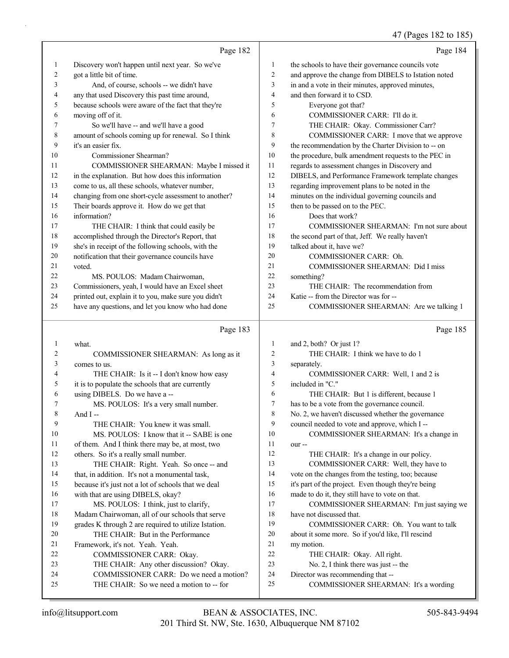|    | Page 182                                             |                | Page 184                                             |
|----|------------------------------------------------------|----------------|------------------------------------------------------|
| 1  | Discovery won't happen until next year. So we've     | 1              | the schools to have their governance councils vote   |
| 2  | got a little bit of time.                            | $\overline{2}$ | and approve the change from DIBELS to Istation noted |
| 3  | And, of course, schools -- we didn't have            | 3              | in and a vote in their minutes, approved minutes,    |
| 4  | any that used Discovery this past time around,       | $\overline{4}$ | and then forward it to CSD.                          |
| 5  | because schools were aware of the fact that they're  | 5              | Everyone got that?                                   |
| 6  | moving off of it.                                    | 6              | COMMISSIONER CARR: I'll do it.                       |
| 7  | So we'll have -- and we'll have a good               | 7              | THE CHAIR: Okay. Commissioner Carr?                  |
| 8  | amount of schools coming up for renewal. So I think  | 8              | COMMISSIONER CARR: I move that we approve            |
| 9  | it's an easier fix.                                  | 9              | the recommendation by the Charter Division to -- on  |
| 10 | Commissioner Shearman?                               | 10             | the procedure, bulk amendment requests to the PEC in |
| 11 | COMMISSIONER SHEARMAN: Maybe I missed it             | 11             | regards to assessment changes in Discovery and       |
| 12 | in the explanation. But how does this information    | 12             | DIBELS, and Performance Framework template changes   |
| 13 | come to us, all these schools, whatever number,      | 13             | regarding improvement plans to be noted in the       |
| 14 | changing from one short-cycle assessment to another? | 14             | minutes on the individual governing councils and     |
| 15 | Their boards approve it. How do we get that          | 15             | then to be passed on to the PEC.                     |
| 16 | information?                                         | 16             | Does that work?                                      |
| 17 | THE CHAIR: I think that could easily be              | 17             | COMMISSIONER SHEARMAN: I'm not sure about            |
| 18 | accomplished through the Director's Report, that     | 18             | the second part of that, Jeff. We really haven't     |
| 19 | she's in receipt of the following schools, with the  | 19             | talked about it, have we?                            |
| 20 | notification that their governance councils have     | 20             | COMMISSIONER CARR: Oh.                               |
| 21 | voted.                                               | 21             | COMMISSIONER SHEARMAN: Did I miss                    |
| 22 | MS. POULOS: Madam Chairwoman,                        | 22             | something?                                           |
| 23 | Commissioners, yeah, I would have an Excel sheet     | 23             | THE CHAIR: The recommendation from                   |
| 24 | printed out, explain it to you, make sure you didn't | 24             | Katie -- from the Director was for --                |
| 25 | have any questions, and let you know who had done    | 25             | COMMISSIONER SHEARMAN: Are we talking 1              |
|    | Page 183                                             |                | Page 185                                             |
|    | what.                                                | 1              | and 2, both? Or just 1?                              |

| -1 | what.                                                | -1 | and $\angle$ , both? Or just $\angle$ ?             |
|----|------------------------------------------------------|----|-----------------------------------------------------|
| 2  | COMMISSIONER SHEARMAN: As long as it                 | 2  | THE CHAIR: I think we have to do 1                  |
| 3  | comes to us.                                         | 3  | separately.                                         |
| 4  | THE CHAIR: Is it -- I don't know how easy            | 4  | COMMISSIONER CARR: Well, 1 and 2 is                 |
| 5  | it is to populate the schools that are currently     | 5  | included in "C."                                    |
| 6  | using DIBELS. Do we have a --                        | 6  | THE CHAIR: But 1 is different, because 1            |
| 7  | MS. POULOS: It's a very small number.                | 7  | has to be a vote from the governance council.       |
| 8  | And $I -$                                            | 8  | No. 2, we haven't discussed whether the governance  |
| 9  | THE CHAIR: You knew it was small.                    | 9  | council needed to vote and approve, which I --      |
| 10 | MS. POULOS: I know that it -- SABE is one            | 10 | COMMISSIONER SHEARMAN: It's a change in             |
| 11 | of them. And I think there may be, at most, two      | 11 | $our -$                                             |
| 12 | others. So it's a really small number.               | 12 | THE CHAIR: It's a change in our policy.             |
| 13 | THE CHAIR: Right. Yeah. So once -- and               | 13 | COMMISSIONER CARR: Well, they have to               |
| 14 | that, in addition. It's not a monumental task,       | 14 | vote on the changes from the testing, too; because  |
| 15 | because it's just not a lot of schools that we deal  | 15 | it's part of the project. Even though they're being |
| 16 | with that are using DIBELS, okay?                    | 16 | made to do it, they still have to vote on that.     |
| 17 | MS. POULOS: I think, just to clarify,                | 17 | COMMISSIONER SHEARMAN: I'm just saying we           |
| 18 | Madam Chairwoman, all of our schools that serve      | 18 | have not discussed that.                            |
| 19 | grades K through 2 are required to utilize Istation. | 19 | COMMISSIONER CARR: Oh. You want to talk             |
| 20 | THE CHAIR: But in the Performance                    | 20 | about it some more. So if you'd like, I'll rescind  |
| 21 | Framework, it's not. Yeah. Yeah.                     | 21 | my motion.                                          |
| 22 | COMMISSIONER CARR: Okay.                             | 22 | THE CHAIR: Okay. All right.                         |
| 23 | THE CHAIR: Any other discussion? Okay.               | 23 | No. 2, I think there was just -- the                |
| 24 | COMMISSIONER CARR: Do we need a motion?              | 24 | Director was recommending that --                   |
| 25 | THE CHAIR: So we need a motion to -- for             | 25 | COMMISSIONER SHEARMAN: It's a wording               |
|    |                                                      |    |                                                     |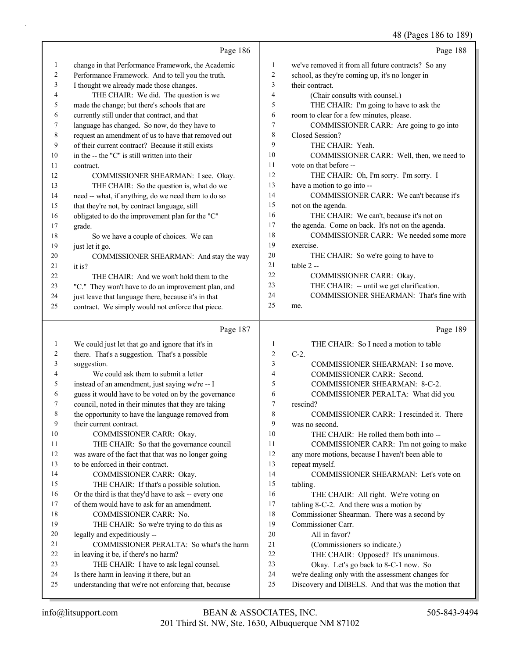|          | Page 186                                                                                          |                     | Page 188                                                                                                 |
|----------|---------------------------------------------------------------------------------------------------|---------------------|----------------------------------------------------------------------------------------------------------|
| 1        | change in that Performance Framework, the Academic                                                | $\mathbf{1}$        | we've removed it from all future contracts? So any                                                       |
| 2        | Performance Framework. And to tell you the truth.                                                 | 2                   | school, as they're coming up, it's no longer in                                                          |
| 3        | I thought we already made those changes.                                                          | 3                   | their contract.                                                                                          |
| 4        | THE CHAIR: We did. The question is we                                                             | 4                   | (Chair consults with counsel.)                                                                           |
| 5        | made the change; but there's schools that are                                                     | 5                   | THE CHAIR: I'm going to have to ask the                                                                  |
| 6        | currently still under that contract, and that                                                     | 6                   | room to clear for a few minutes, please.                                                                 |
| 7        | language has changed. So now, do they have to                                                     | 7                   | COMMISSIONER CARR: Are going to go into                                                                  |
| 8        | request an amendment of us to have that removed out                                               | 8                   | Closed Session?                                                                                          |
| 9        | of their current contract? Because it still exists                                                | 9                   | THE CHAIR: Yeah.                                                                                         |
| 10       | in the -- the "C" is still written into their                                                     | 10                  | COMMISSIONER CARR: Well, then, we need to                                                                |
| 11       | contract.                                                                                         | 11                  | vote on that before --                                                                                   |
| 12       | COMMISSIONER SHEARMAN: I see. Okay.                                                               | 12<br>13            | THE CHAIR: Oh, I'm sorry. I'm sorry. I                                                                   |
| 13       | THE CHAIR: So the question is, what do we                                                         | 14                  | have a motion to go into --                                                                              |
| 14       | need -- what, if anything, do we need them to do so                                               |                     | COMMISSIONER CARR: We can't because it's                                                                 |
| 15       | that they're not, by contract language, still                                                     | 15<br>16            | not on the agenda.                                                                                       |
| 16       | obligated to do the improvement plan for the "C"                                                  | 17                  | THE CHAIR: We can't, because it's not on                                                                 |
| 17       | grade.                                                                                            | 18                  | the agenda. Come on back. It's not on the agenda.<br>COMMISSIONER CARR: We needed some more              |
| 18       | So we have a couple of choices. We can                                                            | 19                  | exercise.                                                                                                |
| 19       | just let it go.                                                                                   | 20                  |                                                                                                          |
| 20<br>21 | COMMISSIONER SHEARMAN: And stay the way<br>it is?                                                 | 21                  | THE CHAIR: So we're going to have to<br>table $2 -$                                                      |
| 22       | THE CHAIR: And we won't hold them to the                                                          | 22                  | COMMISSIONER CARR: Okay.                                                                                 |
| 23       | "C." They won't have to do an improvement plan, and                                               | 23                  | THE CHAIR: -- until we get clarification.                                                                |
| 24       | just leave that language there, because it's in that                                              | 24                  | COMMISSIONER SHEARMAN: That's fine with                                                                  |
| 25       | contract. We simply would not enforce that piece.                                                 | 25                  | me.                                                                                                      |
|          |                                                                                                   |                     |                                                                                                          |
|          |                                                                                                   |                     |                                                                                                          |
|          | Page 187                                                                                          |                     | Page 189                                                                                                 |
|          |                                                                                                   |                     |                                                                                                          |
| 1        | We could just let that go and ignore that it's in                                                 | 1                   | THE CHAIR: So I need a motion to table                                                                   |
| 2        | there. That's a suggestion. That's a possible                                                     | $\mathfrak{2}$      | $C-2$ .                                                                                                  |
| 3        | suggestion.                                                                                       | 3                   | COMMISSIONER SHEARMAN: I so move.                                                                        |
| 4        | We could ask them to submit a letter                                                              | $\overline{4}$<br>5 | COMMISSIONER CARR: Second.                                                                               |
| 5<br>6   | instead of an amendment, just saying we're -- I                                                   | 6                   | COMMISSIONER SHEARMAN: 8-C-2.                                                                            |
| 7        | guess it would have to be voted on by the governance                                              | 7                   | COMMISSIONER PERALTA: What did you<br>rescind?                                                           |
| 8        | council, noted in their minutes that they are taking                                              | 8                   |                                                                                                          |
| 9        | the opportunity to have the language removed from<br>their current contract.                      | 9                   | COMMISSIONER CARR: I rescinded it. There<br>was no second.                                               |
| 10       | COMMISSIONER CARR: Okay.                                                                          | 10                  | THE CHAIR: He rolled them both into --                                                                   |
| 11       | THE CHAIR: So that the governance council                                                         | 11                  | COMMISSIONER CARR: I'm not going to make                                                                 |
| 12       | was aware of the fact that that was no longer going                                               | 12                  | any more motions, because I haven't been able to                                                         |
| 13       | to be enforced in their contract.                                                                 | 13                  | repeat myself.                                                                                           |
| 14       | COMMISSIONER CARR: Okay.                                                                          | 14                  | COMMISSIONER SHEARMAN: Let's vote on                                                                     |
| 15       | THE CHAIR: If that's a possible solution.                                                         | 15                  | tabling.                                                                                                 |
| 16       | Or the third is that they'd have to ask -- every one                                              | 16                  | THE CHAIR: All right. We're voting on                                                                    |
| 17       | of them would have to ask for an amendment.                                                       | 17                  | tabling 8-C-2. And there was a motion by                                                                 |
| 18       | COMMISSIONER CARR: No.                                                                            | 18                  | Commissioner Shearman. There was a second by                                                             |
| 19       | THE CHAIR: So we're trying to do this as                                                          | 19                  | Commissioner Carr.                                                                                       |
| 20       | legally and expeditiously --                                                                      | 20                  | All in favor?                                                                                            |
| 21       | COMMISSIONER PERALTA: So what's the harm                                                          | 21                  | (Commissioners so indicate.)                                                                             |
| 22       | in leaving it be, if there's no harm?                                                             | 22                  | THE CHAIR: Opposed? It's unanimous.                                                                      |
| 23       | THE CHAIR: I have to ask legal counsel.                                                           | 23                  | Okay. Let's go back to 8-C-1 now. So                                                                     |
| 24<br>25 | Is there harm in leaving it there, but an<br>understanding that we're not enforcing that, because | 24<br>25            | we're dealing only with the assessment changes for<br>Discovery and DIBELS. And that was the motion that |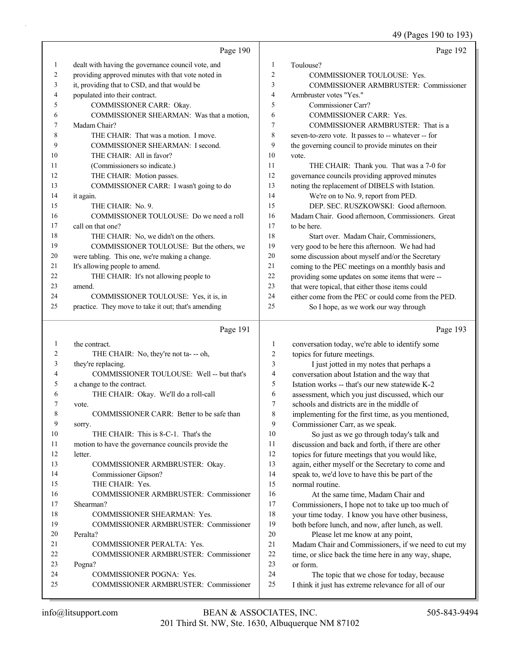49 (Pages 190 to 193)

|    | Page 190                                            |                | Page 192                                             |
|----|-----------------------------------------------------|----------------|------------------------------------------------------|
| 1  | dealt with having the governance council vote, and  | -1             | Toulouse?                                            |
| 2  | providing approved minutes with that vote noted in  | 2              | <b>COMMISSIONER TOULOUSE: Yes.</b>                   |
| 3  | it, providing that to CSD, and that would be        | 3              | COMMISSIONER ARMBRUSTER: Commissioner                |
| 4  | populated into their contract.                      | $\overline{4}$ | Armbruster votes "Yes."                              |
| 5  | COMMISSIONER CARR: Okay.                            | 5              | Commissioner Carr?                                   |
| 6  | COMMISSIONER SHEARMAN: Was that a motion,           | 6              | <b>COMMISSIONER CARR: Yes.</b>                       |
| 7  | Madam Chair?                                        | $\overline{7}$ | COMMISSIONER ARMBRUSTER: That is a                   |
| 8  | THE CHAIR: That was a motion. I move.               | 8              | seven-to-zero vote. It passes to -- whatever -- for  |
| 9  | COMMISSIONER SHEARMAN: I second.                    | 9              | the governing council to provide minutes on their    |
| 10 | THE CHAIR: All in favor?                            | 10             | vote.                                                |
| 11 | (Commissioners so indicate.)                        | 11             | THE CHAIR: Thank you. That was a 7-0 for             |
| 12 | THE CHAIR: Motion passes.                           | 12             | governance councils providing approved minutes       |
| 13 | COMMISSIONER CARR: I wasn't going to do             | 13             | noting the replacement of DIBELS with Istation.      |
| 14 | it again.                                           | 14             | We're on to No. 9, report from PED.                  |
| 15 | THE CHAIR: No. 9.                                   | 15             | DEP. SEC. RUSZKOWSKI: Good afternoon.                |
| 16 | COMMISSIONER TOULOUSE: Do we need a roll            | 16             | Madam Chair. Good afternoon, Commissioners. Great    |
| 17 | call on that one?                                   | 17             | to be here.                                          |
| 18 | THE CHAIR: No, we didn't on the others.             | 18             | Start over. Madam Chair, Commissioners,              |
| 19 | COMMISSIONER TOULOUSE: But the others, we           | 19             | very good to be here this afternoon. We had had      |
| 20 | were tabling. This one, we're making a change.      | 20             | some discussion about myself and/or the Secretary    |
| 21 | It's allowing people to amend.                      | 21             | coming to the PEC meetings on a monthly basis and    |
| 22 | THE CHAIR: It's not allowing people to              | 22             | providing some updates on some items that were --    |
| 23 | amend.                                              | 23             | that were topical, that either those items could     |
| 24 | COMMISSIONER TOULOUSE: Yes, it is, in               | 24             | either come from the PEC or could come from the PED. |
| 25 | practice. They move to take it out; that's amending | 25             | So I hope, as we work our way through                |

### Page 191

|    | Page 191                                           |    | Page 193                                             |
|----|----------------------------------------------------|----|------------------------------------------------------|
| 1  | the contract.                                      | 1  | conversation today, we're able to identify some      |
| 2  | THE CHAIR: No, they're not ta--- oh,               | 2  | topics for future meetings.                          |
| 3  | they're replacing.                                 | 3  | I just jotted in my notes that perhaps a             |
| 4  | COMMISSIONER TOULOUSE: Well -- but that's          | 4  | conversation about Istation and the way that         |
| 5  | a change to the contract.                          | 5  | Istation works -- that's our new statewide K-2       |
| 6  | THE CHAIR: Okay. We'll do a roll-call              | 6  | assessment, which you just discussed, which our      |
| 7  | vote.                                              | 7  | schools and districts are in the middle of           |
| 8  | COMMISSIONER CARR: Better to be safe than          | 8  | implementing for the first time, as you mentioned,   |
| 9  | sorry.                                             | 9  | Commissioner Carr, as we speak.                      |
| 10 | THE CHAIR: This is 8-C-1. That's the               | 10 | So just as we go through today's talk and            |
| 11 | motion to have the governance councils provide the | 11 | discussion and back and forth, if there are other    |
| 12 | letter.                                            | 12 | topics for future meetings that you would like,      |
| 13 | COMMISSIONER ARMBRUSTER: Okay.                     | 13 | again, either myself or the Secretary to come and    |
| 14 | Commissioner Gipson?                               | 14 | speak to, we'd love to have this be part of the      |
| 15 | THE CHAIR: Yes.                                    | 15 | normal routine.                                      |
| 16 | <b>COMMISSIONER ARMBRUSTER: Commissioner</b>       | 16 | At the same time, Madam Chair and                    |
| 17 | Shearman?                                          | 17 | Commissioners, I hope not to take up too much of     |
| 18 | <b>COMMISSIONER SHEARMAN: Yes.</b>                 | 18 | your time today. I know you have other business,     |
| 19 | <b>COMMISSIONER ARMBRUSTER: Commissioner</b>       | 19 | both before lunch, and now, after lunch, as well.    |
| 20 | Peralta?                                           | 20 | Please let me know at any point,                     |
| 21 | <b>COMMISSIONER PERALTA: Yes.</b>                  | 21 | Madam Chair and Commissioners, if we need to cut my  |
| 22 | <b>COMMISSIONER ARMBRUSTER: Commissioner</b>       | 22 | time, or slice back the time here in any way, shape, |
| 23 | Pogna?                                             | 23 | or form.                                             |
| 24 | <b>COMMISSIONER POGNA: Yes.</b>                    | 24 | The topic that we chose for today, because           |
| 25 | <b>COMMISSIONER ARMBRUSTER: Commissioner</b>       | 25 | I think it just has extreme relevance for all of our |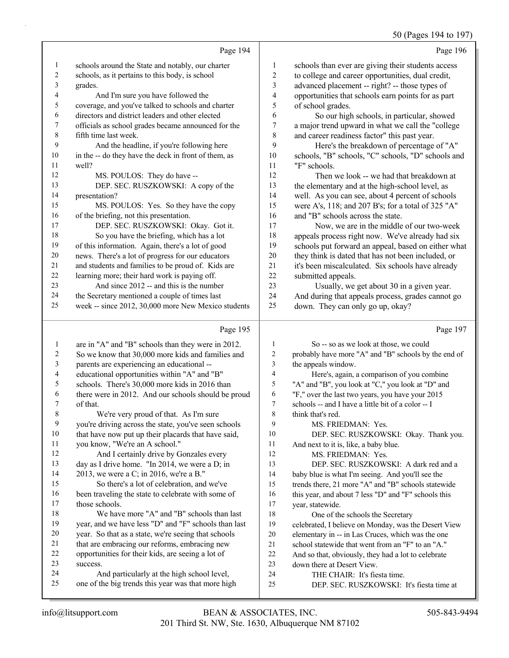|              |                                                                                                    |                          | 50 (Pages 194 to 197)                                |
|--------------|----------------------------------------------------------------------------------------------------|--------------------------|------------------------------------------------------|
|              | Page 194                                                                                           |                          | Page 196                                             |
| $\mathbf{1}$ | schools around the State and notably, our charter                                                  | 1                        | schools than ever are giving their students access   |
| 2            | schools, as it pertains to this body, is school                                                    | $\overline{c}$           | to college and career opportunities, dual credit,    |
| 3            | grades.                                                                                            | $\overline{\mathbf{3}}$  | advanced placement -- right? -- those types of       |
| 4            | And I'm sure you have followed the                                                                 | $\overline{\mathcal{L}}$ | opportunities that schools earn points for as part   |
| 5            | coverage, and you've talked to schools and charter                                                 | 5                        | of school grades.                                    |
| 6            | directors and district leaders and other elected                                                   | 6                        | So our high schools, in particular, showed           |
| 7            | officials as school grades became announced for the                                                | $\boldsymbol{7}$         | a major trend upward in what we call the "college    |
| $\,8\,$      | fifth time last week.                                                                              | $\,$ 8 $\,$              | and career readiness factor" this past year.         |
| 9            | And the headline, if you're following here                                                         | 9                        | Here's the breakdown of percentage of "A"            |
| 10           | in the -- do they have the deck in front of them, as                                               | 10                       | schools, "B" schools, "C" schools, "D" schools and   |
| 11           | well?                                                                                              | 11                       | "F" schools.                                         |
| 12           | MS. POULOS: They do have --                                                                        | 12                       | Then we look -- we had that breakdown at             |
| 13           | DEP. SEC. RUSZKOWSKI: A copy of the                                                                | 13                       | the elementary and at the high-school level, as      |
| 14           | presentation?                                                                                      | 14                       | well. As you can see, about 4 percent of schools     |
| 15           | MS. POULOS: Yes. So they have the copy                                                             | 15                       | were A's, 118; and 207 B's; for a total of 325 "A"   |
| 16           | of the briefing, not this presentation.                                                            | 16                       | and "B" schools across the state.                    |
| 17           | DEP. SEC. RUSZKOWSKI: Okay. Got it.                                                                | 17                       | Now, we are in the middle of our two-week            |
| 18           | So you have the briefing, which has a lot                                                          | $18\,$                   | appeals process right now. We've already had six     |
| 19           | of this information. Again, there's a lot of good                                                  | 19                       | schools put forward an appeal, based on either what  |
| 20           | news. There's a lot of progress for our educators                                                  | 20                       | they think is dated that has not been included, or   |
| 21           | and students and families to be proud of. Kids are                                                 | 21                       | it's been miscalculated. Six schools have already    |
| 22           | learning more; their hard work is paying off.                                                      | $22\,$                   | submitted appeals.                                   |
| 23           | And since 2012 -- and this is the number                                                           | 23                       | Usually, we get about 30 in a given year.            |
| 24           | the Secretary mentioned a couple of times last                                                     | 24                       | And during that appeals process, grades cannot go    |
| 25           | week -- since 2012, 30,000 more New Mexico students                                                | 25                       | down. They can only go up, okay?                     |
|              | Page 195                                                                                           |                          | Page 197                                             |
| $\mathbf{1}$ | are in "A" and "B" schools than they were in 2012.                                                 | 1                        | So -- so as we look at those, we could               |
| 2            | So we know that 30,000 more kids and families and                                                  | 2                        | probably have more "A" and "B" schools by the end of |
| 3            | parents are experiencing an educational --                                                         | 3                        | the appeals window.                                  |
| 4            | educational opportunities within "A" and "B"                                                       | 4                        | Here's, again, a comparison of you combine           |
| 5            | schools. There's 30,000 more kids in 2016 than                                                     | 5                        | "A" and "B", you look at "C," you look at "D" and    |
| 6            | there were in 2012. And our schools should be proud                                                | 6                        | "F," over the last two years, you have your 2015     |
| 7            | of that.                                                                                           | $\overline{7}$           | schools -- and I have a little bit of a color -- I   |
| $\,8\,$      | We're very proud of that. As I'm sure                                                              | 8                        | think that's red.                                    |
| 9            | you're driving across the state, you've seen schools                                               | 9                        | MS. FRIEDMAN: Yes.                                   |
| 10           | that have now put up their placards that have said,                                                | 10                       | DEP. SEC. RUSZKOWSKI: Okay. Thank you.               |
| 11           | you know, "We're an A school."                                                                     | 11                       | And next to it is, like, a baby blue.                |
| 12           | And I certainly drive by Gonzales every                                                            | 12                       | MS. FRIEDMAN: Yes.                                   |
| 13           | day as I drive home. "In 2014, we were a D; in                                                     | 13                       | DEP. SEC. RUSZKOWSKI: A dark red and a               |
| 14           | 2013, we were a C; in 2016, we're a B."                                                            | 14                       | baby blue is what I'm seeing. And you'll see the     |
| 15           | So there's a lot of celebration, and we've                                                         | 15                       | trends there, 21 more "A" and "B" schools statewide  |
| 16           | been traveling the state to celebrate with some of                                                 | 16                       | this year, and about 7 less "D" and "F" schools this |
| 17           | those schools.                                                                                     | 17                       | year, statewide.                                     |
| 18           | We have more "A" and "B" schools than last                                                         | 18                       | One of the schools the Secretary                     |
| 19           | year, and we have less "D" and "F" schools than last                                               | 19                       | celebrated, I believe on Monday, was the Desert View |
| 20<br>21     | year. So that as a state, we're seeing that schools                                                | 20                       | elementary in -- in Las Cruces, which was the one    |
| $22\,$       | that are embracing our reforms, embracing new<br>opportunities for their kids, are seeing a lot of | $21\,$<br>$22\,$         | school statewide that went from an "F" to an "A."    |
|              |                                                                                                    |                          | And so that, obviously, they had a lot to celebrate  |

- And so that, obviously, they had a lot to celebrate
- down there at Desert View.
- 24 THE CHAIR: It's fiesta time.
- 25 DEP. SEC. RUSZKOWSKI: It's fiesta time at

success.

24 And particularly at the high school level,<br>25 one of the big trends this year was that more high

one of the big trends this year was that more high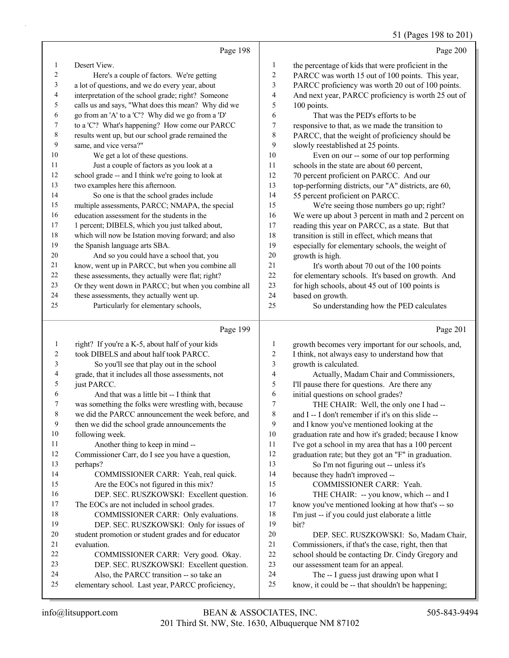51 (Pages 198 to 201)

|                |                                                                                                 |                | $5.1$ $(1.45)$                                                                                          |
|----------------|-------------------------------------------------------------------------------------------------|----------------|---------------------------------------------------------------------------------------------------------|
|                | Page 198                                                                                        |                | Page 200                                                                                                |
| 1              | Desert View.                                                                                    | 1              | the percentage of kids that were proficient in the                                                      |
| $\overline{c}$ | Here's a couple of factors. We're getting                                                       | 2              | PARCC was worth 15 out of 100 points. This year,                                                        |
| 3              | a lot of questions, and we do every year, about                                                 | 3              | PARCC proficiency was worth 20 out of 100 points.                                                       |
| 4              | interpretation of the school grade; right? Someone                                              | 4              | And next year, PARCC proficiency is worth 25 out of                                                     |
| 5              | calls us and says, "What does this mean? Why did we                                             | 5              | 100 points.                                                                                             |
| 6              | go from an 'A' to a 'C'? Why did we go from a 'D'                                               | 6              | That was the PED's efforts to be                                                                        |
| 7              | to a 'C'? What's happening? How come our PARCC                                                  | 7              | responsive to that, as we made the transition to                                                        |
| 8              | results went up, but our school grade remained the                                              | 8              | PARCC, that the weight of proficiency should be                                                         |
| 9              | same, and vice versa?"                                                                          | 9              | slowly reestablished at 25 points.                                                                      |
| 10             | We get a lot of these questions.                                                                | 10             | Even on our -- some of our top performing                                                               |
| 11             | Just a couple of factors as you look at a                                                       | 11             | schools in the state are about 60 percent,                                                              |
| 12<br>13       | school grade -- and I think we're going to look at                                              | 12             | 70 percent proficient on PARCC. And our                                                                 |
| 14             | two examples here this afternoon.                                                               | 13<br>14       | top-performing districts, our "A" districts, are 60,                                                    |
| 15             | So one is that the school grades include                                                        | 15             | 55 percent proficient on PARCC.                                                                         |
| 16             | multiple assessments, PARCC; NMAPA, the special<br>education assessment for the students in the | 16             | We're seeing those numbers go up; right?                                                                |
| 17             | 1 percent; DIBELS, which you just talked about,                                                 | 17             | We were up about 3 percent in math and 2 percent on<br>reading this year on PARCC, as a state. But that |
| 18             | which will now be Istation moving forward; and also                                             | 18             | transition is still in effect, which means that                                                         |
| 19             | the Spanish language arts SBA.                                                                  | 19             | especially for elementary schools, the weight of                                                        |
| 20             | And so you could have a school that, you                                                        | 20             | growth is high.                                                                                         |
| 21             | know, went up in PARCC, but when you combine all                                                | 21             | It's worth about 70 out of the 100 points                                                               |
| 22             | these assessments, they actually were flat; right?                                              | $22\,$         | for elementary schools. It's based on growth. And                                                       |
| 23             | Or they went down in PARCC; but when you combine all                                            | 23             | for high schools, about 45 out of 100 points is                                                         |
| 24             | these assessments, they actually went up.                                                       | 24             | based on growth.                                                                                        |
| 25             | Particularly for elementary schools,                                                            | 25             | So understanding how the PED calculates                                                                 |
|                |                                                                                                 |                |                                                                                                         |
|                |                                                                                                 |                |                                                                                                         |
|                | Page 199                                                                                        |                | Page 201                                                                                                |
| $\mathbf{1}$   | right? If you're a K-5, about half of your kids                                                 | 1              | growth becomes very important for our schools, and,                                                     |
| 2              | took DIBELS and about half took PARCC.                                                          | $\overline{c}$ | I think, not always easy to understand how that                                                         |
| 3              | So you'll see that play out in the school                                                       | 3              | growth is calculated.                                                                                   |
| 4              | grade, that it includes all those assessments, not                                              | $\overline{4}$ | Actually, Madam Chair and Commissioners,                                                                |
| 5              | just PARCC.                                                                                     | 5              | I'll pause there for questions. Are there any                                                           |
| 6              | And that was a little bit -- I think that                                                       | 6              | initial questions on school grades?                                                                     |
| 7              | was something the folks were wrestling with, because                                            | 7              | THE CHAIR: Well, the only one I had --                                                                  |
| $\,$ $\,$      | we did the PARCC announcement the week before, and                                              | $\,$ 8 $\,$    | and I -- I don't remember if it's on this slide --                                                      |
| 9              | then we did the school grade announcements the                                                  | 9              | and I know you've mentioned looking at the                                                              |
| 10             | following week.                                                                                 | 10             | graduation rate and how it's graded; because I know                                                     |
| 11             | Another thing to keep in mind --                                                                | 11             | I've got a school in my area that has a 100 percent                                                     |
| 12             | Commissioner Carr, do I see you have a question,                                                | 12             | graduation rate; but they got an "F" in graduation.                                                     |
| 13             | perhaps?                                                                                        | 13             | So I'm not figuring out -- unless it's                                                                  |
| 14             | COMMISSIONER CARR: Yeah, real quick.                                                            | 14             | because they hadn't improved --                                                                         |
| 15             | Are the EOCs not figured in this mix?                                                           | 15             | COMMISSIONER CARR: Yeah.                                                                                |
| 16             | DEP. SEC. RUSZKOWSKI: Excellent question.                                                       | 16             | THE CHAIR: -- you know, which -- and I                                                                  |
| 17             | The EOCs are not included in school grades.                                                     | 17             | know you've mentioned looking at how that's -- so                                                       |
| $18\,$         | COMMISSIONER CARR: Only evaluations.                                                            | $18\,$         | I'm just -- if you could just elaborate a little                                                        |
| 19             | DEP. SEC. RUSZKOWSKI: Only for issues of                                                        | 19             | bit?                                                                                                    |
| $20\,$         | student promotion or student grades and for educator                                            | $20\,$         | DEP. SEC. RUSZKOWSKI: So, Madam Chair,                                                                  |
| 21             | evaluation.                                                                                     | 21             | Commissioners, if that's the case, right, then that                                                     |
| 22             | COMMISSIONER CARR: Very good. Okay.                                                             | $22\,$         | school should be contacting Dr. Cindy Gregory and                                                       |
| 23<br>24       | DEP. SEC. RUSZKOWSKI: Excellent question.                                                       | 23             | our assessment team for an appeal.                                                                      |
| 25             | Also, the PARCC transition -- so take an<br>elementary school. Last year, PARCC proficiency,    | 24<br>25       | The -- I guess just drawing upon what I<br>know, it could be -- that shouldn't be happening;            |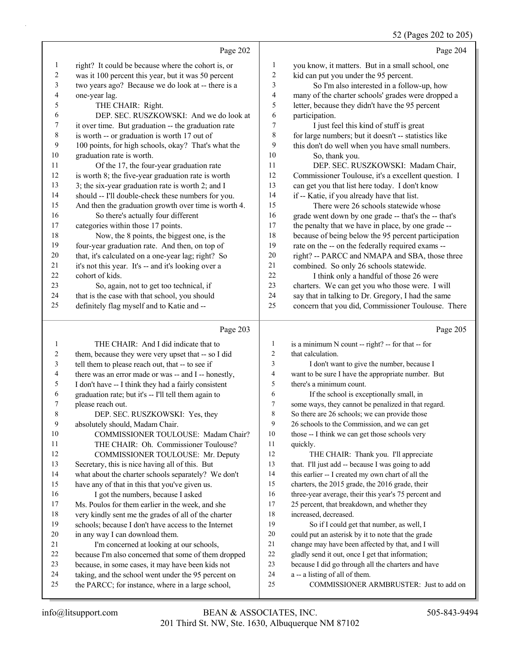#### 52 (Pages 202 to 205)

|  |                     |    | $52$ (Pages $202$ to $20$ , |
|--|---------------------|----|-----------------------------|
|  |                     |    | Page 204                    |
|  | $\mathbf{u}$ matrix | 11 |                             |

|                | Page 202                                             |                         | Page 204                                             |
|----------------|------------------------------------------------------|-------------------------|------------------------------------------------------|
| $\mathbf{1}$   | right? It could be because where the cohort is, or   | 1                       | you know, it matters. But in a small school, one     |
| $\overline{c}$ | was it 100 percent this year, but it was 50 percent  | $\sqrt{2}$              | kid can put you under the 95 percent.                |
| 3              | two years ago? Because we do look at -- there is a   | 3                       | So I'm also interested in a follow-up, how           |
| 4              | one-year lag.                                        | $\overline{\mathbf{4}}$ | many of the charter schools' grades were dropped a   |
| 5              | THE CHAIR: Right.                                    | 5                       | letter, because they didn't have the 95 percent      |
| 6              | DEP. SEC. RUSZKOWSKI: And we do look at              | 6                       | participation.                                       |
| 7              | it over time. But graduation -- the graduation rate  | 7                       | I just feel this kind of stuff is great              |
| 8              | is worth -- or graduation is worth 17 out of         | 8                       | for large numbers; but it doesn't -- statistics like |
| 9              | 100 points, for high schools, okay? That's what the  | 9                       | this don't do well when you have small numbers.      |
| 10             | graduation rate is worth.                            | 10                      | So, thank you.                                       |
| 11             | Of the 17, the four-year graduation rate             | 11                      | DEP. SEC. RUSZKOWSKI: Madam Chair,                   |
| 12             | is worth 8; the five-year graduation rate is worth   | 12                      | Commissioner Toulouse, it's a excellent question. I  |
| 13             | 3; the six-year graduation rate is worth 2; and I    | 13                      | can get you that list here today. I don't know       |
| 14             | should -- I'll double-check these numbers for you.   | 14                      | if -- Katie, if you already have that list.          |
| 15             | And then the graduation growth over time is worth 4. | 15                      | There were 26 schools statewide whose                |
| 16             | So there's actually four different                   | 16                      | grade went down by one grade -- that's the -- that's |
| 17             | categories within those 17 points.                   | 17                      | the penalty that we have in place, by one grade --   |
| 18             | Now, the 8 points, the biggest one, is the           | 18                      | because of being below the 95 percent participation  |
| 19             | four-year graduation rate. And then, on top of       | 19                      | rate on the -- on the federally required exams --    |
| 20             | that, it's calculated on a one-year lag; right? So   | 20                      | right? -- PARCC and NMAPA and SBA, those three       |
| 21             | it's not this year. It's -- and it's looking over a  | 21                      | combined. So only 26 schools statewide.              |
| 22             | cohort of kids.                                      | 22                      | I think only a handful of those 26 were              |
| 23             | So, again, not to get too technical, if              | 23                      | charters. We can get you who those were. I will      |
| 24             | that is the case with that school, you should        | 24                      | say that in talking to Dr. Gregory, I had the same   |
| 25             | definitely flag myself and to Katie and --           | 25                      | concern that you did, Commissioner Toulouse. There   |
|                | Page 203                                             |                         | Page 205                                             |
| $\mathbf{1}$   | THE CHAIR: And I did indicate that to                | 1                       | is a minimum N count -- right? -- for that -- for    |
| 2              | them, because they were very upset that -- so I did  | 2                       | that calculation.                                    |
| 3              | tell them to please reach out, that -- to see if     | 3                       | I don't want to give the number, because I           |
| 4              | there was an error made or was -- and I -- honestly, | 4                       | want to be sure I have the appropriate number. But   |
| 5              | I don't have -- I think they had a fairly consistent | 5                       | there's a minimum count.                             |

 graduation rate; but it's -- I'll tell them again to please reach out. 8 DEP. SEC. RUSZKOWSKI: Yes, they absolutely should, Madam Chair.

- 10 COMMISSIONER TOULOUSE: Madam Chair?<br>
11 THE CHAIR: Oh Commissioner Toulouse? THE CHAIR: Oh. Commissioner Toulouse? 12 COMMISSIONER TOULOUSE: Mr. Deputy Secretary, this is nice having all of this. But what about the charter schools separately? We don't have any of that in this that you've given us. 16 I got the numbers, because I asked Ms. Poulos for them earlier in the week, and she very kindly sent me the grades of all of the charter schools; because I don't have access to the Internet in any way I can download them. 21 I'm concerned at looking at our schools, because I'm also concerned that some of them dropped because, in some cases, it may have been kids not taking, and the school went under the 95 percent on
- the PARCC; for instance, where in a large school,
- 6 If the school is exceptionally small, in some ways, they cannot be penalized in that regard. So there are 26 schools; we can provide those
- 26 schools to the Commission, and we can get
- 10 those -- I think we can get those schools very
- quickly.
- 12 THE CHAIR: Thank you. I'll appreciate that. I'll just add -- because I was going to add this earlier -- I created my own chart of all the
- charters, the 2015 grade, the 2016 grade, their
- three-year average, their this year's 75 percent and
- 25 percent, that breakdown, and whether they increased, decreased.
- 19 So if I could get that number, as well, I could put an asterisk by it to note that the grade
- change may have been affected by that, and I will
- gladly send it out, once I get that information;
- because I did go through all the charters and have
- a -- a listing of all of them.
- 25 COMMISSIONER ARMBRUSTER: Just to add on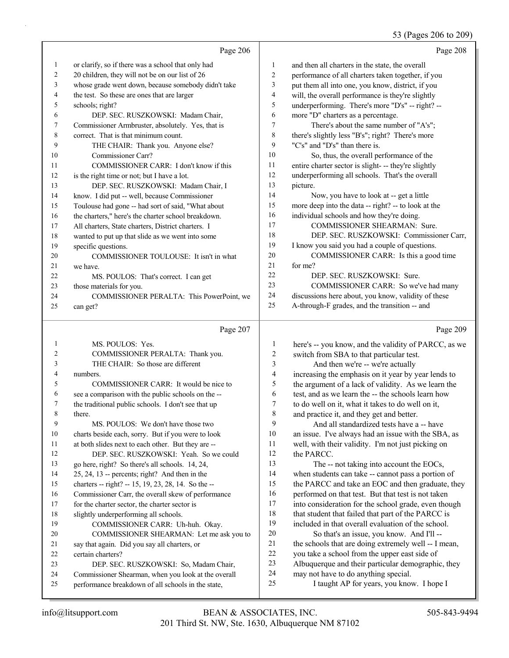#### 53 (Pages 206 to 209)

|                | Page 206                                                      |                          | Page 208                                                                                       |
|----------------|---------------------------------------------------------------|--------------------------|------------------------------------------------------------------------------------------------|
| $\mathbf{1}$   | or clarify, so if there was a school that only had            | $\mathbf{1}$             | and then all charters in the state, the overall                                                |
| $\sqrt{2}$     | 20 children, they will not be on our list of 26               | $\sqrt{2}$               | performance of all charters taken together, if you                                             |
| $\mathfrak{Z}$ | whose grade went down, because somebody didn't take           | 3                        | put them all into one, you know, district, if you                                              |
| 4              | the test. So these are ones that are larger                   | $\overline{\mathcal{L}}$ | will, the overall performance is they're slightly                                              |
| 5              | schools; right?                                               | 5                        | underperforming. There's more "D's" -- right? --                                               |
| 6              | DEP. SEC. RUSZKOWSKI: Madam Chair,                            | 6                        | more "D" charters as a percentage.                                                             |
| 7              | Commissioner Armbruster, absolutely. Yes, that is             | 7                        | There's about the same number of "A's";                                                        |
| $\,$ 8 $\,$    | correct. That is that minimum count.                          | $\,$ $\,$                | there's slightly less "B's"; right? There's more                                               |
| 9              | THE CHAIR: Thank you. Anyone else?                            | 9                        | "C's" and "D's" than there is.                                                                 |
| 10             | Commissioner Carr?                                            | 10                       | So, thus, the overall performance of the                                                       |
| 11             | COMMISSIONER CARR: I don't know if this                       | 11                       | entire charter sector is slight--- they're slightly                                            |
| 12             | is the right time or not; but I have a lot.                   | 12                       | underperforming all schools. That's the overall                                                |
| 13             | DEP. SEC. RUSZKOWSKI: Madam Chair, I                          | 13                       | picture.                                                                                       |
| 14             | know. I did put -- well, because Commissioner                 | 14                       | Now, you have to look at -- get a little                                                       |
| 15             | Toulouse had gone -- had sort of said, "What about            | 15                       | more deep into the data -- right? -- to look at the                                            |
| 16             | the charters," here's the charter school breakdown.           | 16                       | individual schools and how they're doing.                                                      |
| $17\,$         | All charters, State charters, District charters. I            | 17                       | COMMISSIONER SHEARMAN: Sure.                                                                   |
| 18             | wanted to put up that slide as we went into some              | 18                       | DEP. SEC. RUSZKOWSKI: Commissioner Carr,                                                       |
| 19             | specific questions.                                           | 19                       | I know you said you had a couple of questions.                                                 |
| 20             | COMMISSIONER TOULOUSE: It isn't in what                       | 20                       | COMMISSIONER CARR: Is this a good time                                                         |
| 21             | we have.                                                      | $21\,$                   | for me?                                                                                        |
| 22             | MS. POULOS: That's correct. I can get                         | 22                       | DEP. SEC. RUSZKOWSKI: Sure.                                                                    |
| 23             | those materials for you.                                      | 23                       | COMMISSIONER CARR: So we've had many                                                           |
| 24             | COMMISSIONER PERALTA: This PowerPoint, we                     | 24                       | discussions here about, you know, validity of these                                            |
| 25             | can get?                                                      | 25                       | A-through-F grades, and the transition -- and                                                  |
|                | Page 207                                                      |                          | Page 209                                                                                       |
|                |                                                               |                          |                                                                                                |
| $\mathbf{1}$   | MS. POULOS: Yes.                                              | 1                        | here's -- you know, and the validity of PARCC, as we                                           |
| $\overline{c}$ | COMMISSIONER PERALTA: Thank you.                              | 2                        | switch from SBA to that particular test.                                                       |
| 3              | THE CHAIR: So those are different                             | 3                        | And then we're -- we're actually                                                               |
| 4              | numbers.                                                      | 4                        | increasing the emphasis on it year by year lends to                                            |
| 5              | COMMISSIONER CARR: It would be nice to                        | 5<br>6                   | the argument of a lack of validity. As we learn the                                            |
| 6<br>7         | see a comparison with the public schools on the --            | 7                        | test, and as we learn the -- the schools learn how                                             |
| 8              | the traditional public schools. I don't see that up<br>there. | $\,$ $\,$                | to do well on it, what it takes to do well on it,<br>and practice it, and they get and better. |
| 9              | MS. POULOS: We don't have those two                           | 9                        | And all standardized tests have a -- have                                                      |
| 10             | charts beside each, sorry. But if you were to look            | 10                       | an issue. I've always had an issue with the SBA, as                                            |
|                |                                                               |                          |                                                                                                |

 an issue. I've always had an issue with the SBA, as well, with their validity. I'm not just picking on the PARCC.

13 The -- not taking into account the EOCs, when students can take -- cannot pass a portion of the PARCC and take an EOC and then graduate, they performed on that test. But that test is not taken into consideration for the school grade, even though 18 that student that failed that part of the PARCC is included in that overall evaluation of the school. 20 So that's an issue, you know. And I'll -- the schools that are doing extremely well -- I mean, you take a school from the upper east side of

- Albuquerque and their particular demographic, they
- may not have to do anything special.
- 25 I taught AP for years, you know. I hope I

certain charters?

 at both slides next to each other. But they are -- 12 DEP. SEC. RUSZKOWSKI: Yeah. So we could

 go here, right? So there's all schools. 14, 24, 25, 24, 13 -- percents; right? And then in the charters -- right? -- 15, 19, 23, 28, 14. So the -- Commissioner Carr, the overall skew of performance

17 for the charter sector, the charter sector is slightly underperforming all schools.

say that again. Did you say all charters, or

19 COMMISSIONER CARR: Uh-huh. Okay. 20 COMMISSIONER SHEARMAN: Let me ask you to

23 DEP. SEC. RUSZKOWSKI: So, Madam Chair, Commissioner Shearman, when you look at the overall performance breakdown of all schools in the state,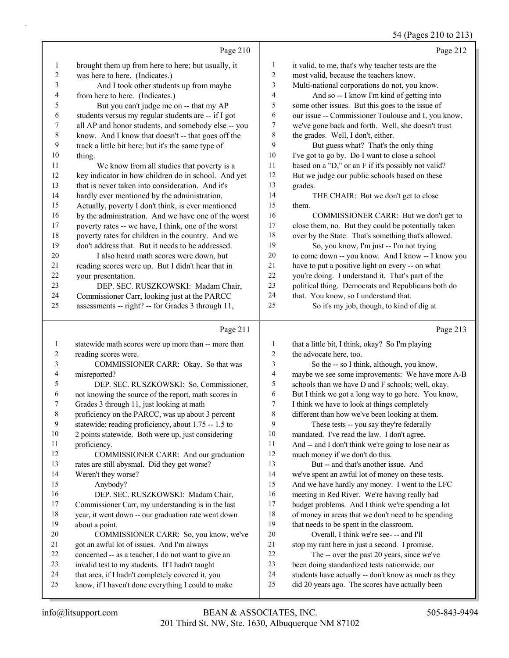54 (Pages 210 to 213)

|                |                                                                                                          |                          | $37$ (1 agus 210 to 219                                                                 |
|----------------|----------------------------------------------------------------------------------------------------------|--------------------------|-----------------------------------------------------------------------------------------|
|                | Page 210                                                                                                 |                          | Page 212                                                                                |
| 1              | brought them up from here to here; but usually, it                                                       | 1                        | it valid, to me, that's why teacher tests are the                                       |
| $\overline{c}$ | was here to here. (Indicates.)                                                                           | $\overline{c}$           | most valid, because the teachers know.                                                  |
| 3              | And I took other students up from maybe                                                                  | 3                        | Multi-national corporations do not, you know.                                           |
| 4              | from here to here. (Indicates.)                                                                          | $\overline{4}$           | And so -- I know I'm kind of getting into                                               |
| 5              | But you can't judge me on -- that my AP                                                                  | 5                        | some other issues. But this goes to the issue of                                        |
| 6              | students versus my regular students are -- if I got                                                      | 6                        | our issue -- Commissioner Toulouse and I, you know,                                     |
| $\sqrt{ }$     | all AP and honor students, and somebody else -- you                                                      | 7                        | we've gone back and forth. Well, she doesn't trust                                      |
| $\,$ $\,$      | know. And I know that doesn't -- that goes off the                                                       | 8                        | the grades. Well, I don't, either.                                                      |
| 9              | track a little bit here; but it's the same type of                                                       | 9                        | But guess what? That's the only thing                                                   |
| $10\,$         | thing.                                                                                                   | $10\,$                   | I've got to go by. Do I want to close a school                                          |
| 11             | We know from all studies that poverty is a                                                               | 11                       | based on a "D," or an F if it's possibly not valid?                                     |
| 12             | key indicator in how children do in school. And yet                                                      | 12                       | But we judge our public schools based on these                                          |
| 13             | that is never taken into consideration. And it's                                                         | 13                       | grades.                                                                                 |
| 14             | hardly ever mentioned by the administration.                                                             | 14                       | THE CHAIR: But we don't get to close                                                    |
| 15             | Actually, poverty I don't think, is ever mentioned                                                       | 15                       | them.                                                                                   |
| 16             | by the administration. And we have one of the worst                                                      | 16                       | COMMISSIONER CARR: But we don't get to                                                  |
| 17             | poverty rates -- we have, I think, one of the worst                                                      | $17$                     | close them, no. But they could be potentially taken                                     |
| 18             | poverty rates for children in the country. And we                                                        | $18\,$                   | over by the State. That's something that's allowed.                                     |
| 19             | don't address that. But it needs to be addressed.                                                        | 19                       | So, you know, I'm just -- I'm not trying                                                |
| $20\,$         | I also heard math scores were down, but                                                                  | $20\,$                   | to come down -- you know. And I know -- I know you                                      |
| 21             | reading scores were up. But I didn't hear that in                                                        | $21$                     | have to put a positive light on every -- on what                                        |
| $22\,$         | your presentation.                                                                                       | 22                       | you're doing. I understand it. That's part of the                                       |
| 23             | DEP. SEC. RUSZKOWSKI: Madam Chair,                                                                       | 23                       | political thing. Democrats and Republicans both do                                      |
| 24             | Commissioner Carr, looking just at the PARCC                                                             | 24                       | that. You know, so I understand that.                                                   |
| 25             | assessments -- right? -- for Grades 3 through 11,                                                        | 25                       | So it's my job, though, to kind of dig at                                               |
|                | Page 211                                                                                                 |                          | Page 213                                                                                |
|                |                                                                                                          |                          |                                                                                         |
| $\mathbf{1}$   | statewide math scores were up more than -- more than                                                     | $\mathbf{1}$             | that a little bit, I think, okay? So I'm playing                                        |
| 2              | reading scores were.                                                                                     | 2                        | the advocate here, too.                                                                 |
| 3              | COMMISSIONER CARR: Okay. So that was                                                                     | 3                        | So the -- so I think, although, you know,                                               |
| 4              | misreported?                                                                                             | $\overline{\mathcal{L}}$ | maybe we see some improvements: We have more A-B                                        |
| 5              | DEP. SEC. RUSZKOWSKI: So, Commissioner,                                                                  | 5                        | schools than we have D and F schools; well, okay.                                       |
| 6<br>7         | not knowing the source of the report, math scores in                                                     | 6<br>$\boldsymbol{7}$    | But I think we got a long way to go here. You know,                                     |
| $\,$ 8 $\,$    | Grades 3 through 11, just looking at math                                                                | 8                        | I think we have to look at things completely                                            |
| 9              | proficiency on the PARCC, was up about 3 percent<br>statewide; reading proficiency, about 1.75 -- 1.5 to | 9                        | different than how we've been looking at them.                                          |
| $10\,$         |                                                                                                          | 10                       | These tests -- you say they're federally<br>mandated. I've read the law. I don't agree. |
| 11             | 2 points statewide. Both were up, just considering<br>proficiency.                                       | 11                       | And -- and I don't think we're going to lose near as                                    |
| 12             | COMMISSIONER CARR: And our graduation                                                                    | 12                       | much money if we don't do this.                                                         |
| 13             | rates are still abysmal. Did they get worse?                                                             | 13                       | But -- and that's another issue. And                                                    |
| 14             | Weren't they worse?                                                                                      | 14                       | we've spent an awful lot of money on these tests.                                       |
| 15             | Anybody?                                                                                                 | 15                       | And we have hardly any money. I went to the LFC                                         |
| 16             | DEP. SEC. RUSZKOWSKI: Madam Chair,                                                                       | 16                       | meeting in Red River. We're having really bad                                           |
| 17             | Commissioner Carr, my understanding is in the last                                                       | 17                       | budget problems. And I think we're spending a lot                                       |
| 18             | year, it went down -- our graduation rate went down                                                      | 18                       | of money in areas that we don't need to be spending                                     |
| 19             | about a point.                                                                                           | 19                       | that needs to be spent in the classroom.                                                |
| $20\,$         | COMMISSIONER CARR: So, you know, we've                                                                   | 20                       | Overall, I think we're see- -- and I'll                                                 |
| 21             | got an awful lot of issues. And I'm always                                                               | 21                       | stop my rant here in just a second. I promise.                                          |
| 22             | concerned -- as a teacher, I do not want to give an                                                      | 22                       | The -- over the past 20 years, since we've                                              |
|                |                                                                                                          |                          |                                                                                         |

did 20 years ago. The scores have actually been

 invalid test to my students. If I hadn't taught that area, if I hadn't completely covered it, you know, if I haven't done everything I could to make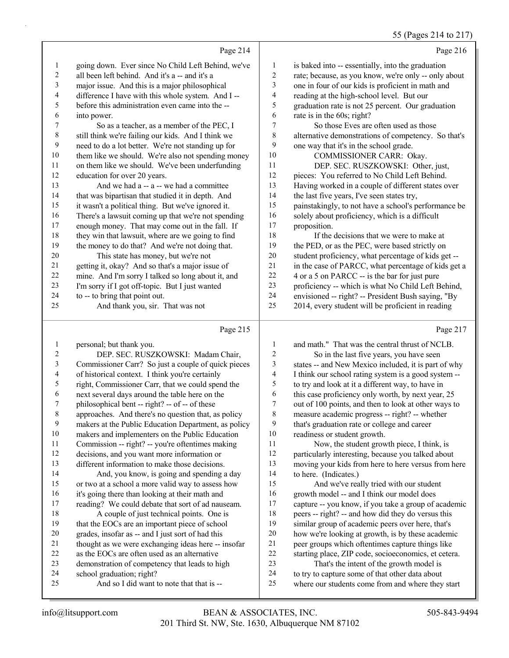55 (Pages 214 to 217)

|                | Page 214                                                               |                         | Page 216                                                                                             |
|----------------|------------------------------------------------------------------------|-------------------------|------------------------------------------------------------------------------------------------------|
| $\mathbf{1}$   | going down. Ever since No Child Left Behind, we've                     | 1                       | is baked into -- essentially, into the graduation                                                    |
| $\overline{c}$ | all been left behind. And it's a -- and it's a                         | 2                       | rate; because, as you know, we're only -- only about                                                 |
| 3              | major issue. And this is a major philosophical                         | 3                       | one in four of our kids is proficient in math and                                                    |
| $\overline{4}$ | difference I have with this whole system. And I --                     | 4                       | reading at the high-school level. But our                                                            |
| 5              | before this administration even came into the --                       | 5                       | graduation rate is not 25 percent. Our graduation                                                    |
| 6              | into power.                                                            | 6                       | rate is in the 60s; right?                                                                           |
| 7              | So as a teacher, as a member of the PEC, I                             | 7                       | So those Eves are often used as those                                                                |
| $\,$ 8 $\,$    | still think we're failing our kids. And I think we                     | 8                       | alternative demonstrations of competency. So that's                                                  |
| 9              | need to do a lot better. We're not standing up for                     | 9                       | one way that it's in the school grade.                                                               |
| 10             | them like we should. We're also not spending money                     | 10                      | COMMISSIONER CARR: Okay.                                                                             |
| 11             | on them like we should. We've been underfunding                        | 11                      | DEP. SEC. RUSZKOWSKI: Other, just,                                                                   |
| 12             | education for over 20 years.                                           | 12                      | pieces: You referred to No Child Left Behind.                                                        |
| 13             | And we had a -- a -- we had a committee                                | 13                      | Having worked in a couple of different states over                                                   |
| 14             | that was bipartisan that studied it in depth. And                      | 14                      | the last five years, I've seen states try,                                                           |
| 15             | it wasn't a political thing. But we've ignored it.                     | 15                      | painstakingly, to not have a school's performance be                                                 |
| 16             | There's a lawsuit coming up that we're not spending                    | 16                      | solely about proficiency, which is a difficult                                                       |
| 17             | enough money. That may come out in the fall. If                        | 17                      | proposition.                                                                                         |
| 18             | they win that lawsuit, where are we going to find                      | $18\,$                  | If the decisions that we were to make at                                                             |
| 19             | the money to do that? And we're not doing that.                        | 19                      | the PED, or as the PEC, were based strictly on                                                       |
| 20             | This state has money, but we're not                                    | $20\,$                  | student proficiency, what percentage of kids get --                                                  |
| 21             | getting it, okay? And so that's a major issue of                       | 21                      | in the case of PARCC, what percentage of kids get a                                                  |
| 22             | mine. And I'm sorry I talked so long about it, and                     | 22                      | 4 or a 5 on PARCC -- is the bar for just pure                                                        |
| 23             | I'm sorry if I got off-topic. But I just wanted                        | 23                      | proficiency -- which is what No Child Left Behind,                                                   |
| 24             | to -- to bring that point out.                                         | 24                      | envisioned -- right? -- President Bush saying, "By                                                   |
| 25             | And thank you, sir. That was not                                       | 25                      | 2014, every student will be proficient in reading                                                    |
|                |                                                                        |                         |                                                                                                      |
|                |                                                                        |                         |                                                                                                      |
|                | Page 215                                                               |                         | Page 217                                                                                             |
| $\mathbf{1}$   | personal; but thank you.                                               | 1                       | and math." That was the central thrust of NCLB.                                                      |
| $\overline{c}$ | DEP. SEC. RUSZKOWSKI: Madam Chair,                                     | $\overline{\mathbf{c}}$ | So in the last five years, you have seen                                                             |
| 3              | Commissioner Carr? So just a couple of quick pieces                    | 3                       | states -- and New Mexico included, it is part of why                                                 |
| 4              | of historical context. I think you're certainly                        | 4                       | I think our school rating system is a good system --                                                 |
| 5              | right, Commissioner Carr, that we could spend the                      | 5                       | to try and look at it a different way, to have in                                                    |
| 6              | next several days around the table here on the                         | 6                       | this case proficiency only worth, by next year, 25                                                   |
| 7              | philosophical bent -- right? -- of -- of these                         | 7                       | out of 100 points, and then to look at other ways to                                                 |
| 8              | approaches. And there's no question that, as policy                    | 8                       | measure academic progress -- right? -- whether                                                       |
| 9              | makers at the Public Education Department, as policy                   | 9                       | that's graduation rate or college and career                                                         |
| 10             | makers and implementers on the Public Education                        | 10                      | readiness or student growth.                                                                         |
| 11             | Commission -- right? -- you're oftentimes making                       | 11                      | Now, the student growth piece, I think, is                                                           |
| 12             | decisions, and you want more information or                            | 12                      | particularly interesting, because you talked about                                                   |
| 13             | different information to make those decisions.                         | 13                      | moving your kids from here to here versus from here                                                  |
| 14             | And, you know, is going and spending a day                             | 14                      | to here. (Indicates.)                                                                                |
| 15             | or two at a school a more valid way to assess how                      | 15                      | And we've really tried with our student                                                              |
| 16             | it's going there than looking at their math and                        | 16                      | growth model -- and I think our model does                                                           |
| 17             | reading? We could debate that sort of ad nauseam.                      | 17                      | capture -- you know, if you take a group of academic                                                 |
| 18             | A couple of just technical points. One is                              | 18                      | peers -- right? -- and how did they do versus this                                                   |
| 19             | that the EOCs are an important piece of school                         | 19                      | similar group of academic peers over here, that's                                                    |
| 20             | grades, insofar as -- and I just sort of had this                      | $20\,$                  | how we're looking at growth, is by these academic                                                    |
| 21             | thought as we were exchanging ideas here -- insofar                    | 21                      | peer groups which oftentimes capture things like                                                     |
| 22             | as the EOCs are often used as an alternative                           | 22                      | starting place, ZIP code, socioeconomics, et cetera.                                                 |
| 23             | demonstration of competency that leads to high                         | 23                      | That's the intent of the growth model is                                                             |
| 24<br>25       | school graduation; right?<br>And so I did want to note that that is -- | 24<br>25                | to try to capture some of that other data about<br>where our students come from and where they start |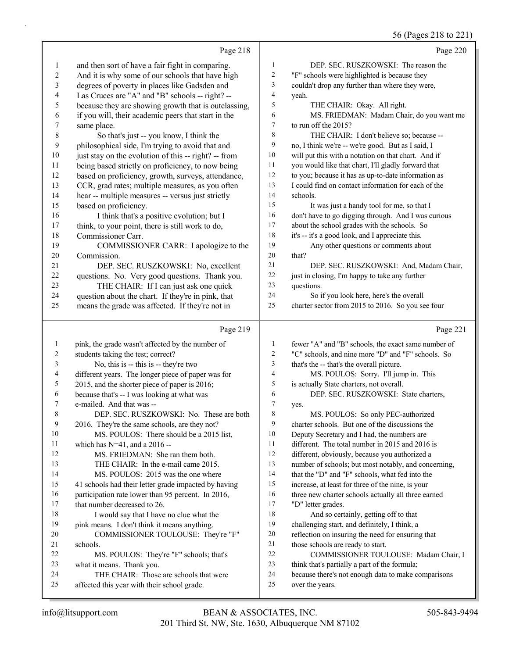56 (Pages 218 to 221)

|                  | Page 218                                                                                     |                | Page 220                                                                                                  |
|------------------|----------------------------------------------------------------------------------------------|----------------|-----------------------------------------------------------------------------------------------------------|
| 1                | and then sort of have a fair fight in comparing.                                             | $\mathbf{1}$   | DEP. SEC. RUSZKOWSKI: The reason the                                                                      |
| 2                | And it is why some of our schools that have high                                             | $\overline{c}$ | "F" schools were highlighted is because they                                                              |
| 3                | degrees of poverty in places like Gadsden and                                                | 3              | couldn't drop any further than where they were,                                                           |
| 4                | Las Cruces are "A" and "B" schools -- right? --                                              | $\overline{4}$ | yeah.                                                                                                     |
| 5                | because they are showing growth that is outclassing,                                         | 5              | THE CHAIR: Okay. All right.                                                                               |
| 6                | if you will, their academic peers that start in the                                          | 6              | MS. FRIEDMAN: Madam Chair, do you want me                                                                 |
| $\boldsymbol{7}$ | same place.                                                                                  | $\tau$         | to run off the 2015?                                                                                      |
| 8                | So that's just -- you know, I think the                                                      | 8              | THE CHAIR: I don't believe so; because --                                                                 |
| 9                | philosophical side, I'm trying to avoid that and                                             | 9              | no, I think we're -- we're good. But as I said, I                                                         |
| $10\,$           | just stay on the evolution of this -- right? -- from                                         | 10             | will put this with a notation on that chart. And if                                                       |
| 11               | being based strictly on proficiency, to now being                                            | 11             | you would like that chart, I'll gladly forward that                                                       |
| 12               | based on proficiency, growth, surveys, attendance,                                           | 12             | to you; because it has as up-to-date information as                                                       |
| 13               | CCR, grad rates; multiple measures, as you often                                             | 13             | I could find on contact information for each of the                                                       |
| 14               | hear -- multiple measures -- versus just strictly                                            | 14             | schools.                                                                                                  |
| 15               | based on proficiency.                                                                        | 15             | It was just a handy tool for me, so that I                                                                |
| 16               | I think that's a positive evolution; but I                                                   | 16             | don't have to go digging through. And I was curious                                                       |
| 17               | think, to your point, there is still work to do,                                             | $17\,$         | about the school grades with the schools. So                                                              |
| 18               | Commissioner Carr.                                                                           | 18             | it's -- it's a good look, and I appreciate this.                                                          |
| 19               | COMMISSIONER CARR: I apologize to the                                                        | 19             | Any other questions or comments about                                                                     |
| 20               | Commission.                                                                                  | 20             | that?                                                                                                     |
| 21               | DEP. SEC. RUSZKOWSKI: No, excellent                                                          | 21             | DEP. SEC. RUSZKOWSKI: And, Madam Chair,                                                                   |
| 22               | questions. No. Very good questions. Thank you.                                               | 22             | just in closing, I'm happy to take any further                                                            |
| 23               | THE CHAIR: If I can just ask one quick                                                       | 23             | questions.                                                                                                |
| 24               | question about the chart. If they're in pink, that                                           | 24             | So if you look here, here's the overall                                                                   |
| 25               | means the grade was affected. If they're not in                                              | 25             | charter sector from 2015 to 2016. So you see four                                                         |
|                  |                                                                                              |                |                                                                                                           |
|                  |                                                                                              |                |                                                                                                           |
|                  | Page 219                                                                                     |                | Page 221                                                                                                  |
| $\mathbf{1}$     |                                                                                              | 1              |                                                                                                           |
| 2                | pink, the grade wasn't affected by the number of                                             | 2              | fewer "A" and "B" schools, the exact same number of<br>"C" schools, and nine more "D" and "F" schools. So |
| 3                | students taking the test; correct?                                                           | 3              |                                                                                                           |
| 4                | No, this is -- this is -- they're two                                                        | $\overline{4}$ | that's the -- that's the overall picture.<br>MS. POULOS: Sorry. I'll jump in. This                        |
| 5                | different years. The longer piece of paper was for                                           | $\mathfrak s$  |                                                                                                           |
| 6                | 2015, and the shorter piece of paper is 2016;<br>because that's -- I was looking at what was | 6              | is actually State charters, not overall.<br>DEP. SEC. RUSZKOWSKI: State charters,                         |
| 7                | e-mailed. And that was --                                                                    | $\tau$         | yes.                                                                                                      |
| 8                | DEP. SEC. RUSZKOWSKI: No. These are both                                                     | 8              | MS. POULOS: So only PEC-authorized                                                                        |
| 9                | 2016. They're the same schools, are they not?                                                | 9              | charter schools. But one of the discussions the                                                           |
| 10               | MS. POULOS: There should be a 2015 list,                                                     | 10             | Deputy Secretary and I had, the numbers are                                                               |
| 11               | which has $N=41$ , and a 2016 --                                                             | 11             | different. The total number in 2015 and 2016 is                                                           |
| 12               | MS. FRIEDMAN: She ran them both.                                                             | 12             | different, obviously, because you authorized a                                                            |
| 13               | THE CHAIR: In the e-mail came 2015.                                                          | 13             | number of schools; but most notably, and concerning,                                                      |
| 14               | MS. POULOS: 2015 was the one where                                                           | 14             | that the "D" and "F" schools, what fed into the                                                           |
| 15               | 41 schools had their letter grade impacted by having                                         | 15             | increase, at least for three of the nine, is your                                                         |
| 16               | participation rate lower than 95 percent. In 2016,                                           | 16             | three new charter schools actually all three earned                                                       |
| 17               | that number decreased to 26.                                                                 | 17             | "D" letter grades.                                                                                        |
| 18               | I would say that I have no clue what the                                                     | 18             | And so certainly, getting off to that                                                                     |
| 19               | pink means. I don't think it means anything.                                                 | 19             | challenging start, and definitely, I think, a                                                             |
| 20               | COMMISSIONER TOULOUSE: They're "F"                                                           | 20             | reflection on insuring the need for ensuring that                                                         |
| 21               | schools.                                                                                     | 21             | those schools are ready to start.                                                                         |
| 22               | MS. POULOS: They're "F" schools; that's                                                      | 22             | COMMISSIONER TOULOUSE: Madam Chair, I                                                                     |
| 23               | what it means. Thank you.                                                                    | 23             | think that's partially a part of the formula;                                                             |
| 24               | THE CHAIR: Those are schools that were                                                       | 24             | because there's not enough data to make comparisons                                                       |
| 25               | affected this year with their school grade.                                                  | 25             | over the years.                                                                                           |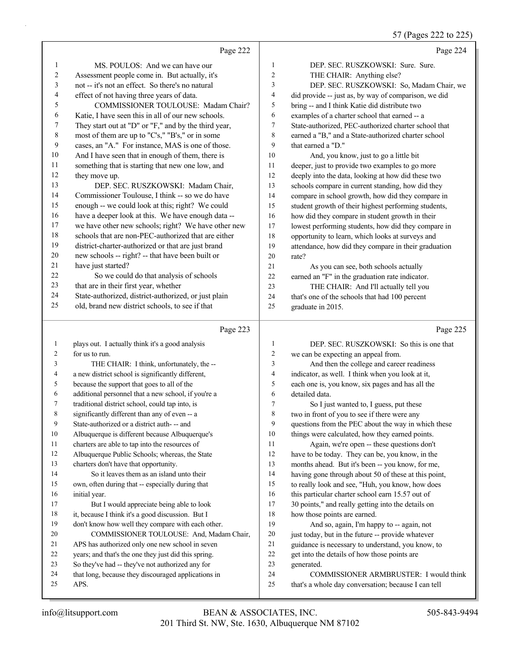57 (Pages 222 to 225)

|              |                                                                                                            |                | $31 \text{ (1 gcs 222 to 22)}$                                                           |
|--------------|------------------------------------------------------------------------------------------------------------|----------------|------------------------------------------------------------------------------------------|
|              | Page 222                                                                                                   |                | Page 224                                                                                 |
| 1            | MS. POULOS: And we can have our                                                                            | $\mathbf{1}$   | DEP. SEC. RUSZKOWSKI: Sure. Sure.                                                        |
| 2            | Assessment people come in. But actually, it's                                                              | $\sqrt{2}$     | THE CHAIR: Anything else?                                                                |
| 3            | not -- it's not an effect. So there's no natural                                                           | 3              | DEP. SEC. RUSZKOWSKI: So, Madam Chair, we                                                |
| 4            | effect of not having three years of data.                                                                  | 4              | did provide -- just as, by way of comparison, we did                                     |
| 5            | COMMISSIONER TOULOUSE: Madam Chair?                                                                        | 5              | bring -- and I think Katie did distribute two                                            |
| 6            | Katie, I have seen this in all of our new schools.                                                         | 6              | examples of a charter school that earned -- a                                            |
| 7            | They start out at "D" or "F," and by the third year,                                                       | $\overline{7}$ | State-authorized, PEC-authorized charter school that                                     |
| 8            | most of them are up to "C's," "B's," or in some                                                            | $\,$ 8 $\,$    | earned a "B," and a State-authorized charter school                                      |
| 9            | cases, an "A." For instance, MAS is one of those.                                                          | 9              | that earned a "D."                                                                       |
| 10           | And I have seen that in enough of them, there is                                                           | 10             | And, you know, just to go a little bit                                                   |
| 11           | something that is starting that new one low, and                                                           | 11             | deeper, just to provide two examples to go more                                          |
| 12           | they move up.                                                                                              | 12             | deeply into the data, looking at how did these two                                       |
| 13           | DEP. SEC. RUSZKOWSKI: Madam Chair,                                                                         | 13             | schools compare in current standing, how did they                                        |
| 14           | Commissioner Toulouse, I think -- so we do have                                                            | 14             | compare in school growth, how did they compare in                                        |
| 15           | enough -- we could look at this; right? We could                                                           | 15             | student growth of their highest performing students,                                     |
| 16           | have a deeper look at this. We have enough data --                                                         | 16             | how did they compare in student growth in their                                          |
| 17<br>18     | we have other new schools; right? We have other new<br>schools that are non-PEC-authorized that are either | 17             | lowest performing students, how did they compare in                                      |
| 19           |                                                                                                            | 18<br>19       | opportunity to learn, which looks at surveys and                                         |
| 20           | district-charter-authorized or that are just brand<br>new schools -- right? -- that have been built or     | 20             | attendance, how did they compare in their graduation                                     |
| 21           | have just started?                                                                                         | 21             | rate?                                                                                    |
| 22           | So we could do that analysis of schools                                                                    | 22             | As you can see, both schools actually<br>earned an "F" in the graduation rate indicator. |
| 23           | that are in their first year, whether                                                                      | 23             | THE CHAIR: And I'll actually tell you                                                    |
| 24           | State-authorized, district-authorized, or just plain                                                       | $24\,$         | that's one of the schools that had 100 percent                                           |
| 25           | old, brand new district schools, to see if that                                                            | 25             | graduate in 2015.                                                                        |
|              |                                                                                                            |                |                                                                                          |
|              | Page 223                                                                                                   |                | Page 225                                                                                 |
| $\mathbf{1}$ | plays out. I actually think it's a good analysis                                                           | $\mathbf{1}$   | DEP. SEC. RUSZKOWSKI: So this is one that                                                |
| 2            | for us to run.                                                                                             | $\overline{c}$ | we can be expecting an appeal from.                                                      |
| 3            | THE CHAIR: I think, unfortunately, the --                                                                  | 3              | And then the college and career readiness                                                |
| 4            | a new district school is significantly different,                                                          | 4              | indicator, as well. I think when you look at it,                                         |
| 5            | because the support that goes to all of the                                                                | 5              | each one is, you know, six pages and has all the                                         |
| 6            | additional personnel that a new school, if you're a                                                        | 6              | detailed data.                                                                           |
| 7            | traditional district school, could tap into, is                                                            | 7              | So I just wanted to, I guess, put these                                                  |
| 8            | significantly different than any of even -- a                                                              | 8              | two in front of you to see if there were any                                             |
| 9            | State-authorized or a district auth- -- and                                                                | 9              | questions from the PEC about the way in which these                                      |
| 10           | Albuquerque is different because Albuquerque's                                                             | 10             | things were calculated, how they earned points.                                          |
| 11           | charters are able to tap into the resources of                                                             | 11             | Again, we're open -- these questions don't                                               |
| 12           | Albuquerque Public Schools; whereas, the State                                                             | 12             | have to be today. They can be, you know, in the                                          |
| 13           | charters don't have that opportunity.                                                                      | 13             | months ahead. But it's been -- you know, for me,                                         |
| 14           | So it leaves them as an island unto their                                                                  | 14             | having gone through about 50 of these at this point,                                     |
| 15           | own, often during that -- especially during that                                                           | 15             | to really look and see, "Huh, you know, how does                                         |
| 16           | initial year.                                                                                              | 16             | this particular charter school earn 15.57 out of                                         |
| 17           | But I would appreciate being able to look                                                                  | 17             | 30 points," and really getting into the details on                                       |
| 18           | it, because I think it's a good discussion. But I                                                          | 18             | how those points are earned.                                                             |
| 19           | don't know how well they compare with each other.                                                          | 19             | And so, again, I'm happy to -- again, not                                                |
| 20           | COMMISSIONER TOULOUSE: And, Madam Chair,                                                                   | $20\,$         | just today, but in the future -- provide whatever                                        |
| 21           | APS has authorized only one new school in seven                                                            | 21             | guidance is necessary to understand, you know, to                                        |
| 22           | years; and that's the one they just did this spring.                                                       | 22             | get into the details of how those points are                                             |
| 23           | So they've had -- they've not authorized any for<br>that long, because they discouraged applications in    | 23<br>24       | generated.<br>COMMISSIONER ARMBRUSTER: I would think                                     |
|              |                                                                                                            |                |                                                                                          |
| 24           |                                                                                                            |                |                                                                                          |
| 25           | APS.                                                                                                       | 25             | that's a whole day conversation; because I can tell                                      |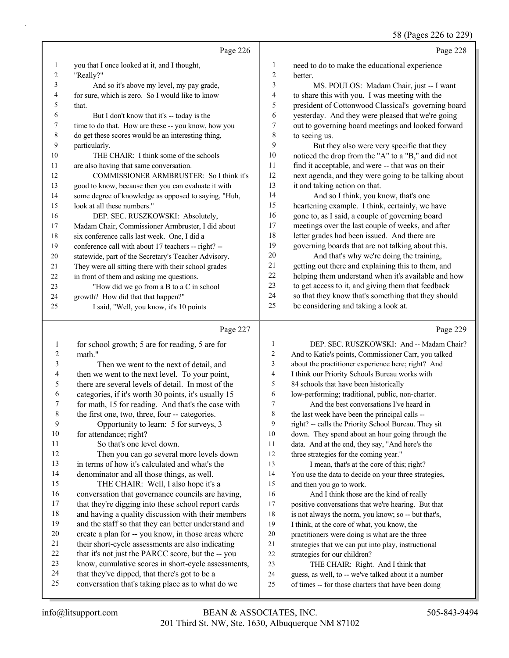|                |                                                      |                | $30$ (1 agus 220 to 229                              |
|----------------|------------------------------------------------------|----------------|------------------------------------------------------|
|                | Page 226                                             |                | Page 228                                             |
|                | you that I once looked at it, and I thought,         | 1              | need to do to make the educational experience        |
| $\overline{2}$ | "Really?"                                            | $\overline{2}$ | better.                                              |
| 3              | And so it's above my level, my pay grade,            | 3              | MS. POULOS: Madam Chair, just -- I want              |
| 4              | for sure, which is zero. So I would like to know     | $\overline{4}$ | to share this with you. I was meeting with the       |
| 5              | that.                                                | 5              | president of Cottonwood Classical's governing board  |
| 6              | But I don't know that it's -- today is the           | 6              | yesterday. And they were pleased that we're going    |
| 7              | time to do that. How are these -- you know, how you  | 7              | out to governing board meetings and looked forward   |
| 8              | do get these scores would be an interesting thing,   | 8              | to seeing us.                                        |
| 9              | particularly.                                        | 9              | But they also were very specific that they           |
| 10             | THE CHAIR: I think some of the schools               | 10             | noticed the drop from the "A" to a "B," and did not  |
| 11             | are also having that same conversation.              | 11             | find it acceptable, and were -- that was on their    |
| 12             | COMMISSIONER ARMBRUSTER: So I think it's             | 12             | next agenda, and they were going to be talking about |
| 13             | good to know, because then you can evaluate it with  | 13             | it and taking action on that.                        |
| 14             | some degree of knowledge as opposed to saying, "Huh, | 14             | And so I think, you know, that's one                 |
| 15             | look at all these numbers."                          | 15             | heartening example. I think, certainly, we have      |
| 16             | DEP. SEC. RUSZKOWSKI: Absolutely,                    | 16             | gone to, as I said, a couple of governing board      |
| 17             | Madam Chair, Commissioner Armbruster, I did about    | 17             | meetings over the last couple of weeks, and after    |
| 18             | six conference calls last week. One, I did a         | 18             | letter grades had been issued. And there are         |
| 19             | conference call with about 17 teachers -- right? --  | 19             | governing boards that are not talking about this.    |
| 20             | statewide, part of the Secretary's Teacher Advisory. | 20             | And that's why we're doing the training,             |
| 21             | They were all sitting there with their school grades | 21             | getting out there and explaining this to them, and   |
| 22             | in front of them and asking me questions.            | 22             | helping them understand when it's available and how  |
| 23             | "How did we go from a B to a C in school             | 23             | to get access to it, and giving them that feedback   |
| 24             | growth? How did that that happen?"                   | 24             | so that they know that's something that they should  |
| 25             | I said, "Well, you know, it's 10 points              | 25             | be considering and taking a look at.                 |
|                |                                                      |                |                                                      |

### Page 227 |

| 1              | for school growth; 5 are for reading, 5 are for      | 1              | DEP. SEC. F           |
|----------------|------------------------------------------------------|----------------|-----------------------|
| $\overline{2}$ | math."                                               | $\overline{2}$ | And to Katie's poir   |
| 3              | Then we went to the next of detail, and              | 3              | about the practition  |
| 4              | then we went to the next level. To your point,       | 4              | I think our Priority  |
| 5              | there are several levels of detail. In most of the   | 5              | 84 schools that hav   |
| 6              | categories, if it's worth 30 points, it's usually 15 | 6              | low-performing; tra   |
| 7              | for math, 15 for reading. And that's the case with   | 7              | And the best          |
| $\,8\,$        | the first one, two, three, four -- categories.       | 8              | the last week have    |
| 9              | Opportunity to learn: 5 for surveys, 3               | 9              | right? -- calls the P |
| 10             | for attendance; right?                               | 10             | down. They spend      |
| 11             | So that's one level down.                            | 11             | data. And at the er   |
| 12             | Then you can go several more levels down             | 12             | three strategies for  |
| 13             | in terms of how it's calculated and what's the       | 13             | I mean, that's        |
| 14             | denominator and all those things, as well.           | 14             | You use the data to   |
| 15             | THE CHAIR: Well, I also hope it's a                  | 15             | and then you go to    |
| 16             | conversation that governance councils are having,    | 16             | And I think t         |
| 17             | that they're digging into these school report cards  | 17             | positive conversati   |
| 18             | and having a quality discussion with their members   | 18             | is not always the no  |
| 19             | and the staff so that they can better understand and | 19             | I think, at the core  |
| 20             | create a plan for -- you know, in those areas where  | 20             | practitioners were    |
| 21             | their short-cycle assessments are also indicating    | 21             | strategies that we c  |
| 22             | that it's not just the PARCC score, but the -- you   | 22             | strategies for our cl |
| 23             | know, cumulative scores in short-cycle assessments,  | 23             | <b>THE CHAIR</b>      |
| 24             | that they've dipped, that there's got to be a        | 24             | guess, as well, to -- |
| 25             | conversation that's taking place as to what do we    | 25             | of times -- for those |

Page 229

| 1              | DEP. SEC. RUSZKOWSKI: And -- Madam Chair?            |
|----------------|------------------------------------------------------|
| $\overline{2}$ | And to Katie's points, Commissioner Carr, you talked |
| 3              | about the practitioner experience here; right? And   |
| $\overline{4}$ | I think our Priority Schools Bureau works with       |
| 5              | 84 schools that have been historically               |
| 6              | low-performing; traditional, public, non-charter.    |
| 7              | And the best conversations I've heard in             |
| 8              | the last week have been the principal calls --       |
| 9              | right? -- calls the Priority School Bureau. They sit |
| 10             | down. They spend about an hour going through the     |
| 11             | data. And at the end, they say, "And here's the      |
| 12             | three strategies for the coming year."               |
| 13             | I mean, that's at the core of this; right?           |
| 14             | You use the data to decide on your three strategies, |
| 15             | and then you go to work.                             |
| 16             | And I think those are the kind of really             |
| 17             | positive conversations that we're hearing. But that  |
| 18             | is not always the norm, you know; so -- but that's,  |
| 19             | I think, at the core of what, you know, the          |
| 20             | practitioners were doing is what are the three       |
| 21             | strategies that we can put into play, instructional  |
| 22             | strategies for our children?                         |
| 23             | THE CHAIR: Right. And I think that                   |
| 24             | guess, as well, to -- we've talked about it a number |
| 25             | of times -- for those charters that have been doing  |
|                |                                                      |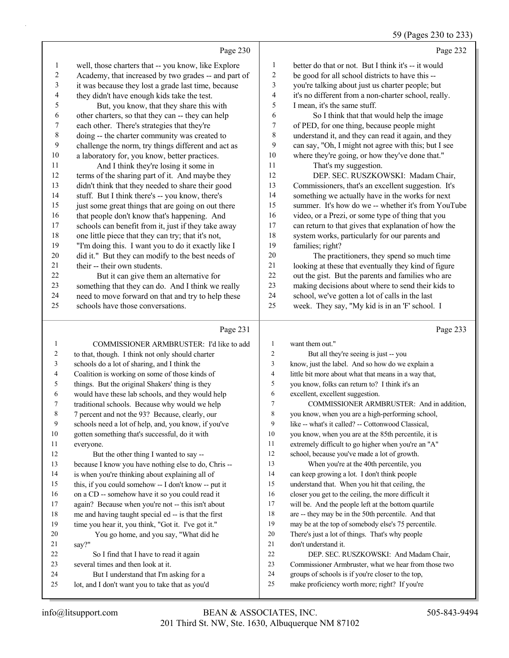## 59 (Pages 230 to 233)

| Page 230                                                  |    | Page 232                                             |
|-----------------------------------------------------------|----|------------------------------------------------------|
| well, those charters that -- you know, like Explore<br>1  | 1  | better do that or not. But I think it's -- it would  |
| 2<br>Academy, that increased by two grades -- and part of | 2  | be good for all school districts to have this --     |
| 3<br>it was because they lost a grade last time, because  | 3  | you're talking about just us charter people; but     |
| 4<br>they didn't have enough kids take the test.          | 4  | it's no different from a non-charter school, really. |
| 5<br>But, you know, that they share this with             | 5  | I mean, it's the same stuff.                         |
| other charters, so that they can -- they can help<br>6    | 6  | So I think that that would help the image            |
| 7<br>each other. There's strategies that they're          | 7  | of PED, for one thing, because people might          |
| 8<br>doing -- the charter community was created to        | 8  | understand it, and they can read it again, and they  |
| 9<br>challenge the norm, try things different and act as  | 9  | can say, "Oh, I might not agree with this; but I see |
| 10<br>a laboratory for, you know, better practices.       | 10 | where they're going, or how they've done that."      |
| 11<br>And I think they're losing it some in               | 11 | That's my suggestion.                                |
| 12<br>terms of the sharing part of it. And maybe they     | 12 | DEP. SEC. RUSZKOWSKI: Madam Chair,                   |
| 13<br>didn't think that they needed to share their good   | 13 | Commissioners, that's an excellent suggestion. It's  |
| 14<br>stuff. But I think there's -- you know, there's     | 14 | something we actually have in the works for next     |
| 15<br>just some great things that are going on out there  | 15 | summer. It's how do we -- whether it's from YouTube  |
| 16<br>that people don't know that's happening. And        | 16 | video, or a Prezi, or some type of thing that you    |
| schools can benefit from it, just if they take away<br>17 | 17 | can return to that gives that explanation of how the |
| 18<br>one little piece that they can try; that it's not,  | 18 | system works, particularly for our parents and       |
| 19<br>"I'm doing this. I want you to do it exactly like I | 19 | families; right?                                     |
| 20<br>did it." But they can modify to the best needs of   | 20 | The practitioners, they spend so much time           |
| their -- their own students.<br>21                        | 21 | looking at these that eventually they kind of figure |
| 22<br>But it can give them an alternative for             | 22 | out the gist. But the parents and families who are   |
| 23<br>something that they can do. And I think we really   | 23 | making decisions about where to send their kids to   |
| 24<br>need to move forward on that and try to help these  | 24 | school, we've gotten a lot of calls in the last      |
| 25<br>schools have those conversations.                   | 25 | week. They say, "My kid is in an 'F' school. I       |
| Page 231                                                  |    | Page 233                                             |
| COMMISSIONER ARMBRUSTER: I'd like to add                  |    | want them out."                                      |

|    | COMMISSIONER ARMBRUSTER: I'd like to add             | 1              | want them out."                                      |
|----|------------------------------------------------------|----------------|------------------------------------------------------|
| 2  | to that, though. I think not only should charter     | $\overline{c}$ | But all they're seeing is just -- you                |
| 3  | schools do a lot of sharing, and I think the         | 3              | know, just the label. And so how do we explain a     |
| 4  | Coalition is working on some of those kinds of       | 4              | little bit more about what that means in a way that, |
| 5  | things. But the original Shakers' thing is they      | 5              | you know, folks can return to? I think it's an       |
| 6  | would have these lab schools, and they would help    | 6              | excellent, excellent suggestion.                     |
| 7  | traditional schools. Because why would we help       | 7              | COMMISSIONER ARMBRUSTER: And in addition,            |
| 8  | 7 percent and not the 93? Because, clearly, our      | 8              | you know, when you are a high-performing school,     |
| 9  | schools need a lot of help, and, you know, if you've | 9              | like -- what's it called? -- Cottonwood Classical,   |
| 10 | gotten something that's successful, do it with       | 10             | you know, when you are at the 85th percentile, it is |
| 11 | everyone.                                            | 11             | extremely difficult to go higher when you're an "A"  |
| 12 | But the other thing I wanted to say --               | 12             | school, because you've made a lot of growth.         |
| 13 | because I know you have nothing else to do, Chris -- | 13             | When you're at the 40th percentile, you              |
| 14 | is when you're thinking about explaining all of      | 14             | can keep growing a lot. I don't think people         |
| 15 | this, if you could somehow -- I don't know -- put it | 15             | understand that. When you hit that ceiling, the      |
| 16 | on a CD -- somehow have it so you could read it      | 16             | closer you get to the ceiling, the more difficult it |
| 17 | again? Because when you're not -- this isn't about   | 17             | will be. And the people left at the bottom quartile  |
| 18 | me and having taught special ed -- is that the first | 18             | are -- they may be in the 50th percentile. And that  |
| 19 | time you hear it, you think, "Got it. I've got it."  | 19             | may be at the top of somebody else's 75 percentile.  |
| 20 | You go home, and you say, "What did he               | 20             | There's just a lot of things. That's why people      |
| 21 | say?"                                                | 21             | don't understand it.                                 |
| 22 | So I find that I have to read it again               | 22             | DEP. SEC. RUSZKOWSKI: And Madam Chair,               |
| 23 | several times and then look at it.                   | 23             | Commissioner Armbruster, what we hear from those two |
| 24 | But I understand that I'm asking for a               | 24             | groups of schools is if you're closer to the top,    |
| 25 | lot, and I don't want you to take that as you'd      | 25             | make proficiency worth more; right? If you're        |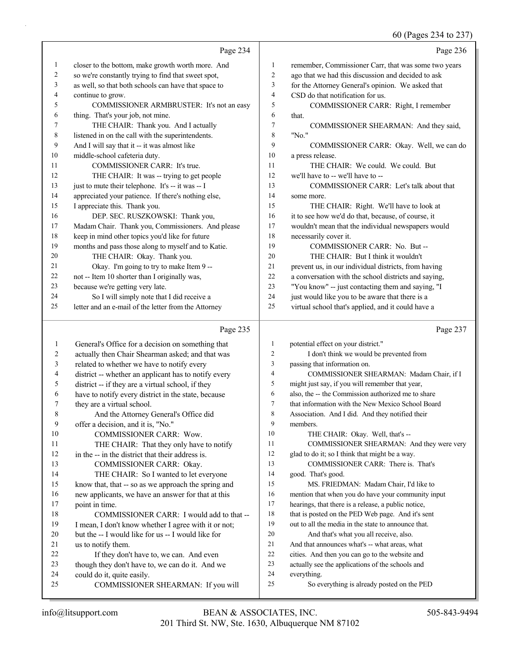#### 60 (Pages 234 to 237)

|    | Page 234                                             |                | Page 236                                             |
|----|------------------------------------------------------|----------------|------------------------------------------------------|
| 1  | closer to the bottom, make growth worth more. And    | 1              | remember, Commissioner Carr, that was some two years |
| 2  | so we're constantly trying to find that sweet spot,  | $\overline{2}$ | ago that we had this discussion and decided to ask   |
| 3  | as well, so that both schools can have that space to | 3              | for the Attorney General's opinion. We asked that    |
| 4  | continue to grow.                                    | $\overline{4}$ | CSD do that notification for us.                     |
| 5  | COMMISSIONER ARMBRUSTER: It's not an easy            | 5              | COMMISSIONER CARR: Right, I remember                 |
| 6  | thing. That's your job, not mine.                    | 6              | that.                                                |
| 7  | THE CHAIR: Thank you. And I actually                 | $\tau$         | COMMISSIONER SHEARMAN: And they said,                |
| 8  | listened in on the call with the superintendents.    | 8              | "No."                                                |
| 9  | And I will say that it -- it was almost like         | 9              | COMMISSIONER CARR: Okay. Well, we can do             |
| 10 | middle-school cafeteria duty.                        | 10             | a press release.                                     |
| 11 | COMMISSIONER CARR: It's true.                        | 11             | THE CHAIR: We could. We could. But                   |
| 12 | THE CHAIR: It was -- trying to get people            | 12             | we'll have to -- we'll have to --                    |
| 13 | just to mute their telephone. It's -- it was -- I    | 13             | COMMISSIONER CARR: Let's talk about that             |
| 14 | appreciated your patience. If there's nothing else,  | 14             | some more.                                           |
| 15 | I appreciate this. Thank you.                        | 15             | THE CHAIR: Right. We'll have to look at              |
| 16 | DEP. SEC. RUSZKOWSKI: Thank you,                     | 16             | it to see how we'd do that, because, of course, it   |
| 17 | Madam Chair. Thank you, Commissioners. And please    | 17             | wouldn't mean that the individual newspapers would   |
| 18 | keep in mind other topics you'd like for future      | 18             | necessarily cover it.                                |
| 19 | months and pass those along to myself and to Katie.  | 19             | COMMISSIONER CARR: No. But-                          |
| 20 | THE CHAIR: Okay. Thank you.                          | 20             | THE CHAIR: But I think it wouldn't                   |
| 21 | Okay. I'm going to try to make Item 9 --             | 21             | prevent us, in our individual districts, from having |
| 22 | not -- Item 10 shorter than I originally was,        | 22             | a conversation with the school districts and saying, |
| 23 | because we're getting very late.                     | 23             | "You know" -- just contacting them and saying, "I    |
| 24 | So I will simply note that I did receive a           | 24             | just would like you to be aware that there is a      |
| 25 | letter and an e-mail of the letter from the Attorney | 25             | virtual school that's applied, and it could have a   |
|    | Page 235                                             |                | Page 237                                             |

#### Page 235

 General's Office for a decision on something that actually then Chair Shearman asked; and that was related to whether we have to notify every district -- whether an applicant has to notify every district -- if they are a virtual school, if they have to notify every district in the state, because they are a virtual school. 8 And the Attorney General's Office did offer a decision, and it is, "No." 10 COMMISSIONER CARR: Wow. 11 THE CHAIR: That they only have to notify in the -- in the district that their address is. 13 COMMISSIONER CARR: Okay. 14 THE CHAIR: So I wanted to let everyone know that, that -- so as we approach the spring and new applicants, we have an answer for that at this 17 point in time. 18 COMMISSIONER CARR: I would add to that -- I mean, I don't know whether I agree with it or not; but the -- I would like for us -- I would like for us to notify them. 22 If they don't have to, we can. And even though they don't have to, we can do it. And we could do it, quite easily. 25 COMMISSIONER SHEARMAN: If you will potential effect on your district." 2 I don't think we would be prevented from passing that information on. 4 COMMISSIONER SHEARMAN: Madam Chair, if I might just say, if you will remember that year, also, the -- the Commission authorized me to share that information with the New Mexico School Board Association. And I did. And they notified their members. 10 THE CHAIR: Okay. Well, that's -- 11 COMMISSIONER SHEARMAN: And they were very glad to do it; so I think that might be a way. 13 COMMISSIONER CARR: There is. That's good. That's good. 15 MS. FRIEDMAN: Madam Chair, I'd like to mention that when you do have your community input hearings, that there is a release, a public notice, 18 that is posted on the PED Web page. And it's sent out to all the media in the state to announce that. 20 And that's what you all receive, also. And that announces what's -- what areas, what cities. And then you can go to the website and actually see the applications of the schools and everything. 25 So everything is already posted on the PED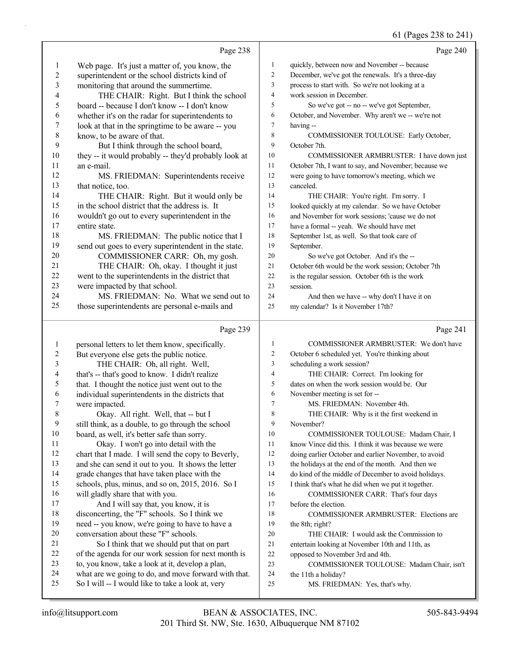### 61 (Pages 238 to 241)

|                |                                                                                                           |                          | $01$ (1 agos 250 to 2 11)                             |
|----------------|-----------------------------------------------------------------------------------------------------------|--------------------------|-------------------------------------------------------|
|                | Page 238                                                                                                  |                          | Page 240                                              |
| 1              | Web page. It's just a matter of, you know, the                                                            | $\mathbf{1}$             | quickly, between now and November -- because          |
| $\overline{c}$ | superintendent or the school districts kind of                                                            | 2                        | December, we've got the renewals. It's a three-day    |
| 3              | monitoring that around the summertime.                                                                    | 3                        | process to start with. So we're not looking at a      |
| 4              | THE CHAIR: Right. But I think the school                                                                  | $\overline{\mathcal{L}}$ | work session in December.                             |
| 5              | board -- because I don't know -- I don't know                                                             | 5                        | So we've got -- no -- we've got September,            |
| 6              | whether it's on the radar for superintendents to                                                          | 6                        | October, and November. Why aren't we -- we're not     |
| 7              | look at that in the springtime to be aware -- you                                                         | 7                        | having --                                             |
| 8              | know, to be aware of that.                                                                                | 8                        | COMMISSIONER TOULOUSE: Early October,                 |
| 9              | But I think through the school board,                                                                     | 9                        | October 7th.                                          |
| 10             | they -- it would probably -- they'd probably look at                                                      | 10                       | COMMISSIONER ARMBRUSTER: I have down just             |
| 11             | an e-mail.                                                                                                | 11                       | October 7th, I want to say, and November; because we  |
| 12             | MS. FRIEDMAN: Superintendents receive                                                                     | 12                       | were going to have tomorrow's meeting, which we       |
| 13             | that notice, too.                                                                                         | 13                       | canceled.                                             |
| 14             | THE CHAIR: Right. But it would only be                                                                    | 14                       | THE CHAIR: You're right. I'm sorry. I                 |
| 15             | in the school district that the address is. It                                                            | 15                       | looked quickly at my calendar. So we have October     |
| 16             | wouldn't go out to every superintendent in the                                                            | 16                       | and November for work sessions; 'cause we do not      |
| 17             | entire state.                                                                                             | 17                       | have a formal -- yeah. We should have met             |
| 18             | MS. FRIEDMAN: The public notice that I                                                                    | 18                       | September 1st, as well. So that took care of          |
| 19             | send out goes to every superintendent in the state.                                                       | 19                       | September.                                            |
| 20             | COMMISSIONER CARR: Oh, my gosh.                                                                           | $20\,$                   | So we've got October. And it's the --                 |
| 21             | THE CHAIR: Oh, okay. I thought it just                                                                    | 21                       | October 6th would be the work session; October 7th    |
| 22             | went to the superintendents in the district that                                                          | $22\,$                   | is the regular session. October 6th is the work       |
| 23             | were impacted by that school.                                                                             | 23                       | session.                                              |
| 24             | MS. FRIEDMAN: No. What we send out to                                                                     | 24                       | And then we have -- why don't I have it on            |
| 25             | those superintendents are personal e-mails and                                                            | 25                       | my calendar? Is it November 17th?                     |
|                |                                                                                                           |                          |                                                       |
|                | Page 239                                                                                                  |                          | Page 241                                              |
| 1              |                                                                                                           | 1                        | COMMISSIONER ARMBRUSTER: We don't have                |
| 2              | personal letters to let them know, specifically.                                                          | 2                        | October 6 scheduled yet. You're thinking about        |
| 3              | But everyone else gets the public notice.                                                                 | 3                        | scheduling a work session?                            |
| 4              | THE CHAIR: Oh, all right. Well,<br>that's -- that's good to know. I didn't realize                        | 4                        | THE CHAIR: Correct. I'm looking for                   |
| 5              | that. I thought the notice just went out to the                                                           | 5                        | dates on when the work session would be. Our          |
| 6              | individual superintendents in the districts that                                                          | 6                        | November meeting is set for --                        |
| 7              | were impacted.                                                                                            | 7                        | MS. FRIEDMAN: November 4th.                           |
| 8              | Okay. All right. Well, that -- but I                                                                      | 8                        | THE CHAIR: Why is it the first weekend in             |
| 9              | still think, as a double, to go through the school                                                        | 9                        | November?                                             |
| 10             | board, as well, it's better safe than sorry.                                                              | $10\,$                   | COMMISSIONER TOULOUSE: Madam Chair, I                 |
| 11             | Okay. I won't go into detail with the                                                                     | 11                       | know Vince did this. I think it was because we were   |
| 12             | chart that I made. I will send the copy to Beverly,                                                       | 12                       | doing earlier October and earlier November, to avoid  |
| 13             | and she can send it out to you. It shows the letter                                                       | 13                       | the holidays at the end of the month. And then we     |
| 14             | grade changes that have taken place with the                                                              | 14                       | do kind of the middle of December to avoid holidays.  |
| 15             | schools, plus, minus, and so on, 2015, 2016. So I                                                         | 15                       | I think that's what he did when we put it together.   |
| 16             | will gladly share that with you.                                                                          | 16                       | COMMISSIONER CARR: That's four days                   |
| 17             | And I will say that, you know, it is                                                                      | 17                       | before the election.                                  |
| 18             | disconcerting, the "F" schools. So I think we                                                             | 18                       | COMMISSIONER ARMBRUSTER: Elections are                |
| 19             | need -- you know, we're going to have to have a                                                           | 19                       | the 8th; right?                                       |
| $20\,$         | conversation about these "F" schools.                                                                     | $20\,$                   | THE CHAIR: I would ask the Commission to              |
| 21             | So I think that we should put that on part                                                                | 21                       | entertain looking at November 10th and 11th, as       |
| 22             | of the agenda for our work session for next month is                                                      | $22\,$                   | opposed to November 3rd and 4th.                      |
| 23             | to, you know, take a look at it, develop a plan,                                                          | 23                       | COMMISSIONER TOULOUSE: Madam Chair, isn't             |
| 24<br>25       | what are we going to do, and move forward with that.<br>So I will -- I would like to take a look at, very | 24<br>25                 | the 11th a holiday?<br>MS. FRIEDMAN: Yes, that's why. |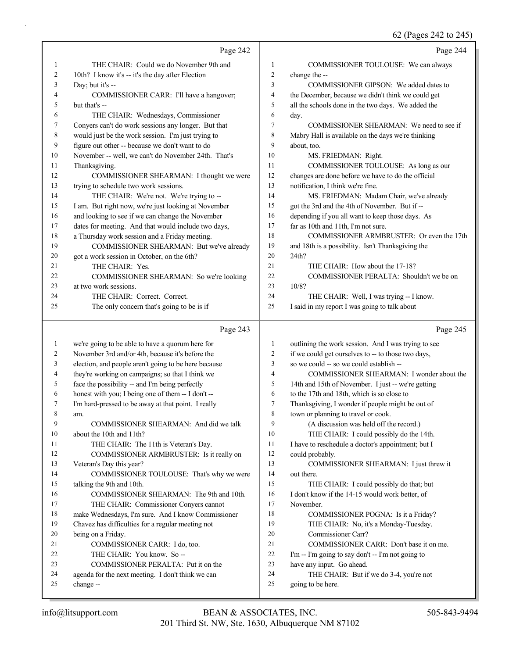|              |                                                                |                | $0 - \frac{1}{2}$ to $0 - \frac{1}{2}$ to $0 - \frac{1}{2}$  |
|--------------|----------------------------------------------------------------|----------------|--------------------------------------------------------------|
|              | Page 242                                                       |                | Page 244                                                     |
| 1            | THE CHAIR: Could we do November 9th and                        | 1              | COMMISSIONER TOULOUSE: We can always                         |
| 2            | 10th? I know it's -- it's the day after Election               | 2              | change the --                                                |
| 3            | Day; but it's --                                               | 3              | COMMISSIONER GIPSON: We added dates to                       |
| 4            | COMMISSIONER CARR: I'll have a hangover;                       | 4              | the December, because we didn't think we could get           |
| 5            | but that's --                                                  | 5              | all the schools done in the two days. We added the           |
| 6            | THE CHAIR: Wednesdays, Commissioner                            | 6              | day.                                                         |
| 7            | Conyers can't do work sessions any longer. But that            | 7              | COMMISSIONER SHEARMAN: We need to see if                     |
| 8            | would just be the work session. I'm just trying to             | 8              | Mabry Hall is available on the days we're thinking           |
| 9            | figure out other -- because we don't want to do                | 9              | about, too.                                                  |
| 10           | November -- well, we can't do November 24th. That's            | 10             | MS. FRIEDMAN: Right.                                         |
| 11           | Thanksgiving.                                                  | 11             | COMMISSIONER TOULOUSE: As long as our                        |
| 12           | COMMISSIONER SHEARMAN: I thought we were                       | 12             | changes are done before we have to do the official           |
| 13           | trying to schedule two work sessions.                          | 13             | notification, I think we're fine.                            |
| 14           | THE CHAIR: We're not. We're trying to --                       | 14             | MS. FRIEDMAN: Madam Chair, we've already                     |
| 15           | I am. But right now, we're just looking at November            | 15             | got the 3rd and the 4th of November. But if --               |
| 16           | and looking to see if we can change the November               | 16             | depending if you all want to keep those days. As             |
| 17           | dates for meeting. And that would include two days,            | 17             | far as 10th and 11th, I'm not sure.                          |
| 18           | a Thursday work session and a Friday meeting.                  | 18             | COMMISSIONER ARMBRUSTER: Or even the 17th                    |
| 19           | COMMISSIONER SHEARMAN: But we've already                       | 19             | and 18th is a possibility. Isn't Thanksgiving the            |
| 20           | got a work session in October, on the 6th?                     | 20             | 24th?                                                        |
| 21           | THE CHAIR: Yes.                                                | 21             | THE CHAIR: How about the 17-18?                              |
| 22           | COMMISSIONER SHEARMAN: So we're looking                        | 22             | COMMISSIONER PERALTA: Shouldn't we be on                     |
| 23           | at two work sessions.                                          | 23             | 10/8?                                                        |
| 24           | THE CHAIR: Correct. Correct.                                   | 24             | THE CHAIR: Well, I was trying -- I know.                     |
| 25           | The only concern that's going to be is if                      | 25             | I said in my report I was going to talk about                |
|              | Page 243                                                       |                | Page 245                                                     |
| $\mathbf{1}$ | we're going to be able to have a quorum here for               | 1              | outlining the work session. And I was trying to see          |
| 2            | November 3rd and/or 4th, because it's before the               | $\overline{2}$ | if we could get ourselves to -- to those two days,           |
| 3            | election, and people aren't going to be here because           | 3              | so we could -- so we could establish --                      |
| 4            | they're working on campaigns; so that I think we               | 4              | COMMISSIONER SHEARMAN: I wonder about the                    |
| 5            | face the possibility -- and I'm being perfectly                | 5              | 14th and 15th of November. I just -- we're getting           |
| 6            | honest with you; I being one of them -- I don't --             | 6              | to the 17th and 18th, which is so close to                   |
| 7            | I'm hard-pressed to be away at that point. I really            | 7              | Thanksgiving, I wonder if people might be out of             |
| 8            | am.                                                            |                |                                                              |
| 9            |                                                                | 8              | town or planning to travel or cook.                          |
| 10           | COMMISSIONER SHEARMAN: And did we talk                         | 9              | (A discussion was held off the record.)                      |
|              | about the 10th and 11th?                                       | 10             | THE CHAIR: I could possibly do the 14th.                     |
| 11           | THE CHAIR: The 11th is Veteran's Day.                          | 11             | I have to reschedule a doctor's appointment; but I           |
| 12           | COMMISSIONER ARMBRUSTER: Is it really on                       | 12             | could probably.                                              |
| 13           | Veteran's Day this year?                                       | 13             | COMMISSIONER SHEARMAN: I just threw it                       |
| 14           | COMMISSIONER TOULOUSE: That's why we were                      | 14             | out there.                                                   |
| 15           | talking the 9th and 10th.                                      | 15             | THE CHAIR: I could possibly do that; but                     |
| 16           | COMMISSIONER SHEARMAN: The 9th and 10th.                       | 16             | I don't know if the 14-15 would work better, of              |
| 17           | THE CHAIR: Commissioner Conyers cannot                         | 17             | November.                                                    |
| 18           | make Wednesdays, I'm sure. And I know Commissioner             | 18             | COMMISSIONER POGNA: Is it a Friday?                          |
| 19           | Chavez has difficulties for a regular meeting not              | 19             | THE CHAIR: No, it's a Monday-Tuesday.                        |
| 20           | being on a Friday.                                             | 20             | Commissioner Carr?                                           |
| 21           | COMMISSIONER CARR: I do, too.                                  | 21             | COMMISSIONER CARR: Don't base it on me.                      |
| 22           | THE CHAIR: You know. So --                                     | 22             | I'm -- I'm going to say don't -- I'm not going to            |
| 23           | COMMISSIONER PERALTA: Put it on the                            | 23             | have any input. Go ahead.                                    |
| 24<br>25     | agenda for the next meeting. I don't think we can<br>change -- | 24<br>25       | THE CHAIR: But if we do 3-4, you're not<br>going to be here. |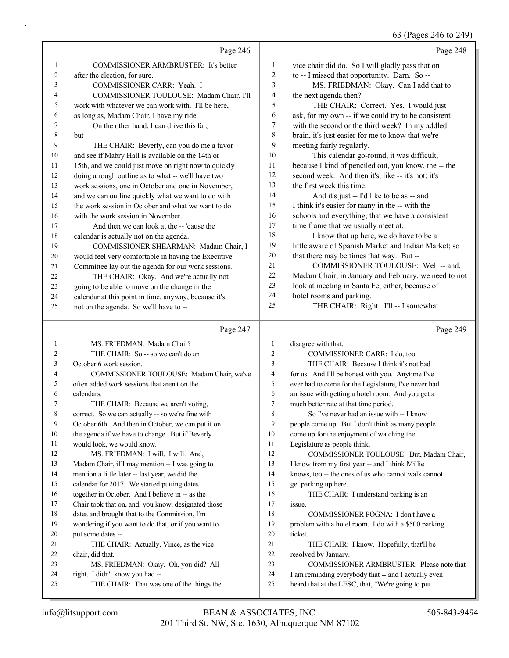#### 63 (Pages 246 to 249)

|                | Page 246                                             |                | Page 248                                             |
|----------------|------------------------------------------------------|----------------|------------------------------------------------------|
| 1              | COMMISSIONER ARMBRUSTER: It's better                 | 1              | vice chair did do. So I will gladly pass that on     |
| $\overline{2}$ | after the election, for sure.                        | $\overline{c}$ | to -- I missed that opportunity. Darn. So --         |
| 3              | COMMISSIONER CARR: Yeah. I --                        | 3              | MS. FRIEDMAN: Okay. Can I add that to                |
| 4              | COMMISSIONER TOULOUSE: Madam Chair, I'll             | $\overline{4}$ | the next agenda then?                                |
| 5              | work with whatever we can work with. I'll be here,   | 5              | THE CHAIR: Correct. Yes. I would just                |
| 6              | as long as, Madam Chair, I have my ride.             | 6              | ask, for my own -- if we could try to be consistent  |
| 7              | On the other hand, I can drive this far;             | 7              | with the second or the third week? In my addled      |
| 8              | $but -$                                              | 8              | brain, it's just easier for me to know that we're    |
| 9              | THE CHAIR: Beverly, can you do me a favor            | 9              | meeting fairly regularly.                            |
| 10             | and see if Mabry Hall is available on the 14th or    | 10             | This calendar go-round, it was difficult,            |
| 11             | 15th, and we could just move on right now to quickly | 11             | because I kind of penciled out, you know, the -- the |
| 12             | doing a rough outline as to what -- we'll have two   | 12             | second week. And then it's, like -- it's not; it's   |
| 13             | work sessions, one in October and one in November,   | 13             | the first week this time.                            |
| 14             | and we can outline quickly what we want to do with   | 14             | And it's just -- I'd like to be as -- and            |
| 15             | the work session in October and what we want to do   | 15             | I think it's easier for many in the -- with the      |
| 16             | with the work session in November.                   | 16             | schools and everything, that we have a consistent    |
| 17             | And then we can look at the -- 'cause the            | 17             | time frame that we usually meet at.                  |
| 18             | calendar is actually not on the agenda.              | 18             | I know that up here, we do have to be a              |
| 19             | COMMISSIONER SHEARMAN: Madam Chair, I                | 19             | little aware of Spanish Market and Indian Market; so |
| 20             | would feel very comfortable in having the Executive  | 20             | that there may be times that way. But --             |
| 21             | Committee lay out the agenda for our work sessions.  | 21             | COMMISSIONER TOULOUSE: Well -- and,                  |
| 22             | THE CHAIR: Okay. And we're actually not              | 22             | Madam Chair, in January and February, we need to not |
| 23             | going to be able to move on the change in the        | 23             | look at meeting in Santa Fe, either, because of      |
| 24             | calendar at this point in time, anyway, because it's | 24             | hotel rooms and parking.                             |
| 25             | not on the agenda. So we'll have to --               | 25             | THE CHAIR: Right. I'll -- I somewhat                 |
|                | Page 247                                             |                | Page 249                                             |
| 1              | MS. FRIEDMAN: Madam Chair?                           | 1              | disagree with that.                                  |

| $\mathbf{1}$   | MS. FRIEDMAN: Madam Chair?                          | 1              | disagree with that.                                  |
|----------------|-----------------------------------------------------|----------------|------------------------------------------------------|
| 2              | THE CHAIR: So -- so we can't do an                  | $\overline{c}$ | COMMISSIONER CARR: I do, too.                        |
| 3              | October 6 work session.                             | $\overline{3}$ | THE CHAIR: Because I think it's not bad              |
| 4              | COMMISSIONER TOULOUSE: Madam Chair, we've           | 4              | for us. And I'll be honest with you. Anytime I've    |
| 5              | often added work sessions that aren't on the        | 5              | ever had to come for the Legislature, I've never had |
| 6              | calendars.                                          | 6              | an issue with getting a hotel room. And you get a    |
| 7              | THE CHAIR: Because we aren't voting,                | 7              | much better rate at that time period.                |
| 8              | correct. So we can actually -- so we're fine with   | 8              | So I've never had an issue with -- I know            |
| 9              | October 6th. And then in October, we can put it on  | 9              | people come up. But I don't think as many people     |
| $\mathbf{0}$   | the agenda if we have to change. But if Beverly     | 10             | come up for the enjoyment of watching the            |
| $\mathbf{1}$   | would look, we would know.                          | 11             | Legislature as people think.                         |
| 2              | MS. FRIEDMAN: I will. I will. And,                  | 12             | COMMISSIONER TOULOUSE: But, Madam Chair,             |
| $\mathbf{3}$   | Madam Chair, if I may mention -- I was going to     | 13             | I know from my first year -- and I think Millie      |
| $\overline{A}$ | mention a little later -- last year, we did the     | 14             | knows, too -- the ones of us who cannot walk cannot  |
| 5              | calendar for 2017. We started putting dates         | 15             | get parking up here.                                 |
| 6              | together in October. And I believe in -- as the     | 16             | THE CHAIR: I understand parking is an                |
| $\tau$         | Chair took that on, and, you know, designated those | 17             | issue.                                               |
| 8              | dates and brought that to the Commission, I'm       | 18             | COMMISSIONER POGNA: I don't have a                   |
| 9              | wondering if you want to do that, or if you want to | 19             | problem with a hotel room. I do with a \$500 parking |
| 20             | put some dates --                                   | 20             | ticket.                                              |
| 21             | THE CHAIR: Actually, Vince, as the vice             | 21             | THE CHAIR: I know. Hopefully, that'll be             |
| $^{22}$        | chair, did that.                                    | 22             | resolved by January.                                 |
| $^{13}$        | MS. FRIEDMAN: Okay. Oh, you did? All                | 23             | COMMISSIONER ARMBRUSTER: Please note that            |
| 24             | right. I didn't know you had --                     | 24             | I am reminding everybody that -- and I actually even |
| '5             | THE CHAIR: That was one of the things the           | 25             | heard that at the LESC, that, "We're going to put    |
|                |                                                     |                |                                                      |

put some dates --

chair, did that.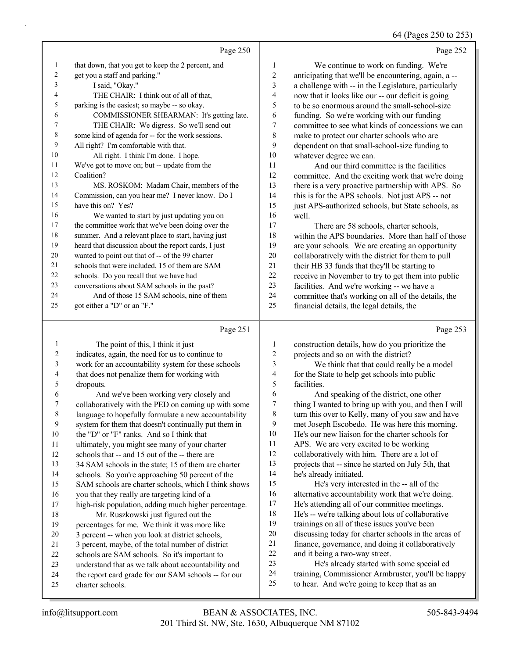64 (Pages 250 to 253)

|                |                                                      |                | $\sigma$ , and $\sigma$ is 200 to 200                |
|----------------|------------------------------------------------------|----------------|------------------------------------------------------|
|                | Page 250                                             |                | Page 252                                             |
| 1              | that down, that you get to keep the 2 percent, and   | 1              | We continue to work on funding. We're                |
| $\overline{c}$ | get you a staff and parking."                        | $\overline{c}$ | anticipating that we'll be encountering, again, a -- |
| 3              | I said, "Okay."                                      | 3              | a challenge with -- in the Legislature, particularly |
| 4              | THE CHAIR: I think out of all of that,               | 4              | now that it looks like our -- our deficit is going   |
| 5              | parking is the easiest; so maybe -- so okay.         | 5              | to be so enormous around the small-school-size       |
| 6              | COMMISSIONER SHEARMAN: It's getting late.            | 6              | funding. So we're working with our funding           |
| 7              | THE CHAIR: We digress. So we'll send out             | 7              | committee to see what kinds of concessions we can    |
| 8              | some kind of agenda for -- for the work sessions.    | 8              | make to protect our charter schools who are          |
| 9              | All right? I'm comfortable with that.                | 9              | dependent on that small-school-size funding to       |
| 10             | All right. I think I'm done. I hope.                 | 10             | whatever degree we can.                              |
| 11             | We've got to move on; but -- update from the         | 11             | And our third committee is the facilities            |
| 12             | Coalition?                                           | 12             | committee. And the exciting work that we're doing    |
| 13             | MS. ROSKOM: Madam Chair, members of the              | 13             | there is a very proactive partnership with APS. So   |
| 14             | Commission, can you hear me? I never know. Do I      | 14             | this is for the APS schools. Not just APS -- not     |
| 15             | have this on? Yes?                                   | 15             | just APS-authorized schools, but State schools, as   |
| 16             | We wanted to start by just updating you on           | 16             | well.                                                |
| 17             | the committee work that we've been doing over the    | 17             | There are 58 schools, charter schools,               |
| 18             | summer. And a relevant place to start, having just   | 18             | within the APS boundaries. More than half of those   |
| 19             | heard that discussion about the report cards, I just | 19             | are your schools. We are creating an opportunity     |
| 20             | wanted to point out that of -- of the 99 charter     | 20             | collaboratively with the district for them to pull   |
| 21             | schools that were included, 15 of them are SAM       | 21             | their HB 33 funds that they'll be starting to        |
| 22             | schools. Do you recall that we have had              | 22             | receive in November to try to get them into public   |
| 23             | conversations about SAM schools in the past?         | 23             | facilities. And we're working -- we have a           |
| 24             | And of those 15 SAM schools, nine of them            | 24             | committee that's working on all of the details, the  |
| 25             | got either a "D" or an "F."                          | 25             | financial details, the legal details, the            |
|                | Page 251                                             |                | Page 253                                             |
| 1              | The point of this, I think it just                   | 1              | construction details, how do you prioritize the      |

|    | The point of this, I think it just                   | 1              | construction details, how do you prioritize the      |
|----|------------------------------------------------------|----------------|------------------------------------------------------|
| 2  | indicates, again, the need for us to continue to     | $\overline{c}$ | projects and so on with the district?                |
| 3  | work for an accountability system for these schools  | 3              | We think that that could really be a model           |
| 4  | that does not penalize them for working with         | 4              | for the State to help get schools into public        |
| 5  | dropouts.                                            | 5              | facilities.                                          |
| 6  | And we've been working very closely and              | 6              | And speaking of the district, one other              |
| 7  | collaboratively with the PED on coming up with some  | 7              | thing I wanted to bring up with you, and then I will |
| 8  | language to hopefully formulate a new accountability | 8              | turn this over to Kelly, many of you saw and have    |
| 9  | system for them that doesn't continually put them in | 9              | met Joseph Escobedo. He was here this morning.       |
| 10 | the "D" or "F" ranks. And so I think that            | 10             | He's our new liaison for the charter schools for     |
| 11 | ultimately, you might see many of your charter       | 11             | APS. We are very excited to be working               |
| 12 | schools that -- and 15 out of the -- there are       | 12             | collaboratively with him. There are a lot of         |
| 13 | 34 SAM schools in the state; 15 of them are charter  | 13             | projects that -- since he started on July 5th, that  |
| 14 | schools. So you're approaching 50 percent of the     | 14             | he's already initiated.                              |
| 15 | SAM schools are charter schools, which I think shows | 15             | He's very interested in the -- all of the            |
| 16 | you that they really are targeting kind of a         | 16             | alternative accountability work that we're doing.    |
| 17 | high-risk population, adding much higher percentage. | 17             | He's attending all of our committee meetings.        |
| 18 | Mr. Ruszkowski just figured out the                  | 18             | He's -- we're talking about lots of collaborative    |
| 19 | percentages for me. We think it was more like        | 19             | trainings on all of these issues you've been         |
| 20 | 3 percent -- when you look at district schools,      | 20             | discussing today for charter schools in the areas of |
| 21 | 3 percent, maybe, of the total number of district    | 21             | finance, governance, and doing it collaboratively    |
| 22 | schools are SAM schools. So it's important to        | 22             | and it being a two-way street.                       |
| 23 | understand that as we talk about accountability and  | 23             | He's already started with some special ed            |
| 24 | the report card grade for our SAM schools -- for our | 24             | training, Commissioner Armbruster, you'll be happy   |
| 25 | charter schools.                                     | 25             | to hear. And we're going to keep that as an          |
|    |                                                      |                |                                                      |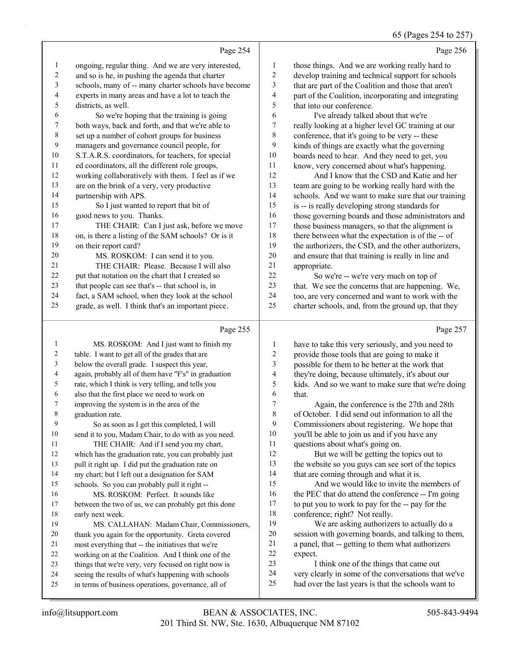### 65 (Pages 254 to 257)

|                |                                                      |                | $0.01 \text{ kg}$ as $2.01 \text{ m}$ $2.01$         |
|----------------|------------------------------------------------------|----------------|------------------------------------------------------|
|                | Page 254                                             |                | Page 256                                             |
| $\mathbf{1}$   | ongoing, regular thing. And we are very interested,  | 1              | those things. And we are working really hard to      |
| 2              | and so is he, in pushing the agenda that charter     | $\overline{c}$ | develop training and technical support for schools   |
| $\mathfrak{Z}$ | schools, many of -- many charter schools have become | 3              | that are part of the Coalition and those that aren't |
| $\overline{4}$ | experts in many areas and have a lot to teach the    | 4              | part of the Coalition, incorporating and integrating |
| 5              | districts, as well.                                  | 5              | that into our conference.                            |
| 6              | So we're hoping that the training is going           | 6              | I've already talked about that we're                 |
| 7              | both ways, back and forth, and that we're able to    | 7              | really looking at a higher level GC training at our  |
| $\,8\,$        | set up a number of cohort groups for business        | 8              | conference, that it's going to be very -- these      |
| 9              | managers and governance council people, for          | 9              | kinds of things are exactly what the governing       |
| 10             | S.T.A.R.S. coordinators, for teachers, for special   | 10             | boards need to hear. And they need to get, you       |
| 11             | ed coordinators, all the different role groups,      | 11             | know, very concerned about what's happening.         |
| 12             | working collaboratively with them. I feel as if we   | 12             | And I know that the CSD and Katie and her            |
| 13             | are on the brink of a very, very productive          | 13             | team are going to be working really hard with the    |
| 14             | partnership with APS.                                | 14             | schools. And we want to make sure that our training  |
| 15             | So I just wanted to report that bit of               | 15             | is -- is really developing strong standards for      |
| 16             | good news to you. Thanks.                            | 16             | those governing boards and those administrators and  |
| 17             | THE CHAIR: Can I just ask, before we move            | 17             | those business managers, so that the alignment is    |
| 18             | on, is there a listing of the SAM schools? Or is it  | 18             | there between what the expectation is of the -- of   |
| 19             | on their report card?                                | 19             | the authorizers, the CSD, and the other authorizers, |
| 20             | MS. ROSKOM: I can send it to you.                    | 20             | and ensure that that training is really in line and  |
| 21             | THE CHAIR: Please. Because I will also               | 21             | appropriate.                                         |
| 22             | put that notation on the chart that I created so     | 22             | So we're -- we're very much on top of                |
| 23             | that people can see that's -- that school is, in     | 23             | that. We see the concerns that are happening. We,    |
| 24             | fact, a SAM school, when they look at the school     | 24             | too, are very concerned and want to work with the    |
| 25             | grade, as well. I think that's an important piece.   | 25             | charter schools, and, from the ground up, that they  |
|                |                                                      |                |                                                      |

# $\sim$   $\sim$   $\sim$   $\sim$

|    | Page 255                                             |    | Page 257                                             |
|----|------------------------------------------------------|----|------------------------------------------------------|
| 1  | MS. ROSKOM: And I just want to finish my             | 1  | have to take this very seriously, and you need to    |
| 2  | table. I want to get all of the grades that are      | 2  | provide those tools that are going to make it        |
| 3  | below the overall grade. I suspect this year,        | 3  | possible for them to be better at the work that      |
| 4  | again, probably all of them have "F's" in graduation | 4  | they're doing, because ultimately, it's about our    |
| 5  | rate, which I think is very telling, and tells you   | 5  | kids. And so we want to make sure that we're doing   |
| 6  | also that the first place we need to work on         | 6  | that.                                                |
| 7  | improving the system is in the area of the           | 7  | Again, the conference is the 27th and 28th           |
| 8  | graduation rate.                                     | 8  | of October. I did send out information to all the    |
| 9  | So as soon as I get this completed, I will           | 9  | Commissioners about registering. We hope that        |
| 10 | send it to you, Madam Chair, to do with as you need. | 10 | you'll be able to join us and if you have any        |
| 11 | THE CHAIR: And if I send you my chart,               | 11 | questions about what's going on.                     |
| 12 | which has the graduation rate, you can probably just | 12 | But we will be getting the topics out to             |
| 13 | pull it right up. I did put the graduation rate on   | 13 | the website so you guys can see sort of the topics   |
| 14 | my chart; but I left out a designation for SAM       | 14 | that are coming through and what it is.              |
| 15 | schools. So you can probably pull it right --        | 15 | And we would like to invite the members of           |
| 16 | MS. ROSKOM: Perfect. It sounds like                  | 16 | the PEC that do attend the conference -- I'm going   |
| 17 | between the two of us, we can probably get this done | 17 | to put you to work to pay for the -- pay for the     |
| 18 | early next week.                                     | 18 | conference; right? Not really.                       |
| 19 | MS. CALLAHAN: Madam Chair, Commissioners,            | 19 | We are asking authorizers to actually do a           |
| 20 | thank you again for the opportunity. Greta covered   | 20 | session with governing boards, and talking to them,  |
| 21 | most everything that -- the initiatives that we're   | 21 | a panel, that -- getting to them what authorizers    |
| 22 | working on at the Coalition. And I think one of the  | 22 | expect.                                              |
| 23 | things that we're very, very focused on right now is | 23 | I think one of the things that came out              |
| 24 | seeing the results of what's happening with schools  | 24 | very clearly in some of the conversations that we've |
| 25 | in terms of business operations, governance, all of  | 25 | had over the last years is that the schools want to  |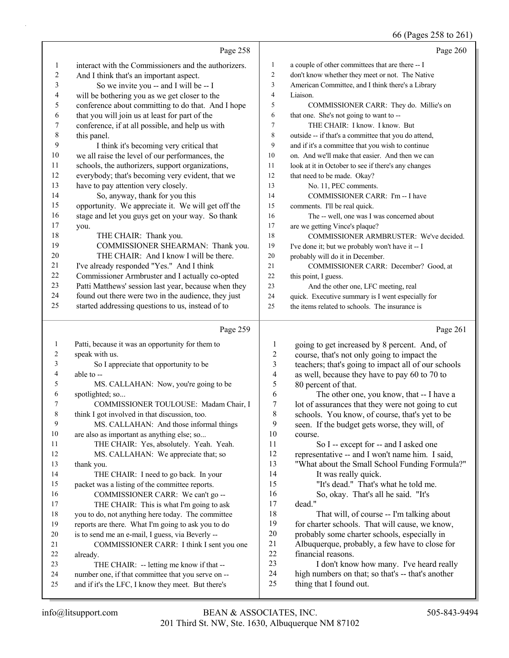### 66 (Pages 258 to 261)

|                  | Page 258                                                 |                          | Page 260                                                                                 |
|------------------|----------------------------------------------------------|--------------------------|------------------------------------------------------------------------------------------|
| 1                | interact with the Commissioners and the authorizers.     | 1                        | a couple of other committees that are there -- I                                         |
| $\boldsymbol{2}$ | And I think that's an important aspect.                  | $\overline{c}$           | don't know whether they meet or not. The Native                                          |
| 3                | So we invite you -- and I will be -- I                   | 3                        | American Committee, and I think there's a Library                                        |
| 4                | will be bothering you as we get closer to the            | $\overline{\mathcal{L}}$ | Liaison.                                                                                 |
| 5                | conference about committing to do that. And I hope       | 5                        | COMMISSIONER CARR: They do. Millie's on                                                  |
| 6                | that you will join us at least for part of the           | 6                        | that one. She's not going to want to --                                                  |
| 7                | conference, if at all possible, and help us with         | 7                        | THE CHAIR: I know. I know. But                                                           |
| $\,$ $\,$        | this panel.                                              | 8                        | outside -- if that's a committee that you do attend,                                     |
| 9                | I think it's becoming very critical that                 | 9                        | and if it's a committee that you wish to continue                                        |
| $10\,$           | we all raise the level of our performances, the          | 10                       | on. And we'll make that easier. And then we can                                          |
| 11               | schools, the authorizers, support organizations,         | 11                       | look at it in October to see if there's any changes                                      |
| 12               | everybody; that's becoming very evident, that we         | 12                       | that need to be made. Okay?                                                              |
| 13               | have to pay attention very closely.                      | 13                       | No. 11, PEC comments.                                                                    |
| 14               | So, anyway, thank for you this                           | 14                       | COMMISSIONER CARR: I'm -- I have                                                         |
| 15               | opportunity. We appreciate it. We will get off the       | 15                       | comments. I'll be real quick.                                                            |
| 16               | stage and let you guys get on your way. So thank         | 16                       | The -- well, one was I was concerned about                                               |
| 17               | you.                                                     | 17                       | are we getting Vince's plaque?                                                           |
| 18               | THE CHAIR: Thank you.                                    | 18                       | COMMISSIONER ARMBRUSTER: We've decided.                                                  |
| 19               | COMMISSIONER SHEARMAN: Thank you.                        | 19                       | I've done it; but we probably won't have it -- I                                         |
| 20               | THE CHAIR: And I know I will be there.                   | $20\,$                   | probably will do it in December.                                                         |
| 21               | I've already responded "Yes." And I think                | 21                       | COMMISSIONER CARR: December? Good, at                                                    |
| 22               | Commissioner Armbruster and I actually co-opted          | $22\,$                   | this point, I guess.                                                                     |
| 23               | Patti Matthews' session last year, because when they     | 23                       | And the other one, LFC meeting, real                                                     |
| 24               | found out there were two in the audience, they just      | 24                       | quick. Executive summary is I went especially for                                        |
| 25               | started addressing questions to us, instead of to        | 25                       | the items related to schools. The insurance is                                           |
|                  |                                                          |                          |                                                                                          |
|                  | Page 259                                                 |                          | Page 261                                                                                 |
| $\mathbf{1}$     | Patti, because it was an opportunity for them to         | $\mathbf{1}$             | going to get increased by 8 percent. And, of                                             |
| 2                | speak with us.                                           | $\overline{c}$           | course, that's not only going to impact the                                              |
| 3                | So I appreciate that opportunity to be                   |                          |                                                                                          |
| 4                |                                                          | 3                        |                                                                                          |
| 5                | able to $-$                                              | 4                        | teachers; that's going to impact all of our schools                                      |
|                  |                                                          | 5                        | as well, because they have to pay 60 to 70 to                                            |
| 6                | MS. CALLAHAN: Now, you're going to be<br>spotlighted; so | 6                        | 80 percent of that.                                                                      |
| 7                | COMMISSIONER TOULOUSE: Madam Chair, I                    | 7                        | The other one, you know, that -- I have a                                                |
| 8                | think I got involved in that discussion, too.            | 8                        | lot of assurances that they were not going to cut                                        |
| 9                | MS. CALLAHAN: And those informal things                  | 9                        | schools. You know, of course, that's yet to be                                           |
| 10               | are also as important as anything else; so               | 10                       | seen. If the budget gets worse, they will, of<br>course.                                 |
| 11               | THE CHAIR: Yes, absolutely. Yeah. Yeah.                  | 11                       |                                                                                          |
| 12               | MS. CALLAHAN: We appreciate that; so                     | 12                       | So I -- except for -- and I asked one<br>representative -- and I won't name him. I said, |
| 13               | thank you.                                               | 13                       |                                                                                          |
| 14               | THE CHAIR: I need to go back. In your                    | 14                       | "What about the Small School Funding Formula?"                                           |
| 15               | packet was a listing of the committee reports.           | 15                       | It was really quick.<br>"It's dead." That's what he told me.                             |
| 16               | COMMISSIONER CARR: We can't go --                        | 16                       | So, okay. That's all he said. "It's                                                      |
| 17               | THE CHAIR: This is what I'm going to ask                 | 17                       | dead."                                                                                   |
| 18               | you to do, not anything here today. The committee        | 18                       | That will, of course -- I'm talking about                                                |
| 19               | reports are there. What I'm going to ask you to do       | 19                       | for charter schools. That will cause, we know,                                           |
| 20               | is to send me an e-mail, I guess, via Beverly --         | 20                       | probably some charter schools, especially in                                             |
| 21               | COMMISSIONER CARR: I think I sent you one                | 21                       | Albuquerque, probably, a few have to close for                                           |
| 22               | already.                                                 | 22                       | financial reasons.                                                                       |
| 23               | THE CHAIR: -- letting me know if that --                 | 23                       | I don't know how many. I've heard really                                                 |
| 24               | number one, if that committee that you serve on --       | 24                       | high numbers on that; so that's -- that's another                                        |
| 25               | and if it's the LFC, I know they meet. But there's       | 25                       | thing that I found out.                                                                  |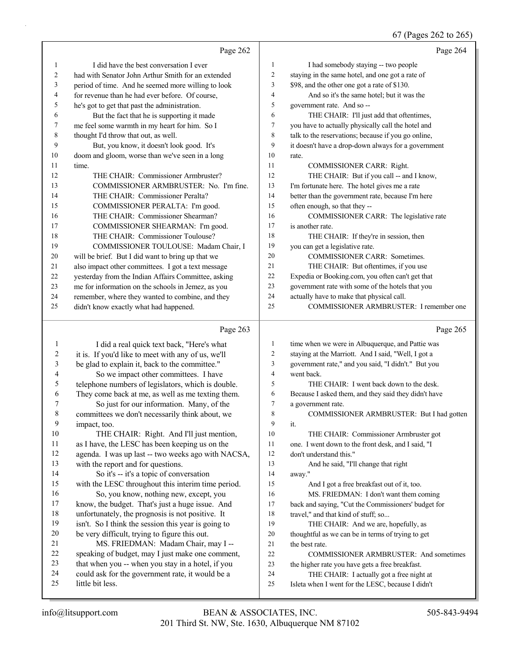### 67 (Pages 262 to 265)

|                |                                                     |                | 0/ (Pages 202 to 205)                                |
|----------------|-----------------------------------------------------|----------------|------------------------------------------------------|
|                | Page 262                                            |                | Page 264                                             |
| 1              | I did have the best conversation I ever             | $\mathbf{1}$   | I had somebody staying -- two people                 |
| 2              | had with Senator John Arthur Smith for an extended  | $\overline{2}$ | staying in the same hotel, and one got a rate of     |
| 3              | period of time. And he seemed more willing to look  | 3              | \$98, and the other one got a rate of \$130.         |
| 4              | for revenue than he had ever before. Of course,     | $\overline{4}$ | And so it's the same hotel; but it was the           |
| 5              | he's got to get that past the administration.       | 5              | government rate. And so --                           |
| 6              | But the fact that he is supporting it made          | 6              | THE CHAIR: I'll just add that oftentimes,            |
| 7              | me feel some warmth in my heart for him. So I       | $\tau$         | you have to actually physically call the hotel and   |
| 8              | thought I'd throw that out, as well.                | 8              | talk to the reservations; because if you go online,  |
| 9              | But, you know, it doesn't look good. It's           | 9              | it doesn't have a drop-down always for a government  |
| 10             | doom and gloom, worse than we've seen in a long     | 10             | rate.                                                |
| 11             | time.                                               | 11             | COMMISSIONER CARR: Right.                            |
| 12             | THE CHAIR: Commissioner Armbruster?                 | 12             | THE CHAIR: But if you call -- and I know,            |
| 13             | COMMISSIONER ARMBRUSTER: No. I'm fine.              | 13             | I'm fortunate here. The hotel gives me a rate        |
| 14             | THE CHAIR: Commissioner Peralta?                    | 14             | better than the government rate, because I'm here    |
| 15             | COMMISSIONER PERALTA: I'm good.                     | 15             | often enough, so that they --                        |
| 16             | THE CHAIR: Commissioner Shearman?                   | 16             | COMMISSIONER CARR: The legislative rate              |
| 17             | COMMISSIONER SHEARMAN: I'm good.                    | 17             | is another rate.                                     |
| 18             | THE CHAIR: Commissioner Toulouse?                   | 18             | THE CHAIR: If they're in session, then               |
| 19             | COMMISSIONER TOULOUSE: Madam Chair, I               | 19             | you can get a legislative rate.                      |
| 20             | will be brief. But I did want to bring up that we   | 20             | COMMISSIONER CARR: Sometimes.                        |
| 21             | also impact other committees. I got a text message  | 21             | THE CHAIR: But oftentimes, if you use                |
| 22             | yesterday from the Indian Affairs Committee, asking | 22             | Expedia or Booking.com, you often can't get that     |
| 23             | me for information on the schools in Jemez, as you  | 23             | government rate with some of the hotels that you     |
| 24             | remember, where they wanted to combine, and they    | 24             | actually have to make that physical call.            |
| 25             | didn't know exactly what had happened.              | 25             | COMMISSIONER ARMBRUSTER: I remember one              |
|                | Page 263                                            |                | Page 265                                             |
| $\mathbf{1}$   | I did a real quick text back, "Here's what          | $\mathbf{1}$   | time when we were in Albuquerque, and Pattie was     |
| $\overline{c}$ | it is. If you'd like to meet with any of us, we'll  | $\overline{2}$ | staying at the Marriott. And I said, "Well, I got a  |
| 3              | be glad to explain it, back to the committee."      | 3              | government rate," and you said, "I didn't." But you  |
| 4              | So we impact other committees. I have               | $\overline{4}$ | went back.                                           |
| 5              | telephone numbers of legislators, which is double.  | 5              | THE CHAIR: I went back down to the desk.             |
| 6              | They come back at me, as well as me texting them.   | 6              | Because I asked them, and they said they didn't have |
| 7              | So just for our information. Many, of the           | $\overline{7}$ | a government rate.                                   |
| 8              | committees we don't necessarily think about, we     | $8\phantom{1}$ | COMMISSIONER ARMBRUSTER: But I had gotten            |
| 9              | impact, too.                                        | 9              | it.                                                  |
| 10             | THE CHAIR: Right. And I'll just mention,            | $10\,$         | THE CHAIR: Commissioner Armbruster got               |
| 11             | as I have, the LESC has been keeping us on the      | 11             | one. I went down to the front desk, and I said, "I   |
| 12             | agenda. I was up last -- two weeks ago with NACSA,  | 12             | don't understand this."                              |
| 13             | with the report and for questions.                  | 13             | And he said, "I'll change that right                 |
| 14             | So it's -- it's a topic of conversation             | 14             | away."                                               |
| 15             | with the LESC throughout this interim time period.  | 15             | And I got a free breakfast out of it, too.           |
| 16             | So, you know, nothing new, except, you              | 16             | MS. FRIEDMAN: I don't want them coming               |
| 17             | know, the budget. That's just a huge issue. And     | 17             | back and saying, "Cut the Commissioners' budget for  |
| 18             | unfortunately, the prognosis is not positive. It    | 18             | travel," and that kind of stuff; so                  |
| 19             | isn't. So I think the session this year is going to | 19             | THE CHAIR: And we are, hopefully, as                 |
| $20\,$         | be very difficult, trying to figure this out.       | 20             | thoughtful as we can be in terms of trying to get    |
| 21             | MS. FRIEDMAN: Madam Chair, may I --                 | 21             | the best rate.                                       |

22 COMMISSIONER ARMBRUSTER: And sometimes

- 23 the higher rate you have gets a free breakfast.
- 24 THE CHAIR: I actually got a free night at
- 25 Isleta when I went for the LESC, because I didn't

25 little bit less.

22 speaking of budget, may I just make one comment, 23 that when you -- when you stay in a hotel, if you 24 could ask for the government rate, it would be a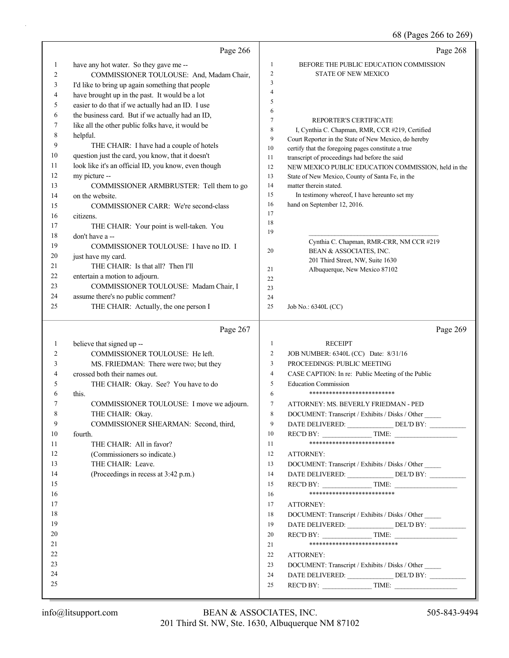# 68 (Pages 266 to 269)

|          | Page 266                                             |                | Page 268                                                                          |
|----------|------------------------------------------------------|----------------|-----------------------------------------------------------------------------------|
| 1        | have any hot water. So they gave me --               | 1              | BEFORE THE PUBLIC EDUCATION COMMISSION                                            |
| 2        | COMMISSIONER TOULOUSE: And, Madam Chair,             | $\overline{2}$ | <b>STATE OF NEW MEXICO</b>                                                        |
| 3        | I'd like to bring up again something that people     | 3              |                                                                                   |
| 4        | have brought up in the past. It would be a lot       | 4              |                                                                                   |
| 5        | easier to do that if we actually had an ID. I use    | 5              |                                                                                   |
| 6        | the business card. But if we actually had an ID,     | 6              |                                                                                   |
| 7        | like all the other public folks have, it would be    | 7              | REPORTER'S CERTIFICATE                                                            |
| 8        |                                                      | 8              | I, Cynthia C. Chapman, RMR, CCR #219, Certified                                   |
|          | helpful.                                             | 9              | Court Reporter in the State of New Mexico, do hereby                              |
| 9        | THE CHAIR: I have had a couple of hotels             | 10             | certify that the foregoing pages constitute a true                                |
| 10       | question just the card, you know, that it doesn't    | 11             | transcript of proceedings had before the said                                     |
| 11       | look like it's an official ID, you know, even though | 12             | NEW MEXICO PUBLIC EDUCATION COMMISSION, held in the                               |
| 12       | my picture --                                        | 13             | State of New Mexico, County of Santa Fe, in the                                   |
| 13       | COMMISSIONER ARMBRUSTER: Tell them to go             | 14             | matter therein stated.                                                            |
| 14       | on the website.                                      | 15             | In testimony whereof, I have hereunto set my                                      |
| 15       | COMMISSIONER CARR: We're second-class                | 16             | hand on September 12, 2016.                                                       |
| 16       | citizens.                                            | 17<br>18       |                                                                                   |
| 17       | THE CHAIR: Your point is well-taken. You             | 19             |                                                                                   |
| 18       | don't have a --                                      |                | Cynthia C. Chapman, RMR-CRR, NM CCR #219                                          |
| 19       | COMMISSIONER TOULOUSE: I have no ID. I               | 20             | BEAN & ASSOCIATES, INC.                                                           |
| 20       | just have my card.                                   |                | 201 Third Street, NW, Suite 1630                                                  |
| 21       | THE CHAIR: Is that all? Then I'll                    | 21             | Albuquerque, New Mexico 87102                                                     |
| 22       | entertain a motion to adjourn.                       | 22             |                                                                                   |
| 23       | COMMISSIONER TOULOUSE: Madam Chair, I                | 23             |                                                                                   |
| 24       | assume there's no public comment?                    | 24             |                                                                                   |
| 25       | THE CHAIR: Actually, the one person I                | 25             | Job No.: 6340L (CC)                                                               |
|          |                                                      |                |                                                                                   |
|          | Page 267                                             |                | Page 269                                                                          |
|          |                                                      | $\mathbf{1}$   | <b>RECEIPT</b>                                                                    |
| 1        | believe that signed up --                            | 2              |                                                                                   |
| 2        | COMMISSIONER TOULOUSE: He left.                      | 3              | JOB NUMBER: 6340L (CC) Date: 8/31/16                                              |
| 3<br>4   | MS. FRIEDMAN: There were two; but they               |                | PROCEEDINGS: PUBLIC MEETING                                                       |
|          | crossed both their names out.                        | 4<br>5         | CASE CAPTION: In re: Public Meeting of the Public                                 |
| 5        | THE CHAIR: Okay. See? You have to do                 | 6              | <b>Education Commission</b><br>*************************                          |
| 6        | this.                                                |                |                                                                                   |
| 7        | COMMISSIONER TOULOUSE: I move we adjourn.            | 7              | ATTORNEY: MS. BEVERLY FRIEDMAN - PED                                              |
| 8        | THE CHAIR: Okay.                                     | 8              | DOCUMENT: Transcript / Exhibits / Disks / Other                                   |
| 9        | COMMISSIONER SHEARMAN: Second, third,                | 9              | DATE DELIVERED: DEL'D BY:                                                         |
| 10       | fourth.                                              | 10             | REC'D BY: TIME:<br>**************************                                     |
| 11       | THE CHAIR: All in favor?                             | 11             |                                                                                   |
| 12       | (Commissioners so indicate.)                         | 12             | ATTORNEY:                                                                         |
| 13       | THE CHAIR: Leave.                                    | 13             | DOCUMENT: Transcript / Exhibits / Disks / Other                                   |
| 14       | (Proceedings in recess at 3:42 p.m.)                 | 14             | DATE DELIVERED: DEL'D BY:                                                         |
| 15       |                                                      | 15             | REC'D BY: TIME:                                                                   |
| 16       |                                                      | 16             | **************************                                                        |
| 17       |                                                      | 17             | ATTORNEY:                                                                         |
| 18       |                                                      | 18             | DOCUMENT: Transcript / Exhibits / Disks / Other                                   |
| 19       |                                                      | 19             | DATE DELIVERED: DEL'D BY:                                                         |
| 20       |                                                      | 20             | $RECD BY:$ TIME:                                                                  |
| 21       |                                                      | 21             | ***************************                                                       |
| 22       |                                                      | 22             | ATTORNEY:                                                                         |
| 23       |                                                      | 23             | DOCUMENT: Transcript / Exhibits / Disks / Other                                   |
| 24<br>25 |                                                      | 24<br>25       | DATE DELIVERED: _____________________DEL'D BY: __________________________________ |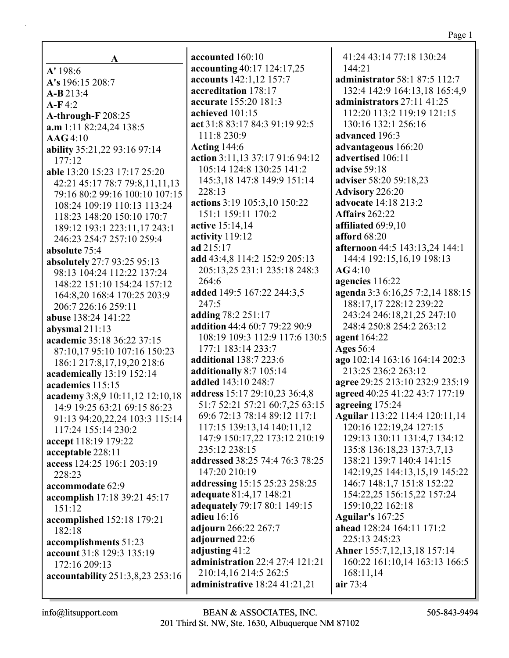Page 1

|                                  | accounted 160:10                | 41:24 43:14 77:18 130:24    |
|----------------------------------|---------------------------------|-----------------------------|
| A                                | accounting 40:17 124:17,25      | 144:21                      |
| A' 198:6                         | accounts 142:1,12 157:7         | administrator 58:1 87:5 11  |
| A's 196:15 208:7                 | accreditation 178:17            | 132:4 142:9 164:13,18 16    |
| $A-B213:4$                       | accurate 155:20 181:3           | administrators 27:11 41:25  |
| $A-F4:2$                         |                                 |                             |
| A-through-F 208:25               | achieved 101:15                 | 112:20 113:2 119:19 121:    |
| a.m 1:11 82:24,24 138:5          | act 31:8 83:17 84:3 91:19 92:5  | 130:16 132:1 256:16         |
| AAG4:10                          | 111:8 230:9                     | advanced 196:3              |
| ability 35:21,22 93:16 97:14     | <b>Acting 144:6</b>             | advantageous 166:20         |
| 177:12                           | action 3:11,13 37:17 91:6 94:12 | advertised 106:11           |
| able 13:20 15:23 17:17 25:20     | 105:14 124:8 130:25 141:2       | advise 59:18                |
| 42:21 45:17 78:7 79:8,11,11,13   | 145:3,18 147:8 149:9 151:14     | adviser 58:20 59:18,23      |
| 79:16 80:2 99:16 100:10 107:15   | 228:13                          | <b>Advisory 226:20</b>      |
| 108:24 109:19 110:13 113:24      | actions 3:19 105:3,10 150:22    | advocate 14:18 213:2        |
| 118:23 148:20 150:10 170:7       | 151:1 159:11 170:2              | <b>Affairs 262:22</b>       |
| 189:12 193:1 223:11,17 243:1     | active 15:14,14                 | affiliated 69:9,10          |
| 246:23 254:7 257:10 259:4        | activity 119:12                 | <b>afford</b> 68:20         |
| absolute 75:4                    | ad 215:17                       | afternoon 44:5 143:13,24 1  |
| absolutely 27:7 93:25 95:13      | add 43:4,8 114:2 152:9 205:13   | 144:4 192:15,16,19 198:1.   |
| 98:13 104:24 112:22 137:24       | 205:13,25 231:1 235:18 248:3    | AG4:10                      |
| 148:22 151:10 154:24 157:12      | 264:6                           | agencies 116:22             |
| 164:8,20 168:4 170:25 203:9      | added 149:5 167:22 244:3,5      | agenda 3:3 6:16,25 7:2,14 1 |
| 206:7 226:16 259:11              | 247:5                           | 188:17,17 228:12 239:22     |
| abuse 138:24 141:22              | adding 78:2 251:17              | 243:24 246:18,21,25 247:    |
| abysmal $211:13$                 | addition 44:4 60:7 79:22 90:9   | 248:4 250:8 254:2 263:12    |
| academic 35:18 36:22 37:15       | 108:19 109:3 112:9 117:6 130:5  | agent 164:22                |
| 87:10,17 95:10 107:16 150:23     | 177:1 183:14 233:7              | <b>Ages 56:4</b>            |
| 186:1 217:8,17,19,20 218:6       | <b>additional</b> 138:7 223:6   | ago 102:14 163:16 164:14 2  |
| academically 13:19 152:14        | additionally 8:7 105:14         | 213:25 236:2 263:12         |
| academics 115:15                 | addled 143:10 248:7             | agree 29:25 213:10 232:9 2  |
| academy 3:8,9 10:11,12 12:10,18  | address 15:17 29:10,23 36:4,8   | agreed 40:25 41:22 43:7 17  |
| 14:9 19:25 63:21 69:15 86:23     | 51:7 52:21 57:21 60:7,25 63:15  | agreeing 175:24             |
| 91:13 94:20,22,24 103:3 115:14   | 69:6 72:13 78:14 89:12 117:1    | Aguilar 113:22 114:4 120:1  |
| 117:24 155:14 230:2              | 117:15 139:13,14 140:11,12      | 120:16 122:19,24 127:15     |
| accept 118:19 179:22             | 147:9 150:17,22 173:12 210:19   | 129:13 130:11 131:4,7 13    |
| acceptable 228:11                | 235:12 238:15                   | 135:8 136:18,23 137:3,7,1   |
| access 124:25 196:1 203:19       | addressed 38:25 74:4 76:3 78:25 | 138:21 139:7 140:4 141:1    |
| 228:23                           | 147:20 210:19                   | 142:19,25 144:13,15,19 14   |
| accommodate 62:9                 | addressing 15:15 25:23 258:25   | 146:7 148:1,7 151:8 152:2   |
| accomplish 17:18 39:21 45:17     | adequate 81:4,17 148:21         | 154:22,25 156:15,22 157:    |
| 151:12                           | adequately 79:17 80:1 149:15    | 159:10,22 162:18            |
| accomplished 152:18 179:21       | <b>adieu</b> 16:16              | <b>Aguilar's 167:25</b>     |
| 182:18                           | adjourn 266:22 267:7            | ahead 128:24 164:11 171:2   |
| accomplishments 51:23            | adjourned 22:6                  | 225:13 245:23               |
| account 31:8 129:3 135:19        | adjusting 41:2                  | Ahner 155:7,12,13,18 157:1  |
| 172:16 209:13                    | administration 22:4 27:4 121:21 | 160:22 161:10,14 163:13     |
| accountability 251:3,8,23 253:16 | 210:14,16 214:5 262:5           | 168:11,14                   |
|                                  | administrative $18:24$ 41:21,21 | air 73:4                    |
|                                  |                                 |                             |

**ar** 58:1 87:5 112:7 9 164:13,18 165:4,9 **ars** 27:11 41:25 1:2 119:19 121:15  $2:1$  256:16 **b**.3 **advantageous** 166:20 **06:11 adviser** 58:20 59:18,23 6:20 **advocate** 14:18 213:2 **Affairs** 262:22 **9,10 afternoon** 44:5 143:13,24 144:1 15,16,19 198:13 **b**:22 **agenda** 3:3 6:16,25 7:2,14 188:15 228:12 239:22 6:18,21,25 247:10 8 254:2 263:12 **ago** 102:14 163:16 164:14 202:3  $6:2$  263:12 **agree** 29:25 213:10 232:9 235:19 **agreed** 40:25 41:22 43:7 177:19 **agreeing** 175:24 **Aguilar** 113:22 114:4 120:11,14 2:19,24 127:15 129:13 130:11 131:4,7 134:12 18,23 137:3,7,13 138:21 139:7 140:4 141:15 142:19,25 144:13,15,19 145:22 1,7 151:8 152:22 156:15,22 157:24 162:18 **Aguilar's** 167:25 **ahead** 128:24 164:11 171:2  $5:23$ **Ahner** 155:7,12,13,18 157:14 :10,14 163:13 166:5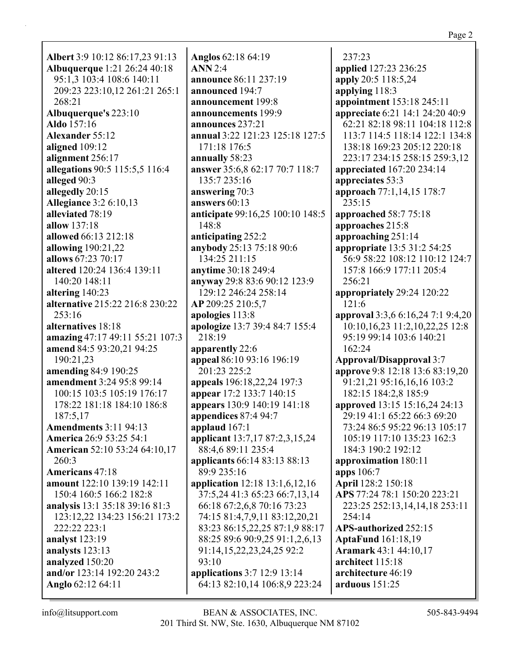**Albert** 3:9 10:12 86:17,23 91:13 **Albuquerque** 1:21 26:24 40:18 95:1,3 103:4 108:6 140:11 209:23 223:10,12 261:21 265:1 268:21 **Albuquerque's** 223:10 **Aldo** 157:16 **Alexander** 55:12 **aligned** 109:12 **alignment** 256:17 **allegations** 90:5 115:5,5 116:4 **alleged** 90:3 **allegedly** 20:15 **Allegiance** 3:2 6:10,13 **alleviated** 78:19 **allow** 137:18 **allowed** 66:13 212:18 **allowing** 190:21,22 **allows** 67:23 70:17 **altered** 120:24 136:4 139:11 140:20 148:11 **altering** 140:23 **alternative** 215:22 216:8 230:22 253:16 **alternatives** 18:18 **amazing** 47:17 49:11 55:21 107:3 **amend** 84:5 93:20,21 94:25 190:21,23 **amending** 84:9 190:25 **amendment** 3:24 95:8 99:14 100:15 103:5 105:19 176:17 178:22 181:18 184:10 186:8 187:5,17 **Amendments** 3:11 94:13 **America** 26:9 53:25 54:1 **American** 52:10 53:24 64:10,17 260:3 **Americans** 47:18 **amount** 122:10 139:19 142:11 150:4 160:5 166:2 182:8 **analysis** 13:1 35:18 39:16 81:3 123:12,22 134:23 156:21 173:2 222:22 223:1 **analyst** 123:19 **analysts** 123:13 **analyzed** 150:20 **and/or** 123:14 192:20 243:2 **Anglo** 62:12 64:11

**Anglos** 62:18 64:19 **ANN** 2:4 **announce** 86:11 237:19 **announced** 194:7 **announcement** 199:8 **announcements** 199:9 **announces** 237:21 **annual** 3:22 121:23 125:18 127:5 171:18 176:5 **annually** 58:23 **answer** 35:6,8 62:17 70:7 118:7 135:7 235:16 **answering** 70:3 **answers** 60:13 **anticipate** 99:16,25 100:10 148:5 148:8 **anticipating** 252:2 **anybody** 25:13 75:18 90:6 134:25 211:15 **anytime** 30:18 249:4 **anyway** 29:8 83:6 90:12 123:9 129:12 246:24 258:14 **AP** 209:25 210:5,7 **apologies** 113:8 **apologize** 13:7 39:4 84:7 155:4 218:19 **apparently** 22:6 **appeal** 86:10 93:16 196:19 201:23 225:2 **appeals** 196:18,22,24 197:3 **appear** 17:2 133:7 140:15 **appears** 130:9 140:19 141:18 **appendices** 87:4 94:7 **applaud** 167:1 **applicant** 13:7,17 87:2,3,15,24 88:4,6 89:11 235:4 **applicants** 66:14 83:13 88:13 89:9 235:16 **application** 12:18 13:1,6,12,16 37:5,24 41:3 65:23 66:7,13,14 66:18 67:2,6,8 70:16 73:23 74:15 81:4,7,9,11 83:12,20,21 83:23 86:15,22,25 87:1,9 88:17 88:25 89:6 90:9,25 91:1,2,6,13 91:14,15,22,23,24,25 92:2 93:10 **applications** 3:7 12:9 13:14 64:13 82:10,14 106:8,9 223:24

237:23 **applied** 127:23 236:25 **apply** 20:5 118:5,24 **applying** 118:3 **appointment** 153:18 245:11 **appreciate** 6:21 14:1 24:20 40:9 62:21 82:18 98:11 104:18 112:8 113:7 114:5 118:14 122:1 134:8 138:18 169:23 205:12 220:18 223:17 234:15 258:15 259:3,12 **appreciated** 167:20 234:14 **appreciates** 53:3 **approach** 77:1,14,15 178:7 235:15 **approached** 58:7 75:18 **approaches** 215:8 **approaching** 251:14 **appropriate** 13:5 31:2 54:25 56:9 58:22 108:12 110:12 124:7 157:8 166:9 177:11 205:4 256:21 **appropriately** 29:24 120:22 121:6 **approval** 3:3,6 6:16,24 7:1 9:4,20 10:10,16,23 11:2,10,22,25 12:8 95:19 99:14 103:6 140:21 162:24 **Approval/Disapproval** 3:7 **approve** 9:8 12:18 13:6 83:19,20 91:21,21 95:16,16,16 103:2 182:15 184:2,8 185:9 **approved** 13:15 15:16,24 24:13 29:19 41:1 65:22 66:3 69:20 73:24 86:5 95:22 96:13 105:17 105:19 117:10 135:23 162:3 184:3 190:2 192:12 **approximation** 180:11 **apps** 106:7 **April** 128:2 150:18 **APS** 77:24 78:1 150:20 223:21 223:25 252:13,14,14,18 253:11 254:14 **APS-authorized** 252:15 **AptaFund** 161:18,19 **Aramark** 43:1 44:10,17 **architect** 115:18 **architecture** 46:19 **arduous** 151:25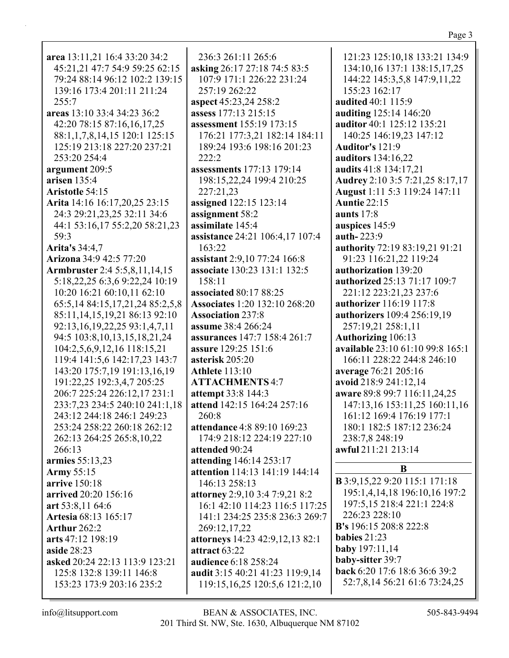Page 3

| area 13:11,21 16:4 33:20 34:2        | 236:3 261:11 265:6                   | 121:23 125:10,18 133:21 134:9        |
|--------------------------------------|--------------------------------------|--------------------------------------|
| 45:21,21 47:7 54:9 59:25 62:15       | asking 26:17 27:18 74:5 83:5         | 134:10,16 137:1 138:15,17,25         |
| 79:24 88:14 96:12 102:2 139:15       | 107:9 171:1 226:22 231:24            | 144:22 145:3,5,8 147:9,11,22         |
| 139:16 173:4 201:11 211:24           | 257:19 262:22                        | 155:23 162:17                        |
| 255:7                                | aspect 45:23,24 258:2                | audited 40:1 115:9                   |
| areas 13:10 33:4 34:23 36:2          | assess 177:13 215:15                 | auditing 125:14 146:20               |
| 42:20 78:15 87:16,16,17,25           | assessment 155:19 173:15             | auditor 40:1 125:12 135:21           |
| 88:1,1,7,8,14,15 120:1 125:15        | 176:21 177:3,21 182:14 184:11        | 140:25 146:19,23 147:12              |
| 125:19 213:18 227:20 237:21          | 189:24 193:6 198:16 201:23           | Auditor's 121:9                      |
| 253:20 254:4                         | 222:2                                | <b>auditors</b> 134:16,22            |
| argument 209:5                       | assessments 177:13 179:14            | audits 41:8 134:17,21                |
| arisen 135:4                         | 198:15,22,24 199:4 210:25            | Audrey 2:10 3:5 7:21,25 8:17,17      |
| Aristotle 54:15                      | 227:21,23                            | August 1:11 5:3 119:24 147:11        |
|                                      |                                      | <b>Auntie 22:15</b>                  |
| Arita 14:16 16:17,20,25 23:15        | assigned 122:15 123:14               |                                      |
| 24:3 29:21, 23, 25 32:11 34:6        | assignment 58:2                      | aunts $17:8$                         |
| 44:1 53:16,17 55:2,20 58:21,23       | assimilate 145:4                     | auspices 145:9                       |
| 59:3                                 | assistance 24:21 106:4,17 107:4      | auth- $223:9$                        |
| Arita's 34:4,7                       | 163:22                               | authority 72:19 83:19,21 91:21       |
| Arizona 34:9 42:5 77:20              | assistant 2:9,10 77:24 166:8         | 91:23 116:21,22 119:24               |
| Armbruster 2:4 5:5,8,11,14,15        | associate 130:23 131:1 132:5         | authorization 139:20                 |
| 5:18,22,25 6:3,6 9:22,24 10:19       | 158:11                               | authorized 25:13 71:17 109:7         |
| 10:20 16:21 60:10,11 62:10           | associated 80:17 88:25               | 221:12 223:21,23 237:6               |
| 65:5,14 84:15,17,21,24 85:2,5,8      | <b>Associates 1:20 132:10 268:20</b> | authorizer 116:19 117:8              |
| 85:11,14,15,19,21 86:13 92:10        | <b>Association 237:8</b>             | authorizers 109:4 256:19,19          |
| 92:13, 16, 19, 22, 25 93:1, 4, 7, 11 | assume 38:4 266:24                   | 257:19,21 258:1,11                   |
| 94:5 103:8, 10, 13, 15, 18, 21, 24   | assurances 147:7 158:4 261:7         | Authorizing 106:13                   |
| 104:2,5,6,9,12,16 118:15,21          | assure 129:25 151:6                  | available 23:10 61:10 99:8 165:1     |
| 119:4 141:5,6 142:17,23 143:7        | asterisk 205:20                      | 166:11 228:22 244:8 246:10           |
| 143:20 175:7,19 191:13,16,19         | <b>Athlete</b> 113:10                | average 76:21 205:16                 |
| 191:22,25 192:3,4,7 205:25           | <b>ATTACHMENTS 4:7</b>               | avoid 218:9 241:12,14                |
| 206:7 225:24 226:12,17 231:1         | attempt 33:8 144:3                   | aware 89:8 99:7 116:11,24,25         |
| 233:7,23 234:5 240:10 241:1,18       | attend 142:15 164:24 257:16          | 147:13,16 153:11,25 160:11,16        |
| 243:12 244:18 246:1 249:23           | 260:8                                | 161:12 169:4 176:19 177:1            |
| 253:24 258:22 260:18 262:12          | <b>attendance</b> 4:8 89:10 169:23   | 180:1 182:5 187:12 236:24            |
| 262:13 264:25 265:8,10,22            | 174:9 218:12 224:19 227:10           | 238:7,8 248:19                       |
| 266:13                               | attended 90:24                       | awful 211:21 213:14                  |
| armies 55:13,23                      | attending 146:14 253:17              |                                      |
| Army 55:15                           | attention 114:13 141:19 144:14       | B                                    |
| arrive 150:18                        | 146:13 258:13                        | <b>B</b> 3:9,15,22 9:20 115:1 171:18 |
|                                      |                                      | 195:1,4,14,18 196:10,16 197:2        |
| arrived 20:20 156:16                 | attorney 2:9,10 3:4 7:9,21 8:2       | 197:5,15 218:4 221:1 224:8           |
| art 53:8,11 64:6                     | 16:1 42:10 114:23 116:5 117:25       | 226:23 228:10                        |
| Artesia 68:13 165:17                 | 141:1 234:25 235:8 236:3 269:7       | <b>B's</b> 196:15 208:8 222:8        |
| Arthur 262:2                         | 269:12,17,22                         | babies $21:23$                       |
| arts 47:12 198:19                    | attorneys 14:23 42:9,12,13 82:1      | <b>baby</b> 197:11,14                |
| aside 28:23                          | attract 63:22                        | baby-sitter 39:7                     |
| asked 20:24 22:13 113:9 123:21       | audience 6:18 258:24                 | back 6:20 17:6 18:6 36:6 39:2        |
| 125:8 132:8 139:11 146:8             | audit 3:15 40:21 41:23 119:9,14      |                                      |
| 153:23 173:9 203:16 235:2            | 119:15, 16, 25 120:5, 6 121:2, 10    | 52:7,8,14 56:21 61:6 73:24,25        |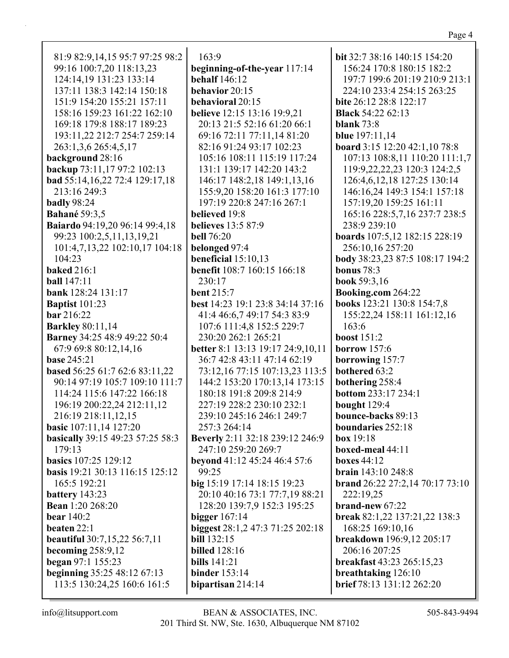81:9 82:9,14,15 95:7 97:25 98:2 99:16 100:7,20 118:13,23 124:14,19 131:23 133:14 137:11 138:3 142:14 150:18 151:9 154:20 155:21 157:11 158:16 159:23 161:22 162:10 169:18 179:8 188:17 189:23 193:11,22 212:7 254:7 259:14 263:1,3,6 265:4,5,17 **background** 28:16 **backup** 73:11,17 97:2 102:13 **bad** 55:14,16,22 72:4 129:17,18 213:16 249:3 **badly** 98:24 **Bahané** 59:3,5 **Baiardo** 94:19,20 96:14 99:4,18 99:23 100:2,5,11,13,19,21 101:4,7,13,22 102:10,17 104:18 104:23 **baked** 216:1 **ball** 147:11 **bank** 128:24 131:17 **Baptist** 101:23 **bar** 216:22 **Barkley** 80:11,14 **Barney** 34:25 48:9 49:22 50:4 67:9 69:8 80:12,14,16 **base** 245:21 **based** 56:25 61:7 62:6 83:11,22 90:14 97:19 105:7 109:10 111:7 114:24 115:6 147:22 166:18 196:19 200:22,24 212:11,12 216:19 218:11,12,15 **basic** 107:11,14 127:20 **basically** 39:15 49:23 57:25 58:3 179:13 **basics** 107:25 129:12 **basis** 19:21 30:13 116:15 125:12 165:5 192:21 **battery** 143:23 **Bean** 1:20 268:20 **bear** 140:2 **beaten** 22:1 **beautiful** 30:7,15,22 56:7,11 **becoming** 258:9,12 **began** 97:1 155:23 **beginning** 35:25 48:12 67:13 113:5 130:24,25 160:6 161:5

163:9 **beginning-of-the-year** 117:14 **behalf** 146:12 **behavior** 20:15 **behavioral** 20:15 **believe** 12:15 13:16 19:9,21 20:13 21:5 52:16 61:20 66:1 69:16 72:11 77:11,14 81:20 82:16 91:24 93:17 102:23 105:16 108:11 115:19 117:24 131:1 139:17 142:20 143:2 146:17 148:2,18 149:1,13,16 155:9,20 158:20 161:3 177:10 197:19 220:8 247:16 267:1 **believed** 19:8 **believes** 13:5 87:9 **bell** 76:20 **belonged** 97:4 **beneficial** 15:10,13 **benefit** 108:7 160:15 166:18 230:17 **bent** 215:7 **best** 14:23 19:1 23:8 34:14 37:16 41:4 46:6,7 49:17 54:3 83:9 107:6 111:4,8 152:5 229:7 230:20 262:1 265:21 **better** 8:1 13:13 19:17 24:9,10,11 36:7 42:8 43:11 47:14 62:19 73:12,16 77:15 107:13,23 113:5 144:2 153:20 170:13,14 173:15 180:18 191:8 209:8 214:9 227:19 228:2 230:10 232:1 239:10 245:16 246:1 249:7 257:3 264:14 **Beverly** 2:11 32:18 239:12 246:9 247:10 259:20 269:7 **beyond** 41:12 45:24 46:4 57:6 99:25 **big** 15:19 17:14 18:15 19:23 20:10 40:16 73:1 77:7,19 88:21 128:20 139:7,9 152:3 195:25 **bigger** 167:14 **biggest** 28:1,2 47:3 71:25 202:18 **bill** 132:15 **billed** 128:16 **bills** 141:21 **binder** 153:14 **bipartisan** 214:14

**bit** 32:7 38:16 140:15 154:20 156:24 170:8 180:15 182:2 197:7 199:6 201:19 210:9 213:1 224:10 233:4 254:15 263:25 **bite** 26:12 28:8 122:17 **Black** 54:22 62:13 **blank** 73:8 **blue** 197:11,14 **board** 3:15 12:20 42:1,10 78:8 107:13 108:8,11 110:20 111:1,7 119:9,22,22,23 120:3 124:2,5 126:4,6,12,18 127:25 130:14 146:16,24 149:3 154:1 157:18 157:19,20 159:25 161:11 165:16 228:5,7,16 237:7 238:5 238:9 239:10 **boards** 107:5,12 182:15 228:19 256:10,16 257:20 **body** 38:23,23 87:5 108:17 194:2 **bonus** 78:3 **book** 59:3,16 **Booking.com** 264:22 **books** 123:21 130:8 154:7,8 155:22,24 158:11 161:12,16 163:6 **boost** 151:2 **borrow** 157:6 **borrowing** 157:7 **bothered** 63:2 **bothering** 258:4 **bottom** 233:17 234:1 **bought** 129:4 **bounce-backs** 89:13 **boundaries** 252:18 **box** 19:18 **boxed-meal** 44:11 **boxes** 44:12 **brain** 143:10 248:8 **brand** 26:22 27:2,14 70:17 73:10 222:19,25 **brand-new** 67:22 **break** 82:1,22 137:21,22 138:3 168:25 169:10,16 **breakdown** 196:9,12 205:17 206:16 207:25 **breakfast** 43:23 265:15,23 **breathtaking** 126:10 **brief** 78:13 131:12 262:20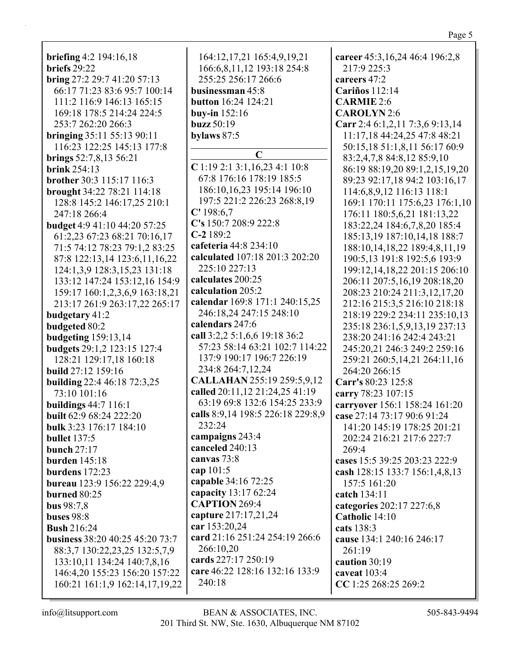| <b>briefing</b> $4:2$ 194:16,18     |                         |
|-------------------------------------|-------------------------|
| briefs 29:22                        |                         |
| bring 27:2 29:7 41:20 57:13         |                         |
| 66:17 71:23 83:6 95:7 100:14        | $\mathbf{b}$            |
| 111:2 116:9 146:13 165:15           | $\mathbf{b}$            |
| 169:18 178:5 214:24 224:5           | $\mathbf{b}$            |
| 253:7 262:20 266:3                  | $\mathbf{b}$            |
| <b>bringing 35:11 55:13 90:11</b>   | $\mathbf{b}$            |
| 116:23 122:25 145:13 177:8          |                         |
| brings 52:7,8,13 56:21              |                         |
| <b>brink</b> 254:13                 | $\overline{C}$          |
| brother 30:3 115:17 116:3           |                         |
| brought 34:22 78:21 114:18          |                         |
| 128:8 145:2 146:17,25 210:1         |                         |
| 247:18 266:4                        | $\overline{\mathbf{C}}$ |
| <b>budget</b> 4:9 41:10 44:20 57:25 | $\overline{\mathbf{C}}$ |
| 61:2,23 67:23 68:21 70:16,17        | $\overline{C}$          |
|                                     | $c\epsilon$             |
| 71:5 74:12 78:23 79:1,2 83:25       | Cź                      |
| 87:8 122:13,14 123:6,11,16,22       |                         |
| 124:1,3,9 128:3,15,23 131:18        |                         |
| 133:12 147:24 153:12,16 154:9       | сź                      |
| 159:17 160:1,2,3,6,9 163:18,21      | $c\epsilon$             |
| 213:17 261:9 263:17,22 265:17       | Cź                      |
| budgetary 41:2                      |                         |
| budgeted 80:2                       | сź                      |
| <b>budgeting</b> 159:13,14          | Cź                      |
| budgets 29:1,2 123:15 127:4         |                         |
| 128:21 129:17,18 160:18             |                         |
| build 27:12 159:16                  |                         |
| building 22:4 46:18 72:3,25         | $\overline{\mathbf{C}}$ |
| 73:10 101:16                        | $c\epsilon$             |
| <b>buildings</b> 44:7 116:1         |                         |
| <b>built</b> 62:9 68:24 222:20      | сź                      |
| <b>bulk</b> 3:23 176:17 184:10      |                         |
| bullet 137:5                        | сź                      |
| <b>bunch</b> 27:17                  | сź                      |
| <b>burden</b> 145:18                | сź                      |
| burdens $172:23$                    | cź                      |
| bureau 123:9 156:22 229:4,9         | сź                      |
| burned 80:25                        | $c\epsilon$             |
| <b>bus</b> 98:7,8                   | $\mathbf C$             |
| <b>buses</b> 98:8                   | $c\epsilon$             |
| <b>Bush 216:24</b>                  | Cź                      |
|                                     | сź                      |
| business 38:20 40:25 45:20 73:7     |                         |
| 88:3,7 130:22,23,25 132:5,7,9       |                         |
| 133:10,11 134:24 140:7,8,16         | сź                      |
| 146:4,20 155:23 156:20 157:22       | $c\epsilon$             |
| 160:21 161:1,9 162:14,17,19,22      |                         |
|                                     |                         |

| 164:12,17,21 165:4,9,19,21        |
|-----------------------------------|
| 166:6,8,11,12 193:18 254:8        |
| 255:25 256:17 266:6               |
| businessman 45:8                  |
| button 16:24 124:21               |
| buy-in $152:16$                   |
| buzz $50:19$                      |
| bylaws $87:5$                     |
|                                   |
| C                                 |
| $C$ 1:19 2:1 3:1,16,23 4:1 10:8   |
| 67:8 176:16 178:19 185:5          |
| 186:10,16,23 195:14 196:10        |
| 197:5 221:2 226:23 268:8,19       |
| $C'$ 198:6,7                      |
| C's 150:7 208:9 222:8             |
| $C-2$ 189:2                       |
| cafeteria 44:8 234:10             |
| calculated 107:18 201:3 202:20    |
|                                   |
| 225:10 227:13                     |
| calculates 200:25                 |
| calculation 205:2                 |
| calendar 169:8 171:1 240:15,25    |
| 246:18,24 247:15 248:10           |
| calendars 247:6                   |
| call 3:2,2 5:1,6,6 19:18 36:2     |
| 57:23 58:14 63:21 102:7 114:22    |
| 137:9 190:17 196:7 226:19         |
| 234:8 264:7,12,24                 |
| CALLAHAN 255:19 259:5,9,12        |
| called 20:11,12 21:24,25 41:19    |
| 63:19 69:8 132:6 154:25 233:9     |
| calls 8:9,14 198:5 226:18 229:8,9 |
| 232:24                            |
| campaigns 243:4                   |
| canceled 240:13                   |
|                                   |
| canvas 73:8                       |
| cap 101:5                         |
| capable 34:16 72:25               |
| capacity 13:17 62:24              |
| <b>CAPTION 269:4</b>              |
| capture 217:17,21,24              |
| car 153:20,24                     |
| card 21:16 251:24 254:19 266:6    |
| 266:10,20                         |
| cards 227:17 250:19               |
| care 46:22 128:16 132:16 133:9    |
| 240:18                            |

**career** 45:3,16,24 46:4 196:2,8 217:9 225:3 **careers** 47:2 **Cariños** 112:14 **CARMIE** 2:6 **CAROLYN** 2:6 **Carr** 2:4 6:1,2,11 7:3,6 9:13,14 11:17,18 44:24,25 47:8 48:21 50:15,18 51:1,8,11 56:17 60:9 83:2,4,7,8 84:8,12 85:9,10 86:19 88:19,20 89:1,2,15,19,20 89:23 92:17,18 94:2 103:16,17 114:6,8,9,12 116:13 118:1 169:1 170:11 175:6,23 176:1,10 176:11 180:5,6,21 181:13,22 183:22,24 184:6,7,8,20 185:4 185:13,19 187:10,14,18 188:7 188:10,14,18,22 189:4,8,11,19 190:5,13 191:8 192:5,6 193:9 199:12,14,18,22 201:15 206:10 206:11 207:5,16,19 208:18,20 208:23 210:24 211:3,12,17,20 212:16 215:3,5 216:10 218:18 218:19 229:2 234:11 235:10,13 235:18 236:1,5,9,13,19 237:13 238:20 241:16 242:4 243:21 245:20,21 246:3 249:2 259:16 259:21 260:5,14,21 264:11,16 264:20 266:15 **Carr's** 80:23 125:8 **carry** 78:23 107:15 **carryover** 156:1 158:24 161:20 **case** 27:14 73:17 90:6 91:24 141:20 145:19 178:25 201:21 202:24 216:21 217:6 227:7 269:4 **cases** 15:5 39:25 203:23 222:9 **cash** 128:15 133:7 156:1,4,8,13 157:5 161:20 **catch** 134:11 **categories** 202:17 227:6,8 **Catholic** 14:10 **cats** 138:3 **cause** 134:1 240:16 246:17 261:19 **caution** 30:19 **caveat** 103:4 **CC** 1:25 268:25 269:2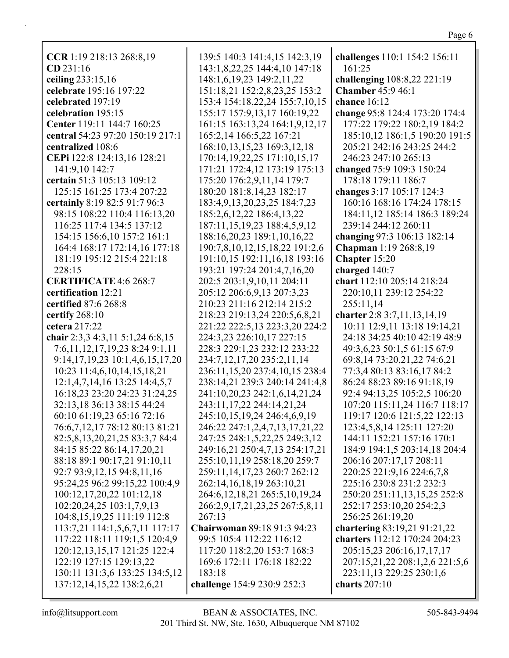| CCR 1:19 218:13 268:8,19                | 139:5 140:3 141:4,15 142:3,19        | challenges 110:1 154:2 156:11                            |
|-----------------------------------------|--------------------------------------|----------------------------------------------------------|
| $CD$ 231:16                             | 143:1,8,22,25 144:4,10 147:18        | 161:25                                                   |
| ceiling 233:15,16                       | 148:1,6,19,23 149:2,11,22            | challenging 108:8,22 221:19                              |
| celebrate 195:16 197:22                 | 151:18,21 152:2,8,23,25 153:2        | <b>Chamber</b> 45:9 46:1                                 |
| celebrated 197:19                       | 153:4 154:18,22,24 155:7,10,15       | chance $16:12$                                           |
| celebration 195:15                      | 155:17 157:9,13,17 160:19,22         | change 95:8 124:4 173:20 174:4                           |
| Center 119:11 144:7 160:25              | 161:15 163:13,24 164:1,9,12,17       | 177:22 179:22 180:2,19 184:2                             |
| central 54:23 97:20 150:19 217:1        | 165:2,14 166:5,22 167:21             | 185:10,12 186:1,5 190:20 191:5                           |
| centralized 108:6                       | 168:10,13,15,23 169:3,12,18          | 205:21 242:16 243:25 244:2                               |
| CEPi 122:8 124:13,16 128:21             | 170:14, 19, 22, 25 171:10, 15, 17    | 246:23 247:10 265:13                                     |
| 141:9,10 142:7                          | 171:21 172:4,12 173:19 175:13        | changed 75:9 109:3 150:24                                |
| certain 51:3 105:13 109:12              | 175:20 176:2,9,11,14 179:7           | 178:18 179:11 186:7                                      |
| 125:15 161:25 173:4 207:22              | 180:20 181:8,14,23 182:17            | changes 3:17 105:17 124:3                                |
| certainly 8:19 82:5 91:7 96:3           | 183:4,9,13,20,23,25 184:7,23         | 160:16 168:16 174:24 178:15                              |
| 98:15 108:22 110:4 116:13,20            | 185:2,6,12,22 186:4,13,22            | 184:11,12 185:14 186:3 189:24                            |
| 116:25 117:4 134:5 137:12               | 187:11,15,19,23 188:4,5,9,12         | 239:14 244:12 260:11                                     |
| 154:15 156:6,10 157:2 161:1             | 188:16,20,23 189:1,10,16,22          | changing 97:3 106:13 182:14                              |
| 164:4 168:17 172:14,16 177:18           | 190:7,8,10,12,15,18,22 191:2,6       | Chapman 1:19 268:8,19                                    |
| 181:19 195:12 215:4 221:18              | 191:10,15 192:11,16,18 193:16        | Chapter 15:20                                            |
| 228:15                                  | 193:21 197:24 201:4,7,16,20          | charged 140:7                                            |
| <b>CERTIFICATE 4:6 268:7</b>            | 202:5 203:1,9,10,11 204:11           | chart 112:10 205:14 218:24                               |
| certification 12:21                     | 205:12 206:6,9,13 207:3,23           | 220:10,11 239:12 254:22                                  |
| certified 87:6 268:8                    | 210:23 211:16 212:14 215:2           | 255:11,14                                                |
| certify 268:10                          | 218:23 219:13,24 220:5,6,8,21        | charter 2:8 3:7,11,13,14,19                              |
| cetera 217:22                           | 221:22 222:5,13 223:3,20 224:2       | 10:11 12:9,11 13:18 19:14,21                             |
| chair 2:3,3 4:3,11 5:1,24 6:8,15        | 224:3,23 226:10,17 227:15            | 24:18 34:25 40:10 42:19 48:9                             |
| 7:6,11,12,17,19,23 8:24 9:1,11          | 228:3 229:1,23 232:12 233:22         | 49:3,6,23 50:1,5 61:15 67:9                              |
| 9:14, 17, 19, 23 10:1, 4, 6, 15, 17, 20 | 234:7, 12, 17, 20 235: 2, 11, 14     | 69:8, 14 73:20, 21, 22 74: 6, 21                         |
| 10:23 11:4,6,10,14,15,18,21             | 236:11,15,20 237:4,10,15 238:4       | 77:3,4 80:13 83:16,17 84:2                               |
| 12:1,4,7,14,16 13:25 14:4,5,7           | 238:14,21 239:3 240:14 241:4,8       | 86:24 88:23 89:16 91:18,19                               |
| 16:18,23 23:20 24:23 31:24,25           | 241:10,20,23 242:1,6,14,21,24        | 92:4 94:13,25 105:2,5 106:20                             |
| 32:13,18 36:13 38:15 44:24              | 243:11, 17, 22 244:14, 21, 24        | 107:20 115:11,24 116:7 118:17                            |
|                                         | 245:10,15,19,24 246:4,6,9,19         |                                                          |
| 60:10 61:19,23 65:16 72:16              |                                      | 119:17 120:6 121:5,22 122:13                             |
| 76:6,7,12,17 78:12 80:13 81:21          | 246:22 247:1,2,4,7,13,17,21,22       | 123:4,5,8,14 125:11 127:20<br>144:11 152:21 157:16 170:1 |
| 82:5,8,13,20,21,25 83:3,7 84:4          | 247:25 248:1,5,22,25 249:3,12        |                                                          |
| 84:15 85:22 86:14,17,20,21              | 249:16,21 250:4,7,13 254:17,21       | 184:9 194:1,5 203:14,18 204:4                            |
| 88:18 89:1 90:17,21 91:10,11            | 255:10,11,19 258:18,20 259:7         | 206:16 207:17,17 208:11                                  |
| 92:7 93:9,12,15 94:8,11,16              | 259:11,14,17,23 260:7 262:12         | 220:25 221:9,16 224:6,7,8                                |
| 95:24,25 96:2 99:15,22 100:4,9          | 262:14, 16, 18, 19 263:10, 21        | 225:16 230:8 231:2 232:3                                 |
| 100:12,17,20,22 101:12,18               | 264:6, 12, 18, 21 265: 5, 10, 19, 24 | 250:20 251:11,13,15,25 252:8                             |
| 102:20,24,25 103:1,7,9,13               | 266:2,9,17,21,23,25 267:5,8,11       | 252:17 253:10,20 254:2,3                                 |
| 104:8,15,19,25 111:19 112:8             | 267:13                               | 256:25 261:19,20                                         |
| 113:7,21 114:1,5,6,7,11 117:17          | Chairwoman 89:18 91:3 94:23          | chartering 83:19,21 91:21,22                             |
| 117:22 118:11 119:1,5 120:4,9           | 99:5 105:4 112:22 116:12             | charters 112:12 170:24 204:23                            |
| 120:12, 13, 15, 17 121:25 122:4         | 117:20 118:2,20 153:7 168:3          | 205:15,23 206:16,17,17,17                                |
| 122:19 127:15 129:13,22                 | 169:6 172:11 176:18 182:22           | 207:15,21,22 208:1,2,6 221:5,6                           |
| 130:11 131:3,6 133:25 134:5,12          | 183:18                               | 223:11,13 229:25 230:1,6                                 |
| 137:12,14,15,22 138:2,6,21              | challenge 154:9 230:9 252:3          | charts $207:10$                                          |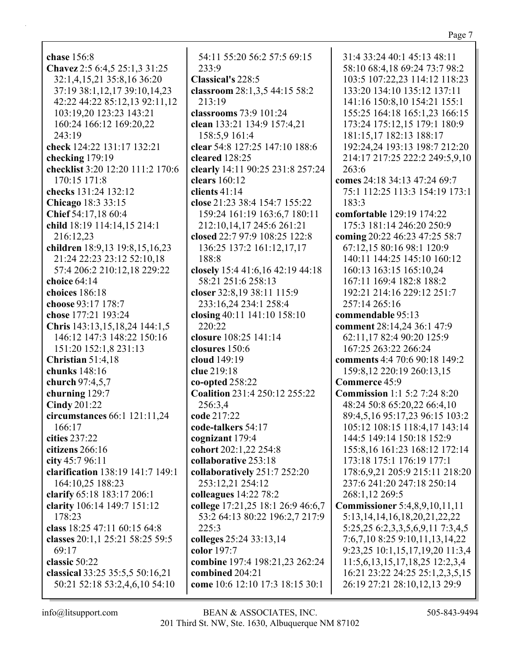**chase** 156:8 **Chavez** 2:5 6:4,5 25:1,3 31:25 32:1,4,15,21 35:8,16 36:20 37:19 38:1,12,17 39:10,14,23 42:22 44:22 85:12,13 92:11,12 103:19,20 123:23 143:21 160:24 166:12 169:20,22 243:19 **check** 124:22 131:17 132:21 **checking** 179:19 **checklist** 3:20 12:20 111:2 170:6 170:15 171:8 **checks** 131:24 132:12 **Chicago** 18:3 33:15 **Chief** 54:17,18 60:4 **child** 18:19 114:14,15 214:1 216:12,23 **children** 18:9,13 19:8,15,16,23 21:24 22:23 23:12 52:10,18 57:4 206:2 210:12,18 229:22 **choice** 64:14 **choices** 186:18 **choose** 93:17 178:7 **chose** 177:21 193:24 **Chris** 143:13,15,18,24 144:1,5 146:12 147:3 148:22 150:16 151:20 152:1,8 231:13 **Christian** 51:4,18 **chunks** 148:16 **church** 97:4,5,7 **churning** 129:7 **Cindy** 201:22 **circumstances** 66:1 121:11,24 166:17 **cities** 237:22 **citizens** 266:16 **city** 45:7 96:11 **clarification** 138:19 141:7 149:1 164:10,25 188:23 **clarify** 65:18 183:17 206:1 **clarity** 106:14 149:7 151:12 178:23 **class** 18:25 47:11 60:15 64:8 **classes** 20:1,1 25:21 58:25 59:5 69:17 **classic** 50:22 **classical** 33:25 35:5,5 50:16,21

54:11 55:20 56:2 57:5 69:15 233:9 **Classical's** 228:5 **classroom** 28:1,3,5 44:15 58:2 213:19 **classrooms** 73:9 101:24 **clean** 133:21 134:9 157:4,21 158:5,9 161:4 **clear** 54:8 127:25 147:10 188:6 **cleared** 128:25 **clearly** 14:11 90:25 231:8 257:24 **clears** 160:12 **clients** 41:14 **close** 21:23 38:4 154:7 155:22 159:24 161:19 163:6,7 180:11 212:10,14,17 245:6 261:21 **closed** 22:7 97:9 108:25 122:8 136:25 137:2 161:12,17,17 188:8 **closely** 15:4 41:6,16 42:19 44:18 58:21 251:6 258:13 **closer** 32:8,19 38:11 115:9 233:16,24 234:1 258:4 **closing** 40:11 141:10 158:10 220:22 **closure** 108:25 141:14 **closures** 150:6 **cloud** 149:19 **clue** 219:18 **co-opted** 258:22 **Coalition** 231:4 250:12 255:22 256:3,4 **code** 217:22 **code-talkers** 54:17 **cognizant** 179:4 **cohort** 202:1,22 254:8 **collaborative** 253:18 **collaboratively** 251:7 252:20 253:12,21 254:12 **colleagues** 14:22 78:2 **college** 17:21,25 18:1 26:9 46:6,7 53:2 64:13 80:22 196:2,7 217:9 225:3 **colleges** 25:24 33:13,14 **color** 197:7 **combine** 197:4 198:21,23 262:24 **combined** 204:21 **come** 10:6 12:10 17:3 18:15 30:1

31:4 33:24 40:1 45:13 48:11 58:10 68:4,18 69:24 73:7 98:2 103:5 107:22,23 114:12 118:23 133:20 134:10 135:12 137:11 141:16 150:8,10 154:21 155:1 155:25 164:18 165:1,23 166:15 173:24 175:12,15 179:1 180:9 181:15,17 182:13 188:17 192:24,24 193:13 198:7 212:20 214:17 217:25 222:2 249:5,9,10 263:6 **comes** 24:18 34:13 47:24 69:7 75:1 112:25 113:3 154:19 173:1 183:3 **comfortable** 129:19 174:22 175:3 181:14 246:20 250:9 **coming** 20:22 46:23 47:25 58:7 67:12,15 80:16 98:1 120:9 140:11 144:25 145:10 160:12 160:13 163:15 165:10,24 167:11 169:4 182:8 188:2 192:21 214:16 229:12 251:7 257:14 265:16 **commendable** 95:13 **comment** 28:14,24 36:1 47:9 62:11,17 82:4 90:20 125:9 167:25 263:22 266:24 **comments** 4:4 70:6 90:18 149:2 159:8,12 220:19 260:13,15 **Commerce** 45:9 **Commission** 1:1 5:2 7:24 8:20 48:24 50:8 65:20,22 66:4,10 89:4,5,16 95:17,23 96:15 103:2 105:12 108:15 118:4,17 143:14 144:5 149:14 150:18 152:9 155:8,16 161:23 168:12 172:14 173:18 175:1 176:19 177:1 178:6,9,21 205:9 215:11 218:20 237:6 241:20 247:18 250:14 268:1,12 269:5 **Commissioner** 5:4,8,9,10,11,11 5:13,14,14,16,18,20,21,22,22 5:25,25 6:2,3,3,5,6,9,11 7:3,4,5 7:6,7,10 8:25 9:10,11,13,14,22 9:23,25 10:1,15,17,19,20 11:3,4 11:5,6,13,15,17,18,25 12:2,3,4 16:21 23:22 24:25 25:1,2,3,5,15 26:19 27:21 28:10,12,13 29:9

50:21 52:18 53:2,4,6,10 54:10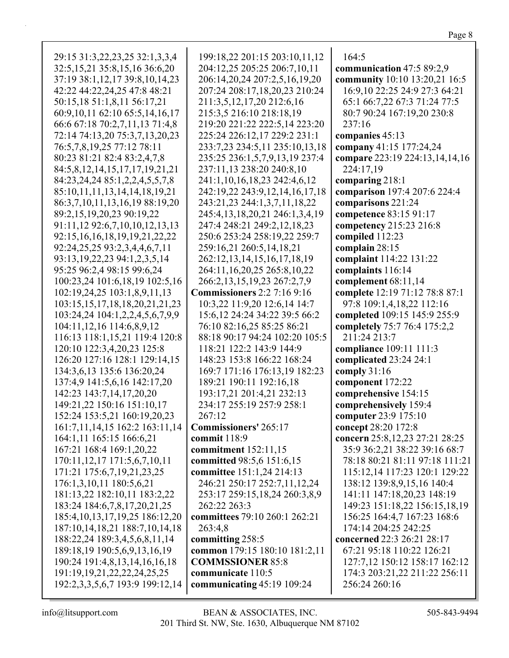| 29:15 31:3,22,23,25 32:1,3,3,4          | 199:18,22 201:15 203:10,11,12      | 164:5                          |
|-----------------------------------------|------------------------------------|--------------------------------|
| 32:5, 15, 21 35:8, 15, 16 36:6, 20      | 204:12,25 205:25 206:7,10,11       | communication 47:5 89:2,9      |
|                                         |                                    |                                |
| 37:19 38:1,12,17 39:8,10,14,23          | 206:14,20,24 207:2,5,16,19,20      | community 10:10 13:20,21 16:5  |
| 42:22 44:22,24,25 47:8 48:21            | 207:24 208:17,18,20,23 210:24      | 16:9, 10 22:25 24:9 27:3 64:21 |
| 50:15,18 51:1,8,11 56:17,21             | 211:3,5,12,17,20 212:6,16          | 65:1 66:7,22 67:3 71:24 77:5   |
|                                         |                                    |                                |
| 60:9,10,11 62:10 65:5,14,16,17          | 215:3,5 216:10 218:18,19           | 80:7 90:24 167:19,20 230:8     |
| 66:6 67:18 70:2,7,11,13 71:4,8          | 219:20 221:22 222:5,14 223:20      | 237:16                         |
| 72:14 74:13,20 75:3,7,13,20,23          | 225:24 226:12,17 229:2 231:1       | companies 45:13                |
| 76:5,7,8,19,25 77:12 78:11              | 233:7,23 234:5,11 235:10,13,18     | company 41:15 177:24,24        |
| 80:23 81:21 82:4 83:2,4,7,8             | 235:25 236:1,5,7,9,13,19 237:4     | compare 223:19 224:13,14,14,16 |
|                                         |                                    |                                |
| 84:5,8,12,14,15,17,17,19,21,21          | 237:11,13 238:20 240:8,10          | 224:17,19                      |
| 84:23, 24, 24 85:1, 2, 2, 4, 5, 5, 7, 8 | 241:1,10,16,18,23 242:4,6,12       | comparing 218:1                |
| 85:10,11,11,13,14,14,18,19,21           | 242:19,22 243:9,12,14,16,17,18     | comparison 197:4 207:6 224:4   |
| 86:3,7,10,11,13,16,19 88:19,20          | 243:21,23 244:1,3,7,11,18,22       | comparisons 221:24             |
| 89:2,15,19,20,23 90:19,22               |                                    |                                |
|                                         | 245:4,13,18,20,21 246:1,3,4,19     | competence 83:15 91:17         |
| 91:11,12 92:6,7,10,10,12,13,13          | 247:4 248:21 249:2,12,18,23        | competency 215:23 216:8        |
| 92:15,16,16,18,19,19,21,22,22           | 250:6 253:24 258:19,22 259:7       | compiled 112:23                |
| 92:24,25,25 93:2,3,4,4,6,7,11           | 259:16,21 260:5,14,18,21           | complain 28:15                 |
| 93:13, 19, 22, 23 94:1, 2, 3, 5, 14     | 262:12,13,14,15,16,17,18,19        | complaint 114:22 131:22        |
| 95:25 96:2,4 98:15 99:6,24              | 264:11,16,20,25 265:8,10,22        | complaints 116:14              |
| 100:23,24 101:6,18,19 102:5,16          | 266:2, 13, 15, 19, 23 267:2, 7, 9  | complement 68:11,14            |
| 102:19,24,25 103:1,8,9,11,13            | <b>Commissioners</b> 2:2 7:16 9:16 | complete 12:19 71:12 78:8 87:1 |
| 103:15,15,17,18,18,20,21,21,23          | 10:3,22 11:9,20 12:6,14 14:7       | 97:8 109:1,4,18,22 112:16      |
| 103:24,24 104:1,2,2,4,5,6,7,9,9         | 15:6, 12 24:24 34:22 39:5 66:2     | completed 109:15 145:9 255:9   |
| 104:11,12,16 114:6,8,9,12               | 76:10 82:16,25 85:25 86:21         | completely 75:7 76:4 175:2,2   |
|                                         | 88:18 90:17 94:24 102:20 105:5     | 211:24 213:7                   |
| 116:13 118:1,15,21 119:4 120:8          |                                    |                                |
| 120:10 122:3,4,20,23 125:8              | 118:21 122:2 143:9 144:9           | compliance 109:11 111:3        |
| 126:20 127:16 128:1 129:14,15           | 148:23 153:8 166:22 168:24         | complicated 23:24 24:1         |
| 134:3,6,13 135:6 136:20,24              | 169:7 171:16 176:13,19 182:23      | comply 31:16                   |
| 137:4,9 141:5,6,16 142:17,20            | 189:21 190:11 192:16,18            | component 172:22               |
| 142:23 143:7,14,17,20,20                | 193:17,21 201:4,21 232:13          | comprehensive 154:15           |
| 149:21,22 150:16 151:10,17              | 234:17 255:19 257:9 258:1          | comprehensively 159:4          |
| 152:24 153:5,21 160:19,20,23            | 267:12                             | computer 23:9 175:10           |
|                                         |                                    |                                |
| 161:7,11,14,15 162:2 163:11,14          | <b>Commissioners' 265:17</b>       | concept 28:20 172:8            |
| 164:1,11 165:15 166:6,21                | commit 118:9                       | concern 25:8,12,23 27:21 28:25 |
| 167:21 168:4 169:1,20,22                | commitment 152:11,15               | 35:9 36:2,21 38:22 39:16 68:7  |
| 170:11, 12, 17 171: 5, 6, 7, 10, 11     | committed 98:5,6 151:6,15          | 78:18 80:21 81:11 97:18 111:21 |
| 171:21 175:6,7,19,21,23,25              | committee 151:1,24 214:13          | 115:12,14 117:23 120:1 129:22  |
| 176:1,3,10,11 180:5,6,21                | 246:21 250:17 252:7,11,12,24       | 138:12 139:8,9,15,16 140:4     |
| 181:13,22 182:10,11 183:2,22            | 253:17 259:15,18,24 260:3,8,9      | 141:11 147:18,20,23 148:19     |
| 183:24 184:6,7,8,17,20,21,25            | 262:22 263:3                       | 149:23 151:18,22 156:15,18,19  |
| 185:4, 10, 13, 17, 19, 25 186: 12, 20   | committees 79:10 260:1 262:21      | 156:25 164:4,7 167:23 168:6    |
|                                         |                                    |                                |
| 187:10,14,18,21 188:7,10,14,18          | 263:4,8                            | 174:14 204:25 242:25           |
| 188:22,24 189:3,4,5,6,8,11,14           | committing 258:5                   | concerned 22:3 26:21 28:17     |
| 189:18,19 190:5,6,9,13,16,19            | common 179:15 180:10 181:2,11      | 67:21 95:18 110:22 126:21      |
| 190:24 191:4,8,13,14,16,16,18           | <b>COMMSSIONER 85:8</b>            | 127:7,12 150:12 158:17 162:12  |
| 191:19, 19, 21, 22, 22, 24, 25, 25      | communicate 110:5                  | 174:3 203:21,22 211:22 256:11  |
| 192:2,3,3,5,6,7 193:9 199:12,14         | communicating $45:19$ 109:24       | 256:24 260:16                  |
|                                         |                                    |                                |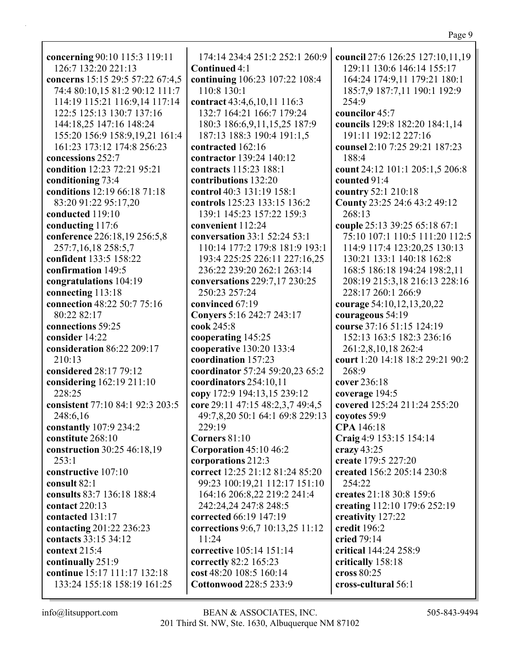**concerning** 90:10 115:3 119:11 126:7 132:20 221:13 **concerns** 15:15 29:5 57:22 67:4,5 74:4 80:10,15 81:2 90:12 111:7 114:19 115:21 116:9,14 117:14 122:5 125:13 130:7 137:16 144:18,25 147:16 148:24 155:20 156:9 158:9,19,21 161:4 161:23 173:12 174:8 256:23 **concessions** 252:7 **condition** 12:23 72:21 95:21 **conditioning** 73:4 **conditions** 12:19 66:18 71:18 83:20 91:22 95:17,20 **conducted** 119:10 **conducting** 117:6 **conference** 226:18,19 256:5,8 257:7,16,18 258:5,7 **confident** 133:5 158:22 **confirmation** 149:5 **congratulations** 104:19 **connecting** 113:18 **connection** 48:22 50:7 75:16 80:22 82:17 **connections** 59:25 **consider** 14:22 **consideration** 86:22 209:17 210:13 **considered** 28:17 79:12 **considering** 162:19 211:10 228:25 **consistent** 77:10 84:1 92:3 203:5 248:6,16 **constantly** 107:9 234:2 **constitute** 268:10 **construction** 30:25 46:18,19  $253:1$ **constructive** 107:10 **consult** 82:1 **consults** 83:7 136:18 188:4 **contact** 220:13 **contacted** 131:17 **contacting** 201:22 236:23 **contacts** 33:15 34:12 **context** 215:4 **continually** 251:9 **continue** 15:17 111:17 132:18 133:24 155:18 158:19 161:25

174:14 234:4 251:2 252:1 260:9 **Continued** 4:1 **continuing** 106:23 107:22 108:4 110:8 130:1 **contract** 43:4,6,10,11 116:3 132:7 164:21 166:7 179:24 180:3 186:6,9,11,15,25 187:9 187:13 188:3 190:4 191:1,5 **contracted** 162:16 **contractor** 139:24 140:12 **contracts** 115:23 188:1 **contributions** 132:20 **control** 40:3 131:19 158:1 **controls** 125:23 133:15 136:2 139:1 145:23 157:22 159:3 **convenient** 112:24 **conversation** 33:1 52:24 53:1 110:14 177:2 179:8 181:9 193:1 193:4 225:25 226:11 227:16,25 236:22 239:20 262:1 263:14 **conversations** 229:7,17 230:25 250:23 257:24 **convinced** 67:19 **Conyers** 5:16 242:7 243:17 **cook** 245:8 **cooperating** 145:25 **cooperative** 130:20 133:4 **coordination** 157:23 **coordinator** 57:24 59:20,23 65:2 **coordinators** 254:10,11 **copy** 172:9 194:13,15 239:12 **core** 29:11 47:15 48:2,3,7 49:4,5 49:7,8,20 50:1 64:1 69:8 229:13 229:19 **Corners** 81:10 **Corporation** 45:10 46:2 **corporations** 212:3 **correct** 12:25 21:12 81:24 85:20 99:23 100:19,21 112:17 151:10 164:16 206:8,22 219:2 241:4 242:24,24 247:8 248:5 **corrected** 66:19 147:19 **corrections** 9:6,7 10:13,25 11:12 11:24 **corrective** 105:14 151:14 **correctly** 82:2 165:23 **cost** 48:20 108:5 160:14 **Cottonwood** 228:5 233:9

**council** 27:6 126:25 127:10,11,19 129:11 130:6 146:14 155:17 164:24 174:9,11 179:21 180:1 185:7,9 187:7,11 190:1 192:9 254:9 **councilor** 45:7 **councils** 129:8 182:20 184:1,14 191:11 192:12 227:16 **counsel** 2:10 7:25 29:21 187:23 188:4 **count** 24:12 101:1 205:1,5 206:8 **counted** 91:4 **country** 52:1 210:18 **County** 23:25 24:6 43:2 49:12 268:13 **couple** 25:13 39:25 65:18 67:1 75:10 107:1 110:5 111:20 112:5 114:9 117:4 123:20,25 130:13 130:21 133:1 140:18 162:8 168:5 186:18 194:24 198:2,11 208:19 215:3,18 216:13 228:16 228:17 260:1 266:9 **courage** 54:10,12,13,20,22 **courageous** 54:19 **course** 37:16 51:15 124:19 152:13 163:5 182:3 236:16 261:2,8,10,18 262:4 **court** 1:20 14:18 18:2 29:21 90:2 268:9 **cover** 236:18 **coverage** 194:5 **covered** 125:24 211:24 255:20 **coyotes** 59:9 **CPA** 146:18 **Craig** 4:9 153:15 154:14 **crazy** 43:25 **create** 179:5 227:20 **created** 156:2 205:14 230:8 254:22 **creates** 21:18 30:8 159:6 **creating** 112:10 179:6 252:19 **creativity** 127:22 **credit** 196:2 **cried** 79:14 **critical** 144:24 258:9 **critically** 158:18 **cross** 80:25 **cross-cultural** 56:1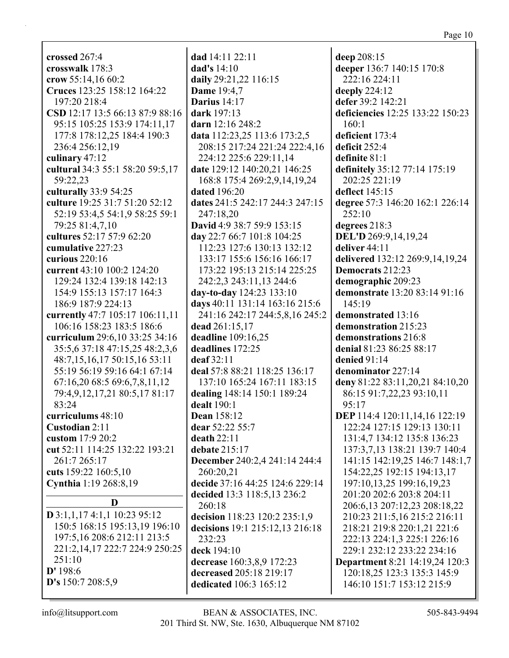**crossed** 267:4 **crosswalk** 178:3 **crow** 55:14,16 60:2 **Cruces** 123:25 158:12 164:22 197:20 218:4 **CSD** 12:17 13:5 66:13 87:9 88:16 95:15 105:25 153:9 174:11,17 177:8 178:12,25 184:4 190:3 236:4 256:12,19 **culinary** 47:12 **cultural** 34:3 55:1 58:20 59:5,17 59:22,23 **culturally** 33:9 54:25 **culture** 19:25 31:7 51:20 52:12 52:19 53:4,5 54:1,9 58:25 59:1 79:25 81:4,7,10 **cultures** 52:17 57:9 62:20 **cumulative** 227:23 **curious** 220:16 **current** 43:10 100:2 124:20 129:24 132:4 139:18 142:13 154:9 155:13 157:17 164:3 186:9 187:9 224:13 **currently** 47:7 105:17 106:11,11 106:16 158:23 183:5 186:6 **curriculum** 29:6,10 33:25 34:16 35:5,6 37:18 47:15,25 48:2,3,6 48:7,15,16,17 50:15,16 53:11 55:19 56:19 59:16 64:1 67:14 67:16,20 68:5 69:6,7,8,11,12 79:4,9,12,17,21 80:5,17 81:17 83:24 **curriculums** 48:10 **Custodian** 2:11 **custom** 17:9 20:2 **cut** 52:11 114:25 132:22 193:21 261:7 265:17 **cuts** 159:22 160:5,10 **Cynthia** 1:19 268:8,19 **D D** 3:1,1,17 4:1,1 10:23 95:12 150:5 168:15 195:13,19 196:10 197:5,16 208:6 212:11 213:5 221:2,14,17 222:7 224:9 250:25 251:10 **D'** 198:6

**D's** 150:7 208:5,9

**dad** 14:11 22:11 **dad's** 14:10 **daily** 29:21,22 116:15 **Dame** 19:4,7 **Darius** 14:17 **dark** 197:13 **darn** 12:16 248:2 **data** 112:23,25 113:6 173:2,5 208:15 217:24 221:24 222:4,16 224:12 225:6 229:11,14 **date** 129:12 140:20,21 146:25 168:8 175:4 269:2,9,14,19,24 **dated** 196:20 **dates** 241:5 242:17 244:3 247:15 247:18,20 **David** 4:9 38:7 59:9 153:15 **day** 22:7 66:7 101:8 104:25 112:23 127:6 130:13 132:12 133:17 155:6 156:16 166:17 173:22 195:13 215:14 225:25 242:2,3 243:11,13 244:6 **day-to-day** 124:23 133:10 **days** 40:11 131:14 163:16 215:6 241:16 242:17 244:5,8,16 245:2 **dead** 261:15,17 **deadline** 109:16,25 **deadlines** 172:25 **deaf** 32:11 **deal** 57:8 88:21 118:25 136:17 137:10 165:24 167:11 183:15 **dealing** 148:14 150:1 189:24 **dealt** 190:1 **Dean** 158:12 **dear** 52:22 55:7 **death** 22:11 **debate** 215:17 **December** 240:2,4 241:14 244:4 260:20,21 **decide** 37:16 44:25 124:6 229:14 **decided** 13:3 118:5,13 236:2 260:18 **decision** 118:23 120:2 235:1,9 **decisions** 19:1 215:12,13 216:18 232:23 **deck** 194:10 **decrease** 160:3,8,9 172:23 **decreased** 205:18 219:17

**deep** 208:15 **deeper** 136:7 140:15 170:8 222:16 224:11 **deeply** 224:12 **defer** 39:2 142:21 **deficiencies** 12:25 133:22 150:23 160:1 **deficient** 173:4 **deficit** 252:4 **definite** 81:1 **definitely** 35:12 77:14 175:19 202:25 221:19 **deflect** 145:15 **degree** 57:3 146:20 162:1 226:14 252:10 **degrees** 218:3 **DEL'D** 269:9,14,19,24 **deliver** 44:11 **delivered** 132:12 269:9,14,19,24 **Democrats** 212:23 **demographic** 209:23 **demonstrate** 13:20 83:14 91:16 145:19 **demonstrated** 13:16 **demonstration** 215:23 **demonstrations** 216:8 **denial** 81:23 86:25 88:17 **denied** 91:14 **denominator** 227:14 **deny** 81:22 83:11,20,21 84:10,20 86:15 91:7,22,23 93:10,11 95:17 **DEP** 114:4 120:11,14,16 122:19 122:24 127:15 129:13 130:11 131:4,7 134:12 135:8 136:23 137:3,7,13 138:21 139:7 140:4 141:15 142:19,25 146:7 148:1,7 154:22,25 192:15 194:13,17 197:10,13,25 199:16,19,23 201:20 202:6 203:8 204:11 206:6,13 207:12,23 208:18,22 210:23 211:5,16 215:2 216:11 218:21 219:8 220:1,21 221:6 222:13 224:1,3 225:1 226:16 229:1 232:12 233:22 234:16 **Department** 8:21 14:19,24 120:3 120:18,25 123:3 135:3 145:9 146:10 151:7 153:12 215:9

**dedicated** 106:3 165:12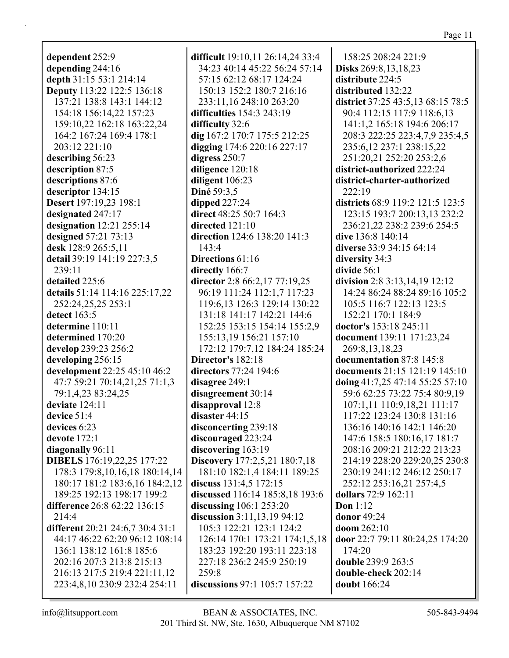**dependent** 252:9 **depending** 244:16 **depth** 31:15 53:1 214:14 **Deputy** 113:22 122:5 136:18 137:21 138:8 143:1 144:12 154:18 156:14,22 157:23 159:10,22 162:18 163:22,24 164:2 167:24 169:4 178:1 203:12 221:10 **describing** 56:23 **description** 87:5 **descriptions** 87:6 **descriptor** 134:15 **Desert** 197:19,23 198:1 **designated** 247:17 **designation** 12:21 255:14 **designed** 57:21 73:13 **desk** 128:9 265:5,11 **detail** 39:19 141:19 227:3,5 239:11 **detailed** 225:6 **details** 51:14 114:16 225:17,22 252:24,25,25 253:1 **detect** 163:5 **determine** 110:11 **determined** 170:20 **develop** 239:23 256:2 **developing** 256:15 **development** 22:25 45:10 46:2 47:7 59:21 70:14,21,25 71:1,3 79:1,4,23 83:24,25 **deviate** 124:11 **device** 51:4 **devices** 6:23 **devote** 172:1 **diagonally** 96:11 **DIBELS** 176:19,22,25 177:22 178:3 179:8,10,16,18 180:14,14 180:17 181:2 183:6,16 184:2,12 189:25 192:13 198:17 199:2 **difference** 26:8 62:22 136:15 214:4 **different** 20:21 24:6,7 30:4 31:1 44:17 46:22 62:20 96:12 108:14 136:1 138:12 161:8 185:6 202:16 207:3 213:8 215:13 216:13 217:5 219:4 221:11,12 223:4,8,10 230:9 232:4 254:11

**difficult** 19:10,11 26:14,24 33:4 34:23 40:14 45:22 56:24 57:14 57:15 62:12 68:17 124:24 150:13 152:2 180:7 216:16 233:11,16 248:10 263:20 **difficulties** 154:3 243:19 **difficulty** 32:6 **dig** 167:2 170:7 175:5 212:25 **digging** 174:6 220:16 227:17 **digress** 250:7 **diligence** 120:18 **diligent** 106:23 **Diné** 59:3,5 **dipped** 227:24 **direct** 48:25 50:7 164:3 **directed** 121:10 **direction** 124:6 138:20 141:3 143:4 **Directions** 61:16 **directly** 166:7 **director** 2:8 66:2,17 77:19,25 96:19 111:24 112:1,7 117:23 119:6,13 126:3 129:14 130:22 131:18 141:17 142:21 144:6 152:25 153:15 154:14 155:2,9 155:13,19 156:21 157:10 172:12 179:7,12 184:24 185:24 **Director's** 182:18 **directors** 77:24 194:6 **disagree** 249:1 **disagreement** 30:14 **disapproval** 12:8 **disaster** 44:15 **disconcerting** 239:18 **discouraged** 223:24 **discovering** 163:19 **Discovery** 177:2,5,21 180:7,18 181:10 182:1,4 184:11 189:25 **discuss** 131:4,5 172:15 **discussed** 116:14 185:8,18 193:6 **discussing** 106:1 253:20 **discussion** 3:11,13,19 94:12 105:3 122:21 123:1 124:2 126:14 170:1 173:21 174:1,5,18 183:23 192:20 193:11 223:18 227:18 236:2 245:9 250:19 259:8 **discussions** 97:1 105:7 157:22

158:25 208:24 221:9 **Disks** 269:8,13,18,23 **distribute** 224:5 **distributed** 132:22 **district** 37:25 43:5,13 68:15 78:5 90:4 112:15 117:9 118:6,13 141:1,2 165:18 194:6 206:17 208:3 222:25 223:4,7,9 235:4,5 235:6,12 237:1 238:15,22 251:20,21 252:20 253:2,6 **district-authorized** 222:24 **district-charter-authorized** 222:19 **districts** 68:9 119:2 121:5 123:5 123:15 193:7 200:13,13 232:2 236:21,22 238:2 239:6 254:5 **dive** 136:8 140:14 **diverse** 33:9 34:15 64:14 **diversity** 34:3 **divide** 56:1 **division** 2:8 3:13,14,19 12:12 14:24 86:24 88:24 89:16 105:2 105:5 116:7 122:13 123:5 152:21 170:1 184:9 **doctor's** 153:18 245:11 **document** 139:11 171:23,24 269:8,13,18,23 **documentation** 87:8 145:8 **documents** 21:15 121:19 145:10 **doing** 41:7,25 47:14 55:25 57:10 59:6 62:25 73:22 75:4 80:9,19 107:1,11 110:9,18,21 111:17 117:22 123:24 130:8 131:16 136:16 140:16 142:1 146:20 147:6 158:5 180:16,17 181:7 208:16 209:21 212:22 213:23 214:19 228:20 229:20,25 230:8 230:19 241:12 246:12 250:17 252:12 253:16,21 257:4,5 **dollars** 72:9 162:11 **Don** 1:12 **donor** 49:24 **doom** 262:10 **door** 22:7 79:11 80:24,25 174:20 174:20 **double** 239:9 263:5 **double-check** 202:14 **doubt** 166:24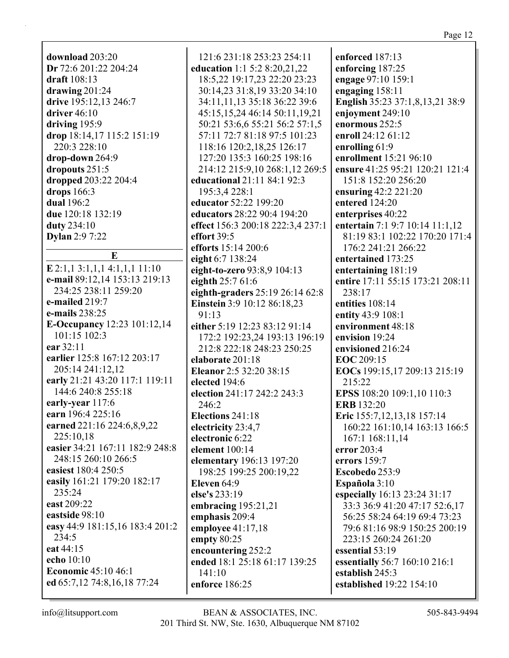**download** 203:20 **Dr** 72:6 201:22 204:24 **draft** 108:13 **drawing** 201:24 **drive** 195:12,13 246:7 **driver** 46:10 **driving** 195:9 **drop** 18:14,17 115:2 151:19 220:3 228:10 **drop-down** 264:9 **dropouts** 251:5 **dropped** 203:22 204:4 **drops** 166:3 **dual** 196:2 **due** 120:18 132:19 **duty** 234:10 **Dylan** 2:9 7:22

**E E** 2:1,1 3:1,1,1 4:1,1,1 11:10 **e-mail** 89:12,14 153:13 219:13 234:25 238:11 259:20 **e-mailed** 219:7 **e-mails** 238:25 **E-Occupancy** 12:23 101:12,14 101:15 102:3 **ear** 32:11 **earlier** 125:8 167:12 203:17 205:14 241:12,12 **early** 21:21 43:20 117:1 119:11 144:6 240:8 255:18 **early-year** 117:6 **earn** 196:4 225:16 **earned** 221:16 224:6,8,9,22 225:10,18 **easier** 34:21 167:11 182:9 248:8 248:15 260:10 266:5 **easiest** 180:4 250:5 **easily** 161:21 179:20 182:17 235:24 **east** 209:22 **eastside** 98:10 **easy** 44:9 181:15,16 183:4 201:2 234:5 **eat** 44:15 **echo** 10:10 **Economic** 45:10 46:1 **ed** 65:7,12 74:8,16,18 77:24

121:6 231:18 253:23 254:11 **education** 1:1 5:2 8:20,21,22 18:5,22 19:17,23 22:20 23:23 30:14,23 31:8,19 33:20 34:10 34:11,11,13 35:18 36:22 39:6 45:15,15,24 46:14 50:11,19,21 50:21 53:6,6 55:21 56:2 57:1,5 57:11 72:7 81:18 97:5 101:23 118:16 120:2,18,25 126:17 127:20 135:3 160:25 198:16 214:12 215:9,10 268:1,12 269:5 **educational** 21:11 84:1 92:3 195:3,4 228:1 **educator** 52:22 199:20 **educators** 28:22 90:4 194:20 **effect** 156:3 200:18 222:3,4 237:1 **effort** 39:5 **efforts** 15:14 200:6 **eight** 6:7 138:24 **eight-to-zero** 93:8,9 104:13 **eighth** 25:7 61:6 **eighth-graders** 25:19 26:14 62:8 **Einstein** 3:9 10:12 86:18,23 91:13 **either** 5:19 12:23 83:12 91:14 172:2 192:23,24 193:13 196:19 212:8 222:18 248:23 250:25 **elaborate** 201:18 **Eleanor** 2:5 32:20 38:15 **elected** 194:6 **election** 241:17 242:2 243:3 246:2 **Elections** 241:18 **electricity** 23:4,7 **electronic** 6:22 **element** 100:14 **elementary** 196:13 197:20 198:25 199:25 200:19,22 **Eleven** 64:9 **else's** 233:19 **embracing** 195:21,21 **emphasis** 209:4 **employee** 41:17,18 **empty** 80:25 **encountering** 252:2 **ended** 18:1 25:18 61:17 139:25 141:10 **enforce** 186:25

**enforced** 187:13 **enforcing** 187:25 **engage** 97:10 159:1 **engaging** 158:11 **English** 35:23 37:1,8,13,21 38:9 **enjoyment** 249:10 **enormous** 252:5 **enroll** 24:12 61:12 **enrolling** 61:9 **enrollment** 15:21 96:10 **ensure** 41:25 95:21 120:21 121:4 151:8 152:20 256:20 **ensuring** 42:2 221:20 **entered** 124:20 **enterprises** 40:22 **entertain** 7:1 9:7 10:14 11:1,12 81:19 83:1 102:22 170:20 171:4 176:2 241:21 266:22 **entertained** 173:25 **entertaining** 181:19 **entire** 17:11 55:15 173:21 208:11 238:17 **entities** 108:14 **entity** 43:9 108:1 **environment** 48:18 **envision** 19:24 **envisioned** 216:24 **EOC** 209:15 **EOCs** 199:15,17 209:13 215:19 215:22 **EPSS** 108:20 109:1,10 110:3 **ERB** 132:20 **Eric** 155:7,12,13,18 157:14 160:22 161:10,14 163:13 166:5 167:1 168:11,14 **error** 203:4 **errors** 159:7 **Escobedo** 253:9 **Española** 3:10 **especially** 16:13 23:24 31:17 33:3 36:9 41:20 47:17 52:6,17 56:25 58:24 64:19 69:4 73:23 79:6 81:16 98:9 150:25 200:19 223:15 260:24 261:20 **essential** 53:19 **essentially** 56:7 160:10 216:1 **establish** 245:3 **established** 19:22 154:10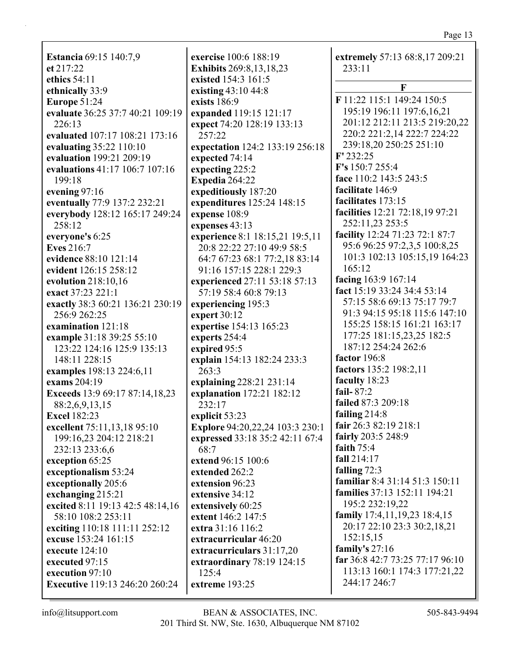**Estancia 69:15 140:7,9**  $et 217:22$ ethics  $54:11$ ethnically 33:9 **Europe 51:24** evaluate 36:25 37:7 40:21 109:19 226:13 evaluated 107:17 108:21 173:16 evaluating 35:22 110:10 evaluation 199:21 209:19 evaluations 41:17 106:7 107:16  $199.18$ evening  $97:16$ eventually 77:9 137:2 232:21 everybody 128:12 165:17 249:24  $258:12$ everyone's 6:25 **Eves** 216:7 evidence 88:10 121:14 evident 126:15 258:12 evolution 218:10,16 exact 37:23 221:1 exactly 38:3 60:21 136:21 230:19 256:9 262:25 examination 121:18 example 31:18 39:25 55:10 123:22 124:16 125:9 135:13 148:11 228:15 examples 198:13 224:6,11 exams  $204:19$ Exceeds 13:9 69:17 87:14,18,23 88:2,6,9,13,15 **Excel 182:23** excellent 75:11.13.18 95:10 199:16,23 204:12 218:21 232:13 233:6,6 exception 65:25 exceptionalism 53:24 exceptionally 205:6 exchanging 215:21 excited 8:11 19:13 42:5 48:14,16 58:10 108:2 253:11 exciting 110:18 111:11 252:12 excuse 153:24 161:15 execute  $124:10$ executed 97:15 execution 97:10 **Executive** 119:13 246:20 260:24

exercise 100:6 188:19 **Exhibits** 269:8,13,18,23 existed 154:3 161:5 existing 43:10 44:8 exists 186:9 expanded 119:15 121:17 expect 74:20 128:19 133:13 257:22 expectation 124:2 133:19 256:18 expected 74:14 expecting 225:2 Expedia 264:22 expeditiously 187:20 expenditures 125:24 148:15 expense 108:9 expenses  $43:13$ experience 8:1 18:15,21 19:5,11 20:8 22:22 27:10 49:9 58:5 64:7 67:23 68:1 77:2.18 83:14 91:16 157:15 228:1 229:3 experienced 27:11 53:18 57:13 57:19 58:4 60:8 79:13 experiencing 195:3 expert 30:12 expertise 154:13 165:23 experts 254:4 expired 95:5 explain 154:13 182:24 233:3  $263:3$ explaining 228:21 231:14 explanation 172:21 182:12  $232:17$ explicit 53:23 **Explore** 94:20,22,24 103:3 230:1 expressed 33:18 35:2 42:11 67:4 68:7 extend 96:15 100:6 extended 262:2 extension 96:23 extensive 34:12 extensively 60:25 extent 146:2 147:5 extra 31:16 116:2 extracurricular 46:20 extracurriculars  $31:17.20$ extraordinary 78:19 124:15  $125:4$ extreme 193:25

extremely 57:13 68:8,17 209:21  $233:11$  $\mathbf{F}$ F 11:22 115:1 149:24 150:5 195:19 196:11 197:6.16.21 201:12 212:11 213:5 219:20,22 220:2 221:2,14 222:7 224:22 239:18,20 250:25 251:10  $F' 232:25$  $F's 150:7 255:4$ face 110:2 143:5 243:5 facilitate 146:9 facilitates 173:15 facilities 12:21 72:18,19 97:21 252:11,23 253:5 facility 12:24 71:23 72:1 87:7 95:6 96:25 97:2,3,5 100:8,25 101:3 102:13 105:15,19 164:23  $165:12$ facing  $163:9 167:14$ fact  $15:19$  33:24 34:4 53:14 57:15 58:6 69:13 75:17 79:7 91:3 94:15 95:18 115:6 147:10 155:25 158:15 161:21 163:17 177:25 181:15,23,25 182:5 187:12 254:24 262:6 factor  $196:8$ factors 135:2 198:2,11 faculty 18:23 fail- $87:2$ failed 87:3 209:18 failing  $214:8$ fair 26:3 82:19 218:1 fairly 203:5 248:9 faith  $75:4$ fall 214:17 falling  $72:3$ familiar 8:4 31:14 51:3 150:11 families 37:13 152:11 194:21 195:2 232:19,22 **family**  $17:4,11,19,23$   $18:4,15$ 20:17 22:10 23:3 30:2,18,21 152:15.15 family's  $27:16$ far 36:8 42:7 73:25 77:17 96:10 113:13 160:1 174:3 177:21,22 244:17 246:7

### $info@$ litsupport.com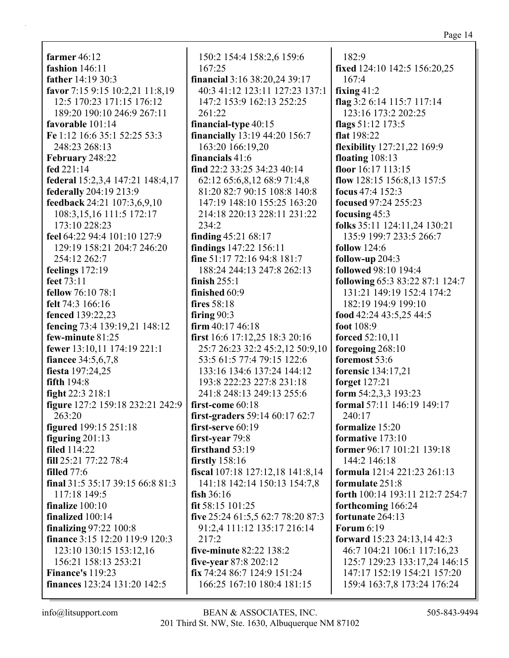farmer  $46:12$ **fashion** 146:11 father 14:19 30:3 favor 7:15 9:15 10:2,21 11:8,19 12:5 170:23 171:15 176:12 189:20 190:10 246:9 267:11 favorable  $101:14$ Fe 1:12 16:6 35:1 52:25 53:3 248:23 268:13 February 248:22 fed 221:14 federal 15:2,3,4 147:21 148:4,17 federally 204:19 213:9 feedback 24:21 107:3,6,9,10 108:3,15,16 111:5 172:17 173:10 228:23 feel 64:22 94:4 101:10 127:9 129:19 158:21 204:7 246:20 254:12 262:7 feelings  $172:19$ feet  $73:11$ fellow 76:10 78:1 felt 74:3 166:16 fenced 139:22,23 fencing 73:4 139:19,21 148:12 few-minute 81:25 fewer 13:10.11 174:19 221:1 fiancee 34:5,6,7,8 fiesta 197:24.25 fifth  $194:8$ fight  $22:3218:1$ figure 127:2 159:18 232:21 242:9 263:20 figured 199:15 251:18 figuring  $201:13$ filed  $114:22$ fill 25:21 77:22 78:4 filled  $77:6$ final 31:5 35:17 39:15 66:8 81:3 117:18 149:5 finalize  $100:10$ finalized 100:14 finalizing  $97:22$  100:8 finance 3:15 12:20 119:9 120:3 123:10 130:15 153:12.16 156:21 158:13 253:21 **Finance's 119:23 finances** 123:24 131:20 142:5

150:2 154:4 158:2,6 159:6 167:25 financial 3:16 38:20,24 39:17 40:3 41:12 123:11 127:23 137:1 147:2 153:9 162:13 252:25 261:22 financial-type 40:15 **financially** 13:19 44:20 156:7 163:20 166:19,20 financials  $41:6$ find 22:2 33:25 34:23 40:14 62:12 65:6,8,12 68:9 71:4,8 81:20 82:7 90:15 108:8 140:8 147:19 148:10 155:25 163:20 214:18 220:13 228:11 231:22  $234:2$ finding  $45:2168:17$ findings 147:22 156:11 fine  $51:1772:1694:8181:7$ 188:24 244:13 247:8 262:13 finish  $255:1$ finished 60:9 fires  $58:18$ firing  $90:3$ firm  $40:17,46:18$ first 16:6 17:12,25 18:3 20:16 25:7 26:23 32:2 45:2,12 50:9,10 53:5 61:5 77:4 79:15 122:6 133:16 134:6 137:24 144:12 193:8 222:23 227:8 231:18 241:8 248:13 249:13 255:6 first-come  $60:18$ **first-graders** 59:14 60:17 62:7 first-serve  $60:19$ first-year 79:8 firsthand  $53:19$ firstly  $158:16$ fiscal 107:18 127:12,18 141:8,14 141:18 142:14 150:13 154:7,8 fish  $36:16$ fit  $58:15$   $101:25$ five 25:24 61:5,5 62:7 78:20 87:3 91:2.4 111:12 135:17 216:14 217:2 five-minute  $82:22$  138:2 five-year 87:8 202:12 fix 74:24 86:7 124:9 151:24 166:25 167:10 180:4 181:15

182:9 fixed 124:10 142:5 156:20,25  $167:4$ fixing  $41:2$ flag 3:2 6:14 115:7 117:14 123:16 173:2 202:25 flags  $51:12$  173:5 flat 198:22 **flexibility** 127:21,22 169:9 floating  $108:13$ floor 16:17 113:15 flow  $128:15$  156:8.13 157:5 focus 47:4 152:3 **focused** 97:24 255:23 focusing  $45:3$ folks 35:11 124:11.24 130:21 135:9 199:7 233:5 266:7 follow  $124:6$ follow-up  $204:3$ followed 98:10 194:4 following 65:3 83:22 87:1 124:7 131:21 149:19 152:4 174:2 182:19 194:9 199:10 food 42:24 43:5,25 44:5 foot  $108:9$ forced 52:10.11 foregoing  $268:10$ foremost 53:6 **forensic** 134:17.21 forget  $127:21$ form 54:2,3,3 193:23 formal 57:11 146:19 149:17 240:17 formalize 15:20 formative  $173:10$ former 96:17 101:21 139:18 144:2 146:18 **formula** 121:4 221:23 261:13 formulate  $251:8$ forth 100:14 193:11 212:7 254:7 forthcoming 166:24 fortunate 264:13 **Forum 6:19** forward 15:23 24:13,14 42:3 46:7 104:21 106:1 117:16,23 125:7 129:23 133:17,24 146:15 147:17 152:19 154:21 157:20 159:4 163:7,8 173:24 176:24

 $info@$ litsupport.com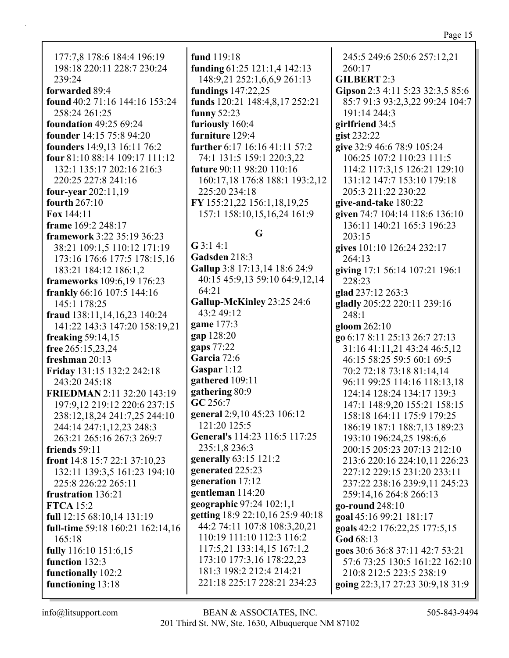177:7,8 178:6 184:4 196:19 198:18 220:11 228:7 230:24 239:24 forwarded 89:4 found  $40:2$  71:16 144:16 153:24 258:24 261:25 **foundation** 49:25 69:24 **founder** 14:15 75:8 94:20 **founders** 14:9,13 16:11 76:2 **four** 81:10 88:14 109:17 111:12 132:1 135:17 202:16 216:3 220:25 227:8 241:16 four-year 202:11,19 fourth  $267:10$ Fox 144:11 frame 169:2 248:17 **framework 3:22 35:19 36:23** 38:21 109:1.5 110:12 171:19 173:16 176:6 177:5 178:15,16 183:21 184:12 186:1,2 **frameworks** 109:6,19 176:23 frankly 66:16 107:5 144:16 145:1 178:25 fraud 138:11,14,16,23 140:24 141:22 143:3 147:20 158:19,21 freaking  $59:14,15$ free  $265:15.23.24$ freshman 20:13 Friday 131:15 132:2 242:18 243:20 245:18 FRIEDMAN 2:11 32:20 143:19 197:9,12 219:12 220:6 237:15 238:12,18,24 241:7,25 244:10 244:14 247:1,12,23 248:3 263:21 265:16 267:3 269:7 friends  $59:11$ front 14:8 15:7 22:1 37:10,23 132:11 139:3,5 161:23 194:10 225:8 226:22 265:11 frustration 136:21 **FTCA** 15:2 full 12:15 68:10,14 131:19 full-time 59:18 160:21 162:14,16 165:18 fully 116:10 151:6,15 function 132:3 functionally 102:2 functioning 13:18

fund 119:18 funding 61:25 121:1,4 142:13 148:9,21 252:1,6,6,9 261:13 fundings 147:22,25 funds 120:21 148:4,8,17 252:21 funny  $52:23$ furiously 160:4 furniture 129:4 further 6:17 16:16 41:11 57:2 74:1 131:5 159:1 220:3,22 future 90:11 98:20 110:16 160:17,18 176:8 188:1 193:2,12 225:20 234:18 FY 155:21,22 156:1,18,19,25 157:1 158:10,15,16,24 161:9 G  $G$  3:1 4:1 Gadsden 218:3 Gallup 3:8 17:13,14 18:6 24:9 40:15 45:9,13 59:10 64:9,12,14 64:21 Gallup-McKinley 23:25 24:6 43:2 49:12 game 177:3  $gap 128:20$ gaps 77:22 Garcia 72:6 Gaspar  $1:12$ gathered 109:11 gathering 80:9 GC 256:7 general 2:9,10 45:23 106:12 121:20 125:5 General's 114:23 116:5 117:25 235:1,8 236:3 generally 63:15 121:2 generated 225:23 generation 17:12 gentleman 114:20 geographic  $97:24$  102:1,1 getting 18:9 22:10,16 25:9 40:18 44:2 74:11 107:8 108:3.20.21 110:19 111:10 112:3 116:2 117:5,21 133:14,15 167:1,2

## **GILBERT 2:3** Gipson 2:3 4:11 5:23 32:3,5 85:6 85:7 91:3 93:2,3,22 99:24 104:7 191:14 244:3 girlfriend 34:5 gist  $232:22$ give 32:9 46:6 78:9 105:24 106:25 107:2 110:23 111:5 114:2 117:3,15 126:21 129:10 131:12 147:7 153:10 179:18 205:3 211:22 230:22 give-and-take 180:22 given 74:7 104:14 118:6 136:10 136:11 140:21 165:3 196:23  $203:15$ gives 101:10 126:24 232:17 264:13 giving 17:1 56:14 107:21 196:1 228:23 glad 237:12 263:3 gladly 205:22 220:11 239:16  $248:1$ gloom  $262:10$ go 6:17 8:11 25:13 26:7 27:13 31:16 41:11,21 43:24 46:5,12 46:15 58:25 59:5 60:1 69:5 70:2 72:18 73:18 81:14.14 96:11 99:25 114:16 118:13,18 124:14 128:24 134:17 139:3 147:1 148:9.20 155:21 158:15 158:18 164:11 175:9 179:25 186:19 187:1 188:7.13 189:23 193:10 196:24,25 198:6,6 200:15 205:23 207:13 212:10 213:6 220:16 224:10,11 226:23 227:12 229:15 231:20 233:11 237:22 238:16 239:9,11 245:23 259:14.16 264:8 266:13 go-round 248:10 goal 45:16 99:21 181:17 goals 42:2 176:22,25 177:5,15 God 68:13 goes 30:6 36:8 37:11 42:7 53:21 57:6 73:25 130:5 161:22 162:10 210:8 212:5 223:5 238:19 going 22:3,17 27:23 30:9,18 31:9

245:5 249:6 250:6 257:12,21

260:17

173:10 177:3,16 178:22,23

221:18 225:17 228:21 234:23

181:3 198:2 212:4 214:21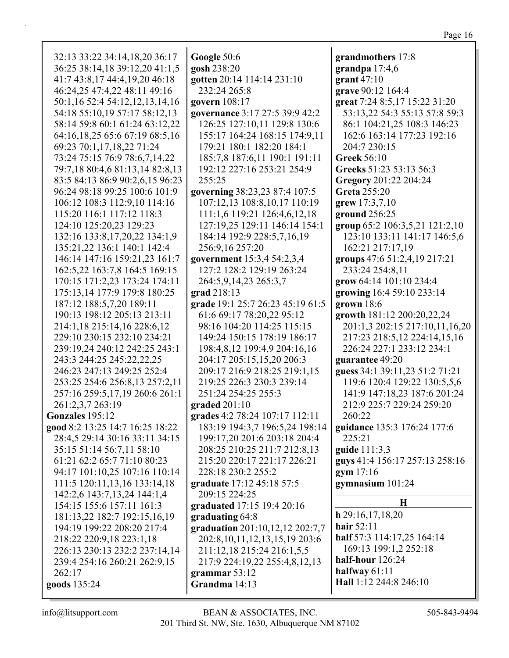| 32:13 33:22 34:14,18,20 36:17     | Google 50:6                         | grandmothers 17:8              |
|-----------------------------------|-------------------------------------|--------------------------------|
| 36:25 38:14,18 39:12,20 41:1,5    | gosh 238:20                         | grandpa $17:4,6$               |
| 41:7 43:8,17 44:4,19,20 46:18     | gotten 20:14 114:14 231:10          | grant $47:10$                  |
| 46:24,25 47:4,22 48:11 49:16      | 232:24 265:8                        | grave 90:12 164:4              |
| 50:1,16 52:4 54:12,12,13,14,16    | govern 108:17                       | great 7:24 8:5,17 15:22 31:20  |
| 54:18 55:10,19 57:17 58:12,13     | governance 3:17 27:5 39:9 42:2      | 53:13,22 54:3 55:13 57:8 59:3  |
| 58:14 59:8 60:1 61:24 63:12,22    | 126:25 127:10,11 129:8 130:6        | 86:1 104:21,25 108:3 146:23    |
| 64:16,18,25 65:6 67:19 68:5,16    | 155:17 164:24 168:15 174:9,11       | 162:6 163:14 177:23 192:16     |
|                                   | 179:21 180:1 182:20 184:1           | 204:7 230:15                   |
| 69:23 70:1,17,18,22 71:24         |                                     |                                |
| 73:24 75:15 76:9 78:6,7,14,22     | 185:7,8 187:6,11 190:1 191:11       | <b>Greek 56:10</b>             |
| 79:7,18 80:4,6 81:13,14 82:8,13   | 192:12 227:16 253:21 254:9          | Greeks 51:23 53:13 56:3        |
| 83:5 84:13 86:9 90:2,6,15 96:23   | 255:25                              | Gregory 201:22 204:24          |
| 96:24 98:18 99:25 100:6 101:9     | governing 38:23,23 87:4 107:5       | <b>Greta 255:20</b>            |
| 106:12 108:3 112:9,10 114:16      | 107:12,13 108:8,10,17 110:19        | grew 17:3,7,10                 |
| 115:20 116:1 117:12 118:3         | 111:1,6 119:21 126:4,6,12,18        | ground 256:25                  |
| 124:10 125:20,23 129:23           | 127:19,25 129:11 146:14 154:1       | group 65:2 106:3,5,21 121:2,10 |
| 132:16 133:8, 17, 20, 22 134:1, 9 | 184:14 192:9 228:5,7,16,19          | 123:10 133:11 141:17 146:5,6   |
| 135:21,22 136:1 140:1 142:4       | 256:9,16 257:20                     | 162:21 217:17,19               |
| 146:14 147:16 159:21,23 161:7     | government 15:3,4 54:2,3,4          | groups 47:6 51:2,4,19 217:21   |
| 162:5,22 163:7,8 164:5 169:15     | 127:2 128:2 129:19 263:24           | 233:24 254:8,11                |
| 170:15 171:2,23 173:24 174:11     | 264:5,9,14,23 265:3,7               | grow 64:14 101:10 234:4        |
| 175:13,14 177:9 179:8 180:25      | grad 218:13                         | growing 16:4 59:10 233:14      |
| 187:12 188:5,7,20 189:11          | grade 19:1 25:7 26:23 45:19 61:5    | grown $18:6$                   |
| 190:13 198:12 205:13 213:11       | 61:6 69:17 78:20,22 95:12           | growth 181:12 200:20,22,24     |
| 214:1,18 215:14,16 228:6,12       | 98:16 104:20 114:25 115:15          | 201:1,3 202:15 217:10,11,16,20 |
| 229:10 230:15 232:10 234:21       | 149:24 150:15 178:19 186:17         | 217:23 218:5,12 224:14,15,16   |
| 239:19,24 240:12 242:25 243:1     | 198:4,8,12 199:4,9 204:16,16        | 226:24 227:1 233:12 234:1      |
| 243:3 244:25 245:22,22,25         | 204:17 205:15,15,20 206:3           | guarantee 49:20                |
| 246:23 247:13 249:25 252:4        | 209:17 216:9 218:25 219:1,15        | guess 34:1 39:11,23 51:2 71:21 |
| 253:25 254:6 256:8,13 257:2,11    | 219:25 226:3 230:3 239:14           | 119:6 120:4 129:22 130:5,5,6   |
| 257:16 259:5,17,19 260:6 261:1    | 251:24 254:25 255:3                 | 141:9 147:18,23 187:6 201:24   |
| 261:2,3,7 263:19                  | graded $201:10$                     | 212:9 225:7 229:24 259:20      |
| Gonzales 195:12                   | grades 4:2 78:24 107:17 112:11      | 260:22                         |
| good 8:2 13:25 14:7 16:25 18:22   | 183:19 194:3,7 196:5,24 198:14      | guidance 135:3 176:24 177:6    |
| 28:4,5 29:14 30:16 33:11 34:15    | 199:17,20 201:6 203:18 204:4        | 225:21                         |
| 35:15 51:14 56:7,11 58:10         | 208:25 210:25 211:7 212:8,13        | guide 111:3,3                  |
| 61:21 62:2 65:7 71:10 80:23       | 215:20 220:17 221:17 226:21         | guys 41:4 156:17 257:13 258:16 |
| 94:17 101:10,25 107:16 110:14     | 228:18 230:2 255:2                  | gym 17:16                      |
| 111:5 120:11,13,16 133:14,18      | graduate 17:12 45:18 57:5           | gymnasium 101:24               |
| 142:2,6 143:7,13,24 144:1,4       | 209:15 224:25                       |                                |
| 154:15 155:6 157:11 161:3         | graduated 17:15 19:4 20:16          | $\bf H$                        |
| 181:13,22 182:7 192:15,16,19      | graduating 64:8                     | $h$ 29:16,17,18,20             |
| 194:19 199:22 208:20 217:4        | graduation 201:10,12,12 202:7,7     | hair $52:11$                   |
|                                   |                                     | half 57:3 114:17,25 164:14     |
| 218:22 220:9,18 223:1,18          | 202:8, 10, 11, 12, 13, 15, 19 203:6 | 169:13 199:1,2 252:18          |
| 226:13 230:13 232:2 237:14,14     | 211:12,18 215:24 216:1,5,5          | half-hour 126:24               |
| 239:4 254:16 260:21 262:9,15      | 217:9 224:19,22 255:4,8,12,13       | halfway $61:11$                |
| 262:17                            | grammar $53:12$                     | Hall 1:12 244:8 246:10         |
| goods 135:24                      | Grandma 14:13                       |                                |
|                                   |                                     |                                |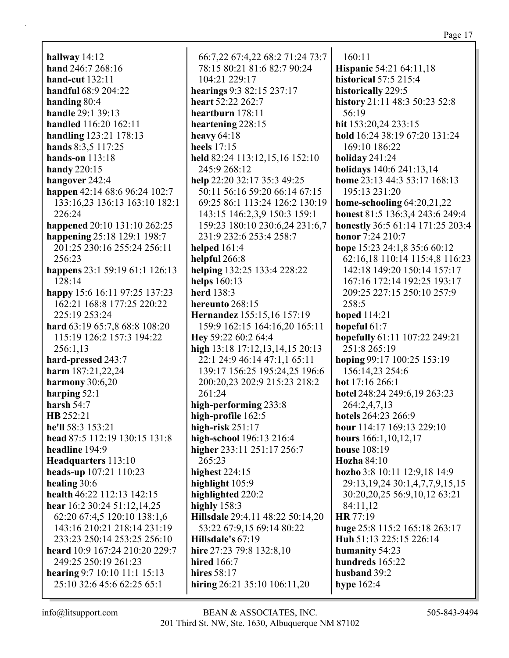**hallway** 14:12 **hand** 246:7 268:16 **hand-cut** 132:11 **handful** 68:9 204:22 **handing** 80:4 **handle** 29:1 39:13 **handled** 116:20 162:11 **handling** 123:21 178:13 **hands** 8:3,5 117:25 **hands-on** 113:18 **handy** 220:15 **hangover** 242:4 **happen** 42:14 68:6 96:24 102:7 133:16,23 136:13 163:10 182:1 226:24 **happened** 20:10 131:10 262:25 **happening** 25:18 129:1 198:7 201:25 230:16 255:24 256:11 256:23 **happens** 23:1 59:19 61:1 126:13 128:14 **happy** 15:6 16:11 97:25 137:23 162:21 168:8 177:25 220:22 225:19 253:24 **hard** 63:19 65:7,8 68:8 108:20 115:19 126:2 157:3 194:22 256:1,13 **hard-pressed** 243:7 **harm** 187:21,22,24 **harmony** 30:6,20 **harping** 52:1 **harsh** 54:7 **HB** 252:21 **he'll** 58:3 153:21 **head** 87:5 112:19 130:15 131:8 **headline** 194:9 **Headquarters** 113:10 **heads-up** 107:21 110:23 **healing** 30:6 **health** 46:22 112:13 142:15 **hear** 16:2 30:24 51:12,14,25 62:20 67:4,5 120:10 138:1,6 143:16 210:21 218:14 231:19 233:23 250:14 253:25 256:10 **heard** 10:9 167:24 210:20 229:7 249:25 250:19 261:23 **hearing** 9:7 10:10 11:1 15:13 25:10 32:6 45:6 62:25 65:1

66:7,22 67:4,22 68:2 71:24 73:7 78:15 80:21 81:6 82:7 90:24 104:21 229:17 **hearings** 9:3 82:15 237:17 **heart** 52:22 262:7 **heartburn** 178:11 **heartening** 228:15 **heavy** 64:18 **heels** 17:15 **held** 82:24 113:12,15,16 152:10 245:9 268:12 **help** 22:20 32:17 35:3 49:25 50:11 56:16 59:20 66:14 67:15 69:25 86:1 113:24 126:2 130:19 143:15 146:2,3,9 150:3 159:1 159:23 180:10 230:6,24 231:6,7 231:9 232:6 253:4 258:7 **helped** 161:4 **helpful** 266:8 **helping** 132:25 133:4 228:22 **helps** 160:13 **herd** 138:3 **hereunto** 268:15 **Hernandez** 155:15,16 157:19 159:9 162:15 164:16,20 165:11 **Hey** 59:22 60:2 64:4 **high** 13:18 17:12,13,14,15 20:13 22:1 24:9 46:14 47:1,1 65:11 139:17 156:25 195:24,25 196:6 200:20,23 202:9 215:23 218:2 261:24 **high-performing** 233:8 **high-profile** 162:5 **high-risk** 251:17 **high-school** 196:13 216:4 **higher** 233:11 251:17 256:7 265:23 **highest** 224:15 **highlight** 105:9 **highlighted** 220:2 **highly** 158:3 **Hillsdale** 29:4,11 48:22 50:14,20 53:22 67:9,15 69:14 80:22 **Hillsdale's** 67:19 **hire** 27:23 79:8 132:8,10 **hired** 166:7 **hires** 58:17 **hiring** 26:21 35:10 106:11,20

160:11 **Hispanic** 54:21 64:11,18 **historical** 57:5 215:4 **historically** 229:5 **history** 21:11 48:3 50:23 52:8 56:19 **hit** 153:20,24 233:15 **hold** 16:24 38:19 67:20 131:24 169:10 186:22 **holiday** 241:24 **holidays** 140:6 241:13,14 **home** 23:13 44:3 53:17 168:13 195:13 231:20 **home-schooling** 64:20,21,22 **honest** 81:5 136:3,4 243:6 249:4 **honestly** 36:5 61:14 171:25 203:4 **honor** 7:24 210:7 **hope** 15:23 24:1,8 35:6 60:12 62:16,18 110:14 115:4,8 116:23 142:18 149:20 150:14 157:17 167:16 172:14 192:25 193:17 209:25 227:15 250:10 257:9 258:5 **hoped** 114:21 **hopeful** 61:7 **hopefully** 61:11 107:22 249:21 251:8 265:19 **hoping** 99:17 100:25 153:19 156:14,23 254:6 **hot** 17:16 266:1 **hotel** 248:24 249:6,19 263:23 264:2,4,7,13 **hotels** 264:23 266:9 **hour** 114:17 169:13 229:10 **hours** 166:1,10,12,17 **house** 108:19 **Hozha** 84:10 **hozho** 3:8 10:11 12:9,18 14:9 29:13,19,24 30:1,4,7,7,9,15,15 30:20,20,25 56:9,10,12 63:21 84:11,12 **HR** 77:19 **huge** 25:8 115:2 165:18 263:17 **Huh** 51:13 225:15 226:14 **humanity** 54:23 **hundreds** 165:22 **husband** 39:2 **hype** 162:4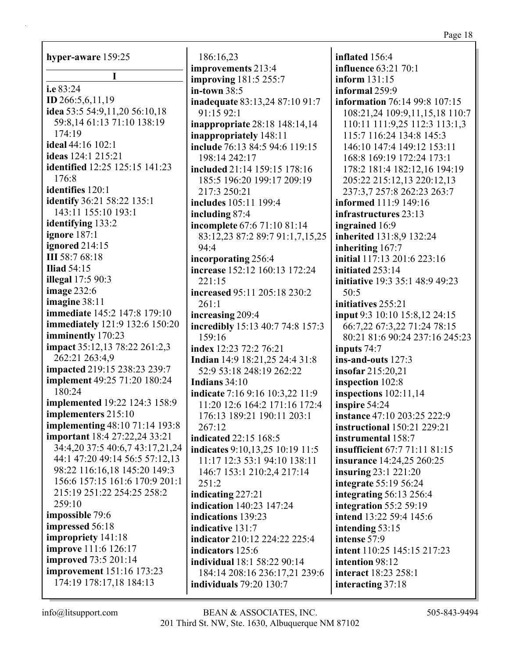**hyper-aware** 159:25 **I i.e** 83:24 **ID** 266:5,6,11,19 **idea** 53:5 54:9,11,20 56:10,18 59:8,14 61:13 71:10 138:19 174:19 **ideal** 44:16 102:1 **ideas** 124:1 215:21 **identified** 12:25 125:15 141:23 176:8 **identifies** 120:1 **identify** 36:21 58:22 135:1 143:11 155:10 193:1 **identifying** 133:2 **ignore** 187:1 **ignored** 214:15 **III** 58:7 68:18 **Iliad** 54:15 **illegal** 17:5 90:3 **image** 232:6 **imagine** 38:11 **immediate** 145:2 147:8 179:10 **immediately** 121:9 132:6 150:20 **imminently** 170:23 **impact** 35:12,13 78:22 261:2,3 262:21 263:4,9 **impacted** 219:15 238:23 239:7 **implement** 49:25 71:20 180:24 180:24 **implemented** 19:22 124:3 158:9 **implementers** 215:10 **implementing** 48:10 71:14 193:8 **important** 18:4 27:22,24 33:21 34:4,20 37:5 40:6,7 43:17,21,24 44:1 47:20 49:14 56:5 57:12,13 98:22 116:16,18 145:20 149:3 156:6 157:15 161:6 170:9 201:1 215:19 251:22 254:25 258:2 259:10 **impossible** 79:6 **impressed** 56:18 **impropriety** 141:18 **improve** 111:6 126:17 **improved** 73:5 201:14 **improvement** 151:16 173:23 174:19 178:17,18 184:13

186:16,23 **improvements** 213:4 **improving** 181:5 255:7 **in-town** 38:5 **inadequate** 83:13,24 87:10 91:7 91:15 92:1 **inappropriate** 28:18 148:14,14 **inappropriately** 148:11 **include** 76:13 84:5 94:6 119:15 198:14 242:17 **included** 21:14 159:15 178:16 185:5 196:20 199:17 209:19 217:3 250:21 **includes** 105:11 199:4 **including** 87:4 **incomplete** 67:6 71:10 81:14 83:12,23 87:2 89:7 91:1,7,15,25 94:4 **incorporating** 256:4 **increase** 152:12 160:13 172:24 221:15 **increased** 95:11 205:18 230:2 261:1 **increasing** 209:4 **incredibly** 15:13 40:7 74:8 157:3 159:16 **index** 12:23 72:2 76:21 **Indian** 14:9 18:21,25 24:4 31:8 52:9 53:18 248:19 262:22 **Indians** 34:10 **indicate** 7:16 9:16 10:3,22 11:9 11:20 12:6 164:2 171:16 172:4 176:13 189:21 190:11 203:1 267:12 **indicated** 22:15 168:5 **indicates** 9:10,13,25 10:19 11:5 11:17 12:3 53:1 94:10 138:11 146:7 153:1 210:2,4 217:14 251:2 **indicating** 227:21 **indication** 140:23 147:24 **indications** 139:23 **indicative** 131:7 **indicator** 210:12 224:22 225:4 **indicators** 125:6 **individual** 18:1 58:22 90:14 184:14 208:16 236:17,21 239:6 **individuals** 79:20 130:7

**inflated** 156:4 **influence** 63:21 70:1 **inform** 131:15 **informal** 259:9 **information** 76:14 99:8 107:15 108:21,24 109:9,11,15,18 110:7 110:11 111:9,25 112:3 113:1,3 115:7 116:24 134:8 145:3 146:10 147:4 149:12 153:11 168:8 169:19 172:24 173:1 178:2 181:4 182:12,16 194:19 205:22 215:12,13 220:12,13 237:3,7 257:8 262:23 263:7 **informed** 111:9 149:16 **infrastructures** 23:13 **ingrained** 16:9 **inherited** 131:8,9 132:24 **inheriting** 167:7 **initial** 117:13 201:6 223:16 **initiated** 253:14 **initiative** 19:3 35:1 48:9 49:23 50:5 **initiatives** 255:21 **input** 9:3 10:10 15:8,12 24:15 66:7,22 67:3,22 71:24 78:15 80:21 81:6 90:24 237:16 245:23 **inputs** 74:7 **ins-and-outs** 127:3 **insofar** 215:20,21 **inspection** 102:8 **inspections** 102:11,14 **inspire** 54:24 **instance** 47:10 203:25 222:9 **instructional** 150:21 229:21 **instrumental** 158:7 **insufficient** 67:7 71:11 81:15 **insurance** 14:24,25 260:25 **insuring** 23:1 221:20 **integrate** 55:19 56:24 **integrating** 56:13 256:4 **integration** 55:2 59:19 **intend** 13:22 59:4 145:6 **intending** 53:15 **intense** 57:9 **intent** 110:25 145:15 217:23 **intention** 98:12 **interact** 18:23 258:1 **interacting** 37:18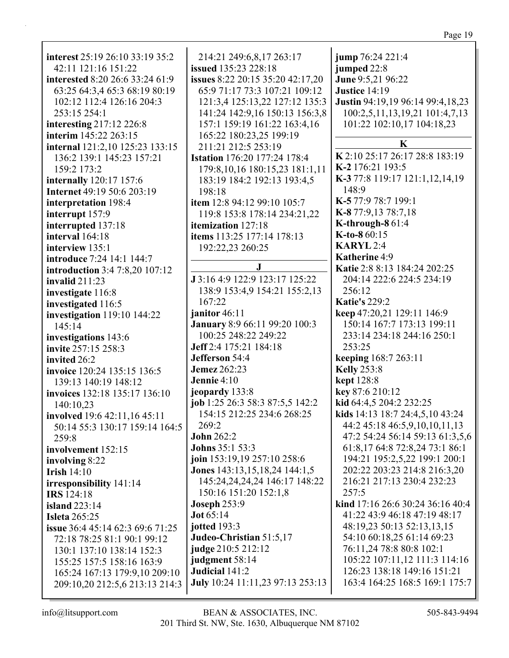| <b>interest</b> 25:19 26:10 33:19 35:2                                                                                                                                                                               | 214:21 249:6,8,17 263:17                                                                                                              | jump 76:24 221:4                                                                                                                                                                       |
|----------------------------------------------------------------------------------------------------------------------------------------------------------------------------------------------------------------------|---------------------------------------------------------------------------------------------------------------------------------------|----------------------------------------------------------------------------------------------------------------------------------------------------------------------------------------|
| 42:11 121:16 151:22                                                                                                                                                                                                  | <b>issued</b> 135:23 228:18                                                                                                           | jumped 22:8                                                                                                                                                                            |
| interested 8:20 26:6 33:24 61:9                                                                                                                                                                                      | <b>issues</b> 8:22 20:15 35:20 42:17,20                                                                                               | June 9:5,21 96:22                                                                                                                                                                      |
| 63:25 64:3,4 65:3 68:19 80:19                                                                                                                                                                                        | 65:9 71:17 73:3 107:21 109:12                                                                                                         | Justice 14:19                                                                                                                                                                          |
| 102:12 112:4 126:16 204:3<br>253:15 254:1<br>interesting 217:12 226:8<br>interim 145:22 263:15                                                                                                                       | 121:3,4 125:13,22 127:12 135:3<br>141:24 142:9,16 150:13 156:3,8<br>157:1 159:19 161:22 163:4,16<br>165:22 180:23,25 199:19           | Justin 94:19,19 96:14 99:4,18,23<br>100:2,5,11,13,19,21 101:4,7,13<br>101:22 102:10,17 104:18,23                                                                                       |
| internal 121:2,10 125:23 133:15                                                                                                                                                                                      | 211:21 212:5 253:19                                                                                                                   | K                                                                                                                                                                                      |
| 136:2 139:1 145:23 157:21                                                                                                                                                                                            | <b>Istation</b> 176:20 177:24 178:4                                                                                                   | K 2:10 25:17 26:17 28:8 183:19                                                                                                                                                         |
| 159:2 173:2                                                                                                                                                                                                          | 179:8, 10, 16 180: 15, 23 181: 1, 11                                                                                                  | K-2 176:21 193:5                                                                                                                                                                       |
| <b>internally</b> 120:17 157:6                                                                                                                                                                                       | 183:19 184:2 192:13 193:4,5                                                                                                           | K-377:8 119:17 121:1,12,14,19                                                                                                                                                          |
| <b>Internet 49:19 50:6 203:19</b><br>interpretation 198:4<br>interrupt 157:9<br>interrupted 137:18                                                                                                                   | 198:18<br>item 12:8 94:12 99:10 105:7<br>119:8 153:8 178:14 234:21,22<br>itemization 127:18                                           | 148:9<br>K-577:978:7199:1<br>$K-8$ 77:9,13 78:7,18<br>K-through- $861:4$<br>K-to-8 60:15                                                                                               |
| interval 164:18<br>interview 135:1<br>introduce 7:24 14:1 144:7<br><b>introduction</b> 3:4 7:8,20 107:12<br>invalid $211:23$                                                                                         | items 113:25 177:14 178:13<br>192:22,23 260:25<br>${\bf J}$<br>J 3:16 4:9 122:9 123:17 125:22                                         | <b>KARYL2:4</b><br><b>Katherine 4:9</b><br>Katie 2:8 8:13 184:24 202:25<br>204:14 222:6 224:5 234:19                                                                                   |
| investigate 116:8                                                                                                                                                                                                    | 138:9 153:4,9 154:21 155:2,13                                                                                                         | 256:12                                                                                                                                                                                 |
| investigated 116:5                                                                                                                                                                                                   | 167:22                                                                                                                                | <b>Katie's 229:2</b>                                                                                                                                                                   |
| investigation 119:10 144:22                                                                                                                                                                                          | janitor 46:11                                                                                                                         | keep 47:20,21 129:11 146:9                                                                                                                                                             |
| 145:14                                                                                                                                                                                                               | January 8:9 66:11 99:20 100:3                                                                                                         | 150:14 167:7 173:13 199:11                                                                                                                                                             |
| investigations 143:6                                                                                                                                                                                                 | 100:25 248:22 249:22                                                                                                                  | 233:14 234:18 244:16 250:1                                                                                                                                                             |
| invite 257:15 258:3                                                                                                                                                                                                  | Jeff 2:4 175:21 184:18                                                                                                                | 253:25                                                                                                                                                                                 |
| invited 26:2                                                                                                                                                                                                         | <b>Jefferson 54:4</b>                                                                                                                 | keeping 168:7 263:11                                                                                                                                                                   |
| invoice 120:24 135:15 136:5                                                                                                                                                                                          | <b>Jemez</b> 262:23                                                                                                                   | <b>Kelly</b> 253:8                                                                                                                                                                     |
| 139:13 140:19 148:12                                                                                                                                                                                                 | Jennie 4:10                                                                                                                           | <b>kept</b> 128:8                                                                                                                                                                      |
| invoices 132:18 135:17 136:10                                                                                                                                                                                        | jeopardy 133:8                                                                                                                        | key 87:6 210:12                                                                                                                                                                        |
| 140:10,23                                                                                                                                                                                                            | job 1:25 26:3 58:3 87:5,5 142:2                                                                                                       | kid 64:4,5 204:2 232:25                                                                                                                                                                |
| involved 19:6 42:11,16 45:11                                                                                                                                                                                         | 154:15 212:25 234:6 268:25                                                                                                            | kids 14:13 18:7 24:4,5,10 43:24                                                                                                                                                        |
| 50:14 55:3 130:17 159:14 164:5                                                                                                                                                                                       | 269:2                                                                                                                                 | 44:2 45:18 46:5,9,10,10,11,13                                                                                                                                                          |
| 259:8                                                                                                                                                                                                                | <b>John 262:2</b>                                                                                                                     | 47:2 54:24 56:14 59:13 61:3,5,6                                                                                                                                                        |
| involvement 152:15                                                                                                                                                                                                   | <b>Johns</b> 35:1 53:3                                                                                                                | 61:8,17 64:8 72:8,24 73:1 86:1                                                                                                                                                         |
| involving 8:22                                                                                                                                                                                                       | join 153:19,19 257:10 258:6                                                                                                           | 194:21 195:2,5,22 199:1 200:1                                                                                                                                                          |
| Irish $14:10$<br>irresponsibility 141:14<br><b>IRS</b> 124:18<br><b>island</b> 223:14                                                                                                                                | Jones 143:13,15,18,24 144:1,5<br>145:24,24,24,24 146:17 148:22<br>150:16 151:20 152:1,8<br><b>Joseph 253:9</b><br>Jot 65:14           | 202:22 203:23 214:8 216:3,20<br>216:21 217:13 230:4 232:23<br>257:5<br>kind 17:16 26:6 30:24 36:16 40:4<br>41:22 43:9 46:18 47:19 48:17                                                |
| <b>Isleta</b> 265:25<br>issue 36:4 45:14 62:3 69:6 71:25<br>72:18 78:25 81:1 90:1 99:12<br>130:1 137:10 138:14 152:3<br>155:25 157:5 158:16 163:9<br>165:24 167:13 179:9,10 209:10<br>209:10,20 212:5,6 213:13 214:3 | jotted 193:3<br>Judeo-Christian 51:5,17<br>judge 210:5 212:12<br>judgment 58:14<br>Judicial 141:2<br>July 10:24 11:11,23 97:13 253:13 | 48:19,23 50:13 52:13,13,15<br>54:10 60:18,25 61:14 69:23<br>76:11,24 78:8 80:8 102:1<br>105:22 107:11,12 111:3 114:16<br>126:23 138:18 149:16 151:21<br>163:4 164:25 168:5 169:1 175:7 |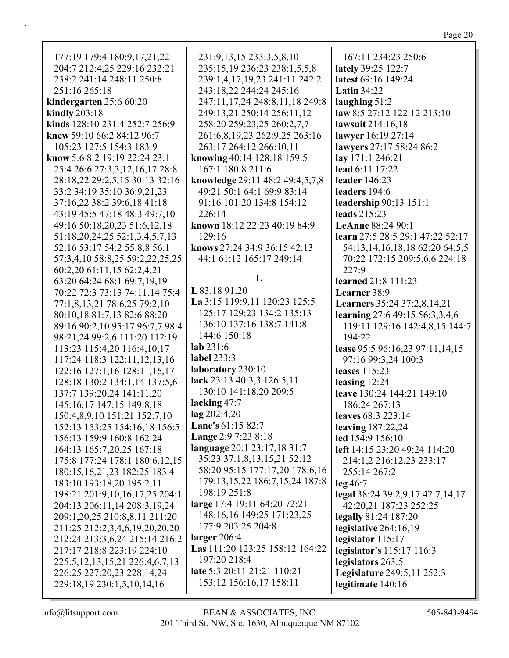# Page  $20\,$

| 177:19 179:4 180:9,17,21,22            | 231:9,13,15 233:3,5,8,10             | 167:11 234:23 250:6                   |
|----------------------------------------|--------------------------------------|---------------------------------------|
| 204:7 212:4,25 229:16 232:21           | 235:15,19 236:23 238:1,5,5,8         | lately 39:25 122:7                    |
| 238:2 241:14 248:11 250:8              | 239:1,4,17,19,23 241:11 242:2        | latest 69:16 149:24                   |
| 251:16 265:18                          | 243:18,22 244:24 245:16              | Latin $34:22$                         |
| kindergarten $25:660:20$               | 247:11,17,24 248:8,11,18 249:8       | laughing $51:2$                       |
| kindly 203:18                          | 249:13,21 250:14 256:11,12           | law 8:5 27:12 122:12 213:10           |
| kinds 128:10 231:4 252:7 256:9         | 258:20 259:23,25 260:2,7,7           | lawsuit 214:16,18                     |
| knew 59:10 66:2 84:12 96:7             | 261:6,8,19,23 262:9,25 263:16        | lawyer 16:19 27:14                    |
| 105:23 127:5 154:3 183:9               | 263:17 264:12 266:10,11              | lawyers 27:17 58:24 86:2              |
| know 5:6 8:2 19:19 22:24 23:1          | knowing 40:14 128:18 159:5           | lay 171:1 246:21                      |
| 25:4 26:6 27:3,3,12,16,17 28:8         | 167:1 180:8 211:6                    | lead 6:11 17:22                       |
| 28:18,22 29:2,5,15 30:13 32:16         | knowledge 29:11 48:2 49:4,5,7,8      | leader 146:23                         |
| 33:2 34:19 35:10 36:9,21,23            | 49:21 50:1 64:1 69:9 83:14           | leaders 194:6                         |
| 37:16,22 38:2 39:6,18 41:18            | 91:16 101:20 134:8 154:12            | leadership 90:13 151:1                |
| 43:19 45:5 47:18 48:3 49:7,10          | 226:14                               | leads 215:23                          |
| 49:16 50:18,20,23 51:6,12,18           | known 18:12 22:23 40:19 84:9         | LeAnne 88:24 90:1                     |
| 51:18,20,24,25 52:1,3,4,5,7,13         | 129:16                               | learn 27:5 28:5 29:1 47:22 52:17      |
| 52:16 53:17 54:2 55:8,8 56:1           | knows 27:24 34:9 36:15 42:13         | 54:13, 14, 16, 18, 18 62: 20 64: 5, 5 |
| 57:3,4,10 58:8,25 59:2,22,25,25        | 44:1 61:12 165:17 249:14             | 70:22 172:15 209:5,6,6 224:18         |
| 60:2,20 61:11,15 62:2,4,21             |                                      | 227:9                                 |
| 63:20 64:24 68:1 69:7,19,19            | L                                    | <b>learned</b> 21:8 111:23            |
| 70:22 72:3 73:13 74:11,14 75:4         | L 83:18 91:20                        | Learner 38:9                          |
| 77:1,8,13,21 78:6,25 79:2,10           | La 3:15 119:9,11 120:23 125:5        | <b>Learners</b> 35:24 37:2,8,14,21    |
| 80:10,18 81:7,13 82:6 88:20            | 125:17 129:23 134:2 135:13           | learning 27:6 49:15 56:3,3,4,6        |
| 89:16 90:2,10 95:17 96:7,7 98:4        | 136:10 137:16 138:7 141:8            | 119:11 129:16 142:4,8,15 144:7        |
| 98:21,24 99:2,6 111:20 112:19          | 144:6 150:18                         | 194:22                                |
| 113:23 115:4,20 116:4,10,17            | lab 231:6                            | lease 95:5 96:16,23 97:11,14,15       |
| 117:24 118:3 122:11,12,13,16           | label 233:3                          | 97:16 99:3,24 100:3                   |
| 122:16 127:1,16 128:11,16,17           | laboratory 230:10                    | leases 115:23                         |
| 128:18 130:2 134:1,14 137:5,6          | lack 23:13 40:3,3 126:5,11           | leasing $12:24$                       |
| 137:7 139:20,24 141:11,20              | 130:10 141:18,20 209:5               | leave 130:24 144:21 149:10            |
| 145:16,17 147:15 149:8,18              | lacking 47:7                         | 186:24 267:13                         |
| 150:4,8,9,10 151:21 152:7,10           | $\log 202:4,20$                      | leaves 68:3 223:14                    |
| 152:13 153:25 154:16,18 156:5          | Lane's 61:15 82:7                    | leaving $187:22,24$                   |
| 156:13 159:9 160:8 162:24              | Lange 2:9 7:23 8:18                  | led 154:9 156:10                      |
| 164:13 165:7,20,25 167:18              | language 20:1 23:17,18 31:7          | left 14:15 23:20 49:24 114:20         |
| 175:8 177:24 178:1 180:6,12,15         | 35:23 37:1,8,13,15,21 52:12          | 214:1,2 216:12,23 233:17              |
| 180:15, 16, 21, 23 182: 25 183: 4      | 58:20 95:15 177:17,20 178:6,16       | 255:14 267:2                          |
| 183:10 193:18,20 195:2,11              | 179:13, 15, 22 186: 7, 15, 24 187: 8 | $leg\,46:7$                           |
| 198:21 201:9,10,16,17,25 204:1         | 198:19 251:8                         | legal 38:24 39:2,9,17 42:7,14,17      |
| 204:13 206:11,14 208:3,19,24           | large 17:4 19:11 64:20 72:21         | 42:20,21 187:23 252:25                |
| 209:1,20,25 210:8,8,11 211:20          | 148:16,16 149:25 171:23,25           | <b>legally</b> 81:24 187:20           |
| 211:25 212:2,3,4,6,19,20,20,20         | 177:9 203:25 204:8                   | legislative $264:16,19$               |
| 212:24 213:3,6,24 215:14 216:2         | larger $206:4$                       | legislator 115:17                     |
| 217:17 218:8 223:19 224:10             | Las 111:20 123:25 158:12 164:22      | legislator's 115:17 116:3             |
| 225:5, 12, 13, 15, 21 226: 4, 6, 7, 13 | 197:20 218:4                         | legislators 263:5                     |
| 226:25 227:20,23 228:14,24             | late 5:3 20:11 21:21 110:21          | Legislature 249:5,11 252:3            |
| 229:18,19 230:1,5,10,14,16             | 153:12 156:16,17 158:11              | legitimate 140:16                     |
|                                        |                                      |                                       |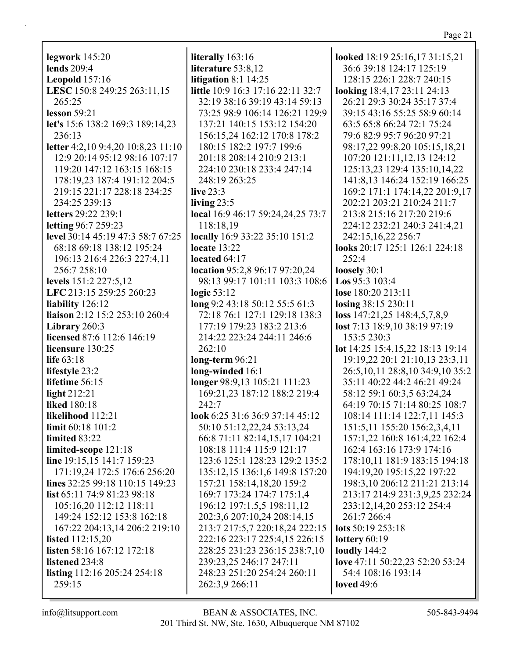| legwork $145:20$                   | literally 163:16                  | looked 18:19 25:16,17 31:15,21      |
|------------------------------------|-----------------------------------|-------------------------------------|
| <b>lends</b> 209:4                 | literature 53:8,12                | 36:6 39:18 124:17 125:19            |
| <b>Leopold</b> 157:16              | litigation 8:1 14:25              | 128:15 226:1 228:7 240:15           |
|                                    | little 10:9 16:3 17:16 22:11 32:7 |                                     |
| LESC 150:8 249:25 263:11,15        |                                   | looking 18:4,17 23:11 24:13         |
| 265:25                             | 32:19 38:16 39:19 43:14 59:13     | 26:21 29:3 30:24 35:17 37:4         |
| <b>lesson</b> 59:21                | 73:25 98:9 106:14 126:21 129:9    | 39:15 43:16 55:25 58:9 60:14        |
| let's 15:6 138:2 169:3 189:14,23   | 137:21 140:15 153:12 154:20       | 63:5 65:8 66:24 72:1 75:24          |
| 236:13                             | 156:15,24 162:12 170:8 178:2      | 79:6 82:9 95:7 96:20 97:21          |
| letter 4:2,10 9:4,20 10:8,23 11:10 | 180:15 182:2 197:7 199:6          | 98:17,22 99:8,20 105:15,18,21       |
| 12:9 20:14 95:12 98:16 107:17      | 201:18 208:14 210:9 213:1         | 107:20 121:11,12,13 124:12          |
| 119:20 147:12 163:15 168:15        | 224:10 230:18 233:4 247:14        | 125:13,23 129:4 135:10,14,22        |
| 178:19,23 187:4 191:12 204:5       | 248:19 263:25                     | 141:8,13 146:24 152:19 166:25       |
| 219:15 221:17 228:18 234:25        | live 23:3                         | 169:2 171:1 174:14,22 201:9,17      |
| 234:25 239:13                      | living $23:5$                     | 202:21 203:21 210:24 211:7          |
| letters 29:22 239:1                | local 16:9 46:17 59:24,24,25 73:7 | 213:8 215:16 217:20 219:6           |
| letting 96:7 259:23                | 118:18,19                         | 224:12 232:21 240:3 241:4,21        |
| level 30:14 45:19 47:3 58:7 67:25  | locally 16:9 33:22 35:10 151:2    | 242:15,16,22 256:7                  |
| 68:18 69:18 138:12 195:24          | locate $13:22$                    | looks 20:17 125:1 126:1 224:18      |
| 196:13 216:4 226:3 227:4,11        | located $64:17$                   | 252:4                               |
| 256:7 258:10                       | location 95:2,8 96:17 97:20,24    | loosely 30:1                        |
| levels 151:2 227:5,12              | 98:13 99:17 101:11 103:3 108:6    | Los 95:3 103:4                      |
| LFC 213:15 259:25 260:23           | logic $53:12$                     | lose 180:20 213:11                  |
| liability 126:12                   | long 9:2 43:18 50:12 55:5 61:3    | losing 38:15 230:11                 |
| liaison 2:12 15:2 253:10 260:4     | 72:18 76:1 127:1 129:18 138:3     | loss 147:21,25 148:4,5,7,8,9        |
| Library 260:3                      | 177:19 179:23 183:2 213:6         | lost 7:13 18:9,10 38:19 97:19       |
| licensed 87:6 112:6 146:19         | 214:22 223:24 244:11 246:6        | 153:5 230:3                         |
| licensure 130:25                   | 262:10                            | lot 14:25 15:4,15,22 18:13 19:14    |
| life $63:18$                       | long-term 96:21                   | 19:19,22 20:1 21:10,13 23:3,11      |
| lifestyle 23:2                     | long-winded 16:1                  | 26:5, 10, 11 28:8, 10 34:9, 10 35:2 |
| lifetime 56:15                     | longer 98:9,13 105:21 111:23      | 35:11 40:22 44:2 46:21 49:24        |
| light $212:21$                     | 169:21,23 187:12 188:2 219:4      | 58:12 59:1 60:3,5 63:24,24          |
| <b>liked</b> 180:18                | 242:7                             | 64:19 70:15 71:14 80:25 108:7       |
| likelihood 112:21                  | look 6:25 31:6 36:9 37:14 45:12   | 108:14 111:14 122:7,11 145:3        |
| limit 60:18 101:2                  | 50:10 51:12,22,24 53:13,24        | 151:5,11 155:20 156:2,3,4,11        |
| limited 83:22                      | 66:8 71:11 82:14,15,17 104:21     | 157:1,22 160:8 161:4,22 162:4       |
| limited-scope 121:18               | 108:18 111:4 115:9 121:17         | 162:4 163:16 173:9 174:16           |
| line 19:15,15 141:7 159:23         | 123:6 125:1 128:23 129:2 135:2    | 178:10,11 181:9 183:15 194:18       |
| 171:19,24 172:5 176:6 256:20       | 135:12,15 136:1,6 149:8 157:20    | 194:19,20 195:15,22 197:22          |
| lines 32:25 99:18 110:15 149:23    | 157:21 158:14,18,20 159:2         | 198:3, 10 206: 12 211: 21 213: 14   |
|                                    |                                   |                                     |
| list 65:11 74:9 81:23 98:18        | 169:7 173:24 174:7 175:1,4        | 213:17 214:9 231:3,9,25 232:24      |
| 105:16,20 112:12 118:11            | 196:12 197:1,5,5 198:11,12        | 233:12,14,20 253:12 254:4           |
| 149:24 152:12 153:8 162:18         | 202:3,6 207:10,24 208:14,15       | 261:7 266:4                         |
| 167:22 204:13,14 206:2 219:10      | 213:7 217:5,7 220:18,24 222:15    | lots $50:19$ 253:18                 |
| <b>listed</b> 112:15,20            | 222:16 223:17 225:4,15 226:15     | lottery $60:19$                     |
| <b>listen</b> 58:16 167:12 172:18  | 228:25 231:23 236:15 238:7,10     | loudly $144:2$                      |
| listened 234:8                     | 239:23,25 246:17 247:11           | love 47:11 50:22,23 52:20 53:24     |
| listing 112:16 205:24 254:18       | 248:23 251:20 254:24 260:11       | 54:4 108:16 193:14                  |
| 259:15                             | 262:3,9 266:11                    | <b>loved</b> 49:6                   |
|                                    |                                   |                                     |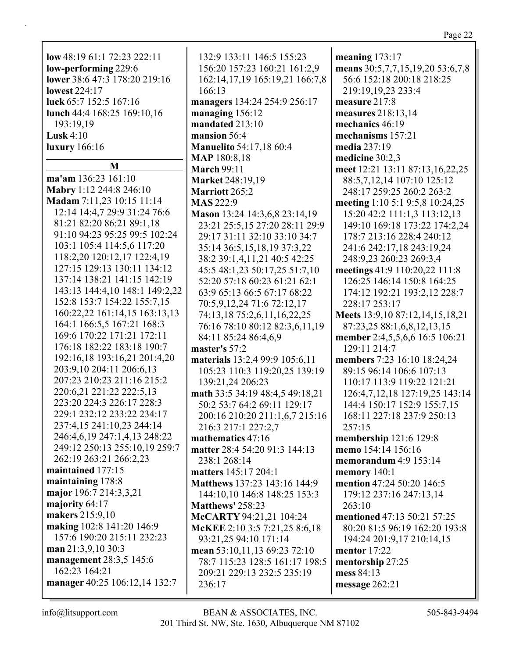| r. |  |
|----|--|
|    |  |

 $low 48:19 61:1 72:23 222:11$ low-performing 229:6 lower 38:6 47:3 178:20 219:16 **lowest** 224:17 luck 65:7 152:5 167:16 lunch 44:4 168:25 169:10,16 193:19.19 Lusk  $4:10$ luxury 166:16 M ma'am 136:23 161:10 Mabry 1:12 244:8 246:10 Madam 7:11,23 10:15 11:14 12:14 14:4.7 29:9 31:24 76:6 81:21 82:20 86:21 89:1,18 103:1 105:4 114:5,6 117:20

91:10 94:23 95:25 99:5 102:24 118:2,20 120:12,17 122:4,19 127:15 129:13 130:11 134:12 137:14 138:21 141:15 142:19 143:13 144:4,10 148:1 149:2,22 152:8 153:7 154:22 155:7,15 160:22,22 161:14,15 163:13,13 164:1 166:5,5 167:21 168:3 169:6 170:22 171:21 172:11 176:18 182:22 183:18 190:7 192:16,18 193:16,21 201:4,20 203:9,10 204:11 206:6,13 207:23 210:23 211:16 215:2 220:6,21 221:22 222:5,13 223:20 224:3 226:17 228:3 229:1 232:12 233:22 234:17 237:4,15 241:10,23 244:14 246:4,6,19 247:1,4,13 248:22 249:12 250:13 255:10,19 259:7 262:19 263:21 266:2,23 maintained 177:15 maintaining 178:8 major 196:7 214:3,3,21 majority 64:17 makers 215:9,10 making 102:8 141:20 146:9 157:6 190:20 215:11 232:23 man 21:3,9,10 30:3 management 28:3,5 145:6 162:23 164:21 manager 40:25 106:12,14 132:7

132:9 133:11 146:5 155:23 156:20 157:23 160:21 161:2,9 162:14,17,19 165:19,21 166:7,8 166:13 managers 134:24 254:9 256:17 managing  $156:12$ mandated  $213:10$ mansion 56:4 **Manuelito** 54:17,18 60:4 **MAP** 180:8,18 **March 99:11 Market 248:19.19 Marriott 265:2 MAS** 222:9 Mason 13:24 14:3,6,8 23:14,19 23:21 25:5.15 27:20 28:11 29:9 29:17 31:11 32:10 33:10 34:7 35:14 36:5,15,18,19 37:3,22 38:2 39:1,4,11,21 40:5 42:25 45:5 48:1,23 50:17,25 51:7,10 52:20 57:18 60:23 61:21 62:1 63:9 65:13 66:5 67:17 68:22 70:5,9,12,24 71:6 72:12,17 74:13,18 75:2,6,11,16,22,25 76:16 78:10 80:12 82:3,6,11,19 84:11 85:24 86:4,6,9 master's  $57:2$ materials 13:2,4 99:9 105:6,11 105:23 110:3 119:20,25 139:19 139:21,24 206:23 math 33:5 34:19 48:4,5 49:18,21 50:2 53:7 64:2 69:11 129:17 200:16 210:20 211:1,6,7 215:16 216:3 217:1 227:2.7 mathematics 47:16 matter 28:4 54:20 91:3 144:13 238:1 268:14 **matters** 145:17 204:1 **Matthews** 137:23 143:16 144:9 144:10,10 146:8 148:25 153:3 **Matthews' 258:23** McCARTY 94:21,21 104:24 McKEE 2:10 3:5 7:21,25 8:6,18 93:21,25 94:10 171:14 mean 53:10,11,13 69:23 72:10 78:7 115:23 128:5 161:17 198:5 209:21 229:13 232:5 235:19 236:17

meaning  $173:17$ means 30:5,7,7,15,19,20 53:6,7,8 56:6 152:18 200:18 218:25 219:19,19,23 233:4 measure 217:8 measures 218:13,14 mechanics 46:19 mechanisms 157:21 media 237:19 medicine  $30:2.3$ meet 12:21 13:11 87:13,16,22,25 88:5,7,12,14 107:10 125:12 248:17 259:25 260:2 263:2 meeting 1:10 5:1 9:5,8 10:24,25 15:20 42:2 111:1,3 113:12,13 149:10 169:18 173:22 174:2.24 178:7 213:16 228:4 240:12 241:6 242:17.18 243:19.24 248:9,23 260:23 269:3,4 meetings 41:9 110:20,22 111:8 126:25 146:14 150:8 164:25 174:12 192:21 193:2,12 228:7 228:17 253:17 Meets 13:9,10 87:12,14,15,18,21 87:23,25 88:1,6,8,12,13,15 member 2:4,5,5,6,6 16:5 106:21 129:11 214:7 members 7:23 16:10 18:24,24 89:15 96:14 106:6 107:13 110:17 113:9 119:22 121:21 126:4,7,12,18 127:19,25 143:14 144:4 150:17 152:9 155:7,15 168:11 227:18 237:9 250:13  $257:15$ membership 121:6 129:8 memo 154:14 156:16 memorandum 4:9 153:14 memory 140:1 mention 47:24 50:20 146:5 179:12 237:16 247:13,14  $263:10$ mentioned 47:13 50:21 57:25 80:20 81:5 96:19 162:20 193:8 194:24 201:9,17 210:14,15 mentor  $17:22$ mentorship 27:25 mess 84:13 message 262:21

 $info@$ litsupport.com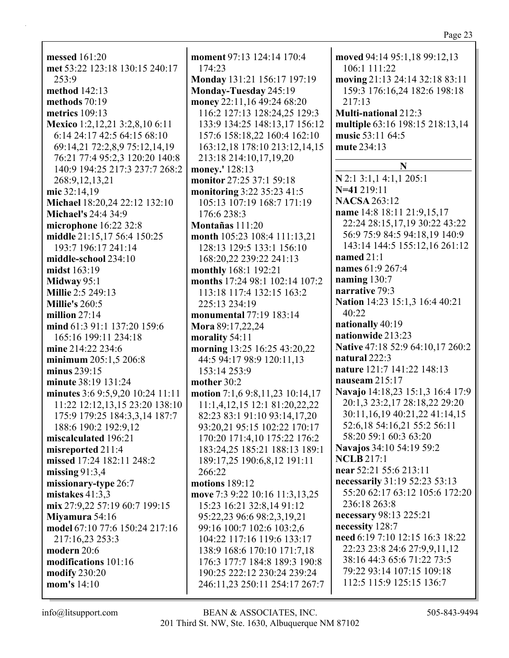**messed** 161:20 **met** 53:22 123:18 130:15 240:17 253:9 **method** 142:13 **methods** 70:19 **metrics** 109:13 **Mexico** 1:2,12,21 3:2,8,10 6:11 6:14 24:17 42:5 64:15 68:10 69:14,21 72:2,8,9 75:12,14,19 76:21 77:4 95:2,3 120:20 140:8 140:9 194:25 217:3 237:7 268:2 268:9,12,13,21 **mic** 32:14,19 **Michael** 18:20,24 22:12 132:10 **Michael's** 24:4 34:9 **microphone** 16:22 32:8 **middle** 21:15,17 56:4 150:25 193:7 196:17 241:14 **middle-school** 234:10 **midst** 163:19 **Midway** 95:1 **Millie** 2:5 249:13 **Millie's** 260:5 **million** 27:14 **mind** 61:3 91:1 137:20 159:6 165:16 199:11 234:18 **mine** 214:22 234:6 **minimum** 205:1,5 206:8 **minus** 239:15 **minute** 38:19 131:24 **minutes** 3:6 9:5,9,20 10:24 11:11 11:22 12:12,13,15 23:20 138:10 175:9 179:25 184:3,3,14 187:7 188:6 190:2 192:9,12 **miscalculated** 196:21 **misreported** 211:4 **missed** 17:24 182:11 248:2 **missing** 91:3,4 **missionary-type** 26:7 **mistakes** 41:3,3 **mix** 27:9,22 57:19 60:7 199:15 **Miyamura** 54:16 **model** 67:10 77:6 150:24 217:16 217:16,23 253:3 **modern** 20:6 **modifications** 101:16 **modify** 230:20 **mom's** 14:10

**moment** 97:13 124:14 170:4 174:23 **Monday** 131:21 156:17 197:19 **Monday-Tuesday** 245:19 **money** 22:11,16 49:24 68:20 116:2 127:13 128:24,25 129:3 133:9 134:25 148:13,17 156:12 157:6 158:18,22 160:4 162:10 163:12,18 178:10 213:12,14,15 213:18 214:10,17,19,20 **money.'** 128:13 **monitor** 27:25 37:1 59:18 **monitoring** 3:22 35:23 41:5 105:13 107:19 168:7 171:19 176:6 238:3 **Montañas** 111:20 **month** 105:23 108:4 111:13,21 128:13 129:5 133:1 156:10 168:20,22 239:22 241:13 **monthly** 168:1 192:21 **months** 17:24 98:1 102:14 107:2 113:18 117:4 132:15 163:2 225:13 234:19 **monumental** 77:19 183:14 **Mora** 89:17,22,24 **morality** 54:11 **morning** 13:25 16:25 43:20,22 44:5 94:17 98:9 120:11,13 153:14 253:9 **mother** 30:2 **motion** 7:1,6 9:8,11,23 10:14,17 11:1,4,12,15 12:1 81:20,22,22 82:23 83:1 91:10 93:14,17,20 93:20,21 95:15 102:22 170:17 170:20 171:4,10 175:22 176:2 183:24,25 185:21 188:13 189:1 189:17,25 190:6,8,12 191:11 266:22 **motions** 189:12 **move** 7:3 9:22 10:16 11:3,13,25 15:23 16:21 32:8,14 91:12 95:22,23 96:6 98:2,3,19,21 99:16 100:7 102:6 103:2,6 104:22 117:16 119:6 133:17 138:9 168:6 170:10 171:7,18 176:3 177:7 184:8 189:3 190:8 190:25 222:12 230:24 239:24 246:11,23 250:11 254:17 267:7

**moved** 94:14 95:1,18 99:12,13 106:1 111:22 **moving** 21:13 24:14 32:18 83:11 159:3 176:16,24 182:6 198:18 217:13 **Multi-national** 212:3 **multiple** 63:16 198:15 218:13,14 **music** 53:11 64:5 **mute** 234:13 **N N** 2:1 3:1,1 4:1,1 205:1 **N=41** 219:11 **NACSA** 263:12 **name** 14:8 18:11 21:9,15,17 22:24 28:15,17,19 30:22 43:22 56:9 75:9 84:5 94:18,19 140:9 143:14 144:5 155:12,16 261:12 **named** 21:1 **names** 61:9 267:4 **naming** 130:7 **narrative** 79:3 **Nation** 14:23 15:1,3 16:4 40:21 40:22 **nationally** 40:19 **nationwide** 213:23 **Native** 47:18 52:9 64:10,17 260:2 **natural** 222:3 **nature** 121:7 141:22 148:13 **nauseam** 215:17 **Navajo** 14:18,23 15:1,3 16:4 17:9 20:1,3 23:2,17 28:18,22 29:20 30:11,16,19 40:21,22 41:14,15 52:6,18 54:16,21 55:2 56:11 58:20 59:1 60:3 63:20 **Navajos** 34:10 54:19 59:2 **NCLB** 217:1 **near** 52:21 55:6 213:11 **necessarily** 31:19 52:23 53:13 55:20 62:17 63:12 105:6 172:20 236:18 263:8 **necessary** 98:13 225:21 **necessity** 128:7 **need** 6:19 7:10 12:15 16:3 18:22 22:23 23:8 24:6 27:9,9,11,12 38:16 44:3 65:6 71:22 73:5 79:22 93:14 107:15 109:18 112:5 115:9 125:15 136:7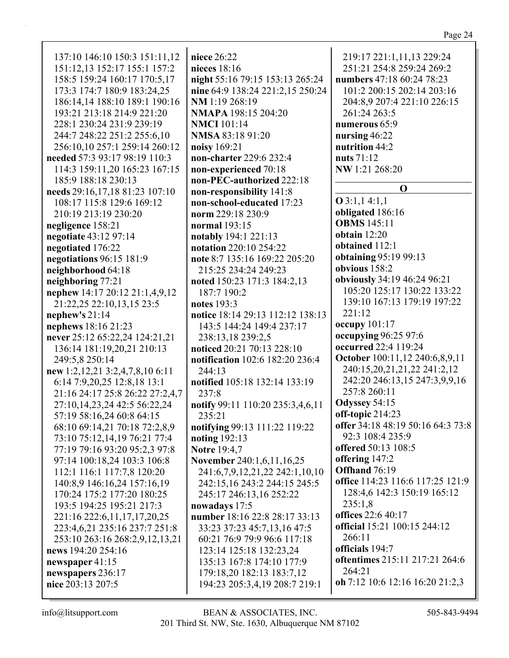| 137:10 146:10 150:3 151:11,12    | niece 26:22                      | 219:17 221:1,11,13 229:24         |
|----------------------------------|----------------------------------|-----------------------------------|
| 151:12,13 152:17 155:1 157:2     | nieces $18:16$                   | 251:21 254:8 259:24 269:2         |
| 158:5 159:24 160:17 170:5,17     | night 55:16 79:15 153:13 265:24  | numbers 47:18 60:24 78:23         |
| 173:3 174:7 180:9 183:24,25      | nine 64:9 138:24 221:2,15 250:24 | 101:2 200:15 202:14 203:16        |
| 186:14,14 188:10 189:1 190:16    | NM 1:19 268:19                   | 204:8,9 207:4 221:10 226:15       |
| 193:21 213:18 214:9 221:20       | <b>NMAPA</b> 198:15 204:20       | 261:24 263:5                      |
|                                  |                                  |                                   |
| 228:1 230:24 231:9 239:19        | <b>NMCI</b> 101:14               | numerous 65:9                     |
| 244:7 248:22 251:2 255:6,10      | NMSA 83:18 91:20                 | nursing 46:22<br>nutrition 44:2   |
| 256:10,10 257:1 259:14 260:12    | noisy 169:21                     |                                   |
| needed 57:3 93:17 98:19 110:3    | non-charter 229:6 232:4          | nuts $71:12$                      |
| 114:3 159:11,20 165:23 167:15    | non-experienced 70:18            | NW 1:21 268:20                    |
| 185:9 188:18 230:13              | non-PEC-authorized 222:18        | $\mathbf 0$                       |
| needs 29:16,17,18 81:23 107:10   | non-responsibility 141:8         |                                   |
| 108:17 115:8 129:6 169:12        | non-school-educated 17:23        | $O$ 3:1,1 4:1,1                   |
| 210:19 213:19 230:20             | norm 229:18 230:9                | obligated 186:16                  |
| negligence 158:21                | normal 193:15                    | <b>OBMS</b> 145:11                |
| negotiate 43:12 97:14            | notably 194:1 221:13             | obtain $12:20$                    |
| negotiated 176:22                | notation 220:10 254:22           | obtained 112:1                    |
| negotiations 96:15 181:9         | note 8:7 135:16 169:22 205:20    | obtaining 95:19 99:13             |
| neighborhood 64:18               | 215:25 234:24 249:23             | obvious 158:2                     |
| neighboring 77:21                | noted 150:23 171:3 184:2,13      | obviously 34:19 46:24 96:21       |
| nephew 14:17 20:12 21:1,4,9,12   | 187:7 190:2                      | 105:20 125:17 130:22 133:22       |
| 21:22,25 22:10,13,15 23:5        | notes 193:3                      | 139:10 167:13 179:19 197:22       |
| nephew's 21:14                   | notice 18:14 29:13 112:12 138:13 | 221:12                            |
| nephews 18:16 21:23              | 143:5 144:24 149:4 237:17        | occupy $101:17$                   |
| never 25:12 65:22,24 124:21,21   | 238:13,18 239:2,5                | occupying 96:25 97:6              |
| 136:14 181:19,20,21 210:13       | noticed 20:21 70:13 228:10       | occurred 22:4 119:24              |
| 249:5,8 250:14                   | notification 102:6 182:20 236:4  | October 100:11,12 240:6,8,9,11    |
| new 1:2,12,21 3:2,4,7,8,10 6:11  | 244:13                           | 240:15,20,21,21,22 241:2,12       |
| 6:14 7:9,20,25 12:8,18 13:1      | notified 105:18 132:14 133:19    | 242:20 246:13,15 247:3,9,9,16     |
| 21:16 24:17 25:8 26:22 27:2,4,7  | 237:8                            | 257:8 260:11                      |
| 27:10,14,23,24 42:5 56:22,24     | notify 99:11 110:20 235:3,4,6,11 | Odyssey 54:15                     |
| 57:19 58:16,24 60:8 64:15        | 235:21                           | off-topic $214:23$                |
| 68:10 69:14,21 70:18 72:2,8,9    | notifying 99:13 111:22 119:22    | offer 34:18 48:19 50:16 64:3 73:8 |
| 73:10 75:12,14,19 76:21 77:4     | noting 192:13                    | 92:3 108:4 235:9                  |
| 77:19 79:16 93:20 95:2,3 97:8    | <b>Notre 19:4,7</b>              | offered 50:13 108:5               |
| 97:14 100:18,24 103:3 106:8      | November 240:1,6,11,16,25        | offering 147:2                    |
| 112:1 116:1 117:7,8 120:20       | 241:6,7,9,12,21,22 242:1,10,10   | Offhand 76:19                     |
| 140:8,9 146:16,24 157:16,19      | 242:15,16 243:2 244:15 245:5     | office 114:23 116:6 117:25 121:9  |
| 170:24 175:2 177:20 180:25       | 245:17 246:13,16 252:22          | 128:4,6 142:3 150:19 165:12       |
| 193:5 194:25 195:21 217:3        |                                  | 235:1,8                           |
|                                  | nowadays 17:5                    | offices 22:6 40:17                |
| 221:16 222:6, 11, 17, 17, 20, 25 | number 18:16 22:8 28:17 33:13    | official 15:21 100:15 244:12      |
| 223:4,6,21 235:16 237:7 251:8    | 33:23 37:23 45:7,13,16 47:5      | 266:11                            |
| 253:10 263:16 268:2,9,12,13,21   | 60:21 76:9 79:9 96:6 117:18      | officials 194:7                   |
| news 194:20 254:16               | 123:14 125:18 132:23,24          |                                   |
| newspaper 41:15                  | 135:13 167:8 174:10 177:9        | oftentimes 215:11 217:21 264:6    |
| newspapers 236:17                | 179:18,20 182:13 183:7,12        | 264:21                            |
| nice 203:13 207:5                | 194:23 205:3,4,19 208:7 219:1    | oh 7:12 10:6 12:16 16:20 21:2,3   |
|                                  |                                  |                                   |

 $\mathop{\mathsf{info}}\nolimits @ \mathop{\mathsf{litsupport.com}}$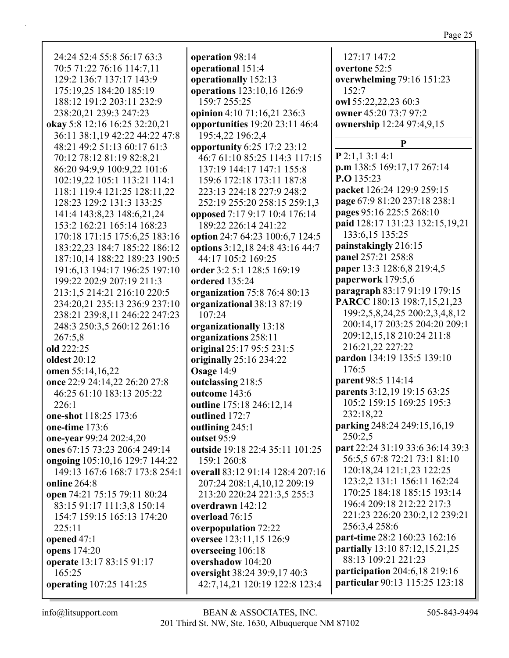24:24 52:4 55:8 56:17 63:3 70:5 71:22 76:16 114:7,11 129:2 136:7 137:17 143:9 175:19,25 184:20 185:19 188:12 191:2 203:11 232:9 238:20,21 239:3 247:23 okay 5:8 12:16 16:25 32:20.21 36:11 38:1,19 42:22 44:22 47:8 48:21 49:2 51:13 60:17 61:3 70:12 78:12 81:19 82:8,21 86:20 94:9,9 100:9,22 101:6 102:19,22 105:1 113:21 114:1 118:1 119:4 121:25 128:11,22 128:23 129:2 131:3 133:25 141:4 143:8,23 148:6,21,24 153:2 162:21 165:14 168:23 170:18 171:15 175:6,25 183:16 183:22.23 184:7 185:22 186:12 187:10,14 188:22 189:23 190:5 191:6,13 194:17 196:25 197:10 199:22 202:9 207:19 211:3 213:1,5 214:21 216:10 220:5 234:20,21 235:13 236:9 237:10 238:21 239:8,11 246:22 247:23 248:3 250:3,5 260:12 261:16  $267:5.8$ old  $222:25$ **oldest** 20:12 omen 55:14,16,22 once 22:9 24:14,22 26:20 27:8 46:25 61:10 183:13 205:22  $226:1$ one-shot 118:25 173:6 one-time  $173:6$ one-year 99:24 202:4,20 ones 67:15 73:23 206:4 249:14 ongoing 105:10,16 129:7 144:22 149:13 167:6 168:7 173:8 254:1 online  $264:8$ open 74:21 75:15 79:11 80:24 83:15 91:17 111:3,8 150:14 154:7 159:15 165:13 174:20 225:11 opened  $47:1$ opens  $174:20$ operate 13:17 83:15 91:17 165:25 operating 107:25 141:25

operation 98:14 operational 151:4 operationally 152:13 operations 123:10,16 126:9 159:7 255:25 opinion 4:10 71:16,21 236:3 **opportunities** 19:20 23:11 46:4 195:4,22 196:2,4 opportunity 6:25 17:2 23:12 46:7 61:10 85:25 114:3 117:15 137:19 144:17 147:1 155:8 159:6 172:18 173:11 187:8 223:13 224:18 227:9 248:2 252:19 255:20 258:15 259:1.3 opposed 7:17 9:17 10:4 176:14 189:22 226:14 241:22 option 24:7 64:23 100:6,7 124:5 options 3:12,18 24:8 43:16 44:7 44:17 105:2 169:25 order 3:2 5:1 128:5 169:19 ordered 135:24 organization 75:8 76:4 80:13 organizational 38:13 87:19 107:24 organizationally 13:18 organizations 258:11 original 25:17 95:5 231:5 originally 25:16 234:22 Osage 14:9 outclassing 218:5 outcome 143:6 outline 175:18 246:12,14 outlined 172:7 outlining 245:1 outset 95:9 outside 19:18 22:4 35:11 101:25 159:1 260:8 overall 83:12 91:14 128:4 207:16 207:24 208:1,4,10,12 209:19 213:20 220:24 221:3,5 255:3 overdrawn 142:12 overload 76:15 overpopulation 72:22 oversee 123:11,15 126:9 overseeing 106:18 overshadow 104:20 oversight 38:24 39:9,17 40:3 42:7,14,21 120:19 122:8 123:4

127:17 147:2 overtone 52:5 overwhelming 79:16 151:23  $152:7$ owl 55:22,22,23 60:3 owner 45:20 73:7 97:2 ownership 12:24 97:4,9,15 P  $P$  2:1.1 3:1 4:1  $p.m$  138:5 169:17,17 267:14  $P.O$  135:23 packet 126:24 129:9 259:15 page 67:9 81:20 237:18 238:1 pages 95:16 225:5 268:10 paid 128:17 131:23 132:15,19,21 133:6, 15 135:25 painstakingly 216:15 panel 257:21 258:8 paper 13:3 128:6,8 219:4,5 paperwork 179:5,6 paragraph 83:17 91:19 179:15 PARCC 180:13 198:7,15,21,23 199:2,5,8,24,25 200:2,3,4,8,12 200:14,17 203:25 204:20 209:1 209:12,15,18 210:24 211:8 216:21,22 227:22 pardon 134:19 135:5 139:10 176:5 parent 98:5 114:14 parents 3:12,19 19:15 63:25 105:2 159:15 169:25 195:3 232:18.22 parking 248:24 249:15,16,19 250:2.5 part 22:24 31:19 33:6 36:14 39:3 56:5,5 67:8 72:21 73:1 81:10 120:18,24 121:1,23 122:25 123:2.2 131:1 156:11 162:24 170:25 184:18 185:15 193:14 196:4 209:18 212:22 217:3 221:23 226:20 230:2,12 239:21 256:3.4 258:6 part-time 28:2 160:23 162:16 **partially** 13:10 87:12,15,21,25 88:13 109:21 221:23 participation 204:6,18 219:16 particular 90:13 115:25 123:18

 $info@$ litsupport.com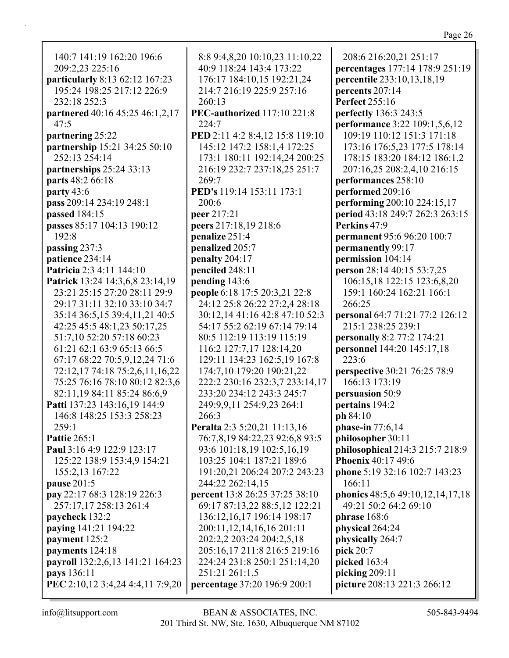140:7 141:19 162:20 196:6 209:2,23 225:16 **particularly** 8:13 62:12 167:23 195:24 198:25 217:12 226:9 232:18 252:3 **partnered** 40:16 45:25 46:1,2,17 47:5 **partnering** 25:22 **partnership** 15:21 34:25 50:10 252:13 254:14 **partnerships** 25:24 33:13 **parts** 48:2 66:18 **party** 43:6 **pass** 209:14 234:19 248:1 **passed** 184:15 **passes** 85:17 104:13 190:12 192:8 **passing** 237:3 **patience** 234:14 **Patricia** 2:3 4:11 144:10 **Patrick** 13:24 14:3,6,8 23:14,19 23:21 25:15 27:20 28:11 29:9 29:17 31:11 32:10 33:10 34:7 35:14 36:5,15 39:4,11,21 40:5 42:25 45:5 48:1,23 50:17,25 51:7,10 52:20 57:18 60:23 61:21 62:1 63:9 65:13 66:5 67:17 68:22 70:5,9,12,24 71:6 72:12,17 74:18 75:2,6,11,16,22 75:25 76:16 78:10 80:12 82:3,6 82:11,19 84:11 85:24 86:6,9 **Patti** 137:23 143:16,19 144:9 146:8 148:25 153:3 258:23  $259:1$ **Pattie** 265:1 **Paul** 3:16 4:9 122:9 123:17 125:22 138:9 153:4,9 154:21 155:2,13 167:22 **pause** 201:5 **pay** 22:17 68:3 128:19 226:3 257:17,17 258:13 261:4 **paycheck** 132:2 **paying** 141:21 194:22 **payment** 125:2 **payments** 124:18 **payroll** 132:2,6,13 141:21 164:23 **pays** 136:11 **PEC** 2:10,12 3:4,24 4:4,11 7:9,20

8:8 9:4,8,20 10:10,23 11:10,22 40:9 118:24 143:4 173:22 176:17 184:10,15 192:21,24 214:7 216:19 225:9 257:16 260:13 **PEC-authorized** 117:10 221:8 224:7 **PED** 2:11 4:2 8:4,12 15:8 119:10 145:12 147:2 158:1,4 172:25 173:1 180:11 192:14,24 200:25 216:19 232:7 237:18,25 251:7 269:7 **PED's** 119:14 153:11 173:1 200:6 **peer** 217:21 **peers** 217:18,19 218:6 **penalize** 251:4 **penalized** 205:7 **penalty** 204:17 **penciled** 248:11 **pending** 143:6 **people** 6:18 17:5 20:3,21 22:8 24:12 25:8 26:22 27:2,4 28:18 30:12,14 41:16 42:8 47:10 52:3 54:17 55:2 62:19 67:14 79:14 80:5 112:19 113:19 115:19 116:2 127:7,17 128:14,20 129:11 134:23 162:5,19 167:8 174:7,10 179:20 190:21,22 222:2 230:16 232:3,7 233:14,17 233:20 234:12 243:3 245:7 249:9,9,11 254:9,23 264:1 266:3 **Peralta** 2:3 5:20,21 11:13,16 76:7,8,19 84:22,23 92:6,8 93:5 93:6 101:18,19 102:5,16,19 103:25 104:1 187:21 189:6 191:20,21 206:24 207:2 243:23 244:22 262:14,15 **percent** 13:8 26:25 37:25 38:10 69:17 87:13,22 88:5,12 122:21 136:12,16,17 196:14 198:17 200:11,12,14,16,16 201:11 202:2,2 203:24 204:2,5,18 205:16,17 211:8 216:5 219:16 224:24 231:8 250:1 251:14,20 251:21 261:1,5 **percentage** 37:20 196:9 200:1

208:6 216:20,21 251:17 **percentages** 177:14 178:9 251:19 **percentile** 233:10,13,18,19 **percents** 207:14 **Perfect** 255:16 **perfectly** 136:3 243:5 **performance** 3:22 109:1,5,6,12 109:19 110:12 151:3 171:18 173:16 176:5,23 177:5 178:14 178:15 183:20 184:12 186:1,2 207:16,25 208:2,4,10 216:15 **performances** 258:10 **performed** 209:16 **performing** 200:10 224:15,17 **period** 43:18 249:7 262:3 263:15 **Perkins** 47:9 **permanent** 95:6 96:20 100:7 **permanently** 99:17 **permission** 104:14 **person** 28:14 40:15 53:7,25 106:15,18 122:15 123:6,8,20 159:1 160:24 162:21 166:1 266:25 **personal** 64:7 71:21 77:2 126:12 215:1 238:25 239:1 **personally** 8:2 77:2 174:21 **personnel** 144:20 145:17,18 223:6 **perspective** 30:21 76:25 78:9 166:13 173:19 **persuasion** 50:9 **pertains** 194:2 **ph** 84:10 **phase-in** 77:6,14 **philosopher** 30:11 **philosophical** 214:3 215:7 218:9 **Phoenix** 40:17 49:6 **phone** 5:19 32:16 102:7 143:23 166:11 **phonics** 48:5,6 49:10,12,14,17,18 49:21 50:2 64:2 69:10 **phrase** 168:6 **physical** 264:24 **physically** 264:7 **pick** 20:7 **picked** 163:4 **picking** 209:11 **picture** 208:13 221:3 266:12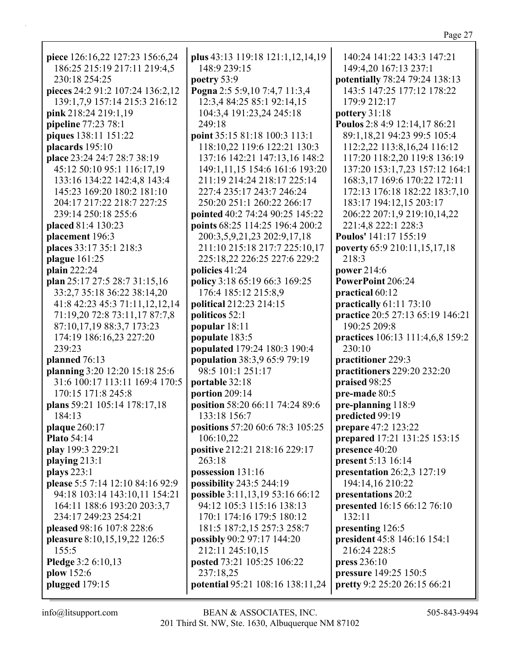| piece 126:16,22 127:23 156:6,24  | plus 43:13 119:18 121:1,12,14,19 | 140:24 141:22 143:3 147:21       |
|----------------------------------|----------------------------------|----------------------------------|
| 186:25 215:19 217:11 219:4,5     | 148:9 239:15                     | 149:4,20 167:13 237:1            |
| 230:18 254:25                    | poetry 53:9                      | potentially 78:24 79:24 138:13   |
| pieces 24:2 91:2 107:24 136:2,12 | Pogna 2:5 5:9,10 7:4,7 11:3,4    | 143:5 147:25 177:12 178:22       |
| 139:1,7,9 157:14 215:3 216:12    | 12:3,4 84:25 85:1 92:14,15       | 179:9 212:17                     |
| pink 218:24 219:1,19             | 104:3,4 191:23,24 245:18         | pottery 31:18                    |
| pipeline 77:23 78:1              | 249:18                           | Poulos 2:8 4:9 12:14,17 86:21    |
| piques 138:11 151:22             | point 35:15 81:18 100:3 113:1    | 89:1,18,21 94:23 99:5 105:4      |
| placards 195:10                  | 118:10,22 119:6 122:21 130:3     | 112:2,22 113:8,16,24 116:12      |
| place 23:24 24:7 28:7 38:19      | 137:16 142:21 147:13,16 148:2    | 117:20 118:2,20 119:8 136:19     |
| 45:12 50:10 95:1 116:17,19       | 149:1,11,15 154:6 161:6 193:20   | 137:20 153:1,7,23 157:12 164:1   |
| 133:16 134:22 142:4,8 143:4      | 211:19 214:24 218:17 225:14      | 168:3,17 169:6 170:22 172:11     |
| 145:23 169:20 180:2 181:10       | 227:4 235:17 243:7 246:24        | 172:13 176:18 182:22 183:7,10    |
| 204:17 217:22 218:7 227:25       | 250:20 251:1 260:22 266:17       | 183:17 194:12,15 203:17          |
| 239:14 250:18 255:6              | pointed 40:2 74:24 90:25 145:22  | 206:22 207:1,9 219:10,14,22      |
| placed 81:4 130:23               | points 68:25 114:25 196:4 200:2  | 221:4,8 222:1 228:3              |
| placement 196:3                  | 200:3,5,9,21,23 202:9,17,18      | Poulos' 141:17 155:19            |
| places 33:17 35:1 218:3          | 211:10 215:18 217:7 225:10,17    | poverty 65:9 210:11,15,17,18     |
| plague 161:25                    | 225:18,22 226:25 227:6 229:2     | 218:3                            |
| plain 222:24                     | policies 41:24                   | power 214:6                      |
| plan 25:17 27:5 28:7 31:15,16    | policy 3:18 65:19 66:3 169:25    | PowerPoint 206:24                |
| 33:2,7 35:18 36:22 38:14,20      | 176:4 185:12 215:8,9             | practical 60:12                  |
| 41:8 42:23 45:3 71:11,12,12,14   | political 212:23 214:15          | practically $61:1173:10$         |
| 71:19,20 72:8 73:11,17 87:7,8    | politicos 52:1                   | practice 20:5 27:13 65:19 146:21 |
| 87:10,17,19 88:3,7 173:23        | popular 18:11                    | 190:25 209:8                     |
| 174:19 186:16,23 227:20          | populate 183:5                   | practices 106:13 111:4,6,8 159:2 |
| 239:23                           | populated 179:24 180:3 190:4     | 230:10                           |
| planned 76:13                    | population 38:3,9 65:9 79:19     | practitioner 229:3               |
| planning 3:20 12:20 15:18 25:6   | 98:5 101:1 251:17                | practitioners 229:20 232:20      |
| 31:6 100:17 113:11 169:4 170:5   | portable 32:18                   | praised 98:25                    |
| 170:15 171:8 245:8               | portion 209:14                   | pre-made 80:5                    |
| plans 59:21 105:14 178:17,18     | position 58:20 66:11 74:24 89:6  | pre-planning 118:9               |
| 184:13                           | 133:18 156:7                     | predicted 99:19                  |
| <b>plaque</b> 260:17             | positions 57:20 60:6 78:3 105:25 | prepare 47:2 123:22              |
| <b>Plato</b> 54:14               | 106:10,22                        | prepared 17:21 131:25 153:15     |
| play 199:3 229:21                | positive 212:21 218:16 229:17    | presence 40:20                   |
| playing 213:1                    | 263:18                           | present 5:13 16:14               |
| plays 223:1                      | possession 131:16                | presentation 26:2,3 127:19       |
| please 5:5 7:14 12:10 84:16 92:9 | possibility 243:5 244:19         | 194:14,16 210:22                 |
| 94:18 103:14 143:10,11 154:21    | possible 3:11,13,19 53:16 66:12  | presentations 20:2               |
| 164:11 188:6 193:20 203:3,7      | 94:12 105:3 115:16 138:13        | presented 16:15 66:12 76:10      |
| 234:17 249:23 254:21             | 170:1 174:16 179:5 180:12        | 132:11                           |
| pleased 98:16 107:8 228:6        | 181:5 187:2,15 257:3 258:7       | presenting 126:5                 |
| pleasure 8:10,15,19,22 126:5     | possibly 90:2 97:17 144:20       | president 45:8 146:16 154:1      |
| 155:5                            | 212:11 245:10,15                 | 216:24 228:5                     |
| Pledge 3:2 6:10,13               | posted 73:21 105:25 106:22       | press 236:10                     |
| plow 152:6                       | 237:18,25                        | pressure 149:25 150:5            |
| plugged 179:15                   | potential 95:21 108:16 138:11,24 | pretty 9:2 25:20 26:15 66:21     |
|                                  |                                  |                                  |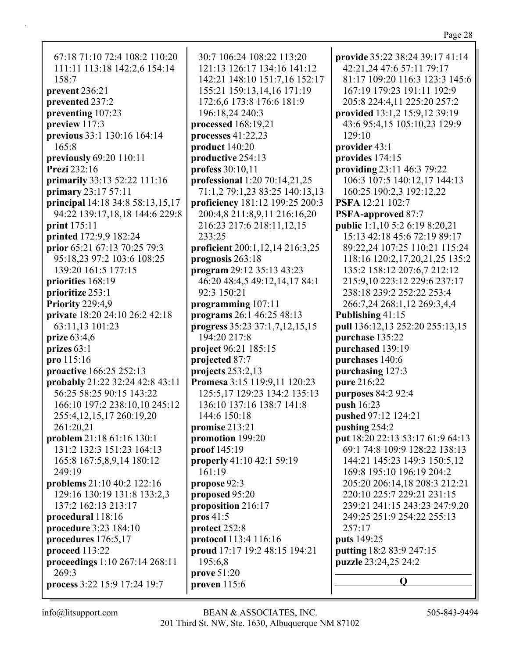| Page 28 |  |
|---------|--|
| 1741.14 |  |

 $67:1871:1072:4108:2110:20$ 111:11 113:18 142:2,6 154:14  $158:7$ prevent 236:21 prevented 237:2 preventing  $107:23$ preview  $117:3$ previous 33:1 130:16 164:14 165:8 **previously** 69:20 110:11 **Prezi** 232:16 primarily 33:13 52:22 111:16 primary 23:17 57:11 principal 14:18 34:8 58:13,15,17 94:22 139:17,18,18 144:6 229:8  $print 175:11$ **printed** 172:9,9 182:24 **prior** 65:21 67:13 70:25 79:3 95:18.23 97:2 103:6 108:25 139:20 161:5 177:15 priorities 168:19 prioritize 253:1 **Priority** 229:4,9 private 18:20 24:10 26:2 42:18 63:11.13 101:23 prize  $63:4,6$ prizes  $63:1$ pro 115:16 proactive 166:25 252:13 **probably** 21:22 32:24 42:8 43:11 56:25 58:25 90:15 143:22 166:10 197:2 238:10,10 245:12 255:4, 12, 15, 17 260: 19, 20 261:20.21 problem 21:18 61:16 130:1 131:2 132:3 151:23 164:13 165:8 167:5,8,9,14 180:12  $249:19$ problems 21:10 40:2 122:16 129:16 130:19 131:8 133:2.3 137:2 162:13 213:17 procedural 118:16 **procedure** 3:23 184:10 procedures 176:5,17 proceed 113:22 proceedings 1:10 267:14 268:11  $269:3$ process 3:22 15:9 17:24 19:7

30:7 106:24 108:22 113:20 121:13 126:17 134:16 141:12 142:21 148:10 151:7,16 152:17 155:21 159:13,14,16 171:19 172:6.6 173:8 176:6 181:9 196:18,24 240:3 **processed** 168:19.21 processes  $41:22,23$ product 140:20 productive 254:13 profess  $30:10,11$ professional 1:20 70:14,21,25 71:1,2 79:1,23 83:25 140:13,13 proficiency 181:12 199:25 200:3 200:4,8 211:8,9,11 216:16,20 216:23 217:6 218:11,12,15 233:25 proficient 200:1,12,14 216:3,25 prognosis  $263:18$ program 29:12 35:13 43:23 46:20 48:4,5 49:12,14,17 84:1 92:3 150:21 programming  $107:11$ programs 26:1 46:25 48:13 progress 35:23 37:1,7,12,15,15 194:20 217:8 project 96:21 185:15 projected 87:7 projects  $253:2,13$ Promesa 3:15 119:9,11 120:23 125:5, 17 129:23 134:2 135:13 136:10 137:16 138:7 141:8 144:6 150:18 promise  $213:21$ promotion 199:20 proof  $145:19$ properly 41:10 42:1 59:19  $161:19$ propose 92:3 proposed 95:20 proposition 216:17  $prox 41:5$ protect 252:8 protocol 113:4 116:16 **proud** 17:17 19:2 48:15 194:21 195:6.8 prove 51:20 proven  $115:6$ 

**provide** 35:22 38:24 39:17 41:14 42:21,24 47:6 57:11 79:17 81:17 109:20 116:3 123:3 145:6 167:19 179:23 191:11 192:9 205:8 224:4.11 225:20 257:2 provided 13:1,2 15:9,12 39:19 43:6 95:4,15 105:10,23 129:9  $129:10$ provider 43:1 provides  $174:15$ providing 23:11 46:3 79:22 106:3 107:5 140:12,17 144:13 160:25 190:2,3 192:12,22 **PSFA** 12:21 102:7 **PSFA-approved 87:7 public** 1:1,10 5:2 6:19 8:20,21 15:13 42:18 45:6 72:19 89:17 89:22.24 107:25 110:21 115:24 118:16 120:2,17,20,21,25 135:2 135:2 158:12 207:6,7 212:12 215:9,10 223:12 229:6 237:17 238:18 239:2 252:22 253:4 266:7,24 268:1,12 269:3,4,4 Publishing 41:15 pull 136:12,13 252:20 255:13,15 purchase 135:22 purchased 139:19 purchases 140:6 purchasing 127:3 pure 216:22 purposes 84:2 92:4 push  $16:23$ pushed 97:12 124:21 pushing  $254:2$ put 18:20 22:13 53:17 61:9 64:13 69:1 74:8 109:9 128:22 138:13 144:21 145:23 149:3 150:5.12 169:8 195:10 196:19 204:2 205:20 206:14,18 208:3 212:21 220:10 225:7 229:21 231:15 239:21 241:15 243:23 247:9,20 249:25 251:9 254:22 255:13  $257:17$ puts 149:25 putting 18:2 83:9 247:15 puzzle 23:24,25 24:2  $\mathbf{O}$ 

 $info@llitsupport.com$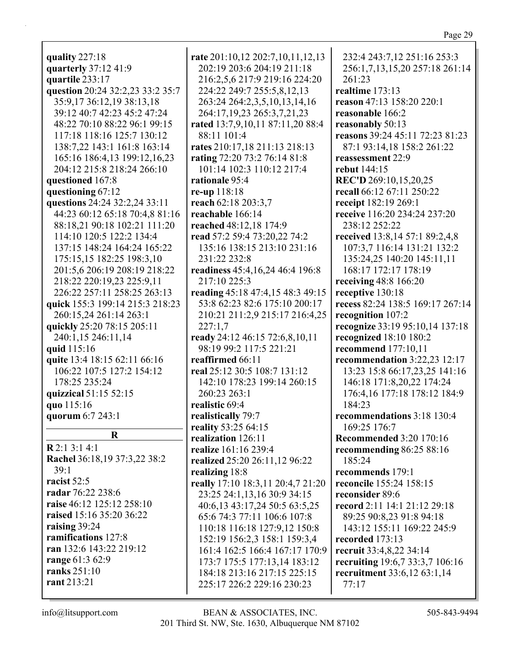| quality 227:18                   | rate 201:10,12 202:7,10,11,12,13  | 232:4 243:7,12 251:16 253:3      |
|----------------------------------|-----------------------------------|----------------------------------|
| quarterly 37:12 41:9             | 202:19 203:6 204:19 211:18        | 256:1,7,13,15,20 257:18 261:14   |
| quartile 233:17                  | 216:2,5,6 217:9 219:16 224:20     | 261:23                           |
|                                  |                                   |                                  |
| question 20:24 32:2,23 33:2 35:7 | 224:22 249:7 255:5,8,12,13        | realtime 173:13                  |
| 35:9,17 36:12,19 38:13,18        | 263:24 264:2,3,5,10,13,14,16      | reason 47:13 158:20 220:1        |
| 39:12 40:7 42:23 45:2 47:24      | 264:17,19,23 265:3,7,21,23        | reasonable 166:2                 |
| 48:22 70:10 88:22 96:1 99:15     | rated 13:7,9,10,11 87:11,20 88:4  | reasonably 50:13                 |
| 117:18 118:16 125:7 130:12       | 88:11 101:4                       | reasons 39:24 45:11 72:23 81:23  |
| 138:7,22 143:1 161:8 163:14      | rates 210:17,18 211:13 218:13     | 87:1 93:14,18 158:2 261:22       |
| 165:16 186:4,13 199:12,16,23     | rating 72:20 73:2 76:14 81:8      | reassessment 22:9                |
| 204:12 215:8 218:24 266:10       | 101:14 102:3 110:12 217:4         | rebut 144:15                     |
| questioned 167:8                 | rationale 95:4                    | REC'D 269:10,15,20,25            |
| questioning 67:12                | re-up 118:18                      | recall 66:12 67:11 250:22        |
| questions 24:24 32:2,24 33:11    | reach 62:18 203:3,7               | receipt 182:19 269:1             |
| 44:23 60:12 65:18 70:4,8 81:16   | reachable 166:14                  | receive 116:20 234:24 237:20     |
| 88:18,21 90:18 102:21 111:20     | reached 48:12,18 174:9            | 238:12 252:22                    |
| 114:10 120:5 122:2 134:4         | read 57:2 59:4 73:20,22 74:2      | received 13:8,14 57:1 89:2,4,8   |
| 137:15 148:24 164:24 165:22      | 135:16 138:15 213:10 231:16       | 107:3,7 116:14 131:21 132:2      |
| 175:15,15 182:25 198:3,10        | 231:22 232:8                      |                                  |
|                                  |                                   | 135:24,25 140:20 145:11,11       |
| 201:5,6 206:19 208:19 218:22     | readiness 45:4,16,24 46:4 196:8   | 168:17 172:17 178:19             |
| 218:22 220:19,23 225:9,11        | 217:10 225:3                      | receiving $48:8$ 166:20          |
| 226:22 257:11 258:25 263:13      | reading 45:18 47:4,15 48:3 49:15  | receptive 130:18                 |
| quick 155:3 199:14 215:3 218:23  | 53:8 62:23 82:6 175:10 200:17     | recess 82:24 138:5 169:17 267:14 |
| 260:15,24 261:14 263:1           | 210:21 211:2,9 215:17 216:4,25    | recognition 107:2                |
| quickly 25:20 78:15 205:11       | 227:1,7                           | recognize 33:19 95:10,14 137:18  |
| 240:1,15 246:11,14               | ready 24:12 46:15 72:6,8,10,11    | recognized 18:10 180:2           |
| quid 115:16                      | 98:19 99:2 117:5 221:21           | recommend 177:10,11              |
| quite 13:4 18:15 62:11 66:16     | reaffirmed 66:11                  | recommendation 3:22,23 12:17     |
| 106:22 107:5 127:2 154:12        | real 25:12 30:5 108:7 131:12      | 13:23 15:8 66:17,23,25 141:16    |
| 178:25 235:24                    | 142:10 178:23 199:14 260:15       | 146:18 171:8,20,22 174:24        |
| quizzical 51:15 52:15            | 260:23 263:1                      | 176:4,16 177:18 178:12 184:9     |
| quo 115:16                       | realistic 69:4                    | 184:23                           |
| quorum 6:7 243:1                 | realistically 79:7                | recommendations 3:18 130:4       |
|                                  | reality 53:25 64:15               | 169:25 176:7                     |
| $\bf R$                          | realization 126:11                | <b>Recommended 3:20 170:16</b>   |
| R2:13:14:1                       | realize 161:16 239:4              | recommending 86:25 88:16         |
| Rachel 36:18,19 37:3,22 38:2     | realized 25:20 26:11,12 96:22     | 185:24                           |
| 39:1                             | realizing 18:8                    | recommends 179:1                 |
| racist 52:5                      | really 17:10 18:3,11 20:4,7 21:20 | reconcile 155:24 158:15          |
| radar 76:22 238:6                | 23:25 24:1,13,16 30:9 34:15       | reconsider 89:6                  |
| raise 46:12 125:12 258:10        |                                   | record 2:11 14:1 21:12 29:18     |
| raised 15:16 35:20 36:22         | 40:6,13 43:17,24 50:5 63:5,25     |                                  |
| raising 39:24                    | 65:6 74:3 77:11 106:6 107:8       | 89:25 90:8,23 91:8 94:18         |
| ramifications 127:8              | 110:18 116:18 127:9,12 150:8      | 143:12 155:11 169:22 245:9       |
|                                  | 152:19 156:2,3 158:1 159:3,4      | recorded 173:13                  |
| ran 132:6 143:22 219:12          | 161:4 162:5 166:4 167:17 170:9    | recruit 33:4,8,22 34:14          |
| range 61:3 62:9                  | 173:7 175:5 177:13,14 183:12      | recruiting 19:6,7 33:3,7 106:16  |
| ranks 251:10                     | 184:18 213:16 217:15 225:15       | recruitment 33:6,12 63:1,14      |
| rant 213:21                      | 225:17 226:2 229:16 230:23        | 77:17                            |
|                                  |                                   |                                  |

info@litsupport.com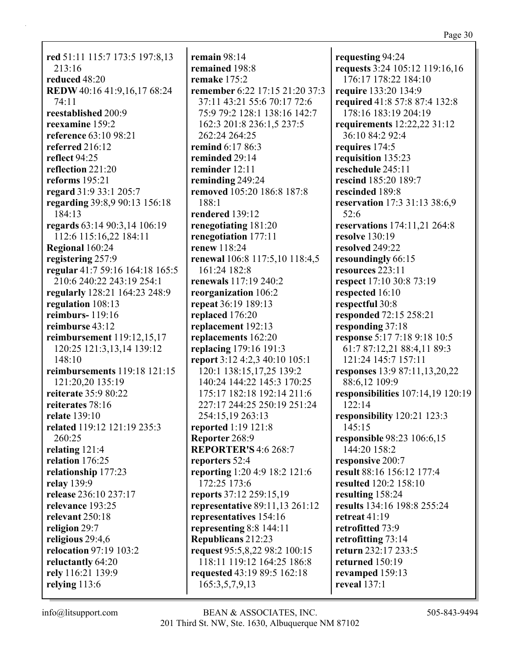**red** 51:11 115:7 173:5 197:8,13 213:16 **reduced** 48:20 **REDW** 40:16 41:9,16,17 68:24 74:11 **reestablished** 200:9 **reexamine** 159:2 **reference** 63:10 98:21 **referred** 216:12 **reflect** 94:25 **reflection** 221:20 **reforms** 195:21 **regard** 31:9 33:1 205:7 **regarding** 39:8,9 90:13 156:18 184:13 **regards** 63:14 90:3,14 106:19 112:6 115:16,22 184:11 **Regional** 160:24 **registering** 257:9 **regular** 41:7 59:16 164:18 165:5 210:6 240:22 243:19 254:1 **regularly** 128:21 164:23 248:9 **regulation** 108:13 **reimburs-** 119:16 **reimburse** 43:12 **reimbursement** 119:12,15,17 120:25 121:3,13,14 139:12 148:10 **reimbursements** 119:18 121:15 121:20,20 135:19 **reiterate** 35:9 80:22 **reiterates** 78:16 **relate** 139:10 **related** 119:12 121:19 235:3 260:25 **relating** 121:4 **relation** 176:25 **relationship** 177:23 **relay** 139:9 **release** 236:10 237:17 **relevance** 193:25 **relevant** 250:18 **religion** 29:7 **religious** 29:4,6 **relocation** 97:19 103:2 **reluctantly** 64:20 **rely** 116:21 139:9 **relying** 113:6

**remain** 98:14 **remained** 198:8 **remake** 175:2 **remember** 6:22 17:15 21:20 37:3 37:11 43:21 55:6 70:17 72:6 75:9 79:2 128:1 138:16 142:7 162:3 201:8 236:1,5 237:5 262:24 264:25 **remind** 6:17 86:3 **reminded** 29:14 **reminder** 12:11 **reminding** 249:24 **removed** 105:20 186:8 187:8 188:1 **rendered** 139:12 **renegotiating** 181:20 **renegotiation** 177:11 **renew** 118:24 **renewal** 106:8 117:5,10 118:4,5 161:24 182:8 **renewals** 117:19 240:2 **reorganization** 106:2 **repeat** 36:19 189:13 **replaced** 176:20 **replacement** 192:13 **replacements** 162:20 **replacing** 179:16 191:3 **report** 3:12 4:2,3 40:10 105:1 120:1 138:15,17,25 139:2 140:24 144:22 145:3 170:25 175:17 182:18 192:14 211:6 227:17 244:25 250:19 251:24 254:15,19 263:13 **reported** 1:19 121:8 **Reporter** 268:9 **REPORTER'S** 4:6 268:7 **reporters** 52:4 **reporting** 1:20 4:9 18:2 121:6 172:25 173:6 **reports** 37:12 259:15,19 **representative** 89:11,13 261:12 **representatives** 154:16 **representing** 8:8 144:11 **Republicans** 212:23 **request** 95:5,8,22 98:2 100:15 118:11 119:12 164:25 186:8 **requested** 43:19 89:5 162:18 165:3,5,7,9,13

**requesting** 94:24 **requests** 3:24 105:12 119:16,16 176:17 178:22 184:10 **require** 133:20 134:9 **required** 41:8 57:8 87:4 132:8 178:16 183:19 204:19 **requirements** 12:22,22 31:12 36:10 84:2 92:4 **requires** 174:5 **requisition** 135:23 **reschedule** 245:11 **rescind** 185:20 189:7 **rescinded** 189:8 **reservation** 17:3 31:13 38:6,9 52:6 **reservations** 174:11,21 264:8 **resolve** 130:19 **resolved** 249:22 **resoundingly** 66:15 **resources** 223:11 **respect** 17:10 30:8 73:19 **respected** 16:10 **respectful** 30:8 **responded** 72:15 258:21 **responding** 37:18 **response** 5:17 7:18 9:18 10:5 61:7 87:12,21 88:4,11 89:3 121:24 145:7 157:11 **responses** 13:9 87:11,13,20,22 88:6,12 109:9 **responsibilities** 107:14,19 120:19 122:14 **responsibility** 120:21 123:3 145:15 **responsible** 98:23 106:6,15 144:20 158:2 **responsive** 200:7 **result** 88:16 156:12 177:4 **resulted** 120:2 158:10 **resulting** 158:24 **results** 134:16 198:8 255:24 **retreat** 41:19 **retrofitted** 73:9 **retrofitting** 73:14 **return** 232:17 233:5 **returned** 150:19 **revamped** 159:13 **reveal** 137:1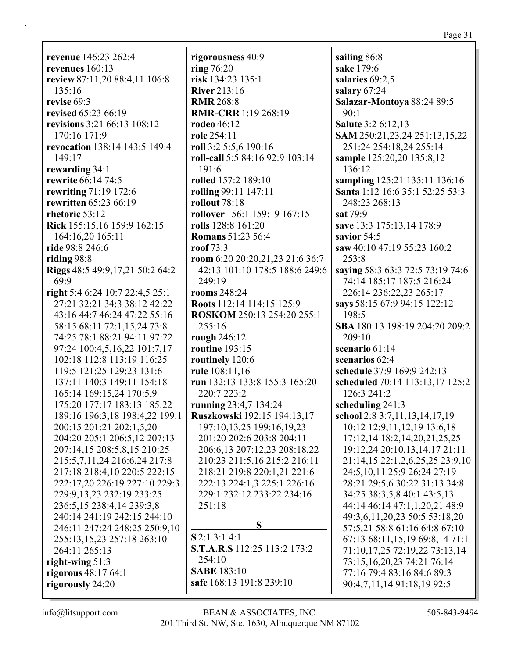**revenue** 146:23 262:4 **revenues** 160:13 **review** 87:11,20 88:4,11 106:8 135:16 **revise** 69:3 **revised** 65:23 66:19 **revisions** 3:21 66:13 108:12 170:16 171:9 **revocation** 138:14 143:5 149:4 149:17 **rewarding** 34:1 **rewrite** 66:14 74:5 **rewriting** 71:19 172:6 **rewritten** 65:23 66:19 **rhetoric** 53:12 **Rick** 155:15,16 159:9 162:15 164:16,20 165:11 **ride** 98:8 246:6 **riding** 98:8 **Riggs** 48:5 49:9,17,21 50:2 64:2 69:9 **right** 5:4 6:24 10:7 22:4,5 25:1 27:21 32:21 34:3 38:12 42:22 43:16 44:7 46:24 47:22 55:16 58:15 68:11 72:1,15,24 73:8 74:25 78:1 88:21 94:11 97:22 97:24 100:4,5,16,22 101:7,17 102:18 112:8 113:19 116:25 119:5 121:25 129:23 131:6 137:11 140:3 149:11 154:18 165:14 169:15,24 170:5,9 175:20 177:17 183:13 185:22 189:16 196:3,18 198:4,22 199:1 200:15 201:21 202:1,5,20 204:20 205:1 206:5,12 207:13 207:14,15 208:5,8,15 210:25 215:5,7,11,24 216:6,24 217:8 217:18 218:4,10 220:5 222:15 222:17,20 226:19 227:10 229:3 229:9,13,23 232:19 233:25 236:5,15 238:4,14 239:3,8 240:14 241:19 242:15 244:10 246:11 247:24 248:25 250:9,10 255:13,15,23 257:18 263:10 264:11 265:13 **right-wing** 51:3 **rigorous** 48:17 64:1 **rigorously** 24:20

**rigorousness** 40:9 **ring** 76:20 **risk** 134:23 135:1 **River** 213:16 **RMR** 268:8 **RMR-CRR** 1:19 268:19 **rodeo** 46:12 **role** 254:11 **roll** 3:2 5:5,6 190:16 **roll-call** 5:5 84:16 92:9 103:14 191:6 **rolled** 157:2 189:10 **rolling** 99:11 147:11 **rollout** 78:18 **rollover** 156:1 159:19 167:15 **rolls** 128:8 161:20 **Romans** 51:23 56:4 **roof** 73:3 **room** 6:20 20:20,21,23 21:6 36:7 42:13 101:10 178:5 188:6 249:6 249:19 **rooms** 248:24 **Roots** 112:14 114:15 125:9 **ROSKOM** 250:13 254:20 255:1 255:16 **rough** 246:12 **routine** 193:15 **routinely** 120:6 **rule** 108:11,16 **run** 132:13 133:8 155:3 165:20 220:7 223:2 **running** 23:4,7 134:24 **Ruszkowski** 192:15 194:13,17 197:10,13,25 199:16,19,23 201:20 202:6 203:8 204:11 206:6,13 207:12,23 208:18,22 210:23 211:5,16 215:2 216:11 218:21 219:8 220:1,21 221:6 222:13 224:1,3 225:1 226:16 229:1 232:12 233:22 234:16 251:18 **S S** 2:1 3:1 4:1 **S.T.A.R.S** 112:25 113:2 173:2 254:10

**sailing** 86:8 **sake** 179:6 **salaries** 69:2,5 **salary** 67:24 **Salazar-Montoya** 88:24 89:5 90:1 **Salute** 3:2 6:12,13 **SAM** 250:21,23,24 251:13,15,22 251:24 254:18,24 255:14 **sample** 125:20,20 135:8,12 136:12 **sampling** 125:21 135:11 136:16 **Santa** 1:12 16:6 35:1 52:25 53:3 248:23 268:13 **sat** 79:9 **save** 13:3 175:13,14 178:9 **savior** 54:5 **saw** 40:10 47:19 55:23 160:2 253:8 **saying** 58:3 63:3 72:5 73:19 74:6 74:14 185:17 187:5 216:24 226:14 236:22,23 265:17 **says** 58:15 67:9 94:15 122:12 198:5 **SBA** 180:13 198:19 204:20 209:2 209:10 **scenario** 61:14 **scenarios** 62:4 **schedule** 37:9 169:9 242:13 **scheduled** 70:14 113:13,17 125:2 126:3 241:2 **scheduling** 241:3 **school** 2:8 3:7,11,13,14,17,19 10:12 12:9,11,12,19 13:6,18 17:12,14 18:2,14,20,21,25,25 19:12,24 20:10,13,14,17 21:11 21:14,15 22:1,2,6,25,25 23:9,10 24:5,10,11 25:9 26:24 27:19 28:21 29:5,6 30:22 31:13 34:8 34:25 38:3,5,8 40:1 43:5,13 44:14 46:14 47:1,1,20,21 48:9 49:3,6,11,20,23 50:5 53:18,20 57:5,21 58:8 61:16 64:8 67:10 67:13 68:11,15,19 69:8,14 71:1 71:10,17,25 72:19,22 73:13,14 73:15,16,20,23 74:21 76:14 77:16 79:4 83:16 84:6 89:3 90:4,7,11,14 91:18,19 92:5

**SABE** 183:10

**safe** 168:13 191:8 239:10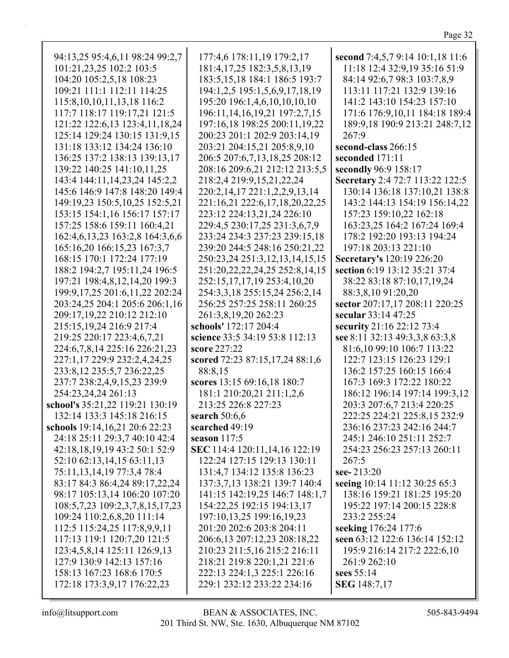| 94:13,25 95:4,6,11 98:24 99:2,7     | 177:4,6 178:11,19 179:2,17            | second 7:4,5,7 9:14 10:1,18 11:6 |
|-------------------------------------|---------------------------------------|----------------------------------|
| 101:21,23,25 102:2 103:5            | 181:4, 17, 25 182: 3, 5, 8, 13, 19    | 11:18 12:4 32:9,19 35:16 51:9    |
| 104:20 105:2,5,18 108:23            | 183:5, 15, 18 184: 1 186: 5 193: 7    | 84:14 92:6,7 98:3 103:7,8,9      |
| 109:21 111:1 112:11 114:25          | 194:1,2,5 195:1,5,6,9,17,18,19        | 113:11 117:21 132:9 139:16       |
| 115:8, 10, 10, 11, 13, 18 116:2     | 195:20 196:1,4,6,10,10,10,10          | 141:2 143:10 154:23 157:10       |
| 117:7 118:17 119:17,21 121:5        | 196:11, 14, 16, 19, 21 197: 2, 7, 15  | 171:6 176:9,10,11 184:18 189:4   |
| 121:22 122:6,13 123:4,11,18,24      | 197:16,18 198:25 200:11,19,22         | 189:9,18 190:9 213:21 248:7,12   |
| 125:14 129:24 130:15 131:9,15       | 200:23 201:1 202:9 203:14,19          | 267:9                            |
| 131:18 133:12 134:24 136:10         | 203:21 204:15,21 205:8,9,10           | second-class 266:15              |
| 136:25 137:2 138:13 139:13,17       | 206:5 207:6,7,13,18,25 208:12         | seconded 171:11                  |
| 139:22 140:25 141:10,11,25          | 208:16 209:6,21 212:12 213:5,5        | secondly 96:9 158:17             |
| 143:4 144:11, 14, 23, 24 145: 2, 2  | 218:2,4 219:9,15,21,22,24             | Secretary 2:4 72:7 113:22 122:5  |
| 145:6 146:9 147:8 148:20 149:4      | 220:2, 14, 17 221:1, 2, 2, 9, 13, 14  | 130:14 136:18 137:10,21 138:8    |
| 149:19,23 150:5,10,25 152:5,21      | 221:16,21 222:6,17,18,20,22,25        | 143:2 144:13 154:19 156:14,22    |
| 153:15 154:1,16 156:17 157:17       | 223:12 224:13,21,24 226:10            | 157:23 159:10,22 162:18          |
| 157:25 158:6 159:11 160:4,21        | 229:4,5 230:17,25 231:3,6,7,9         | 163:23,25 164:2 167:24 169:4     |
| 162:4,6,13,23 163:2,8 164:3,6,6     | 233:24 234:3 237:23 239:15,18         | 178:2 192:20 193:13 194:24       |
| 165:16,20 166:15,23 167:3,7         | 239:20 244:5 248:16 250:21,22         | 197:18 203:13 221:10             |
| 168:15 170:1 172:24 177:19          | 250:23,24 251:3,12,13,14,15,15        | Secretary's 120:19 226:20        |
| 188:2 194:2,7 195:11,24 196:5       | 251:20, 22, 22, 24, 25 252: 8, 14, 15 | section 6:19 13:12 35:21 37:4    |
| 197:21 198:4,8,12,14,20 199:3       | 252:15,17,17,19 253:4,10,20           | 38:22 83:18 87:10,17,19,24       |
| 199:9, 17, 25 201:6, 11, 22 202: 24 | 254:3,3,18 255:15,24 256:2,14         | 88:3,8,10 91:20,20               |
| 203:24,25 204:1 205:6 206:1,16      | 256:25 257:25 258:11 260:25           | sector 207:17,17 208:11 220:25   |
| 209:17,19,22 210:12 212:10          | 261:3,8,19,20 262:23                  | secular 33:14 47:25              |
| 215:15, 19, 24 216: 9 217: 4        | schools' 172:17 204:4                 | security 21:16 22:12 73:4        |
| 219:25 220:17 223:4,6,7,21          | science 33:5 34:19 53:8 112:13        | see 8:11 32:13 49:3,3,8 63:3,8   |
| 224:6,7,8,14 225:16 226:21,23       | score 227:22                          | 81:6,10 99:10 106:7 113:22       |
| 227:1,17 229:9 232:2,4,24,25        | scored 72:23 87:15,17,24 88:1,6       | 122:7 123:15 126:23 129:1        |
| 233:8, 12 235:5, 7 236: 22, 25      | 88:8,15                               | 136:2 157:25 160:15 166:4        |
| 237:7 238:2,4,9,15,23 239:9         | scores 13:15 69:16,18 180:7           | 167:3 169:3 172:22 180:22        |
| 254:23,24,24 261:13                 | 181:1 210:20,21 211:1,2,6             | 186:12 196:14 197:14 199:3,12    |
| school's 35:21,22 119:21 130:19     | 213:25 226:8 227:23                   | 203:3 207:6,7 213:4 220:25       |
| 132:14 133:3 145:18 216:15          | search $50:6,6$                       | 222:25 224:21 225:8,15 232:9     |
| schools 19:14,16,21 20:6 22:23      | searched 49:19                        | 236:16 237:23 242:16 244:7       |
| 24:18 25:11 29:3,7 40:10 42:4       | season $117:5$                        | 245:1 246:10 251:11 252:7        |
| 42:18,18,19,19 43:2 50:1 52:9       | SEC 114:4 120:11,14,16 122:19         | 254:23 256:23 257:13 260:11      |
| 52:10 62:13,14,15 63:11,13          | 122:24 127:15 129:13 130:11           | 267:5                            |
| 75:11, 13, 14, 19 77: 3, 4 78: 4    | 131:4,7 134:12 135:8 136:23           | see- $213:20$                    |
| 83:17 84:3 86:4,24 89:17,22,24      | 137:3,7,13 138:21 139:7 140:4         | seeing 10:14 11:12 30:25 65:3    |
| 98:17 105:13,14 106:20 107:20       | 141:15 142:19,25 146:7 148:1,7        | 138:16 159:21 181:25 195:20      |
| 108:5,7,23 109:2,3,7,8,15,17,23     | 154:22,25 192:15 194:13,17            | 195:22 197:14 200:15 228:8       |
| 109:24 110:2,6,8,20 111:14          | 197:10,13,25 199:16,19,23             | 233:2 255:24                     |
| 112:5 115:24,25 117:8,9,9,11        | 201:20 202:6 203:8 204:11             | seeking 176:24 177:6             |
| 117:13 119:1 120:7,20 121:5         | 206:6,13 207:12,23 208:18,22          | seen 63:12 122:6 136:14 152:12   |
| 123:4,5,8,14 125:11 126:9,13        | 210:23 211:5,16 215:2 216:11          | 195:9 216:14 217:2 222:6,10      |
| 127:9 130:9 142:13 157:16           | 218:21 219:8 220:1,21 221:6           | 261:9 262:10                     |
| 158:13 167:23 168:6 170:5           | 222:13 224:1,3 225:1 226:16           | sees $55:14$                     |
| 172:18 173:3,9,17 176:22,23         | 229:1 232:12 233:22 234:16            | <b>SEG</b> 148:7,17              |
|                                     |                                       |                                  |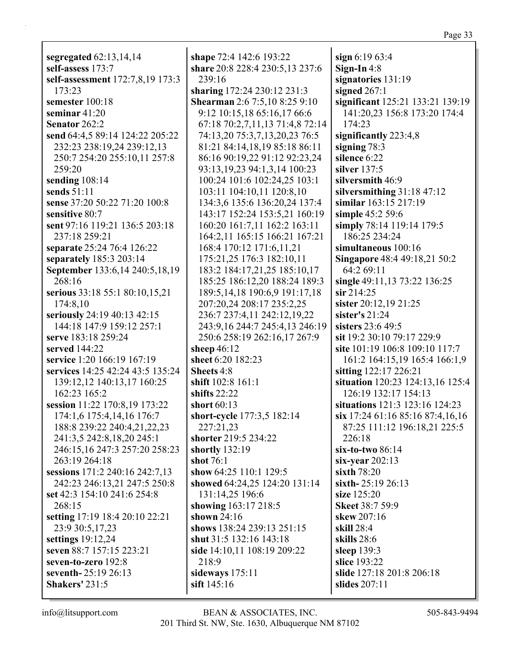sign  $6:1963:4$ 

Sign-In  $4:8$ 

self-assess 173:7 self-assessment 172:7,8,19 173:3 173:23 semester 100:18 seminar  $41:20$ **Senator 262:2** send 64:4,5 89:14 124:22 205:22 232:23 238:19.24 239:12.13 250:7 254:20 255:10,11 257:8 259:20 sending  $108:14$ sends  $51:11$ sense 37:20 50:22 71:20 100:8 sensitive 80:7 sent 97:16 119:21 136:5 203:18 237:18 259:21 separate 25:24 76:4 126:22 separately 185:3 203:14 September 133:6,14 240:5,18,19  $268:16$ serious 33:18 55:1 80:10,15,21 174:8.10 seriously 24:19 40:13 42:15 144:18 147:9 159:12 257:1 serve 183:18 259:24 served  $144:22$ service 1:20 166:19 167:19 services 14:25 42:24 43:5 135:24 139:12,12 140:13,17 160:25 162:23 165:2 session 11:22 170:8,19 173:22 174:1,6 175:4,14,16 176:7 188:8 239:22 240:4,21,22,23 241:3,5 242:8,18,20 245:1 246:15.16 247:3 257:20 258:23 263:19 264:18 sessions 171:2 240:16 242:7,13 242:23 246:13,21 247:5 250:8 set 42:3 154:10 241:6 254:8 268:15 setting 17:19 18:4 20:10 22:21 23:9 30:5,17,23 settings  $19:12,24$ seven 88:7 157:15 223:21 seven-to-zero 192:8 seventh - 25:19 26:13 **Shakers' 231:5** 

segregated  $62:13,14,14$ 

**shape** 72:4 142:6 193:22 share 20:8 228:4 230:5,13 237:6  $239:16$ sharing 172:24 230:12 231:3 **Shearman** 2:6 7:5,10 8:25 9:10 9:12 10:15,18 65:16,17 66:6 67:18 70:2.7.11.13 71:4.8 72:14 74:13,20 75:3,7,13,20,23 76:5 81:21 84:14,18,19 85:18 86:11 86:16 90:19,22 91:12 92:23,24 93:13, 19, 23 94:1, 3, 14 100: 23 100:24 101:6 102:24,25 103:1 103:11 104:10,11 120:8,10 134:3.6 135:6 136:20.24 137:4 143:17 152:24 153:5,21 160:19 160:20 161:7.11 162:2 163:11 164:2,11 165:15 166:21 167:21 168:4 170:12 171:6.11.21 175:21,25 176:3 182:10,11 183:2 184:17,21,25 185:10,17 185:25 186:12,20 188:24 189:3 189:5, 14, 18 190:6, 9 191:17, 18 207:20,24 208:17 235:2,25 236:7 237:4,11 242:12,19,22 243:9.16 244:7 245:4.13 246:19 250:6 258:19 262:16,17 267:9 sheep  $46:12$ sheet 6:20 182:23 Sheets 4:8 shift 102:8 161:1 shifts 22:22 short  $60:13$ short-cycle 177:3,5 182:14 227:21.23 shorter 219:5 234:22 shortly  $132:19$ shot  $76:1$ show  $64:25$  110:1 129:5 showed 64:24,25 124:20 131:14 131:14.25 196:6 showing  $163:17218:5$ shown  $24:16$ shows  $138:24239:13251:15$ shut 31:5 132:16 143:18 side 14:10,11 108:19 209:22 218:9 sideways 175:11 sift 145:16

signatories  $131:19$ signed  $267:1$ significant 125:21 133:21 139:19 141:20,23 156:8 173:20 174:4 174:23 significantly  $223:4,8$ signing  $78:3$ silence 6:22 silver  $137:5$ silversmith 46:9 silversmithing  $31:1847:12$ similar 163:15 217:19 simple 45:2 59:6 simply 78:14 119:14 179:5 186:25 234:24 simultaneous 100:16 **Singapore** 48:4 49:18,21 50:2 64:2 69:11 single  $49:11,1373:22136:25$  $\sin 214:25$ sister 20:12,19 21:25 sister's  $21:24$ sisters 23:6 49:5 sit 19:2 30:10 79:17 229:9 **site** 101:19 106:8 109:10 117:7 161:2 164:15,19 165:4 166:1,9 sitting 122:17 226:21 situation 120:23 124:13,16 125:4 126:19 132:17 154:13 situations 121:3 123:16 124:23  $\sin 17:2461:1685:1687:4,16,16$ 87:25 111:12 196:18,21 225:5 226:18  $six-to-two 86:14$  $six-vear 202:13$ sixth  $78:20$ sixth- $25:19\,26:13$ size 125:20 **Skeet** 38:7 59:9 skew 207:16 **skill** 28:4 skills 28:6 sleep  $139:3$ slice 193:22 slide 127:18 201:8 206:18

slides 207:11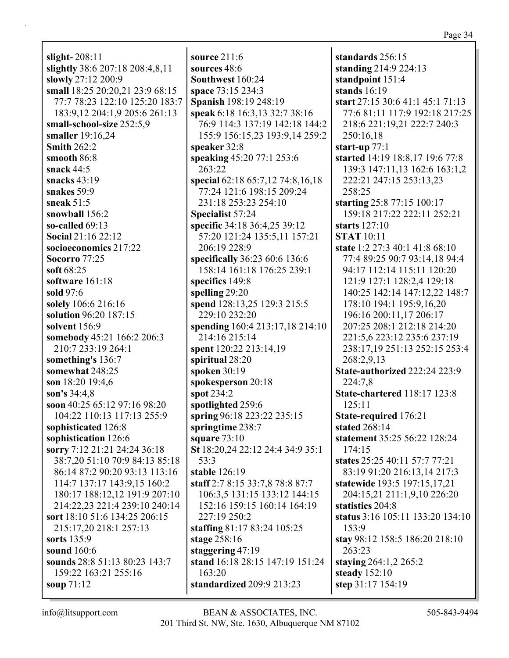**slight-** 208:11 **slightly** 38:6 207:18 208:4,8,11 **slowly** 27:12 200:9 **small** 18:25 20:20,21 23:9 68:15 77:7 78:23 122:10 125:20 183:7 183:9,12 204:1,9 205:6 261:13 **small-school-size** 252:5,9 **smaller** 19:16,24 **Smith** 262:2 **smooth** 86:8 **snack** 44:5 **snacks** 43:19 **snakes** 59:9 **sneak** 51:5 **snowball** 156:2 **so-called** 69:13 **Social** 21:16 22:12 **socioeconomics** 217:22 **Socorro** 77:25 **soft** 68:25 **software** 161:18 **sold** 97:6 **solely** 106:6 216:16 **solution** 96:20 187:15 **solvent** 156:9 **somebody** 45:21 166:2 206:3 210:7 233:19 264:1 **something's** 136:7 **somewhat** 248:25 **son** 18:20 19:4,6 **son's** 34:4,8 **soon** 40:25 65:12 97:16 98:20 104:22 110:13 117:13 255:9 **sophisticated** 126:8 **sophistication** 126:6 **sorry** 7:12 21:21 24:24 36:18 38:7,20 51:10 70:9 84:13 85:18 86:14 87:2 90:20 93:13 113:16 114:7 137:17 143:9,15 160:2 180:17 188:12,12 191:9 207:10 214:22,23 221:4 239:10 240:14 **sort** 18:10 51:6 134:25 206:15 215:17,20 218:1 257:13 **sorts** 135:9 **sound** 160:6 **sounds** 28:8 51:13 80:23 143:7 159:22 163:21 255:16 **soup** 71:12

**source** 211:6 **sources** 48:6 **Southwest** 160:24 **space** 73:15 234:3 **Spanish** 198:19 248:19 **speak** 6:18 16:3,13 32:7 38:16 76:9 114:3 137:19 142:18 144:2 155:9 156:15,23 193:9,14 259:2 **speaker** 32:8 **speaking** 45:20 77:1 253:6 263:22 **special** 62:18 65:7,12 74:8,16,18 77:24 121:6 198:15 209:24 231:18 253:23 254:10 **Specialist** 57:24 **specific** 34:18 36:4,25 39:12 57:20 121:24 135:5,11 157:21 206:19 228:9 **specifically** 36:23 60:6 136:6 158:14 161:18 176:25 239:1 **specifics** 149:8 **spelling** 29:20 **spend** 128:13,25 129:3 215:5 229:10 232:20 **spending** 160:4 213:17,18 214:10 214:16 215:14 **spent** 120:22 213:14,19 **spiritual** 28:20 **spoken** 30:19 **spokesperson** 20:18 **spot** 234:2 **spotlighted** 259:6 **spring** 96:18 223:22 235:15 **springtime** 238:7 **square** 73:10 **St** 18:20,24 22:12 24:4 34:9 35:1 53:3 **stable** 126:19 **staff** 2:7 8:15 33:7,8 78:8 87:7 106:3,5 131:15 133:12 144:15 152:16 159:15 160:14 164:19 227:19 250:2 **staffing** 81:17 83:24 105:25 **stage** 258:16 **staggering** 47:19 **stand** 16:18 28:15 147:19 151:24 163:20 **standardized** 209:9 213:23

**standards** 256:15 **standing** 214:9 224:13 **standpoint** 151:4 **stands** 16:19 **start** 27:15 30:6 41:1 45:1 71:13 77:6 81:11 117:9 192:18 217:25 218:6 221:19,21 222:7 240:3 250:16,18 **start-up** 77:1 **started** 14:19 18:8,17 19:6 77:8 139:3 147:11,13 162:6 163:1,2 222:21 247:15 253:13,23 258:25 **starting** 25:8 77:15 100:17 159:18 217:22 222:11 252:21 **starts** 127:10 **STAT** 10:11 **state** 1:2 27:3 40:1 41:8 68:10 77:4 89:25 90:7 93:14,18 94:4 94:17 112:14 115:11 120:20 121:9 127:1 128:2,4 129:18 140:25 142:14 147:12,22 148:7 178:10 194:1 195:9,16,20 196:16 200:11,17 206:17 207:25 208:1 212:18 214:20 221:5,6 223:12 235:6 237:19 238:17,19 251:13 252:15 253:4 268:2,9,13 **State-authorized** 222:24 223:9 224:7,8 **State-chartered** 118:17 123:8 125:11 **State-required** 176:21 **stated** 268:14 **statement** 35:25 56:22 128:24 174:15 **states** 25:25 40:11 57:7 77:21 83:19 91:20 216:13,14 217:3 **statewide** 193:5 197:15,17,21 204:15,21 211:1,9,10 226:20 **statistics** 204:8 **status** 3:16 105:11 133:20 134:10 153:9 **stay** 98:12 158:5 186:20 218:10 263:23 **staying** 264:1,2 265:2 **steady** 152:10 **step** 31:17 154:19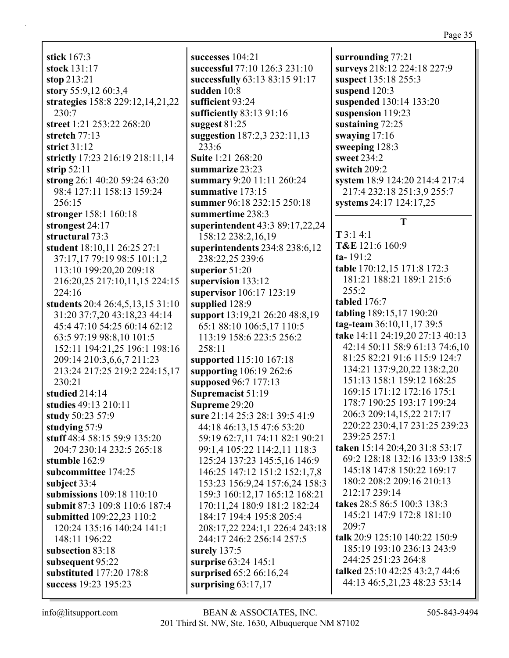**stick** 167:3 **stock** 131:17 **stop** 213:21 **story** 55:9,12 60:3,4 **strategies** 158:8 229:12,14,21,22 230:7 **street** 1:21 253:22 268:20 **stretch** 77:13 **strict** 31:12 **strictly** 17:23 216:19 218:11,14 **strip** 52:11 **strong** 26:1 40:20 59:24 63:20 98:4 127:11 158:13 159:24 256:15 **stronger** 158:1 160:18 **strongest** 24:17 **structural** 73:3 **student** 18:10,11 26:25 27:1 37:17,17 79:19 98:5 101:1,2 113:10 199:20,20 209:18 216:20,25 217:10,11,15 224:15 224:16 **students** 20:4 26:4,5,13,15 31:10 31:20 37:7,20 43:18,23 44:14 45:4 47:10 54:25 60:14 62:12 63:5 97:19 98:8,10 101:5 152:11 194:21,25 196:1 198:16 209:14 210:3,6,6,7 211:23 213:24 217:25 219:2 224:15,17 230:21 **studied** 214:14 **studies** 49:13 210:11 **study** 50:23 57:9 **studying** 57:9 **stuff** 48:4 58:15 59:9 135:20 204:7 230:14 232:5 265:18 **stumble** 162:9 **subcommittee** 174:25 **subject** 33:4 **submissions** 109:18 110:10 **submit** 87:3 109:8 110:6 187:4 **submitted** 109:22,23 110:2 120:24 135:16 140:24 141:1 148:11 196:22 **subsection** 83:18 **subsequent** 95:22 **substituted** 177:20 178:8 **success** 19:23 195:23

**successes** 104:21 **successful** 77:10 126:3 231:10 **successfully** 63:13 83:15 91:17 **sudden** 10:8 **sufficient** 93:24 **sufficiently** 83:13 91:16 **suggest** 81:25 **suggestion** 187:2,3 232:11,13 233:6 **Suite** 1:21 268:20 **summarize** 23:23 **summary** 9:20 11:11 260:24 **summative** 173:15 **summer** 96:18 232:15 250:18 **summertime** 238:3 **superintendent** 43:3 89:17,22,24 158:12 238:2,16,19 **superintendents** 234:8 238:6,12 238:22,25 239:6 **superior** 51:20 **supervision** 133:12 **supervisor** 106:17 123:19 **supplied** 128:9 **support** 13:19,21 26:20 48:8,19 65:1 88:10 106:5,17 110:5 113:19 158:6 223:5 256:2 258:11 **supported** 115:10 167:18 **supporting** 106:19 262:6 **supposed** 96:7 177:13 **Supremacist** 51:19 **Supreme** 29:20 **sure** 21:14 25:3 28:1 39:5 41:9 44:18 46:13,15 47:6 53:20 59:19 62:7,11 74:11 82:1 90:21 99:1,4 105:22 114:2,11 118:3 125:24 137:23 145:5,16 146:9 146:25 147:12 151:2 152:1,7,8 153:23 156:9,24 157:6,24 158:3 159:3 160:12,17 165:12 168:21 170:11,24 180:9 181:2 182:24 184:17 194:4 195:8 205:4 208:17,22 224:1,1 226:4 243:18 244:17 246:2 256:14 257:5 **surely** 137:5 **surprise** 63:24 145:1 **surprised** 65:2 66:16,24 **surprising** 63:17,17

**surrounding** 77:21 **surveys** 218:12 224:18 227:9 **suspect** 135:18 255:3 **suspend** 120:3 **suspended** 130:14 133:20 **suspension** 119:23 **sustaining** 72:25 **swaying** 17:16 **sweeping** 128:3 **sweet** 234:2 **switch** 209:2 **system** 18:9 124:20 214:4 217:4 217:4 232:18 251:3,9 255:7 **systems** 24:17 124:17,25 **T T** 3:1 4:1 **T&E** 121:6 160:9 **ta-** 191:2 **table** 170:12,15 171:8 172:3 181:21 188:21 189:1 215:6  $255:2$ **tabled** 176:7 **tabling** 189:15,17 190:20 **tag-team** 36:10,11,17 39:5 **take** 14:11 24:19,20 27:13 40:13 42:14 50:11 58:9 61:13 74:6,10 81:25 82:21 91:6 115:9 124:7 134:21 137:9,20,22 138:2,20 151:13 158:1 159:12 168:25 169:15 171:12 172:16 175:1 178:7 190:25 193:17 199:24 206:3 209:14,15,22 217:17 220:22 230:4,17 231:25 239:23 239:25 257:1 **taken** 15:14 20:4,20 31:8 53:17 69:2 128:18 132:16 133:9 138:5 145:18 147:8 150:22 169:17 180:2 208:2 209:16 210:13 212:17 239:14 **takes** 28:5 86:5 100:3 138:3 145:21 147:9 172:8 181:10 209:7 **talk** 20:9 125:10 140:22 150:9 185:19 193:10 236:13 243:9 244:25 251:23 264:8 **talked** 25:10 42:25 43:2,7 44:6 44:13 46:5,21,23 48:23 53:14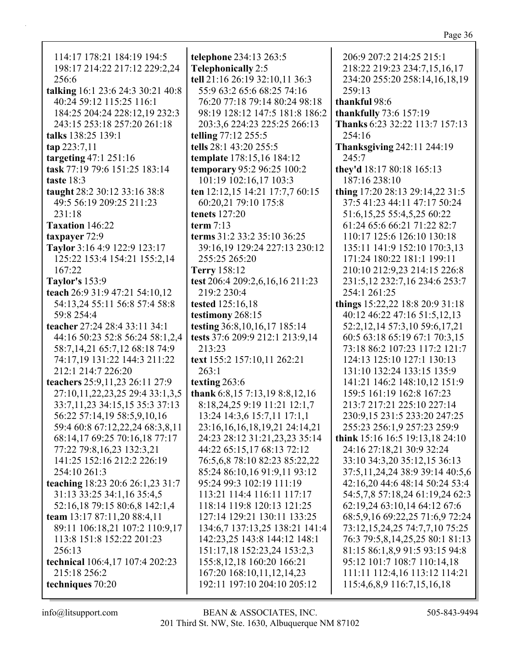| 114:17 178:21 184:19 194:5        | tel                      |
|-----------------------------------|--------------------------|
|                                   |                          |
| 198:17 214:22 217:12 229:2,24     | T                        |
| 256:6                             | tel                      |
| talking 16:1 23:6 24:3 30:21 40:8 |                          |
| 40:24 59:12 115:25 116:1          | $\overline{\phantom{a}}$ |
| 184:25 204:24 228:12,19 232:3     |                          |
|                                   |                          |
| 243:15 253:18 257:20 261:18       |                          |
| talks 138:25 139:1                | tel                      |
| tap 223:7,11                      | tel                      |
| targeting $47:1$ 251:16           | tel                      |
| task 77:19 79:6 151:25 183:14     | tel                      |
| taste 18:3                        |                          |
|                                   |                          |
| taught 28:2 30:12 33:16 38:8      | tel                      |
| 49:5 56:19 209:25 211:23          |                          |
| 231:18                            | tel                      |
| Taxation 146:22                   | tel                      |
| taxpayer 72:9                     | te                       |
| Taylor 3:16 4:9 122:9 123:17      |                          |
|                                   |                          |
| 125:22 153:4 154:21 155:2,14      |                          |
| 167:22                            | T                        |
| <b>Taylor's</b> 153:9             | te:                      |
| teach 26:9 31:9 47:21 54:10,12    |                          |
| 54:13,24 55:11 56:8 57:4 58:8     | te:                      |
| 59:8 254:4                        | te:                      |
| teacher 27:24 28:4 33:11 34:1     | te:                      |
|                                   |                          |
| 44:16 50:23 52:8 56:24 58:1,2,4   | te:                      |
| 58:7,14,21 65:7,12 68:18 74:9     |                          |
| 74:17,19 131:22 144:3 211:22      | te:                      |
| 212:1 214:7 226:20                |                          |
| teachers 25:9,11,23 26:11 27:9    | te:                      |
| 27:10,11,22,23,25 29:4 33:1,3,5   | th                       |
| 33:7,11,23 34:15,15 35:3 37:13    |                          |
|                                   |                          |
| 56:22 57:14,19 58:5,9,10,16       |                          |
| 59:4 60:8 67:12,22,24 68:3,8,11   |                          |
| 68:14,17 69:25 70:16,18 77:17     |                          |
| 77:22 79:8,16,23 132:3,21         |                          |
| 141:25 152:16 212:2 226:19        |                          |
| 254:10 261:3                      |                          |
| teaching 18:23 20:6 26:1,23 31:7  |                          |
|                                   |                          |
| 31:13 33:25 34:1,16 35:4,5        |                          |
| 52:16,18 79:15 80:6,8 142:1,4     |                          |
| team 13:17 87:11,20 88:4,11       |                          |
| 89:11 106:18,21 107:2 110:9,17    |                          |
| 113:8 151:8 152:22 201:23         |                          |
| 256:13                            |                          |
| technical 106:4,17 107:4 202:23   |                          |
|                                   |                          |
| 215:18 256:2                      |                          |
| techniques 70:20                  |                          |

**tephone** 234:13 263:5 **Telephonically** 2:5 **tell** 21:16 26:19 32:10,11 36:3 55:9 63:2 65:6 68:25 74:16 76:20 77:18 79:14 80:24 98:18 98:19 128:12 147:5 181:8 186:2 203:3,6 224:23 225:25 266:13 **telling** 77:12 255:5 **tells** 28:1 43:20 255:5 **template** 178:15,16 184:12 **temporary** 95:2 96:25 100:2 101:19 102:16,17 103:3 **ten** 12:12,15 14:21 17:7,7 60:15 60:20,21 79:10 175:8 **these** 127:20 **term** 7:13 **terms** 31:2 33:2 35:10 36:25 39:16,19 129:24 227:13 230:12 255:25 265:20 **Terry** 158:12 **test** 206:4 209:2,6,16,16 211:23 219:2 230:4 **tested** 125:16,18 **testimony** 268:15 **testing** 36:8,10,16,17 185:14 **tests** 37:6 209:9 212:1 213:9,14 213:23 **text** 155:2 157:10,11 262:21 263:1 **tting** 263:6 **thank** 6:8,15 7:13,19 8:8,12,16 8:18,24,25 9:19 11:21 12:1,7 13:24 14:3,6 15:7,11 17:1,1 23:16,16,16,18,19,21 24:14,21 24:23 28:12 31:21,23,23 35:14 44:22 65:15,17 68:13 72:12 76:5,6,8 78:10 82:23 85:22,22 85:24 86:10,16 91:9,11 93:12 95:24 99:3 102:19 111:19 113:21 114:4 116:11 117:17 118:14 119:8 120:13 121:25 127:14 129:21 130:11 133:25 134:6,7 137:13,25 138:21 141:4 142:23,25 143:8 144:12 148:1 151:17,18 152:23,24 153:2,3 155:8,12,18 160:20 166:21 167:20 168:10,11,12,14,23 192:11 197:10 204:10 205:12

206:9 207:2 214:25 215:1 218:22 219:23 234:7,15,16,17 234:20 255:20 258:14,16,18,19 259:13 **thankful** 98:6 **thankfully** 73:6 157:19 **Thanks** 6:23 32:22 113:7 157:13 254:16 **Thanksgiving** 242:11 244:19 245:7 **they'd** 18:17 80:18 165:13 187:16 238:10 **thing** 17:20 28:13 29:14,22 31:5 37:5 41:23 44:11 47:17 50:24 51:6,15,25 55:4,5,25 60:22 61:24 65:6 66:21 71:22 82:7 110:17 125:6 126:10 130:18 135:11 141:9 152:10 170:3,13 171:24 180:22 181:1 199:11 210:10 212:9,23 214:15 226:8 231:5,12 232:7,16 234:6 253:7 254:1 261:25 **things** 15:22,22 18:8 20:9 31:18 40:12 46:22 47:16 51:5,12,13 52:2,12,14 57:3,10 59:6,17,21 60:5 63:18 65:19 67:1 70:3,15 73:18 86:2 107:23 117:2 121:7 124:13 125:10 127:1 130:13 131:10 132:24 133:15 135:9 141:21 146:2 148:10,12 151:9 159:5 161:19 162:8 167:23 213:7 217:21 225:10 227:14 230:9,15 231:5 233:20 247:25 255:23 256:1,9 257:23 259:9 **think** 15:16 16:5 19:13,18 24:10 24:16 27:18,21 30:9 32:24 33:10 34:3,20 35:12,15 36:13 37:5,11,24,24 38:9 39:14 40:5,6 42:16,20 44:6 48:14 50:24 53:4 54:5,7,8 57:18,24 61:19,24 62:3 62:19,24 63:10,14 64:12 67:6 68:5,9,16 69:22,25 71:6,9 72:24 73:12,15,24,25 74:7,7,10 75:25 76:3 79:5,8,14,25,25 80:1 81:13 81:15 86:1,8,9 91:5 93:15 94:8 95:12 101:7 108:7 110:14,18 111:11 112:4,16 113:12 114:21

115:4,6,8,9 116:7,15,16,18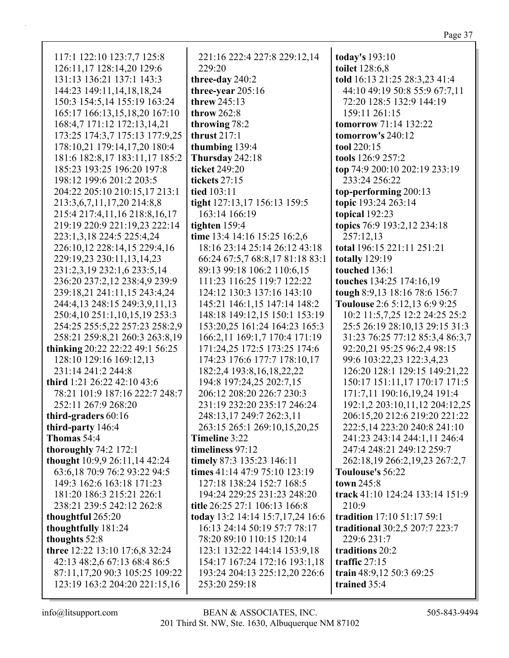| 117:1 122:10 123:7,7 125:8      | 221:16 222:4 227:8 229:12,1   |
|---------------------------------|-------------------------------|
| 126:11,17 128:14,20 129:6       | 229:20                        |
| 131:13 136:21 137:1 143:3       | three-day 240:2               |
| 144:23 149:11,14,18,18,24       | three-year $205:16$           |
| 150:3 154:5,14 155:19 163:24    | threw 245:13                  |
| 165:17 166:13,15,18,20 167:10   | throw $262:8$                 |
| 168:4,7 171:12 172:13,14,21     | throwing 78:2                 |
| 173:25 174:3,7 175:13 177:9,25  | thrust $217:1$                |
| 178:10,21 179:14,17,20 180:4    | thumbing 139:4                |
| 181:6 182:8,17 183:11,17 185:2  | Thursday 242:18               |
| 185:23 193:25 196:20 197:8      | ticket 249:20                 |
| 198:12 199:6 201:2 203:5        | tickets 27:15                 |
| 204:22 205:10 210:15,17 213:1   | tied 103:11                   |
| 213:3,6,7,11,17,20 214:8,8      | tight 127:13,17 156:13 159:5  |
| 215:4 217:4,11,16 218:8,16,17   | 163:14 166:19                 |
| 219:19 220:9 221:19,23 222:14   | tighten 159:4                 |
| 223:1,3,18 224:5 225:4,24       | time 13:4 14:16 15:25 16:2,6  |
| 226:10,12 228:14,15 229:4,16    | 18:16 23:14 25:14 26:12 43:   |
| 229:19,23 230:11,13,14,23       | 66:24 67:5,7 68:8,17 81:18 8  |
| 231:2,3,19 232:1,6 233:5,14     | 89:13 99:18 106:2 110:6,15    |
| 236:20 237:2,12 238:4,9 239:9   | 111:23 116:25 119:7 122:22    |
| 239:18,21 241:11,15 243:4,24    | 124:12 130:3 137:16 143:10    |
| 244:4,13 248:15 249:3,9,11,13   | 145:21 146:1,15 147:14 148:   |
| 250:4,10 251:1,10,15,19 253:3   | 148:18 149:12,15 150:1 153:   |
| 254:25 255:5,22 257:23 258:2,9  | 153:20,25 161:24 164:23 16:   |
| 258:21 259:8,21 260:3 263:8,19  | 166:2,11 169:1,7 170:4 171:   |
| thinking 20:22 22:22 49:1 56:25 | 171:24,25 172:5 173:25 174:   |
| 128:10 129:16 169:12,13         | 174:23 176:6 177:7 178:10,1   |
| 231:14 241:2 244:8              | 182:2,4 193:8,16,18,22,22     |
| third 1:21 26:22 42:10 43:6     | 194:8 197:24,25 202:7,15      |
| 78:21 101:9 187:16 222:7 248:7  | 206:12 208:20 226:7 230:3     |
| 252:11 267:9 268:20             | 231:19 232:20 235:17 246:24   |
| third-graders 60:16             | 248:13,17 249:7 262:3,11      |
| third-party 146:4               | 263:15 265:1 269:10,15,20,2   |
| Thomas 54:4                     | Timeline 3:22                 |
| thoroughly $74:2$ 172:1         | timeliness 97:12              |
| thought 10:9,9 26:11,14 42:24   | timely 87:3 135:23 146:11     |
| 63:6,18 70:9 76:2 93:22 94:5    | times 41:14 47:9 75:10 123:19 |
| 149:3 162:6 163:18 171:23       | 127:18 138:24 152:7 168:5     |
| 181:20 186:3 215:21 226:1       | 194:24 229:25 231:23 248:20   |
| 238:21 239:5 242:12 262:8       | title 26:25 27:1 106:13 166:8 |
| thoughtful 265:20               | today 13:2 14:14 15:7,17,24 1 |
| thoughtfully 181:24             | 16:13 24:14 50:19 57:7 78:1   |
| thoughts 52:8                   | 78:20 89:10 110:15 120:14     |
| three 12:22 13:10 17:6,8 32:24  | 123:1 132:22 144:14 153:9,1   |
| 42:13 48:2,6 67:13 68:4 86:5    | 154:17 167:24 172:16 193:1,   |
| 87:11,17,20 90:3 105:25 109:22  | 193:24 204:13 225:12,20 226   |
| 123:19 163:2 204:20 221:15,16   | 253:20 259:18                 |

8 229:12,14 today's 193:10 toilet 128:6,8 told 16:13 21:25 28:3,23 41:4 44:10 49:19 50:8 55:9 67:7,11 72:20 128:5 132:9 144:19 159:11 261:15 **tomorrow** 71:14 132:22 tomorrow's  $240:12$ tool 220:15 tools 126:9 257:2 top 74:9 200:10 202:19 233:19 233:24 256:22 top-performing 200:13 topic 193:24 263:14 topical 192:23 topics 76:9 193:2,12 234:18 257:12.13 total 196:15 221:11 251:21 4 26:12 43:18 ,1781:1883:1 totally  $129:19$ touched 136:1 touches 134:25 174:16,19 tough 8:9,13 18:16 78:6 156:7 47:14 148:2 Toulouse 2:6 5:12,13 6:9 9:25 150:1 153:19 10:2 11:5,7,25 12:2 24:25 25:2 164:23 165:3 25:5 26:19 28:10.13 29:15 31:3 170:4 171:19 31:23 76:25 77:12 85:3,4 86:3,7 73:25 174:6 92:20,21 95:25 96:2,4 98:15 :7 178:10,17 99:6 103:22,23 122:3,4,23 126:20 128:1 129:15 149:21,22 150:17 151:11,17 170:17 171:5 171:7,11 190:16,19,24 191:4 5:17 246:24 192:1,2 203:10,11,12 204:12,25 206:15,20 212:6 219:20 221:22  $10,15,20,25$ 222:5.14 223:20 240:8 241:10 241:23 243:14 244:1,11 246:4 247:4 248:21 249:12 259:7 262:18,19 266:2,19,23 267:2,7  $6:10$  123:19 Toulouse's 56:22 town  $245:8$ 1:23 248:20 track 41:10 124:24 133:14 151:9  $210:9$ 5:7,17,24 16:6 tradition 17:10 51:17 59:1  $957:778:17$ **traditional 30:2,5 207:7 223:7** 229:6 231:7 traditions 20:2 :14 153:9,18 2:16 193:1,18 traffic  $27:15$ 5:12,20 226:6 train 48:9,12 50:3 69:25 trained 35:4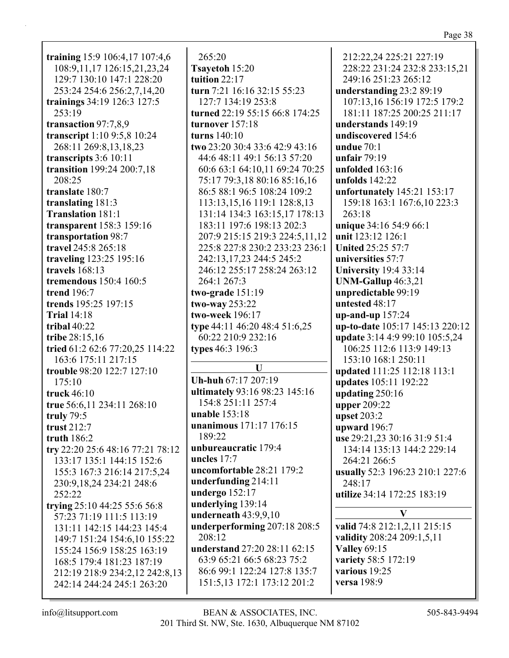training 15:9 106:4,17 107:4,6 108:9, 11, 17 126: 15, 21, 23, 24 129:7 130:10 147:1 228:20 253:24 254:6 256:2,7,14,20 trainings 34:19 126:3 127:5 253:19 transaction 97:7.8.9 transcript 1:10 9:5,8 10:24 268:11 269:8,13,18,23 transcripts 3:6 10:11 **transition** 199:24 200:7,18  $208.25$ translate 180:7 translating 181:3 **Translation 181:1** transparent 158:3 159:16 transportation 98:7 travel 245:8 265:18 traveling 123:25 195:16 travels  $168:13$ tremendous  $150:4 160:5$ **trend** 196:7 trends 195:25 197:15 **Trial 14:18** tribal  $40:22$ tribe 28:15.16 tried 61:2 62:6 77:20.25 114:22 163:6 175:11 217:15 trouble 98:20 122:7 127:10  $175:10$ truck  $46:10$ true 56:6,11 234:11 268:10 truly  $79:5$ trust  $212:7$ truth  $186:2$ try 22:20 25:6 48:16 77:21 78:12 133:17 135:1 144:15 152:6 155:3 167:3 216:14 217:5,24 230:9,18,24 234:21 248:6 252:22 trying 25:10 44:25 55:6 56:8 57:23 71:19 111:5 113:19 131:11 142:15 144:23 145:4 149:7 151:24 154:6,10 155:22 155:24 156:9 158:25 163:19 168:5 179:4 181:23 187:19 212:19 218:9 234:2,12 242:8,13 242:14 244:24 245:1 263:20

 $265:20$ Tsayetoh 15:20 tuition  $22:17$ turn 7:21 16:16 32:15 55:23 127:7 134:19 253:8 turned 22:19 55:15 66:8 174:25 turnover  $157:18$ turns  $140:10$ two 23:20 30:4 33:6 42:9 43:16 44:6 48:11 49:1 56:13 57:20 60:6 63:1 64:10,11 69:24 70:25 75:17 79:3,18 80:16 85:16,16 86:5 88:1 96:5 108:24 109:2 113:13,15,16 119:1 128:8,13 131:14 134:3 163:15,17 178:13 183:11 197:6 198:13 202:3 207:9 215:15 219:3 224:5,11.12 225:8 227:8 230:2 233:23 236:1 242:13,17,23 244:5 245:2 246:12 255:17 258:24 263:12 264:1 267:3 two-grade  $151:19$ two-way  $253:22$ two-week 196:17 type 44:11 46:20 48:4 51:6,25 60:22 210:9 232:16 types 46:3 196:3  $\mathbf{U}$ Uh-huh 67:17 207:19 ultimately 93:16 98:23 145:16 154:8 251:11 257:4 unable  $153:18$ unanimous 171:17 176:15 189:22 unbureaucratic 179:4 uncles  $17:7$ uncomfortable 28:21 179:2 underfunding 214:11 undergo  $152:17$ underlying 139:14 underneath  $43:9,9,10$ underperforming 207:18 208:5  $208:12$ 

understand 27:20 28:11 62:15 63:9 65:21 66:5 68:23 75:2 86:6 99:1 122:24 127:8 135:7 151:5,13 172:1 173:12 201:2

212:22.24 225:21 227:19 228:22 231:24 232:8 233:15,21 249:16 251:23 265:12 understanding 23:2 89:19 107:13,16 156:19 172:5 179:2 181:11 187:25 200:25 211:17 understands 149:19 undiscovered 154:6 undue  $70:1$ unfair  $79:19$ unfolded  $163:16$ unfolds  $142:22$ unfortunately 145:21 153:17 159:18 163:1 167:6,10 223:3  $263:18$ unique 34:16 54:9 66:1 unit 123:12 126:1 **United 25:25 57:7** universities 57:7 **University** 19:4 33:14 UNM-Gallup  $46:3,21$ unpredictable 99:19 untested 48:17  $up-and-up$  157:24 up-to-date 105:17 145:13 220:12 update 3:14 4:9 99:10 105:5,24 106:25 112:6 113:9 149:13 153:10 168:1 250:11 updated 111:25 112:18 113:1 **updates** 105:11 192:22 updating  $250:16$ **upper 209:22** upset 203:2 upward  $196:7$ use 29:21,23 30:16 31:9 51:4 134:14 135:13 144:2 229:14 264:21 266:5 usually 52:3 196:23 210:1 227:6  $248:17$ utilize 34:14 172:25 183:19  $\overline{\mathbf{V}}$ 

valid 74:8 212:1.2.11 215:15 validity 208:24 209:1,5,11 **Valley 69:15** variety 58:5 172:19 various 19:25 versa 198:9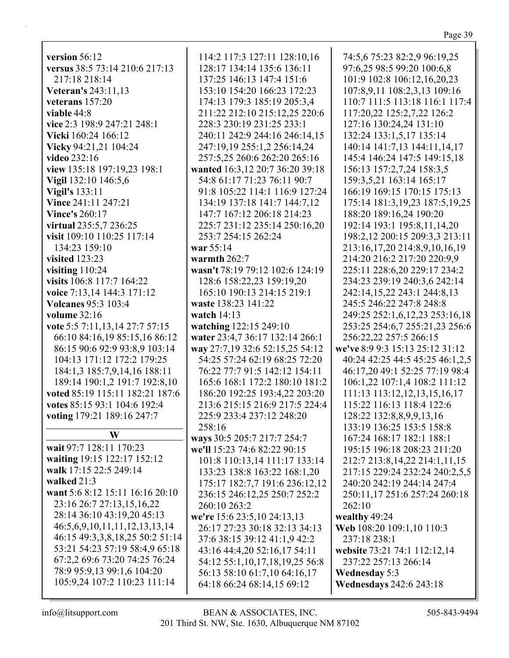| version 56:12                   | 114:2 117:3 127:11 128:10,16    | 74:5,6 75:23 82:2,9 96:19,25      |
|---------------------------------|---------------------------------|-----------------------------------|
| versus 38:5 73:14 210:6 217:13  | 128:17 134:14 135:6 136:11      | 97:6,25 98:5 99:20 100:6,8        |
| 217:18 218:14                   | 137:25 146:13 147:4 151:6       | 101:9 102:8 106:12,16,20,23       |
| <b>Veteran's 243:11,13</b>      | 153:10 154:20 166:23 172:23     | 107:8,9,11 108:2,3,13 109:16      |
| veterans 157:20                 | 174:13 179:3 185:19 205:3,4     | 110:7 111:5 113:18 116:1 117:4    |
| viable 44:8                     | 211:22 212:10 215:12,25 220:6   | 117:20,22 125:2,7,22 126:2        |
| vice 2:3 198:9 247:21 248:1     | 228:3 230:19 231:25 233:1       | 127:16 130:24,24 131:10           |
| Vicki 160:24 166:12             | 240:11 242:9 244:16 246:14,15   | 132:24 133:1,5,17 135:14          |
| Vicky 94:21,21 104:24           | 247:19,19 255:1,2 256:14,24     | 140:14 141:7,13 144:11,14,17      |
| video 232:16                    | 257:5,25 260:6 262:20 265:16    | 145:4 146:24 147:5 149:15,18      |
| view 135:18 197:19,23 198:1     | wanted 16:3,12 20:7 36:20 39:18 | 156:13 157:2,7,24 158:3,5         |
| Vigil 132:10 146:5,6            | 54:8 61:17 71:23 76:11 90:7     | 159:3,5,21 163:14 165:17          |
| <b>Vigil's</b> 133:11           | 91:8 105:22 114:1 116:9 127:24  | 166:19 169:15 170:15 175:13       |
| Vince 241:11 247:21             | 134:19 137:18 141:7 144:7,12    | 175:14 181:3,19,23 187:5,19,25    |
| <b>Vince's 260:17</b>           | 147:7 167:12 206:18 214:23      | 188:20 189:16,24 190:20           |
| virtual 235:5,7 236:25          | 225:7 231:12 235:14 250:16,20   | 192:14 193:1 195:8,11,14,20       |
| visit 109:10 110:25 117:14      | 253:7 254:15 262:24             | 198:2,12 200:15 209:3,3 213:11    |
| 134:23 159:10                   | war 55:14                       | 213:16,17,20 214:8,9,10,16,19     |
| visited 123:23                  | warmth $262:7$                  | 214:20 216:2 217:20 220:9,9       |
|                                 | wasn't 78:19 79:12 102:6 124:19 |                                   |
| visiting $110:24$               |                                 | 225:11 228:6,20 229:17 234:2      |
| visits 106:8 117:7 164:22       | 128:6 158:22,23 159:19,20       | 234:23 239:19 240:3,6 242:14      |
| voice 7:13,14 144:3 171:12      | 165:10 190:13 214:15 219:1      | 242:14,15,22 243:1 244:8,13       |
| <b>Volcanes 95:3 103:4</b>      | waste 138:23 141:22             | 245:5 246:22 247:8 248:8          |
| <b>volume</b> 32:16             | watch 14:13                     | 249:25 252:1,6,12,23 253:16,18    |
| vote 5:5 7:11,13,14 27:7 57:15  | watching 122:15 249:10          | 253:25 254:6,7 255:21,23 256:6    |
| 66:10 84:16,19 85:15,16 86:12   | water 23:4,7 36:17 132:14 266:1 | 256:22,22 257:5 266:15            |
| 86:15 90:6 92:9 93:8,9 103:14   | way 27:7,19 32:6 52:15,25 54:12 | we've 8:9 9:3 15:13 25:12 31:12   |
| 104:13 171:12 172:2 179:25      | 54:25 57:24 62:19 68:25 72:20   | 40:24 42:25 44:5 45:25 46:1,2,5   |
| 184:1,3 185:7,9,14,16 188:11    | 76:22 77:7 91:5 142:12 154:11   | 46:17,20 49:1 52:25 77:19 98:4    |
| 189:14 190:1,2 191:7 192:8,10   | 165:6 168:1 172:2 180:10 181:2  | 106:1,22 107:1,4 108:2 111:12     |
| voted 85:19 115:11 182:21 187:6 | 186:20 192:25 193:4,22 203:20   | 111:13 113:12,12,13,15,16,17      |
| votes 85:15 93:1 104:6 192:4    | 213:6 215:15 216:9 217:5 224:4  | 115:22 116:13 118:4 122:6         |
| voting 179:21 189:16 247:7      | 225:9 233:4 237:12 248:20       | 128:22 132:8,8,9,9,13,16          |
|                                 | 258:16                          | 133:19 136:25 153:5 158:8         |
| W                               | ways 30:5 205:7 217:7 254:7     | 167:24 168:17 182:1 188:1         |
| wait 97:7 128:11 170:23         | we'll 15:23 74:6 82:22 90:15    | 195:15 196:18 208:23 211:20       |
| waiting 19:15 122:17 152:12     | 101:8 110:13,14 111:17 133:14   | 212:7 213:8, 14, 22 214:1, 11, 15 |
| walk 17:15 22:5 249:14          | 133:23 138:8 163:22 168:1,20    | 217:15 229:24 232:24 240:2,5,5    |
| walked 21:3                     | 175:17 182:7,7 191:6 236:12,12  | 240:20 242:19 244:14 247:4        |
| want 5:6 8:12 15:11 16:16 20:10 | 236:15 246:12,25 250:7 252:2    | 250:11,17 251:6 257:24 260:18     |
| 23:16 26:7 27:13,15,16,22       | 260:10 263:2                    | 262:10                            |
| 28:14 36:10 43:19,20 45:13      | we're 15:6 23:5,10 24:13,13     | wealthy 49:24                     |
| 46:5,6,9,10,11,11,12,13,13,14   | 26:17 27:23 30:18 32:13 34:13   | Web 108:20 109:1,10 110:3         |
| 46:15 49:3,3,8,18,25 50:2 51:14 | 37:6 38:15 39:12 41:1,9 42:2    | 237:18 238:1                      |
| 53:21 54:23 57:19 58:4,9 65:18  | 43:16 44:4,20 52:16,17 54:11    | website 73:21 74:1 112:12,14      |
| 67:2,2 69:6 73:20 74:25 76:24   | 54:12 55:1,10,17,18,19,25 56:8  | 237:22 257:13 266:14              |
| 78:9 95:9,13 99:1,6 104:20      | 56:13 58:10 61:7,10 64:16,17    | <b>Wednesday 5:3</b>              |
| 105:9,24 107:2 110:23 111:14    | 64:18 66:24 68:14,15 69:12      | <b>Wednesdays</b> 242:6 243:18    |
|                                 |                                 |                                   |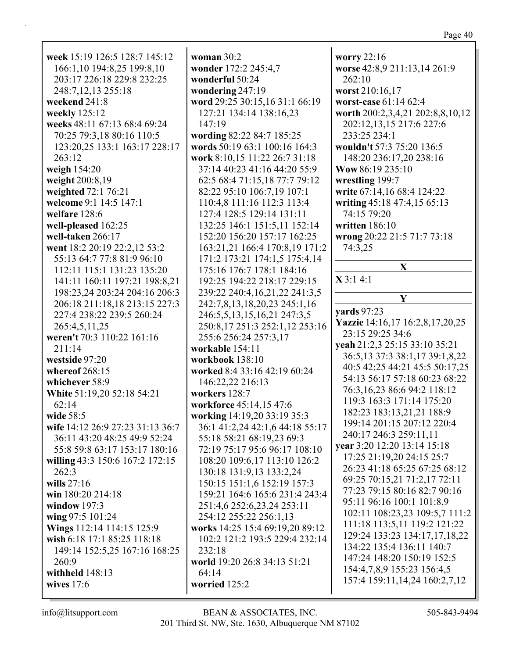| week 15:19 126:5 128:7 145:12                              | woman $30:2$                    | worry 22:16                                                    |
|------------------------------------------------------------|---------------------------------|----------------------------------------------------------------|
| 166:1,10 194:8,25 199:8,10                                 | wonder 172:2 245:4,7            | worse 42:8,9 211:13,14 261:9                                   |
| 203:17 226:18 229:8 232:25                                 | wonderful 50:24                 | 262:10                                                         |
| 248:7,12,13 255:18                                         | wondering 247:19                | worst 210:16,17                                                |
| weekend 241:8                                              | word 29:25 30:15,16 31:1 66:19  | worst-case 61:14 62:4                                          |
| weekly 125:12                                              | 127:21 134:14 138:16,23         | worth 200:2,3,4,21 202:8,8,10,12                               |
| weeks 48:11 67:13 68:4 69:24                               | 147:19                          | 202:12,13,15 217:6 227:6                                       |
| 70:25 79:3,18 80:16 110:5                                  | wording 82:22 84:7 185:25       | 233:25 234:1                                                   |
| 123:20,25 133:1 163:17 228:17                              | words 50:19 63:1 100:16 164:3   | wouldn't 57:3 75:20 136:5                                      |
| 263:12                                                     | work 8:10,15 11:22 26:7 31:18   | 148:20 236:17,20 238:16                                        |
| weigh 154:20                                               | 37:14 40:23 41:16 44:20 55:9    | Wow 86:19 235:10                                               |
| weight 200:8,19                                            | 62:5 68:4 71:15,18 77:7 79:12   | wrestling 199:7                                                |
| weighted 72:1 76:21                                        | 82:22 95:10 106:7,19 107:1      | write 67:14,16 68:4 124:22                                     |
| welcome 9:1 14:5 147:1                                     | 110:4,8 111:16 112:3 113:4      | writing 45:18 47:4,15 65:13                                    |
| welfare 128:6                                              | 127:4 128:5 129:14 131:11       | 74:15 79:20                                                    |
| well-pleased 162:25                                        | 132:25 146:1 151:5,11 152:14    | written 186:10                                                 |
| well-taken 266:17                                          | 152:20 156:20 157:17 162:25     | wrong 20:22 21:5 71:7 73:18                                    |
| went 18:2 20:19 22:2,12 53:2                               | 163:21,21 166:4 170:8,19 171:2  | 74:3,25                                                        |
| 55:13 64:7 77:8 81:9 96:10                                 | 171:2 173:21 174:1,5 175:4,14   |                                                                |
| 112:11 115:1 131:23 135:20                                 | 175:16 176:7 178:1 184:16       | X                                                              |
| 141:11 160:11 197:21 198:8,21                              | 192:25 194:22 218:17 229:15     | X3:14:1                                                        |
| 198:23,24 203:24 204:16 206:3                              | 239:22 240:4,16,21,22 241:3,5   |                                                                |
|                                                            |                                 | Y                                                              |
| 206:18 211:18,18 213:15 227:3<br>227:4 238:22 239:5 260:24 | 242:7,8,13,18,20,23 245:1,16    | <b>yards</b> 97:23                                             |
|                                                            | 246:5,5,13,15,16,21 247:3,5     | Yazzie 14:16,17 16:2,8,17,20,25                                |
| 265:4,5,11,25                                              | 250:8,17 251:3 252:1,12 253:16  | 23:15 29:25 34:6                                               |
| weren't 70:3 110:22 161:16                                 | 255:6 256:24 257:3,17           | yeah 21:2,3 25:15 33:10 35:21                                  |
| 211:14                                                     | workable 154:11                 | 36:5, 13 37:3 38:1, 17 39:1, 8, 22                             |
| westside 97:20                                             | workbook 138:10                 | 40:5 42:25 44:21 45:5 50:17,25                                 |
| whereof 268:15                                             | worked 8:4 33:16 42:19 60:24    | 54:13 56:17 57:18 60:23 68:22                                  |
| whichever 58:9                                             | 146:22,22 216:13                | 76:3,16,23 86:6 94:2 118:12                                    |
| White 51:19,20 52:18 54:21                                 | workers 128:7                   | 119:3 163:3 171:14 175:20                                      |
| 62:14                                                      | workforce 45:14,15 47:6         | 182:23 183:13,21,21 188:9                                      |
| wide 58:5                                                  | working 14:19,20 33:19 35:3     | 199:14 201:15 207:12 220:4                                     |
| wife 14:12 26:9 27:23 31:13 36:7                           | 36:1 41:2,24 42:1,6 44:18 55:17 | 240:17 246:3 259:11,11                                         |
| 36:11 43:20 48:25 49:9 52:24                               | 55:18 58:21 68:19,23 69:3       | year 3:20 12:20 13:14 15:18                                    |
| 55:8 59:8 63:17 153:17 180:16                              | 72:19 75:17 95:6 96:17 108:10   | 17:25 21:19,20 24:15 25:7                                      |
| willing 43:3 150:6 167:2 172:15                            | 108:20 109:6,17 113:10 126:2    | 26:23 41:18 65:25 67:25 68:12                                  |
| 262:3                                                      | 130:18 131:9,13 133:2,24        | 69:25 70:15,21 71:2,17 72:11                                   |
| wills $27:16$                                              | 150:15 151:1,6 152:19 157:3     | 77:23 79:15 80:16 82:7 90:16                                   |
| win 180:20 214:18                                          | 159:21 164:6 165:6 231:4 243:4  | 95:11 96:16 100:1 101:8,9                                      |
| window $197:3$                                             | 251:4,6 252:6,23,24 253:11      |                                                                |
| wing 97:5 101:24                                           | 254:12 255:22 256:1,13          | 102:11 108:23,23 109:5,7 111:2<br>111:18 113:5,11 119:2 121:22 |
| Wings 112:14 114:15 125:9                                  | works 14:25 15:4 69:19,20 89:12 |                                                                |
| wish 6:18 17:1 85:25 118:18                                | 102:2 121:2 193:5 229:4 232:14  | 129:24 133:23 134:17,17,18,22                                  |
| 149:14 152:5,25 167:16 168:25                              | 232:18                          | 134:22 135:4 136:11 140:7                                      |
| 260:9                                                      | world 19:20 26:8 34:13 51:21    | 147:24 148:20 150:19 152:5                                     |
| withheld 148:13                                            | 64:14                           | 154:4,7,8,9 155:23 156:4,5                                     |
| wives $17:6$                                               | worried 125:2                   | 157:4 159:11,14,24 160:2,7,12                                  |
|                                                            |                                 |                                                                |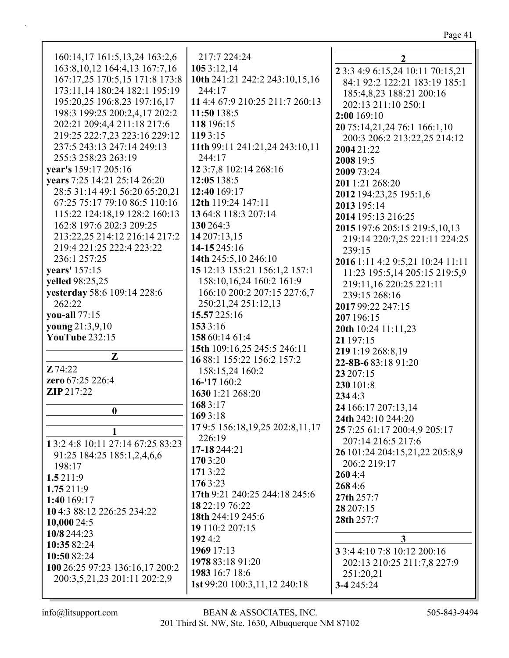## Page 41

| 160:14,17 161:5,13,24 163:2,6     | 217:7 224:24                    | $\overline{2}$                   |
|-----------------------------------|---------------------------------|----------------------------------|
| 163:8, 10, 12 164:4, 13 167:7, 16 | 1053:12,14                      | 2 3:3 4:9 6:15,24 10:11 70:15,21 |
| 167:17,25 170:5,15 171:8 173:8    | 10th 241:21 242:2 243:10,15,16  | 84:1 92:2 122:21 183:19 185:1    |
| 173:11,14 180:24 182:1 195:19     | 244:17                          | 185:4,8,23 188:21 200:16         |
| 195:20,25 196:8,23 197:16,17      | 11 4:4 67:9 210:25 211:7 260:13 | 202:13 211:10 250:1              |
| 198:3 199:25 200:2,4,17 202:2     | 11:50 138:5                     |                                  |
| 202:21 209:4,4 211:18 217:6       | 118 196:15                      | 2:00 169:10                      |
| 219:25 222:7,23 223:16 229:12     | 119 3:15                        | 20 75:14,21,24 76:1 166:1,10     |
| 237:5 243:13 247:14 249:13        | 11th 99:11 241:21,24 243:10,11  | 200:3 206:2 213:22,25 214:12     |
| 255:3 258:23 263:19               | 244:17                          | 2004 21:22                       |
|                                   |                                 | 2008 19:5                        |
| year's 159:17 205:16              | 12 3:7,8 102:14 268:16          | 2009 73:24                       |
| years 7:25 14:21 25:14 26:20      | 12:05 138:5                     | 201 1:21 268:20                  |
| 28:5 31:14 49:1 56:20 65:20,21    | 12:40 169:17                    | 2012 194:23,25 195:1,6           |
| 67:25 75:17 79:10 86:5 110:16     | 12th 119:24 147:11              | 2013 195:14                      |
| 115:22 124:18,19 128:2 160:13     | 13 64:8 118:3 207:14            | 2014 195:13 216:25               |
| 162:8 197:6 202:3 209:25          | 130 264:3                       | 2015 197:6 205:15 219:5,10,13    |
| 213:22,25 214:12 216:14 217:2     | 14 207:13,15                    | 219:14 220:7,25 221:11 224:25    |
| 219:4 221:25 222:4 223:22         | 14-15 245:16                    | 239:15                           |
| 236:1 257:25                      | 14th 245:5,10 246:10            | 2016 1:11 4:2 9:5,21 10:24 11:11 |
| years' 157:15                     | 15 12:13 155:21 156:1,2 157:1   | 11:23 195:5,14 205:15 219:5,9    |
| yelled 98:25,25                   | 158:10,16,24 160:2 161:9        | 219:11,16 220:25 221:11          |
| yesterday 58:6 109:14 228:6       | 166:10 200:2 207:15 227:6,7     | 239:15 268:16                    |
| 262:22                            | 250:21,24 251:12,13             | 2017 99:22 247:15                |
| you-all 77:15                     | 15.57 225:16                    | 207 196:15                       |
| young 21:3,9,10                   | 153 3:16                        | 20th 10:24 11:11,23              |
| <b>YouTube 232:15</b>             | 158 60:14 61:4                  | 21 197:15                        |
|                                   | 15th 109:16,25 245:5 246:11     | 219 1:19 268:8,19                |
| Z                                 | 16 88:1 155:22 156:2 157:2      | 22-8B-683:1891:20                |
| Z74:22                            | 158:15,24 160:2                 | 23 207:15                        |
| zero 67:25 226:4                  | 16-'17 160:2                    | 230 101:8                        |
| <b>ZIP</b> 217:22                 | 1630 1:21 268:20                | 2344:3                           |
| $\bf{0}$                          | 168 3:17                        | 24 166:17 207:13,14              |
|                                   | 169 3:18                        | 24th 242:10 244:20               |
|                                   | 179:5 156:18,19,25 202:8,11,17  | 25 7:25 61:17 200:4,9 205:17     |
| 1 3:2 4:8 10:11 27:14 67:25 83:23 | 226:19                          | 207:14 216:5 217:6               |
| 91:25 184:25 185:1,2,4,6,6        | 17-18 244:21                    | 26 101:24 204:15,21,22 205:8,9   |
| 198:17                            | 170 3:20                        | 206:2 219:17                     |
| 1.5211:9                          | 1713:22                         | 2604:4                           |
|                                   | 1763:23                         | 2684:6                           |
| 1.75211:9<br>1:40 169:17          | 17th 9:21 240:25 244:18 245:6   | 27th 257:7                       |
|                                   | 18 22:19 76:22                  | 28 207:15                        |
| 104:3 88:12 226:25 234:22         | 18th 244:19 245:6               | 28th 257:7                       |
| 10,000 24:5                       | 19 110:2 207:15                 |                                  |
| 10/8 244:23                       | 1924:2                          | 3                                |
| 10:35 82:24                       | 1969 17:13                      | 3 3:4 4:10 7:8 10:12 200:16      |
| 10:50 82:24                       | 1978 83:18 91:20                | 202:13 210:25 211:7,8 227:9      |
| 100 26:25 97:23 136:16,17 200:2   | 1983 16:7 18:6                  | 251:20,21                        |
| 200:3,5,21,23 201:11 202:2,9      | 1st 99:20 100:3, 11, 12 240:18  | 3-4 245:24                       |
|                                   |                                 |                                  |

info@litsupport.com